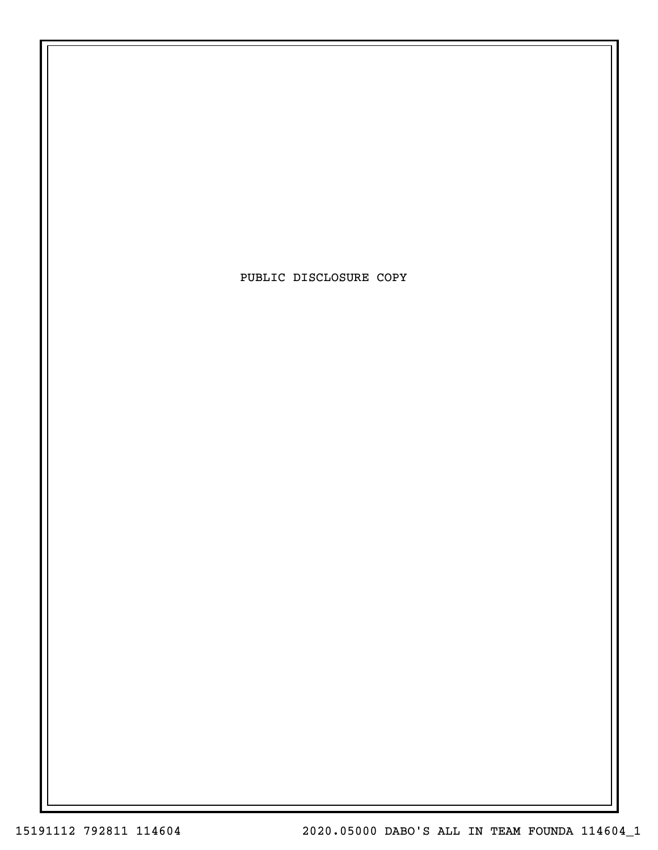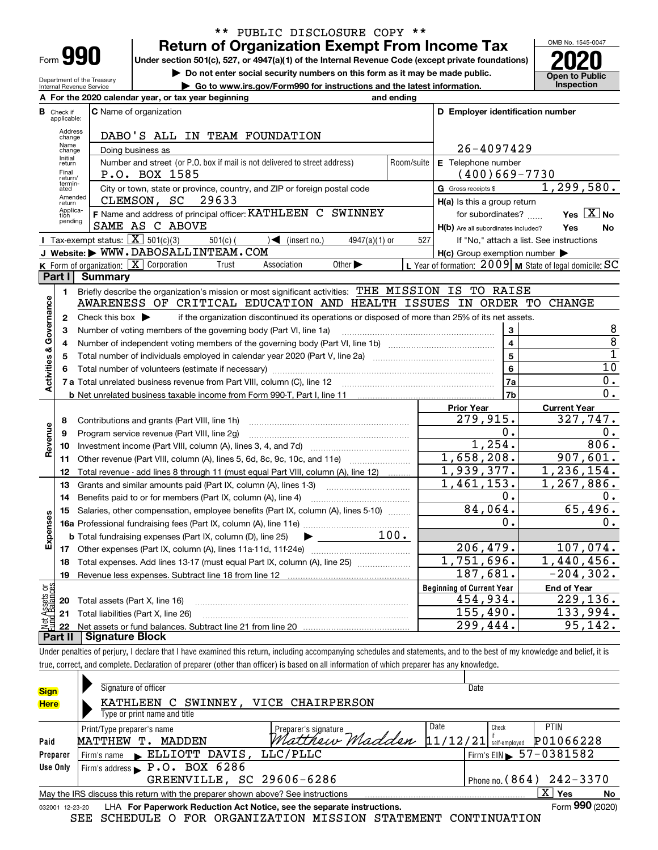| -orm |  |
|------|--|

Department of the Treasury Internal Revenue Service

### **Return of Organization Exempt From Income Tax** \*\* PUBLIC DISCLOSURE COPY \*\*

**Under section 501(c), 527, or 4947(a)(1) of the Internal Revenue Code (except private foundations) 2020**

**| Do not enter social security numbers on this form as it may be made public.**

**| Go to www.irs.gov/Form990 for instructions and the latest information. Inspection**

OMB No. 1545-0047 **Open to Public** 

| D Employer identification number<br><b>C</b> Name of organization<br><b>B</b> Check if<br>applicable:<br>Address<br>DABO'S ALL IN TEAM FOUNDATION<br>change<br>Name<br>26-4097429<br>Doing business as<br>change<br>Initial<br>Number and street (or P.O. box if mail is not delivered to street address)<br>E Telephone number<br>Room/suite<br>return<br>Final<br>P.O. BOX 1585<br>$(400)669 - 7730$<br>return/<br>termin-<br>City or town, state or province, country, and ZIP or foreign postal code<br>G Gross receipts \$<br>ated<br>Amended<br>CLEMSON, SC<br>29633<br>H(a) Is this a group return<br>return<br>Applica-<br>F Name and address of principal officer: KATHLEEN C SWINNEY<br>for subordinates?<br>tion<br>pending<br>SAME AS C ABOVE<br>Yes<br>H(b) Are all subordinates included?<br><b>I</b> Tax-exempt status: $\overline{X}$ 501(c)(3)<br>$\sqrt{\bullet}$ (insert no.)<br>$501(c)$ (<br>527<br>If "No," attach a list. See instructions<br>$4947(a)(1)$ or<br>J Website: WWW.DABOSALLINTEAM.COM<br>$H(c)$ Group exemption number $\blacktriangleright$<br>K Form of organization: X Corporation<br>Other $\blacktriangleright$<br>Trust<br>Association<br>L Year of formation: $2009$ M State of legal domicile: SC<br>Part I<br>Summary<br>Briefly describe the organization's mission or most significant activities: THE MISSION IS TO RAISE<br>1<br>Governance<br>AWARENESS OF CRITICAL EDUCATION AND HEALTH ISSUES IN ORDER TO CHANGE<br>Check this box $\blacktriangleright$<br>if the organization discontinued its operations or disposed of more than 25% of its net assets.<br>$\mathbf{2}$<br>3<br>з<br>Number of voting members of the governing body (Part VI, line 1a)<br>$\overline{\mathbf{4}}$<br>4<br><b>Activities &amp;</b><br>5<br>5<br>6<br>6<br>7a<br>7b<br><b>Prior Year</b><br>279,915.<br>8<br>Contributions and grants (Part VIII, line 1h)<br>Revenue<br>0.<br>9<br>Program service revenue (Part VIII, line 2g)<br>1,254.<br>10<br>1,658,208.<br>Other revenue (Part VIII, column (A), lines 5, 6d, 8c, 9c, 10c, and 11e)<br>11<br>1,939,377.<br>12<br>Total revenue - add lines 8 through 11 (must equal Part VIII, column (A), line 12)<br>1,461,153.<br>Grants and similar amounts paid (Part IX, column (A), lines 1-3)<br>13<br>0.<br>Benefits paid to or for members (Part IX, column (A), line 4)<br>14<br>84,064.<br>15<br>Salaries, other compensation, employee benefits (Part IX, column (A), lines 5-10)<br>Expenses<br>0.<br>100.<br><b>b</b> Total fundraising expenses (Part IX, column (D), line 25)<br>▶<br>206,479.<br>107,074.<br>1,751,696.<br>1,440,456.<br>Total expenses. Add lines 13-17 (must equal Part IX, column (A), line 25)<br>18<br>187,681.<br>$-204, 302.$<br>19<br>ងន<br><b>Beginning of Current Year</b><br><b>End of Year</b><br>Assets<br>1 Balanc<br>229, 136.<br>454,934.<br>20<br>Total assets (Part X, line 16)<br>155,490. |    | A For the 2020 calendar year, or tax year beginning | and ending |  |                                 |  |  |  |
|------------------------------------------------------------------------------------------------------------------------------------------------------------------------------------------------------------------------------------------------------------------------------------------------------------------------------------------------------------------------------------------------------------------------------------------------------------------------------------------------------------------------------------------------------------------------------------------------------------------------------------------------------------------------------------------------------------------------------------------------------------------------------------------------------------------------------------------------------------------------------------------------------------------------------------------------------------------------------------------------------------------------------------------------------------------------------------------------------------------------------------------------------------------------------------------------------------------------------------------------------------------------------------------------------------------------------------------------------------------------------------------------------------------------------------------------------------------------------------------------------------------------------------------------------------------------------------------------------------------------------------------------------------------------------------------------------------------------------------------------------------------------------------------------------------------------------------------------------------------------------------------------------------------------------------------------------------------------------------------------------------------------------------------------------------------------------------------------------------------------------------------------------------------------------------------------------------------------------------------------------------------------------------------------------------------------------------------------------------------------------------------------------------------------------------------------------------------------------------------------------------------------------------------------------------------------------------------------------------------------------------------------------------------------------------------------------------------------------------------------------------------------------------------------------------------------------------------------------------------------------------------------------------------------------|----|-----------------------------------------------------|------------|--|---------------------------------|--|--|--|
|                                                                                                                                                                                                                                                                                                                                                                                                                                                                                                                                                                                                                                                                                                                                                                                                                                                                                                                                                                                                                                                                                                                                                                                                                                                                                                                                                                                                                                                                                                                                                                                                                                                                                                                                                                                                                                                                                                                                                                                                                                                                                                                                                                                                                                                                                                                                                                                                                                                                                                                                                                                                                                                                                                                                                                                                                                                                                                                              |    |                                                     |            |  |                                 |  |  |  |
|                                                                                                                                                                                                                                                                                                                                                                                                                                                                                                                                                                                                                                                                                                                                                                                                                                                                                                                                                                                                                                                                                                                                                                                                                                                                                                                                                                                                                                                                                                                                                                                                                                                                                                                                                                                                                                                                                                                                                                                                                                                                                                                                                                                                                                                                                                                                                                                                                                                                                                                                                                                                                                                                                                                                                                                                                                                                                                                              |    |                                                     |            |  |                                 |  |  |  |
|                                                                                                                                                                                                                                                                                                                                                                                                                                                                                                                                                                                                                                                                                                                                                                                                                                                                                                                                                                                                                                                                                                                                                                                                                                                                                                                                                                                                                                                                                                                                                                                                                                                                                                                                                                                                                                                                                                                                                                                                                                                                                                                                                                                                                                                                                                                                                                                                                                                                                                                                                                                                                                                                                                                                                                                                                                                                                                                              |    |                                                     |            |  |                                 |  |  |  |
|                                                                                                                                                                                                                                                                                                                                                                                                                                                                                                                                                                                                                                                                                                                                                                                                                                                                                                                                                                                                                                                                                                                                                                                                                                                                                                                                                                                                                                                                                                                                                                                                                                                                                                                                                                                                                                                                                                                                                                                                                                                                                                                                                                                                                                                                                                                                                                                                                                                                                                                                                                                                                                                                                                                                                                                                                                                                                                                              |    |                                                     |            |  |                                 |  |  |  |
|                                                                                                                                                                                                                                                                                                                                                                                                                                                                                                                                                                                                                                                                                                                                                                                                                                                                                                                                                                                                                                                                                                                                                                                                                                                                                                                                                                                                                                                                                                                                                                                                                                                                                                                                                                                                                                                                                                                                                                                                                                                                                                                                                                                                                                                                                                                                                                                                                                                                                                                                                                                                                                                                                                                                                                                                                                                                                                                              |    |                                                     |            |  |                                 |  |  |  |
|                                                                                                                                                                                                                                                                                                                                                                                                                                                                                                                                                                                                                                                                                                                                                                                                                                                                                                                                                                                                                                                                                                                                                                                                                                                                                                                                                                                                                                                                                                                                                                                                                                                                                                                                                                                                                                                                                                                                                                                                                                                                                                                                                                                                                                                                                                                                                                                                                                                                                                                                                                                                                                                                                                                                                                                                                                                                                                                              |    |                                                     |            |  | 1, 299, 580.                    |  |  |  |
|                                                                                                                                                                                                                                                                                                                                                                                                                                                                                                                                                                                                                                                                                                                                                                                                                                                                                                                                                                                                                                                                                                                                                                                                                                                                                                                                                                                                                                                                                                                                                                                                                                                                                                                                                                                                                                                                                                                                                                                                                                                                                                                                                                                                                                                                                                                                                                                                                                                                                                                                                                                                                                                                                                                                                                                                                                                                                                                              |    |                                                     |            |  |                                 |  |  |  |
|                                                                                                                                                                                                                                                                                                                                                                                                                                                                                                                                                                                                                                                                                                                                                                                                                                                                                                                                                                                                                                                                                                                                                                                                                                                                                                                                                                                                                                                                                                                                                                                                                                                                                                                                                                                                                                                                                                                                                                                                                                                                                                                                                                                                                                                                                                                                                                                                                                                                                                                                                                                                                                                                                                                                                                                                                                                                                                                              |    |                                                     |            |  | Yes $X$ No                      |  |  |  |
|                                                                                                                                                                                                                                                                                                                                                                                                                                                                                                                                                                                                                                                                                                                                                                                                                                                                                                                                                                                                                                                                                                                                                                                                                                                                                                                                                                                                                                                                                                                                                                                                                                                                                                                                                                                                                                                                                                                                                                                                                                                                                                                                                                                                                                                                                                                                                                                                                                                                                                                                                                                                                                                                                                                                                                                                                                                                                                                              |    |                                                     |            |  | No                              |  |  |  |
|                                                                                                                                                                                                                                                                                                                                                                                                                                                                                                                                                                                                                                                                                                                                                                                                                                                                                                                                                                                                                                                                                                                                                                                                                                                                                                                                                                                                                                                                                                                                                                                                                                                                                                                                                                                                                                                                                                                                                                                                                                                                                                                                                                                                                                                                                                                                                                                                                                                                                                                                                                                                                                                                                                                                                                                                                                                                                                                              |    |                                                     |            |  |                                 |  |  |  |
|                                                                                                                                                                                                                                                                                                                                                                                                                                                                                                                                                                                                                                                                                                                                                                                                                                                                                                                                                                                                                                                                                                                                                                                                                                                                                                                                                                                                                                                                                                                                                                                                                                                                                                                                                                                                                                                                                                                                                                                                                                                                                                                                                                                                                                                                                                                                                                                                                                                                                                                                                                                                                                                                                                                                                                                                                                                                                                                              |    |                                                     |            |  |                                 |  |  |  |
|                                                                                                                                                                                                                                                                                                                                                                                                                                                                                                                                                                                                                                                                                                                                                                                                                                                                                                                                                                                                                                                                                                                                                                                                                                                                                                                                                                                                                                                                                                                                                                                                                                                                                                                                                                                                                                                                                                                                                                                                                                                                                                                                                                                                                                                                                                                                                                                                                                                                                                                                                                                                                                                                                                                                                                                                                                                                                                                              |    |                                                     |            |  |                                 |  |  |  |
|                                                                                                                                                                                                                                                                                                                                                                                                                                                                                                                                                                                                                                                                                                                                                                                                                                                                                                                                                                                                                                                                                                                                                                                                                                                                                                                                                                                                                                                                                                                                                                                                                                                                                                                                                                                                                                                                                                                                                                                                                                                                                                                                                                                                                                                                                                                                                                                                                                                                                                                                                                                                                                                                                                                                                                                                                                                                                                                              |    |                                                     |            |  |                                 |  |  |  |
|                                                                                                                                                                                                                                                                                                                                                                                                                                                                                                                                                                                                                                                                                                                                                                                                                                                                                                                                                                                                                                                                                                                                                                                                                                                                                                                                                                                                                                                                                                                                                                                                                                                                                                                                                                                                                                                                                                                                                                                                                                                                                                                                                                                                                                                                                                                                                                                                                                                                                                                                                                                                                                                                                                                                                                                                                                                                                                                              |    |                                                     |            |  |                                 |  |  |  |
|                                                                                                                                                                                                                                                                                                                                                                                                                                                                                                                                                                                                                                                                                                                                                                                                                                                                                                                                                                                                                                                                                                                                                                                                                                                                                                                                                                                                                                                                                                                                                                                                                                                                                                                                                                                                                                                                                                                                                                                                                                                                                                                                                                                                                                                                                                                                                                                                                                                                                                                                                                                                                                                                                                                                                                                                                                                                                                                              |    |                                                     |            |  |                                 |  |  |  |
|                                                                                                                                                                                                                                                                                                                                                                                                                                                                                                                                                                                                                                                                                                                                                                                                                                                                                                                                                                                                                                                                                                                                                                                                                                                                                                                                                                                                                                                                                                                                                                                                                                                                                                                                                                                                                                                                                                                                                                                                                                                                                                                                                                                                                                                                                                                                                                                                                                                                                                                                                                                                                                                                                                                                                                                                                                                                                                                              |    |                                                     |            |  |                                 |  |  |  |
|                                                                                                                                                                                                                                                                                                                                                                                                                                                                                                                                                                                                                                                                                                                                                                                                                                                                                                                                                                                                                                                                                                                                                                                                                                                                                                                                                                                                                                                                                                                                                                                                                                                                                                                                                                                                                                                                                                                                                                                                                                                                                                                                                                                                                                                                                                                                                                                                                                                                                                                                                                                                                                                                                                                                                                                                                                                                                                                              |    |                                                     |            |  | 8                               |  |  |  |
|                                                                                                                                                                                                                                                                                                                                                                                                                                                                                                                                                                                                                                                                                                                                                                                                                                                                                                                                                                                                                                                                                                                                                                                                                                                                                                                                                                                                                                                                                                                                                                                                                                                                                                                                                                                                                                                                                                                                                                                                                                                                                                                                                                                                                                                                                                                                                                                                                                                                                                                                                                                                                                                                                                                                                                                                                                                                                                                              |    |                                                     |            |  | 8                               |  |  |  |
|                                                                                                                                                                                                                                                                                                                                                                                                                                                                                                                                                                                                                                                                                                                                                                                                                                                                                                                                                                                                                                                                                                                                                                                                                                                                                                                                                                                                                                                                                                                                                                                                                                                                                                                                                                                                                                                                                                                                                                                                                                                                                                                                                                                                                                                                                                                                                                                                                                                                                                                                                                                                                                                                                                                                                                                                                                                                                                                              |    |                                                     |            |  | $\overline{1}$                  |  |  |  |
|                                                                                                                                                                                                                                                                                                                                                                                                                                                                                                                                                                                                                                                                                                                                                                                                                                                                                                                                                                                                                                                                                                                                                                                                                                                                                                                                                                                                                                                                                                                                                                                                                                                                                                                                                                                                                                                                                                                                                                                                                                                                                                                                                                                                                                                                                                                                                                                                                                                                                                                                                                                                                                                                                                                                                                                                                                                                                                                              |    |                                                     |            |  | 10                              |  |  |  |
|                                                                                                                                                                                                                                                                                                                                                                                                                                                                                                                                                                                                                                                                                                                                                                                                                                                                                                                                                                                                                                                                                                                                                                                                                                                                                                                                                                                                                                                                                                                                                                                                                                                                                                                                                                                                                                                                                                                                                                                                                                                                                                                                                                                                                                                                                                                                                                                                                                                                                                                                                                                                                                                                                                                                                                                                                                                                                                                              |    |                                                     |            |  | 0.                              |  |  |  |
|                                                                                                                                                                                                                                                                                                                                                                                                                                                                                                                                                                                                                                                                                                                                                                                                                                                                                                                                                                                                                                                                                                                                                                                                                                                                                                                                                                                                                                                                                                                                                                                                                                                                                                                                                                                                                                                                                                                                                                                                                                                                                                                                                                                                                                                                                                                                                                                                                                                                                                                                                                                                                                                                                                                                                                                                                                                                                                                              |    |                                                     |            |  | 0.                              |  |  |  |
|                                                                                                                                                                                                                                                                                                                                                                                                                                                                                                                                                                                                                                                                                                                                                                                                                                                                                                                                                                                                                                                                                                                                                                                                                                                                                                                                                                                                                                                                                                                                                                                                                                                                                                                                                                                                                                                                                                                                                                                                                                                                                                                                                                                                                                                                                                                                                                                                                                                                                                                                                                                                                                                                                                                                                                                                                                                                                                                              |    |                                                     |            |  | <b>Current Year</b>             |  |  |  |
|                                                                                                                                                                                                                                                                                                                                                                                                                                                                                                                                                                                                                                                                                                                                                                                                                                                                                                                                                                                                                                                                                                                                                                                                                                                                                                                                                                                                                                                                                                                                                                                                                                                                                                                                                                                                                                                                                                                                                                                                                                                                                                                                                                                                                                                                                                                                                                                                                                                                                                                                                                                                                                                                                                                                                                                                                                                                                                                              |    |                                                     |            |  | 327,747.                        |  |  |  |
|                                                                                                                                                                                                                                                                                                                                                                                                                                                                                                                                                                                                                                                                                                                                                                                                                                                                                                                                                                                                                                                                                                                                                                                                                                                                                                                                                                                                                                                                                                                                                                                                                                                                                                                                                                                                                                                                                                                                                                                                                                                                                                                                                                                                                                                                                                                                                                                                                                                                                                                                                                                                                                                                                                                                                                                                                                                                                                                              |    |                                                     |            |  | 0.                              |  |  |  |
|                                                                                                                                                                                                                                                                                                                                                                                                                                                                                                                                                                                                                                                                                                                                                                                                                                                                                                                                                                                                                                                                                                                                                                                                                                                                                                                                                                                                                                                                                                                                                                                                                                                                                                                                                                                                                                                                                                                                                                                                                                                                                                                                                                                                                                                                                                                                                                                                                                                                                                                                                                                                                                                                                                                                                                                                                                                                                                                              |    |                                                     |            |  | 806.                            |  |  |  |
|                                                                                                                                                                                                                                                                                                                                                                                                                                                                                                                                                                                                                                                                                                                                                                                                                                                                                                                                                                                                                                                                                                                                                                                                                                                                                                                                                                                                                                                                                                                                                                                                                                                                                                                                                                                                                                                                                                                                                                                                                                                                                                                                                                                                                                                                                                                                                                                                                                                                                                                                                                                                                                                                                                                                                                                                                                                                                                                              |    |                                                     |            |  | 907,601.                        |  |  |  |
|                                                                                                                                                                                                                                                                                                                                                                                                                                                                                                                                                                                                                                                                                                                                                                                                                                                                                                                                                                                                                                                                                                                                                                                                                                                                                                                                                                                                                                                                                                                                                                                                                                                                                                                                                                                                                                                                                                                                                                                                                                                                                                                                                                                                                                                                                                                                                                                                                                                                                                                                                                                                                                                                                                                                                                                                                                                                                                                              |    |                                                     |            |  | 1,236,154.                      |  |  |  |
|                                                                                                                                                                                                                                                                                                                                                                                                                                                                                                                                                                                                                                                                                                                                                                                                                                                                                                                                                                                                                                                                                                                                                                                                                                                                                                                                                                                                                                                                                                                                                                                                                                                                                                                                                                                                                                                                                                                                                                                                                                                                                                                                                                                                                                                                                                                                                                                                                                                                                                                                                                                                                                                                                                                                                                                                                                                                                                                              |    |                                                     |            |  | $\overline{1,}$ 267, 886.<br>О. |  |  |  |
|                                                                                                                                                                                                                                                                                                                                                                                                                                                                                                                                                                                                                                                                                                                                                                                                                                                                                                                                                                                                                                                                                                                                                                                                                                                                                                                                                                                                                                                                                                                                                                                                                                                                                                                                                                                                                                                                                                                                                                                                                                                                                                                                                                                                                                                                                                                                                                                                                                                                                                                                                                                                                                                                                                                                                                                                                                                                                                                              |    |                                                     |            |  |                                 |  |  |  |
|                                                                                                                                                                                                                                                                                                                                                                                                                                                                                                                                                                                                                                                                                                                                                                                                                                                                                                                                                                                                                                                                                                                                                                                                                                                                                                                                                                                                                                                                                                                                                                                                                                                                                                                                                                                                                                                                                                                                                                                                                                                                                                                                                                                                                                                                                                                                                                                                                                                                                                                                                                                                                                                                                                                                                                                                                                                                                                                              |    |                                                     |            |  | 65,496.                         |  |  |  |
|                                                                                                                                                                                                                                                                                                                                                                                                                                                                                                                                                                                                                                                                                                                                                                                                                                                                                                                                                                                                                                                                                                                                                                                                                                                                                                                                                                                                                                                                                                                                                                                                                                                                                                                                                                                                                                                                                                                                                                                                                                                                                                                                                                                                                                                                                                                                                                                                                                                                                                                                                                                                                                                                                                                                                                                                                                                                                                                              |    |                                                     |            |  | Ο.                              |  |  |  |
|                                                                                                                                                                                                                                                                                                                                                                                                                                                                                                                                                                                                                                                                                                                                                                                                                                                                                                                                                                                                                                                                                                                                                                                                                                                                                                                                                                                                                                                                                                                                                                                                                                                                                                                                                                                                                                                                                                                                                                                                                                                                                                                                                                                                                                                                                                                                                                                                                                                                                                                                                                                                                                                                                                                                                                                                                                                                                                                              |    |                                                     |            |  |                                 |  |  |  |
|                                                                                                                                                                                                                                                                                                                                                                                                                                                                                                                                                                                                                                                                                                                                                                                                                                                                                                                                                                                                                                                                                                                                                                                                                                                                                                                                                                                                                                                                                                                                                                                                                                                                                                                                                                                                                                                                                                                                                                                                                                                                                                                                                                                                                                                                                                                                                                                                                                                                                                                                                                                                                                                                                                                                                                                                                                                                                                                              |    |                                                     |            |  |                                 |  |  |  |
|                                                                                                                                                                                                                                                                                                                                                                                                                                                                                                                                                                                                                                                                                                                                                                                                                                                                                                                                                                                                                                                                                                                                                                                                                                                                                                                                                                                                                                                                                                                                                                                                                                                                                                                                                                                                                                                                                                                                                                                                                                                                                                                                                                                                                                                                                                                                                                                                                                                                                                                                                                                                                                                                                                                                                                                                                                                                                                                              |    |                                                     |            |  |                                 |  |  |  |
|                                                                                                                                                                                                                                                                                                                                                                                                                                                                                                                                                                                                                                                                                                                                                                                                                                                                                                                                                                                                                                                                                                                                                                                                                                                                                                                                                                                                                                                                                                                                                                                                                                                                                                                                                                                                                                                                                                                                                                                                                                                                                                                                                                                                                                                                                                                                                                                                                                                                                                                                                                                                                                                                                                                                                                                                                                                                                                                              |    |                                                     |            |  |                                 |  |  |  |
|                                                                                                                                                                                                                                                                                                                                                                                                                                                                                                                                                                                                                                                                                                                                                                                                                                                                                                                                                                                                                                                                                                                                                                                                                                                                                                                                                                                                                                                                                                                                                                                                                                                                                                                                                                                                                                                                                                                                                                                                                                                                                                                                                                                                                                                                                                                                                                                                                                                                                                                                                                                                                                                                                                                                                                                                                                                                                                                              |    |                                                     |            |  |                                 |  |  |  |
|                                                                                                                                                                                                                                                                                                                                                                                                                                                                                                                                                                                                                                                                                                                                                                                                                                                                                                                                                                                                                                                                                                                                                                                                                                                                                                                                                                                                                                                                                                                                                                                                                                                                                                                                                                                                                                                                                                                                                                                                                                                                                                                                                                                                                                                                                                                                                                                                                                                                                                                                                                                                                                                                                                                                                                                                                                                                                                                              |    |                                                     |            |  | 133,994.                        |  |  |  |
| 299,444.                                                                                                                                                                                                                                                                                                                                                                                                                                                                                                                                                                                                                                                                                                                                                                                                                                                                                                                                                                                                                                                                                                                                                                                                                                                                                                                                                                                                                                                                                                                                                                                                                                                                                                                                                                                                                                                                                                                                                                                                                                                                                                                                                                                                                                                                                                                                                                                                                                                                                                                                                                                                                                                                                                                                                                                                                                                                                                                     | 21 | Total liabilities (Part X, line 26)                 |            |  | 95, 142.                        |  |  |  |
| Signature Block<br>Part II                                                                                                                                                                                                                                                                                                                                                                                                                                                                                                                                                                                                                                                                                                                                                                                                                                                                                                                                                                                                                                                                                                                                                                                                                                                                                                                                                                                                                                                                                                                                                                                                                                                                                                                                                                                                                                                                                                                                                                                                                                                                                                                                                                                                                                                                                                                                                                                                                                                                                                                                                                                                                                                                                                                                                                                                                                                                                                   |    |                                                     |            |  |                                 |  |  |  |

Under penalties of perjury, I declare that I have examined this return, including accompanying schedules and statements, and to the best of my knowledge and belief, it is true, correct, and complete. Declaration of preparer (other than officer) is based on all information of which preparer has any knowledge.

| <b>Sign</b>                                                                                                          |                                                                               | Signature of officer                                                   |                                      | Date |       |                 |  |  |  |  |
|----------------------------------------------------------------------------------------------------------------------|-------------------------------------------------------------------------------|------------------------------------------------------------------------|--------------------------------------|------|-------|-----------------|--|--|--|--|
| <b>Here</b>                                                                                                          | SWINNEY, VICE CHAIRPERSON<br>KATHLEEN C                                       |                                                                        |                                      |      |       |                 |  |  |  |  |
|                                                                                                                      |                                                                               | Type or print name and title                                           |                                      |      |       |                 |  |  |  |  |
|                                                                                                                      |                                                                               | Print/Type preparer's name<br>Preparer's signature                     | Date                                 |      | Check | <b>PTIN</b>     |  |  |  |  |
| Paid                                                                                                                 |                                                                               | MATTHEW T.<br>MADDEN                                                   | Matthew Madden 11/12/21 set-employed |      |       | P01066228       |  |  |  |  |
| Preparer                                                                                                             | Firm's EIN $\triangleright$ 57-0381582<br>Firm's name ELLIOTT DAVIS, LLC/PLLC |                                                                        |                                      |      |       |                 |  |  |  |  |
| Use Only                                                                                                             |                                                                               | Firm's address $\blacktriangleright$ P.O. BOX 6286                     |                                      |      |       |                 |  |  |  |  |
|                                                                                                                      | GREENVILLE, SC 29606-6286<br>Phone no. $(864)$ $242 - 3370$                   |                                                                        |                                      |      |       |                 |  |  |  |  |
| $\overline{\mathrm{X}}$ Yes<br>May the IRS discuss this return with the preparer shown above? See instructions<br>No |                                                                               |                                                                        |                                      |      |       |                 |  |  |  |  |
| 032001 12-23-20                                                                                                      |                                                                               | LHA For Paperwork Reduction Act Notice, see the separate instructions. |                                      |      |       | Form 990 (2020) |  |  |  |  |
|                                                                                                                      | SEE SCHEDULE O FOR ORGANIZATION MISSION STATEMENT CONTINUATION                |                                                                        |                                      |      |       |                 |  |  |  |  |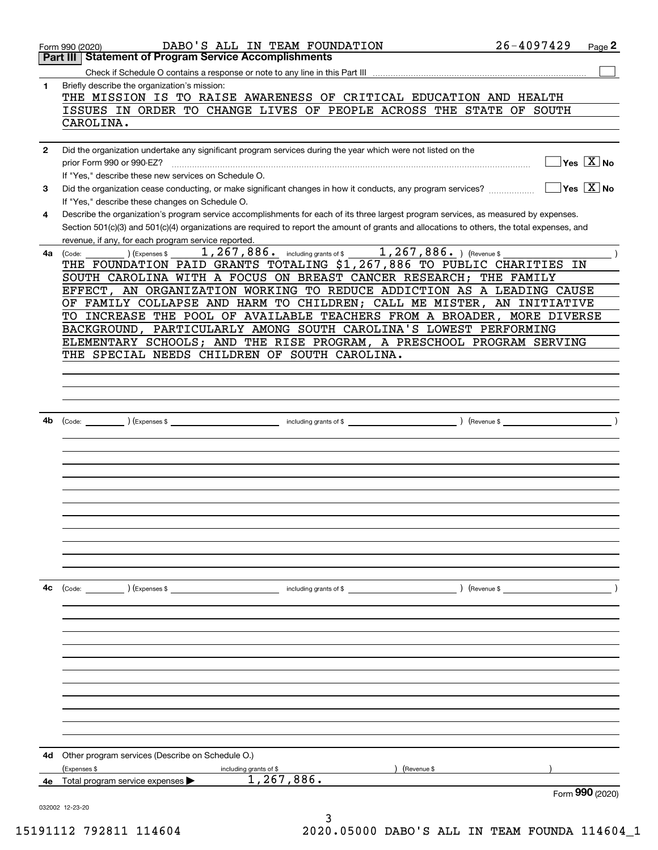|              | DABO'S ALL IN TEAM FOUNDATION<br>Form 990 (2020)                                                                                                                                                                                                                                     | $26 - 4097429$                         | Page 2 |
|--------------|--------------------------------------------------------------------------------------------------------------------------------------------------------------------------------------------------------------------------------------------------------------------------------------|----------------------------------------|--------|
|              | Part III   Statement of Program Service Accomplishments                                                                                                                                                                                                                              |                                        |        |
|              |                                                                                                                                                                                                                                                                                      |                                        |        |
| 1            | Briefly describe the organization's mission:<br>THE MISSION IS TO RAISE AWARENESS OF CRITICAL EDUCATION AND HEALTH<br>ISSUES IN ORDER TO CHANGE LIVES OF PEOPLE ACROSS THE STATE OF SOUTH                                                                                            |                                        |        |
|              | CAROLINA.                                                                                                                                                                                                                                                                            |                                        |        |
| $\mathbf{2}$ | Did the organization undertake any significant program services during the year which were not listed on the                                                                                                                                                                         |                                        |        |
|              | prior Form 990 or 990-EZ?<br>If "Yes," describe these new services on Schedule O.                                                                                                                                                                                                    | $\sqrt{}$ Yes $\sqrt{}$ X $\sqrt{}$ No |        |
| 3            | Did the organization cease conducting, or make significant changes in how it conducts, any program services?<br>If "Yes," describe these changes on Schedule O.                                                                                                                      | $\sqrt{}$ Yes $\sqrt{}$ X $\sqrt{}$ No |        |
| 4            | Describe the organization's program service accomplishments for each of its three largest program services, as measured by expenses.<br>Section 501(c)(3) and 501(c)(4) organizations are required to report the amount of grants and allocations to others, the total expenses, and |                                        |        |
|              | revenue, if any, for each program service reported.                                                                                                                                                                                                                                  |                                        |        |
| 4a l         | 1, 267, 886. including grants of \$1, 267, 886. ) (Revenue \$<br>(Expenses \$<br>(Code:                                                                                                                                                                                              |                                        |        |
|              | THE FOUNDATION PAID GRANTS TOTALING \$1,267,886 TO PUBLIC CHARITIES IN                                                                                                                                                                                                               |                                        |        |
|              | SOUTH CAROLINA WITH A FOCUS ON BREAST CANCER RESEARCH; THE FAMILY<br>EFFECT, AN ORGANIZATION WORKING TO REDUCE ADDICTION AS A LEADING CAUSE                                                                                                                                          |                                        |        |
|              | OF FAMILY COLLAPSE AND HARM TO CHILDREN; CALL ME MISTER, AN INITIATIVE                                                                                                                                                                                                               |                                        |        |
|              | TO INCREASE THE POOL OF AVAILABLE TEACHERS FROM A BROADER, MORE DIVERSE                                                                                                                                                                                                              |                                        |        |
|              | BACKGROUND, PARTICULARLY AMONG SOUTH CAROLINA'S LOWEST PERFORMING                                                                                                                                                                                                                    |                                        |        |
|              | ELEMENTARY SCHOOLS; AND THE RISE PROGRAM, A PRESCHOOL PROGRAM SERVING                                                                                                                                                                                                                |                                        |        |
|              | THE SPECIAL NEEDS CHILDREN OF SOUTH CAROLINA.                                                                                                                                                                                                                                        |                                        |        |
|              |                                                                                                                                                                                                                                                                                      |                                        |        |
|              |                                                                                                                                                                                                                                                                                      |                                        |        |
|              |                                                                                                                                                                                                                                                                                      |                                        |        |
|              |                                                                                                                                                                                                                                                                                      |                                        |        |
|              |                                                                                                                                                                                                                                                                                      |                                        |        |
| 4b           |                                                                                                                                                                                                                                                                                      |                                        |        |
|              |                                                                                                                                                                                                                                                                                      |                                        |        |
|              |                                                                                                                                                                                                                                                                                      |                                        |        |
|              |                                                                                                                                                                                                                                                                                      |                                        |        |
|              |                                                                                                                                                                                                                                                                                      |                                        |        |
|              |                                                                                                                                                                                                                                                                                      |                                        |        |
|              |                                                                                                                                                                                                                                                                                      |                                        |        |
|              |                                                                                                                                                                                                                                                                                      |                                        |        |
|              |                                                                                                                                                                                                                                                                                      |                                        |        |
|              |                                                                                                                                                                                                                                                                                      |                                        |        |
|              |                                                                                                                                                                                                                                                                                      |                                        |        |
|              |                                                                                                                                                                                                                                                                                      |                                        |        |
|              |                                                                                                                                                                                                                                                                                      |                                        |        |
| 4с           |                                                                                                                                                                                                                                                                                      |                                        |        |
|              |                                                                                                                                                                                                                                                                                      |                                        |        |
|              |                                                                                                                                                                                                                                                                                      |                                        |        |
|              |                                                                                                                                                                                                                                                                                      |                                        |        |
|              |                                                                                                                                                                                                                                                                                      |                                        |        |
|              |                                                                                                                                                                                                                                                                                      |                                        |        |
|              |                                                                                                                                                                                                                                                                                      |                                        |        |
|              |                                                                                                                                                                                                                                                                                      |                                        |        |
|              |                                                                                                                                                                                                                                                                                      |                                        |        |
|              |                                                                                                                                                                                                                                                                                      |                                        |        |
|              |                                                                                                                                                                                                                                                                                      |                                        |        |
|              |                                                                                                                                                                                                                                                                                      |                                        |        |
|              |                                                                                                                                                                                                                                                                                      |                                        |        |
| 4d           | Other program services (Describe on Schedule O.)                                                                                                                                                                                                                                     |                                        |        |
|              | (Expenses \$<br>(Revenue \$<br>including grants of \$                                                                                                                                                                                                                                |                                        |        |
| 4е           | 1, 267, 886.<br>Total program service expenses                                                                                                                                                                                                                                       |                                        |        |
|              |                                                                                                                                                                                                                                                                                      | Form 990 (2020)                        |        |
|              | 032002 12-23-20                                                                                                                                                                                                                                                                      |                                        |        |
|              |                                                                                                                                                                                                                                                                                      |                                        |        |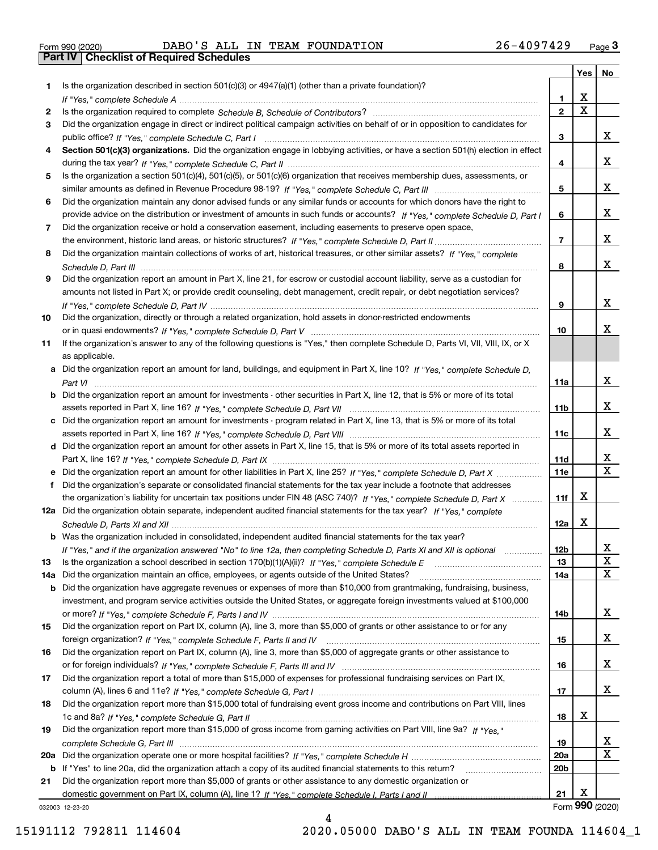| Form 990 (2020) |  |  |
|-----------------|--|--|

Form 990 (2020) DABO ' S ALL IN TEAM FOUNDATION 2 6 – 40 9 7 4 2 9 <sub>Page</sub> 3<br>**Part IV | Checklist of Required Schedules** 

|     |                                                                                                                                                 |                 | Yes                     | No              |
|-----|-------------------------------------------------------------------------------------------------------------------------------------------------|-----------------|-------------------------|-----------------|
| 1.  | Is the organization described in section $501(c)(3)$ or $4947(a)(1)$ (other than a private foundation)?                                         |                 |                         |                 |
|     |                                                                                                                                                 | 1               | X                       |                 |
| 2   |                                                                                                                                                 | $\overline{2}$  | $\overline{\mathbf{x}}$ |                 |
| 3   | Did the organization engage in direct or indirect political campaign activities on behalf of or in opposition to candidates for                 |                 |                         |                 |
|     |                                                                                                                                                 | 3               |                         | X.              |
| 4   | Section 501(c)(3) organizations. Did the organization engage in lobbying activities, or have a section 501(h) election in effect                |                 |                         |                 |
|     |                                                                                                                                                 | 4               |                         | x               |
| 5   | Is the organization a section 501(c)(4), 501(c)(5), or 501(c)(6) organization that receives membership dues, assessments, or                    |                 |                         |                 |
|     |                                                                                                                                                 | 5               |                         | x               |
| 6   | Did the organization maintain any donor advised funds or any similar funds or accounts for which donors have the right to                       |                 |                         |                 |
|     | provide advice on the distribution or investment of amounts in such funds or accounts? If "Yes," complete Schedule D, Part I                    | 6               |                         | x               |
| 7   | Did the organization receive or hold a conservation easement, including easements to preserve open space,                                       |                 |                         |                 |
|     |                                                                                                                                                 | $\overline{7}$  |                         | x               |
| 8   | Did the organization maintain collections of works of art, historical treasures, or other similar assets? If "Yes," complete                    |                 |                         |                 |
|     |                                                                                                                                                 | 8               |                         | x               |
| 9   | Did the organization report an amount in Part X, line 21, for escrow or custodial account liability, serve as a custodian for                   |                 |                         |                 |
|     | amounts not listed in Part X; or provide credit counseling, debt management, credit repair, or debt negotiation services?                       |                 |                         |                 |
|     |                                                                                                                                                 | 9               |                         | X.              |
| 10  | Did the organization, directly or through a related organization, hold assets in donor-restricted endowments                                    |                 |                         | x               |
|     |                                                                                                                                                 | 10              |                         |                 |
| 11  | If the organization's answer to any of the following questions is "Yes," then complete Schedule D, Parts VI, VII, VIII, IX, or X                |                 |                         |                 |
|     | as applicable.<br>a Did the organization report an amount for land, buildings, and equipment in Part X, line 10? If "Yes," complete Schedule D, |                 |                         |                 |
|     |                                                                                                                                                 | 11a             |                         | x               |
|     | <b>b</b> Did the organization report an amount for investments - other securities in Part X, line 12, that is 5% or more of its total           |                 |                         |                 |
|     |                                                                                                                                                 | 11 <sub>b</sub> |                         | x               |
|     | c Did the organization report an amount for investments - program related in Part X, line 13, that is 5% or more of its total                   |                 |                         |                 |
|     |                                                                                                                                                 | 11c             |                         | x               |
|     | d Did the organization report an amount for other assets in Part X, line 15, that is 5% or more of its total assets reported in                 |                 |                         |                 |
|     |                                                                                                                                                 | 11d             |                         | X               |
|     | e Did the organization report an amount for other liabilities in Part X, line 25? If "Yes," complete Schedule D, Part X                         | 11e             |                         | $\mathbf{x}$    |
| f   | Did the organization's separate or consolidated financial statements for the tax year include a footnote that addresses                         |                 |                         |                 |
|     | the organization's liability for uncertain tax positions under FIN 48 (ASC 740)? If "Yes," complete Schedule D, Part X                          | 11f             | х                       |                 |
|     | 12a Did the organization obtain separate, independent audited financial statements for the tax year? If "Yes," complete                         |                 |                         |                 |
|     |                                                                                                                                                 | 12a             | X                       |                 |
|     | b Was the organization included in consolidated, independent audited financial statements for the tax year?                                     |                 |                         |                 |
|     | If "Yes," and if the organization answered "No" to line 12a, then completing Schedule D, Parts XI and XII is optional                           | 12b             |                         | ᅀ               |
| 13  |                                                                                                                                                 | 13              |                         | X               |
| 14a | Did the organization maintain an office, employees, or agents outside of the United States?                                                     | 14a             |                         | x               |
|     | <b>b</b> Did the organization have aggregate revenues or expenses of more than \$10,000 from grantmaking, fundraising, business,                |                 |                         |                 |
|     | investment, and program service activities outside the United States, or aggregate foreign investments valued at \$100,000                      |                 |                         |                 |
|     |                                                                                                                                                 | 14b             |                         | x               |
| 15  | Did the organization report on Part IX, column (A), line 3, more than \$5,000 of grants or other assistance to or for any                       |                 |                         |                 |
|     |                                                                                                                                                 | 15              |                         | x               |
| 16  | Did the organization report on Part IX, column (A), line 3, more than \$5,000 of aggregate grants or other assistance to                        |                 |                         |                 |
|     |                                                                                                                                                 | 16              |                         | x               |
| 17  | Did the organization report a total of more than \$15,000 of expenses for professional fundraising services on Part IX,                         |                 |                         |                 |
|     |                                                                                                                                                 | 17              |                         | x               |
| 18  | Did the organization report more than \$15,000 total of fundraising event gross income and contributions on Part VIII, lines                    |                 |                         |                 |
|     |                                                                                                                                                 | 18              | x                       |                 |
| 19  | Did the organization report more than \$15,000 of gross income from gaming activities on Part VIII, line 9a? If "Yes."                          |                 |                         |                 |
|     |                                                                                                                                                 | 19              |                         | X               |
|     |                                                                                                                                                 | <b>20a</b>      |                         | x               |
|     | b If "Yes" to line 20a, did the organization attach a copy of its audited financial statements to this return?                                  | 20 <sub>b</sub> |                         |                 |
| 21  | Did the organization report more than \$5,000 of grants or other assistance to any domestic organization or                                     |                 |                         |                 |
|     |                                                                                                                                                 | 21              | Х                       |                 |
|     | 032003 12-23-20                                                                                                                                 |                 |                         | Form 990 (2020) |

4

032003 12-23-20

15191112 792811 114604 2020.05000 DABO'S ALL IN TEAM FOUNDA 114604\_1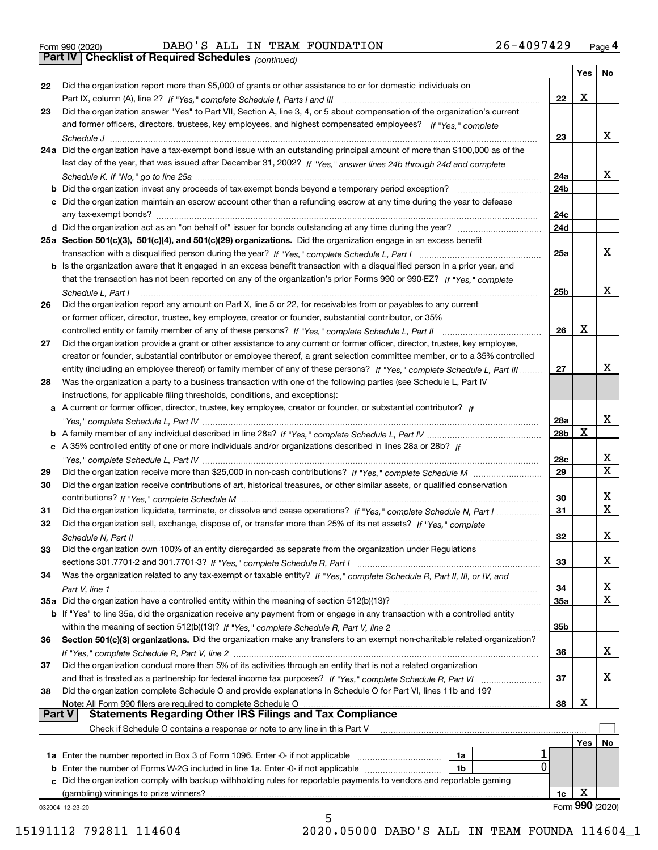|  | Form 990 (2020) |
|--|-----------------|
|  |                 |

Form 990 (2020) DABO ' S ALL IN TEAM FOUNDATION 2 6 – 40 9 7 4 2 9 <sub>Page</sub> 4<br>**Part IV | Checklist of Required Schedules** <sub>(continued)</sub>

*(continued)*

|          |                                                                                                                                   |                 |     | Yes   No          |
|----------|-----------------------------------------------------------------------------------------------------------------------------------|-----------------|-----|-------------------|
| 22       | Did the organization report more than \$5,000 of grants or other assistance to or for domestic individuals on                     |                 |     |                   |
|          |                                                                                                                                   | 22              | X   |                   |
| 23       | Did the organization answer "Yes" to Part VII, Section A, line 3, 4, or 5 about compensation of the organization's current        |                 |     |                   |
|          | and former officers, directors, trustees, key employees, and highest compensated employees? If "Yes," complete                    |                 |     |                   |
|          |                                                                                                                                   | 23              |     | x                 |
|          | 24a Did the organization have a tax-exempt bond issue with an outstanding principal amount of more than \$100,000 as of the       |                 |     |                   |
|          | last day of the year, that was issued after December 31, 2002? If "Yes," answer lines 24b through 24d and complete                |                 |     |                   |
|          |                                                                                                                                   | 24a             |     | x                 |
|          | b Did the organization invest any proceeds of tax-exempt bonds beyond a temporary period exception?                               | 24b             |     |                   |
|          | c Did the organization maintain an escrow account other than a refunding escrow at any time during the year to defease            |                 |     |                   |
|          | any tax-exempt bonds?                                                                                                             | 24c             |     |                   |
|          |                                                                                                                                   | 24d             |     |                   |
|          | 25a Section 501(c)(3), 501(c)(4), and 501(c)(29) organizations. Did the organization engage in an excess benefit                  |                 |     |                   |
|          |                                                                                                                                   | 25a             |     | x                 |
|          | b Is the organization aware that it engaged in an excess benefit transaction with a disqualified person in a prior year, and      |                 |     |                   |
|          | that the transaction has not been reported on any of the organization's prior Forms 990 or 990-EZ? If "Yes," complete             |                 |     |                   |
|          | Schedule L. Part I                                                                                                                | 25b             |     | x                 |
| 26       | Did the organization report any amount on Part X, line 5 or 22, for receivables from or payables to any current                   |                 |     |                   |
|          | or former officer, director, trustee, key employee, creator or founder, substantial contributor, or 35%                           |                 |     |                   |
|          |                                                                                                                                   | 26              | X   |                   |
| 27       | Did the organization provide a grant or other assistance to any current or former officer, director, trustee, key employee,       |                 |     |                   |
|          | creator or founder, substantial contributor or employee thereof, a grant selection committee member, or to a 35% controlled       |                 |     |                   |
|          | entity (including an employee thereof) or family member of any of these persons? If "Yes," complete Schedule L, Part III          | 27              |     | x                 |
| 28       | Was the organization a party to a business transaction with one of the following parties (see Schedule L, Part IV                 |                 |     |                   |
|          | instructions, for applicable filing thresholds, conditions, and exceptions):                                                      |                 |     |                   |
|          | a A current or former officer, director, trustee, key employee, creator or founder, or substantial contributor? If                |                 |     |                   |
|          |                                                                                                                                   | 28a             |     | x                 |
|          |                                                                                                                                   | 28b             | х   |                   |
|          | c A 35% controlled entity of one or more individuals and/or organizations described in lines 28a or 28b? If                       |                 |     |                   |
|          |                                                                                                                                   | 28c             |     | x                 |
| 29       |                                                                                                                                   | 29              |     | $\mathbf X$       |
| 30       | Did the organization receive contributions of art, historical treasures, or other similar assets, or qualified conservation       |                 |     |                   |
|          |                                                                                                                                   | 30              |     | x                 |
| 31       | Did the organization liquidate, terminate, or dissolve and cease operations? If "Yes," complete Schedule N, Part I                | 31              |     | $\mathbf x$       |
| 32       | Did the organization sell, exchange, dispose of, or transfer more than 25% of its net assets? If "Yes," complete                  |                 |     |                   |
|          |                                                                                                                                   | 32              |     | х                 |
|          | Did the organization own 100% of an entity disregarded as separate from the organization under Regulations                        |                 |     |                   |
| 33       |                                                                                                                                   |                 |     | х                 |
| 34       |                                                                                                                                   | 33              |     |                   |
|          | Was the organization related to any tax-exempt or taxable entity? If "Yes," complete Schedule R, Part II, III, or IV, and         |                 |     | X                 |
|          |                                                                                                                                   | 34              |     | х                 |
|          | 35a Did the organization have a controlled entity within the meaning of section 512(b)(13)?                                       | 35a             |     |                   |
|          | b If "Yes" to line 35a, did the organization receive any payment from or engage in any transaction with a controlled entity       |                 |     |                   |
|          |                                                                                                                                   | 35 <sub>b</sub> |     |                   |
| 36       | Section 501(c)(3) organizations. Did the organization make any transfers to an exempt non-charitable related organization?        |                 |     |                   |
|          |                                                                                                                                   | 36              |     | x                 |
| 37       | Did the organization conduct more than 5% of its activities through an entity that is not a related organization                  |                 |     |                   |
|          | and that is treated as a partnership for federal income tax purposes? If "Yes," complete Schedule R, Part VI                      | 37              |     | x                 |
| 38       | Did the organization complete Schedule O and provide explanations in Schedule O for Part VI, lines 11b and 19?                    |                 |     |                   |
| ∣ Part V | Note: All Form 990 filers are required to complete Schedule O<br><b>Statements Regarding Other IRS Filings and Tax Compliance</b> | 38              | X   |                   |
|          |                                                                                                                                   |                 |     |                   |
|          | Check if Schedule O contains a response or note to any line in this Part V                                                        |                 |     |                   |
|          |                                                                                                                                   |                 | Yes | No                |
|          | 1a                                                                                                                                |                 |     |                   |
|          | $\Omega$<br><b>b</b> Enter the number of Forms W-2G included in line 1a. Enter -0- if not applicable<br>1b                        |                 |     |                   |
| c        | Did the organization comply with backup withholding rules for reportable payments to vendors and reportable gaming                |                 |     |                   |
|          | (gambling) winnings to prize winners?                                                                                             | 1c              | х   |                   |
|          | 032004 12-23-20                                                                                                                   |                 |     | Form $990$ (2020) |

5 15191112 792811 114604 2020.05000 DABO'S ALL IN TEAM FOUNDA 114604\_1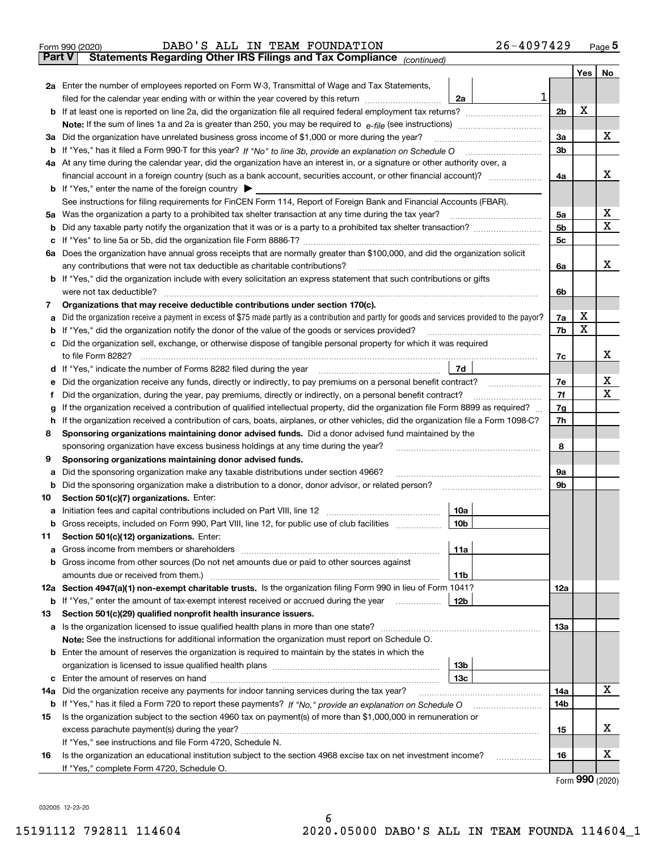|               | 26-4097429<br>DABO'S ALL IN TEAM FOUNDATION<br>Form 990 (2020)                                                                                  |                |      | $_{\text{Page}}$ 5 |
|---------------|-------------------------------------------------------------------------------------------------------------------------------------------------|----------------|------|--------------------|
| <b>Part V</b> | Statements Regarding Other IRS Filings and Tax Compliance (continued)                                                                           |                |      |                    |
|               |                                                                                                                                                 |                | Yes  | No                 |
|               | 2a Enter the number of employees reported on Form W-3, Transmittal of Wage and Tax Statements,                                                  |                |      |                    |
|               | 1<br>filed for the calendar year ending with or within the year covered by this return <i>manumumumum</i><br>2a                                 |                |      |                    |
|               |                                                                                                                                                 | 2 <sub>b</sub> | Х    |                    |
|               |                                                                                                                                                 |                |      |                    |
| За            | Did the organization have unrelated business gross income of \$1,000 or more during the year?                                                   | 3a             |      | x                  |
|               |                                                                                                                                                 | 3b             |      |                    |
|               | 4a At any time during the calendar year, did the organization have an interest in, or a signature or other authority over, a                    |                |      |                    |
|               |                                                                                                                                                 | 4a             |      | x                  |
|               | <b>b</b> If "Yes," enter the name of the foreign country $\blacktriangleright$                                                                  |                |      |                    |
|               | See instructions for filing requirements for FinCEN Form 114, Report of Foreign Bank and Financial Accounts (FBAR).                             |                |      |                    |
| 5a            | Was the organization a party to a prohibited tax shelter transaction at any time during the tax year?                                           | 5а             |      | х                  |
| b             |                                                                                                                                                 | 5b             |      | X                  |
| с             |                                                                                                                                                 | 5c             |      |                    |
|               | 6a Does the organization have annual gross receipts that are normally greater than \$100,000, and did the organization solicit                  |                |      |                    |
|               |                                                                                                                                                 | 6a             |      | х                  |
|               | <b>b</b> If "Yes," did the organization include with every solicitation an express statement that such contributions or gifts                   |                |      |                    |
|               | were not tax deductible?                                                                                                                        | 6b             |      |                    |
| 7             | Organizations that may receive deductible contributions under section 170(c).                                                                   |                |      |                    |
| а             | Did the organization receive a payment in excess of \$75 made partly as a contribution and partly for goods and services provided to the payor? | 7a             | х    |                    |
| b             | If "Yes," did the organization notify the donor of the value of the goods or services provided?                                                 | 7b             | х    |                    |
| с             | Did the organization sell, exchange, or otherwise dispose of tangible personal property for which it was required                               |                |      |                    |
|               |                                                                                                                                                 | 7c             |      | х                  |
|               | 7d                                                                                                                                              |                |      |                    |
| е             | Did the organization receive any funds, directly or indirectly, to pay premiums on a personal benefit contract?                                 | 7e             |      | х                  |
| f             | Did the organization, during the year, pay premiums, directly or indirectly, on a personal benefit contract?                                    | 7f             |      | х                  |
| g             | If the organization received a contribution of qualified intellectual property, did the organization file Form 8899 as required?                | 7g             |      |                    |
| h             | If the organization received a contribution of cars, boats, airplanes, or other vehicles, did the organization file a Form 1098-C?              | 7h             |      |                    |
| 8             | Sponsoring organizations maintaining donor advised funds. Did a donor advised fund maintained by the                                            |                |      |                    |
|               | sponsoring organization have excess business holdings at any time during the year?                                                              | 8              |      |                    |
| 9             | Sponsoring organizations maintaining donor advised funds.                                                                                       |                |      |                    |
| а             | Did the sponsoring organization make any taxable distributions under section 4966?                                                              | 9а             |      |                    |
| b             | Did the sponsoring organization make a distribution to a donor, donor advisor, or related person?                                               | 9b             |      |                    |
| 10            | Section 501(c)(7) organizations. Enter:                                                                                                         |                |      |                    |
|               | 10a                                                                                                                                             |                |      |                    |
|               |                                                                                                                                                 |                |      |                    |
| 11<br>a       | Section 501(c)(12) organizations. Enter:<br>11a                                                                                                 |                |      |                    |
|               | b Gross income from other sources (Do not net amounts due or paid to other sources against                                                      |                |      |                    |
|               | 11b                                                                                                                                             |                |      |                    |
|               | 12a Section 4947(a)(1) non-exempt charitable trusts. Is the organization filing Form 990 in lieu of Form 1041?                                  | 12a            |      |                    |
|               | 12b<br><b>b</b> If "Yes," enter the amount of tax-exempt interest received or accrued during the year <i>manument</i>                           |                |      |                    |
| 13            | Section 501(c)(29) qualified nonprofit health insurance issuers.                                                                                |                |      |                    |
|               | a Is the organization licensed to issue qualified health plans in more than one state?                                                          | 13a            |      |                    |
|               | Note: See the instructions for additional information the organization must report on Schedule O.                                               |                |      |                    |
|               | <b>b</b> Enter the amount of reserves the organization is required to maintain by the states in which the                                       |                |      |                    |
|               | 13b                                                                                                                                             |                |      |                    |
|               | 13с                                                                                                                                             |                |      |                    |
| 14a           | Did the organization receive any payments for indoor tanning services during the tax year?                                                      | 14a            |      | х                  |
|               | <b>b</b> If "Yes," has it filed a Form 720 to report these payments? If "No," provide an explanation on Schedule O                              | 14b            |      |                    |
| 15            | Is the organization subject to the section 4960 tax on payment(s) of more than \$1,000,000 in remuneration or                                   |                |      |                    |
|               |                                                                                                                                                 | 15             |      | х                  |
|               | If "Yes," see instructions and file Form 4720, Schedule N.                                                                                      |                |      |                    |
| 16            | Is the organization an educational institution subject to the section 4968 excise tax on net investment income?                                 | 16             |      | х                  |
|               | If "Yes," complete Form 4720, Schedule O.                                                                                                       |                |      |                    |
|               |                                                                                                                                                 |                | nnn. |                    |

Form (2020) **990**

032005 12-23-20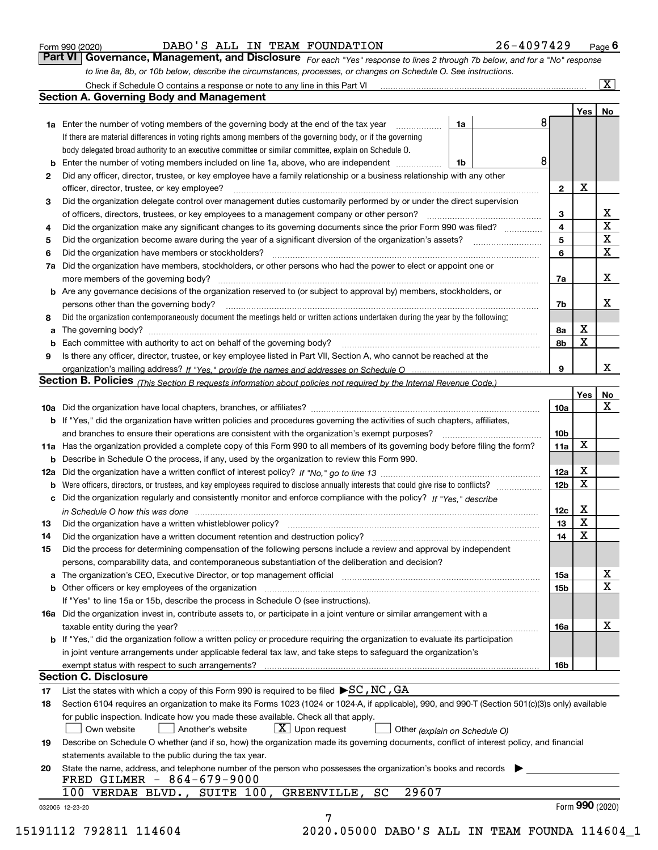|  | Form 990 (2020) |
|--|-----------------|
|  |                 |

DABO'S ALL IN TEAM FOUNDATION 26-4097429 Page 6

Check if Schedule O contains a response or note to any line in this Part VI ..................................

 $\boxed{\text{X}}$ 

*For each "Yes" response to lines 2 through 7b below, and for a "No" response to line 8a, 8b, or 10b below, describe the circumstances, processes, or changes on Schedule O. See instructions.* Form 990 (2020) **CONVERT 10 BABO 'S ALL IN TEAM FOUNDATION** 26 - 4097429 Page 6<br>**Part VI Governance, Management, and Disclosure** For each "Yes" response to lines 2 through 7b below, and for a "No" response

|              |                                                                                                                                                                                                                                |    |                 | Yes         | No              |
|--------------|--------------------------------------------------------------------------------------------------------------------------------------------------------------------------------------------------------------------------------|----|-----------------|-------------|-----------------|
|              | <b>1a</b> Enter the number of voting members of the governing body at the end of the tax year                                                                                                                                  | 1a | 8               |             |                 |
|              | If there are material differences in voting rights among members of the governing body, or if the governing                                                                                                                    |    |                 |             |                 |
|              | body delegated broad authority to an executive committee or similar committee, explain on Schedule O.                                                                                                                          |    |                 |             |                 |
|              | <b>b</b> Enter the number of voting members included on line 1a, above, who are independent<br>- 1b                                                                                                                            |    | 8               |             |                 |
| $\mathbf{2}$ | Did any officer, director, trustee, or key employee have a family relationship or a business relationship with any other                                                                                                       |    |                 |             |                 |
|              | officer, director, trustee, or key employee?                                                                                                                                                                                   |    | $\mathbf{2}$    | X           |                 |
| 3            | Did the organization delegate control over management duties customarily performed by or under the direct supervision                                                                                                          |    |                 |             |                 |
|              |                                                                                                                                                                                                                                |    | 3               |             | X               |
| 4            | Did the organization make any significant changes to its governing documents since the prior Form 990 was filed?                                                                                                               |    | 4               |             | $\mathbf X$     |
| 5            |                                                                                                                                                                                                                                |    | 5               |             | $\mathbf X$     |
| 6            |                                                                                                                                                                                                                                |    | 6               |             | $\mathbf X$     |
| 7a           | Did the organization have members, stockholders, or other persons who had the power to elect or appoint one or                                                                                                                 |    |                 |             |                 |
|              |                                                                                                                                                                                                                                |    | 7a              |             | X               |
|              | <b>b</b> Are any governance decisions of the organization reserved to (or subject to approval by) members, stockholders, or                                                                                                    |    |                 |             |                 |
|              | persons other than the governing body?                                                                                                                                                                                         |    | 7b              |             | X               |
| 8            | Did the organization contemporaneously document the meetings held or written actions undertaken during the year by the following:                                                                                              |    |                 |             |                 |
| a            |                                                                                                                                                                                                                                |    | 8a              | X           |                 |
| b            | Each committee with authority to act on behalf of the governing body? [10] manufacture manufacture with authority to act on behalf of the governing body? [10] manufacture with authority of the state with an interval and th |    | 8b              | X           |                 |
| 9            | Is there any officer, director, trustee, or key employee listed in Part VII, Section A, who cannot be reached at the                                                                                                           |    |                 |             |                 |
|              |                                                                                                                                                                                                                                |    | 9               |             | x               |
|              | Section B. Policies (This Section B requests information about policies not required by the Internal Revenue Code.)                                                                                                            |    |                 |             |                 |
|              |                                                                                                                                                                                                                                |    |                 |             |                 |
|              |                                                                                                                                                                                                                                |    |                 | Yes         | No<br>X         |
|              |                                                                                                                                                                                                                                |    | 10a             |             |                 |
|              | <b>b</b> If "Yes," did the organization have written policies and procedures governing the activities of such chapters, affiliates,                                                                                            |    |                 |             |                 |
|              |                                                                                                                                                                                                                                |    | 10 <sub>b</sub> |             |                 |
|              | 11a Has the organization provided a complete copy of this Form 990 to all members of its governing body before filing the form?                                                                                                |    | 11a             | X           |                 |
|              | <b>b</b> Describe in Schedule O the process, if any, used by the organization to review this Form 990.                                                                                                                         |    |                 |             |                 |
|              |                                                                                                                                                                                                                                |    | 12a             | X           |                 |
| b            |                                                                                                                                                                                                                                |    | 12 <sub>b</sub> | $\mathbf X$ |                 |
|              | c Did the organization regularly and consistently monitor and enforce compliance with the policy? If "Yes," describe                                                                                                           |    |                 |             |                 |
|              | in Schedule O how this was done manufactured and continuum control of the Schedule O how this was done manufactured and continuum control of the Schedule O how this was done                                                  |    | 12c             | X           |                 |
| 13           |                                                                                                                                                                                                                                |    | 13              | $\mathbf X$ |                 |
| 14           | Did the organization have a written document retention and destruction policy? manufactured and the organization have a written document retention and destruction policy?                                                     |    | 14              | $\mathbf X$ |                 |
| 15           | Did the process for determining compensation of the following persons include a review and approval by independent                                                                                                             |    |                 |             |                 |
|              | persons, comparability data, and contemporaneous substantiation of the deliberation and decision?                                                                                                                              |    |                 |             |                 |
|              | a The organization's CEO, Executive Director, or top management official manufactured content content of the organization's CEO, Executive Director, or top management official manufactured content of the state of the state |    | 15a             |             | v<br>ᅀ          |
|              | <b>b</b> Other officers or key employees of the organization                                                                                                                                                                   |    | 15b             |             | $\mathbf X$     |
|              | If "Yes" to line 15a or 15b, describe the process in Schedule O (see instructions).                                                                                                                                            |    |                 |             |                 |
|              | 16a Did the organization invest in, contribute assets to, or participate in a joint venture or similar arrangement with a                                                                                                      |    |                 |             |                 |
|              | taxable entity during the year?                                                                                                                                                                                                |    | 16a             |             | х               |
|              | b If "Yes," did the organization follow a written policy or procedure requiring the organization to evaluate its participation                                                                                                 |    |                 |             |                 |
|              | in joint venture arrangements under applicable federal tax law, and take steps to safeguard the organization's                                                                                                                 |    |                 |             |                 |
|              | exempt status with respect to such arrangements?                                                                                                                                                                               |    | <b>16b</b>      |             |                 |
|              | <b>Section C. Disclosure</b>                                                                                                                                                                                                   |    |                 |             |                 |
| 17           | List the states with which a copy of this Form 990 is required to be filed $\blacktriangleright$ SC, NC, GA                                                                                                                    |    |                 |             |                 |
| 18           | Section 6104 requires an organization to make its Forms 1023 (1024 or 1024-A, if applicable), 990, and 990-T (Section 501(c)(3)s only) available                                                                               |    |                 |             |                 |
|              | for public inspection. Indicate how you made these available. Check all that apply.                                                                                                                                            |    |                 |             |                 |
|              | $X$ Upon request<br>Another's website<br>Own website<br>Other (explain on Schedule O)                                                                                                                                          |    |                 |             |                 |
| 19           | Describe on Schedule O whether (and if so, how) the organization made its governing documents, conflict of interest policy, and financial                                                                                      |    |                 |             |                 |
|              | statements available to the public during the tax year.                                                                                                                                                                        |    |                 |             |                 |
|              | State the name, address, and telephone number of the person who possesses the organization's books and records                                                                                                                 |    |                 |             |                 |
| 20           | FRED GILMER - 864-679-9000                                                                                                                                                                                                     |    |                 |             |                 |
|              | 29607<br>100 VERDAE BLVD., SUITE 100, GREENVILLE,<br>SC                                                                                                                                                                        |    |                 |             |                 |
|              |                                                                                                                                                                                                                                |    |                 |             | Form 990 (2020) |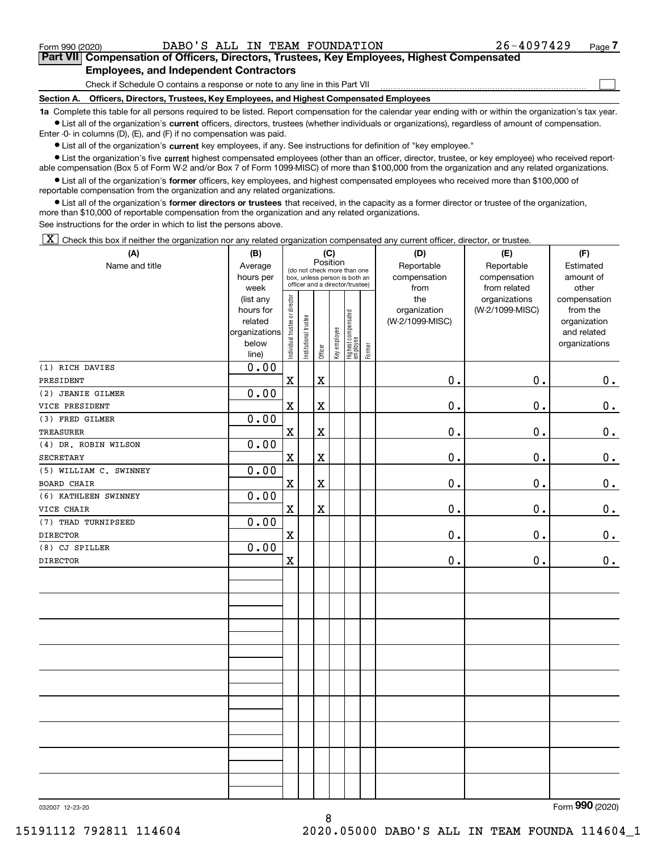$\mathcal{L}^{\text{max}}$ 

## **7Part VII Compensation of Officers, Directors, Trustees, Key Employees, Highest Compensated Employees, and Independent Contractors**

Check if Schedule O contains a response or note to any line in this Part VII

**Section A. Officers, Directors, Trustees, Key Employees, and Highest Compensated Employees**

**1a**  Complete this table for all persons required to be listed. Report compensation for the calendar year ending with or within the organization's tax year. **•** List all of the organization's current officers, directors, trustees (whether individuals or organizations), regardless of amount of compensation.

Enter -0- in columns (D), (E), and (F) if no compensation was paid.

 $\bullet$  List all of the organization's  $\,$ current key employees, if any. See instructions for definition of "key employee."

**•** List the organization's five current highest compensated employees (other than an officer, director, trustee, or key employee) who received reportable compensation (Box 5 of Form W-2 and/or Box 7 of Form 1099-MISC) of more than \$100,000 from the organization and any related organizations.

**•** List all of the organization's former officers, key employees, and highest compensated employees who received more than \$100,000 of reportable compensation from the organization and any related organizations.

**former directors or trustees**  ¥ List all of the organization's that received, in the capacity as a former director or trustee of the organization, more than \$10,000 of reportable compensation from the organization and any related organizations.

See instructions for the order in which to list the persons above.

 $\boxed{\textbf{X}}$  Check this box if neither the organization nor any related organization compensated any current officer, director, or trustee.

| Name and title<br>Reportable<br>Reportable<br>Estimated<br>Average<br>(do not check more than one<br>hours per<br>compensation<br>amount of<br>compensation<br>box, unless person is both an<br>officer and a director/trustee)<br>week<br>from<br>from related<br>other<br>Individual trustee or director<br>the<br>organizations<br>(list any<br>compensation<br>hours for<br>organization<br>(W-2/1099-MISC)<br>from the<br>Highest compensated<br> employee<br>Institutional trustee<br>(W-2/1099-MISC)<br>related<br>organization<br>Key employee<br>organizations<br>and related<br>below<br>organizations<br>Former<br>Officer<br>line)<br>0.00<br>$\mathbf x$<br>$\mathbf x$<br>0.<br>0.<br>0.00<br>$\mathbf X$<br>$\mathbf X$<br>$0_{.}$<br>0.<br>0.<br>0.00<br>$\mathbf X$<br>$\mathbf x$<br>$0$ .<br>0.<br>$\mathbf 0$ .<br>0.00<br>$\mathbf X$<br>$\mathbf X$<br>0.<br>0.<br>$\mathbf 0$ .<br>0.00<br>0.<br>$\mathbf X$<br>$\mathbf x$<br>0.<br>0.<br>0.00<br>$\mathbf X$<br>$\mathbf X$<br>0.<br>0.<br>$\mathbf 0$ .<br>0.00<br>$\mathbf x$<br>0.<br>$\mathbf 0$ .<br>0.<br>0.00<br>$\mathbf X$<br>$\mathbf 0$ .<br>$\mathbf 0$ .<br>0. | (A)                    | (B) | (C) |          | (D) | (E) | (F) |  |  |  |  |
|------------------------------------------------------------------------------------------------------------------------------------------------------------------------------------------------------------------------------------------------------------------------------------------------------------------------------------------------------------------------------------------------------------------------------------------------------------------------------------------------------------------------------------------------------------------------------------------------------------------------------------------------------------------------------------------------------------------------------------------------------------------------------------------------------------------------------------------------------------------------------------------------------------------------------------------------------------------------------------------------------------------------------------------------------------------------------------------------------------------------------------------------------|------------------------|-----|-----|----------|-----|-----|-----|--|--|--|--|
| 0.                                                                                                                                                                                                                                                                                                                                                                                                                                                                                                                                                                                                                                                                                                                                                                                                                                                                                                                                                                                                                                                                                                                                                   |                        |     |     | Position |     |     |     |  |  |  |  |
|                                                                                                                                                                                                                                                                                                                                                                                                                                                                                                                                                                                                                                                                                                                                                                                                                                                                                                                                                                                                                                                                                                                                                      |                        |     |     |          |     |     |     |  |  |  |  |
|                                                                                                                                                                                                                                                                                                                                                                                                                                                                                                                                                                                                                                                                                                                                                                                                                                                                                                                                                                                                                                                                                                                                                      |                        |     |     |          |     |     |     |  |  |  |  |
|                                                                                                                                                                                                                                                                                                                                                                                                                                                                                                                                                                                                                                                                                                                                                                                                                                                                                                                                                                                                                                                                                                                                                      |                        |     |     |          |     |     |     |  |  |  |  |
|                                                                                                                                                                                                                                                                                                                                                                                                                                                                                                                                                                                                                                                                                                                                                                                                                                                                                                                                                                                                                                                                                                                                                      |                        |     |     |          |     |     |     |  |  |  |  |
|                                                                                                                                                                                                                                                                                                                                                                                                                                                                                                                                                                                                                                                                                                                                                                                                                                                                                                                                                                                                                                                                                                                                                      |                        |     |     |          |     |     |     |  |  |  |  |
|                                                                                                                                                                                                                                                                                                                                                                                                                                                                                                                                                                                                                                                                                                                                                                                                                                                                                                                                                                                                                                                                                                                                                      |                        |     |     |          |     |     |     |  |  |  |  |
|                                                                                                                                                                                                                                                                                                                                                                                                                                                                                                                                                                                                                                                                                                                                                                                                                                                                                                                                                                                                                                                                                                                                                      |                        |     |     |          |     |     |     |  |  |  |  |
|                                                                                                                                                                                                                                                                                                                                                                                                                                                                                                                                                                                                                                                                                                                                                                                                                                                                                                                                                                                                                                                                                                                                                      | (1) RICH DAVIES        |     |     |          |     |     |     |  |  |  |  |
|                                                                                                                                                                                                                                                                                                                                                                                                                                                                                                                                                                                                                                                                                                                                                                                                                                                                                                                                                                                                                                                                                                                                                      | PRESIDENT              |     |     |          |     |     |     |  |  |  |  |
|                                                                                                                                                                                                                                                                                                                                                                                                                                                                                                                                                                                                                                                                                                                                                                                                                                                                                                                                                                                                                                                                                                                                                      | (2) JEANIE GILMER      |     |     |          |     |     |     |  |  |  |  |
|                                                                                                                                                                                                                                                                                                                                                                                                                                                                                                                                                                                                                                                                                                                                                                                                                                                                                                                                                                                                                                                                                                                                                      | VICE PRESIDENT         |     |     |          |     |     |     |  |  |  |  |
|                                                                                                                                                                                                                                                                                                                                                                                                                                                                                                                                                                                                                                                                                                                                                                                                                                                                                                                                                                                                                                                                                                                                                      | (3) FRED GILMER        |     |     |          |     |     |     |  |  |  |  |
|                                                                                                                                                                                                                                                                                                                                                                                                                                                                                                                                                                                                                                                                                                                                                                                                                                                                                                                                                                                                                                                                                                                                                      | <b>TREASURER</b>       |     |     |          |     |     |     |  |  |  |  |
|                                                                                                                                                                                                                                                                                                                                                                                                                                                                                                                                                                                                                                                                                                                                                                                                                                                                                                                                                                                                                                                                                                                                                      | (4) DR. ROBIN WILSON   |     |     |          |     |     |     |  |  |  |  |
|                                                                                                                                                                                                                                                                                                                                                                                                                                                                                                                                                                                                                                                                                                                                                                                                                                                                                                                                                                                                                                                                                                                                                      | <b>SECRETARY</b>       |     |     |          |     |     |     |  |  |  |  |
|                                                                                                                                                                                                                                                                                                                                                                                                                                                                                                                                                                                                                                                                                                                                                                                                                                                                                                                                                                                                                                                                                                                                                      | (5) WILLIAM C. SWINNEY |     |     |          |     |     |     |  |  |  |  |
|                                                                                                                                                                                                                                                                                                                                                                                                                                                                                                                                                                                                                                                                                                                                                                                                                                                                                                                                                                                                                                                                                                                                                      | <b>BOARD CHAIR</b>     |     |     |          |     |     |     |  |  |  |  |
|                                                                                                                                                                                                                                                                                                                                                                                                                                                                                                                                                                                                                                                                                                                                                                                                                                                                                                                                                                                                                                                                                                                                                      | (6) KATHLEEN SWINNEY   |     |     |          |     |     |     |  |  |  |  |
|                                                                                                                                                                                                                                                                                                                                                                                                                                                                                                                                                                                                                                                                                                                                                                                                                                                                                                                                                                                                                                                                                                                                                      | VICE CHAIR             |     |     |          |     |     |     |  |  |  |  |
|                                                                                                                                                                                                                                                                                                                                                                                                                                                                                                                                                                                                                                                                                                                                                                                                                                                                                                                                                                                                                                                                                                                                                      | (7) THAD TURNIPSEED    |     |     |          |     |     |     |  |  |  |  |
|                                                                                                                                                                                                                                                                                                                                                                                                                                                                                                                                                                                                                                                                                                                                                                                                                                                                                                                                                                                                                                                                                                                                                      | <b>DIRECTOR</b>        |     |     |          |     |     |     |  |  |  |  |
|                                                                                                                                                                                                                                                                                                                                                                                                                                                                                                                                                                                                                                                                                                                                                                                                                                                                                                                                                                                                                                                                                                                                                      | (8) CJ SPILLER         |     |     |          |     |     |     |  |  |  |  |
|                                                                                                                                                                                                                                                                                                                                                                                                                                                                                                                                                                                                                                                                                                                                                                                                                                                                                                                                                                                                                                                                                                                                                      | <b>DIRECTOR</b>        |     |     |          |     |     |     |  |  |  |  |
|                                                                                                                                                                                                                                                                                                                                                                                                                                                                                                                                                                                                                                                                                                                                                                                                                                                                                                                                                                                                                                                                                                                                                      |                        |     |     |          |     |     |     |  |  |  |  |
|                                                                                                                                                                                                                                                                                                                                                                                                                                                                                                                                                                                                                                                                                                                                                                                                                                                                                                                                                                                                                                                                                                                                                      |                        |     |     |          |     |     |     |  |  |  |  |
|                                                                                                                                                                                                                                                                                                                                                                                                                                                                                                                                                                                                                                                                                                                                                                                                                                                                                                                                                                                                                                                                                                                                                      |                        |     |     |          |     |     |     |  |  |  |  |
|                                                                                                                                                                                                                                                                                                                                                                                                                                                                                                                                                                                                                                                                                                                                                                                                                                                                                                                                                                                                                                                                                                                                                      |                        |     |     |          |     |     |     |  |  |  |  |
|                                                                                                                                                                                                                                                                                                                                                                                                                                                                                                                                                                                                                                                                                                                                                                                                                                                                                                                                                                                                                                                                                                                                                      |                        |     |     |          |     |     |     |  |  |  |  |
|                                                                                                                                                                                                                                                                                                                                                                                                                                                                                                                                                                                                                                                                                                                                                                                                                                                                                                                                                                                                                                                                                                                                                      |                        |     |     |          |     |     |     |  |  |  |  |
|                                                                                                                                                                                                                                                                                                                                                                                                                                                                                                                                                                                                                                                                                                                                                                                                                                                                                                                                                                                                                                                                                                                                                      |                        |     |     |          |     |     |     |  |  |  |  |
|                                                                                                                                                                                                                                                                                                                                                                                                                                                                                                                                                                                                                                                                                                                                                                                                                                                                                                                                                                                                                                                                                                                                                      |                        |     |     |          |     |     |     |  |  |  |  |
|                                                                                                                                                                                                                                                                                                                                                                                                                                                                                                                                                                                                                                                                                                                                                                                                                                                                                                                                                                                                                                                                                                                                                      |                        |     |     |          |     |     |     |  |  |  |  |
|                                                                                                                                                                                                                                                                                                                                                                                                                                                                                                                                                                                                                                                                                                                                                                                                                                                                                                                                                                                                                                                                                                                                                      |                        |     |     |          |     |     |     |  |  |  |  |
|                                                                                                                                                                                                                                                                                                                                                                                                                                                                                                                                                                                                                                                                                                                                                                                                                                                                                                                                                                                                                                                                                                                                                      |                        |     |     |          |     |     |     |  |  |  |  |
|                                                                                                                                                                                                                                                                                                                                                                                                                                                                                                                                                                                                                                                                                                                                                                                                                                                                                                                                                                                                                                                                                                                                                      |                        |     |     |          |     |     |     |  |  |  |  |
|                                                                                                                                                                                                                                                                                                                                                                                                                                                                                                                                                                                                                                                                                                                                                                                                                                                                                                                                                                                                                                                                                                                                                      |                        |     |     |          |     |     |     |  |  |  |  |
|                                                                                                                                                                                                                                                                                                                                                                                                                                                                                                                                                                                                                                                                                                                                                                                                                                                                                                                                                                                                                                                                                                                                                      |                        |     |     |          |     |     |     |  |  |  |  |
|                                                                                                                                                                                                                                                                                                                                                                                                                                                                                                                                                                                                                                                                                                                                                                                                                                                                                                                                                                                                                                                                                                                                                      |                        |     |     |          |     |     |     |  |  |  |  |
|                                                                                                                                                                                                                                                                                                                                                                                                                                                                                                                                                                                                                                                                                                                                                                                                                                                                                                                                                                                                                                                                                                                                                      |                        |     |     |          |     |     |     |  |  |  |  |
|                                                                                                                                                                                                                                                                                                                                                                                                                                                                                                                                                                                                                                                                                                                                                                                                                                                                                                                                                                                                                                                                                                                                                      |                        |     |     |          |     |     |     |  |  |  |  |

8

032007 12-23-20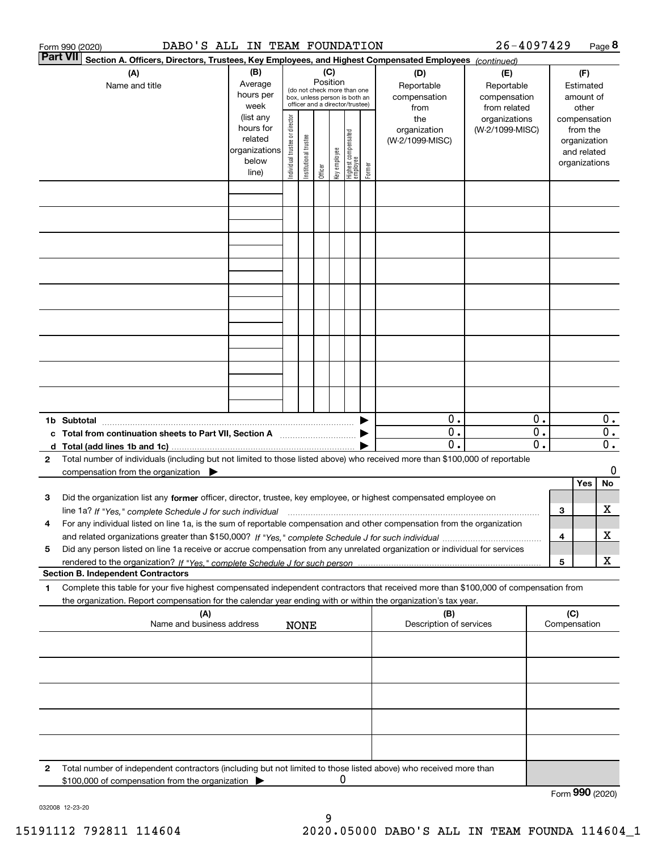| <b>Part VII</b><br>Section A. Officers, Directors, Trustees, Key Employees, and Highest Compensated Employees (continued)<br>(B)<br>(C)<br>(A)<br>(D)<br>(E)<br>(F)<br>Position<br>Average<br>Name and title<br>Reportable<br>Reportable<br>Estimated<br>(do not check more than one<br>hours per<br>compensation<br>compensation<br>amount of<br>box, unless person is both an<br>officer and a director/trustee)<br>week<br>from related<br>other<br>from<br>Individual trustee or director<br>(list any<br>the<br>organizations<br>compensation<br>hours for<br>organization<br>(W-2/1099-MISC)<br>from the<br>  Highest compensated<br>  employee<br>Institutional trustee<br>related<br>(W-2/1099-MISC)<br>organization<br>organizations<br>key employee<br>and related<br>below<br>organizations<br>Former<br>Officer<br>line)<br>0.<br>0.<br>1b Subtotal<br>$\overline{\mathbf{0}}$ .<br>$\mathbf{0}$ .<br>c Total from continuation sheets to Part VII, Section A<br>$\overline{\mathfrak{0}}$ .<br>$\overline{0}$ .<br>Total number of individuals (including but not limited to those listed above) who received more than \$100,000 of reportable<br>2<br>compensation from the organization $\blacktriangleright$<br>Yes<br>Did the organization list any former officer, director, trustee, key employee, or highest compensated employee on<br>з<br>3<br>line 1a? If "Yes," complete Schedule J for such individual matches contained and the 1a? If "Yes," complete Schedule J for such individual<br>For any individual listed on line 1a, is the sum of reportable compensation and other compensation from the organization<br>4 |                                               |
|----------------------------------------------------------------------------------------------------------------------------------------------------------------------------------------------------------------------------------------------------------------------------------------------------------------------------------------------------------------------------------------------------------------------------------------------------------------------------------------------------------------------------------------------------------------------------------------------------------------------------------------------------------------------------------------------------------------------------------------------------------------------------------------------------------------------------------------------------------------------------------------------------------------------------------------------------------------------------------------------------------------------------------------------------------------------------------------------------------------------------------------------------------------------------------------------------------------------------------------------------------------------------------------------------------------------------------------------------------------------------------------------------------------------------------------------------------------------------------------------------------------------------------------------------------------------------------------------------------------------------------------------------|-----------------------------------------------|
|                                                                                                                                                                                                                                                                                                                                                                                                                                                                                                                                                                                                                                                                                                                                                                                                                                                                                                                                                                                                                                                                                                                                                                                                                                                                                                                                                                                                                                                                                                                                                                                                                                                    |                                               |
|                                                                                                                                                                                                                                                                                                                                                                                                                                                                                                                                                                                                                                                                                                                                                                                                                                                                                                                                                                                                                                                                                                                                                                                                                                                                                                                                                                                                                                                                                                                                                                                                                                                    |                                               |
|                                                                                                                                                                                                                                                                                                                                                                                                                                                                                                                                                                                                                                                                                                                                                                                                                                                                                                                                                                                                                                                                                                                                                                                                                                                                                                                                                                                                                                                                                                                                                                                                                                                    |                                               |
|                                                                                                                                                                                                                                                                                                                                                                                                                                                                                                                                                                                                                                                                                                                                                                                                                                                                                                                                                                                                                                                                                                                                                                                                                                                                                                                                                                                                                                                                                                                                                                                                                                                    |                                               |
|                                                                                                                                                                                                                                                                                                                                                                                                                                                                                                                                                                                                                                                                                                                                                                                                                                                                                                                                                                                                                                                                                                                                                                                                                                                                                                                                                                                                                                                                                                                                                                                                                                                    |                                               |
|                                                                                                                                                                                                                                                                                                                                                                                                                                                                                                                                                                                                                                                                                                                                                                                                                                                                                                                                                                                                                                                                                                                                                                                                                                                                                                                                                                                                                                                                                                                                                                                                                                                    |                                               |
|                                                                                                                                                                                                                                                                                                                                                                                                                                                                                                                                                                                                                                                                                                                                                                                                                                                                                                                                                                                                                                                                                                                                                                                                                                                                                                                                                                                                                                                                                                                                                                                                                                                    |                                               |
|                                                                                                                                                                                                                                                                                                                                                                                                                                                                                                                                                                                                                                                                                                                                                                                                                                                                                                                                                                                                                                                                                                                                                                                                                                                                                                                                                                                                                                                                                                                                                                                                                                                    |                                               |
|                                                                                                                                                                                                                                                                                                                                                                                                                                                                                                                                                                                                                                                                                                                                                                                                                                                                                                                                                                                                                                                                                                                                                                                                                                                                                                                                                                                                                                                                                                                                                                                                                                                    |                                               |
|                                                                                                                                                                                                                                                                                                                                                                                                                                                                                                                                                                                                                                                                                                                                                                                                                                                                                                                                                                                                                                                                                                                                                                                                                                                                                                                                                                                                                                                                                                                                                                                                                                                    |                                               |
|                                                                                                                                                                                                                                                                                                                                                                                                                                                                                                                                                                                                                                                                                                                                                                                                                                                                                                                                                                                                                                                                                                                                                                                                                                                                                                                                                                                                                                                                                                                                                                                                                                                    |                                               |
|                                                                                                                                                                                                                                                                                                                                                                                                                                                                                                                                                                                                                                                                                                                                                                                                                                                                                                                                                                                                                                                                                                                                                                                                                                                                                                                                                                                                                                                                                                                                                                                                                                                    | $0$ .                                         |
|                                                                                                                                                                                                                                                                                                                                                                                                                                                                                                                                                                                                                                                                                                                                                                                                                                                                                                                                                                                                                                                                                                                                                                                                                                                                                                                                                                                                                                                                                                                                                                                                                                                    | $\overline{0}$ .<br>$\overline{\mathbf{0}}$ . |
|                                                                                                                                                                                                                                                                                                                                                                                                                                                                                                                                                                                                                                                                                                                                                                                                                                                                                                                                                                                                                                                                                                                                                                                                                                                                                                                                                                                                                                                                                                                                                                                                                                                    | 0                                             |
|                                                                                                                                                                                                                                                                                                                                                                                                                                                                                                                                                                                                                                                                                                                                                                                                                                                                                                                                                                                                                                                                                                                                                                                                                                                                                                                                                                                                                                                                                                                                                                                                                                                    | No                                            |
|                                                                                                                                                                                                                                                                                                                                                                                                                                                                                                                                                                                                                                                                                                                                                                                                                                                                                                                                                                                                                                                                                                                                                                                                                                                                                                                                                                                                                                                                                                                                                                                                                                                    | х                                             |
| 4                                                                                                                                                                                                                                                                                                                                                                                                                                                                                                                                                                                                                                                                                                                                                                                                                                                                                                                                                                                                                                                                                                                                                                                                                                                                                                                                                                                                                                                                                                                                                                                                                                                  | х                                             |
| Did any person listed on line 1a receive or accrue compensation from any unrelated organization or individual for services<br>5<br>5                                                                                                                                                                                                                                                                                                                                                                                                                                                                                                                                                                                                                                                                                                                                                                                                                                                                                                                                                                                                                                                                                                                                                                                                                                                                                                                                                                                                                                                                                                               | X                                             |
| <b>Section B. Independent Contractors</b>                                                                                                                                                                                                                                                                                                                                                                                                                                                                                                                                                                                                                                                                                                                                                                                                                                                                                                                                                                                                                                                                                                                                                                                                                                                                                                                                                                                                                                                                                                                                                                                                          |                                               |
| Complete this table for your five highest compensated independent contractors that received more than \$100,000 of compensation from<br>1<br>the organization. Report compensation for the calendar year ending with or within the organization's tax year.                                                                                                                                                                                                                                                                                                                                                                                                                                                                                                                                                                                                                                                                                                                                                                                                                                                                                                                                                                                                                                                                                                                                                                                                                                                                                                                                                                                        |                                               |
| (A)<br>(C)<br>(B)<br>Name and business address<br>Description of services<br>Compensation<br><b>NONE</b>                                                                                                                                                                                                                                                                                                                                                                                                                                                                                                                                                                                                                                                                                                                                                                                                                                                                                                                                                                                                                                                                                                                                                                                                                                                                                                                                                                                                                                                                                                                                           |                                               |
|                                                                                                                                                                                                                                                                                                                                                                                                                                                                                                                                                                                                                                                                                                                                                                                                                                                                                                                                                                                                                                                                                                                                                                                                                                                                                                                                                                                                                                                                                                                                                                                                                                                    |                                               |
|                                                                                                                                                                                                                                                                                                                                                                                                                                                                                                                                                                                                                                                                                                                                                                                                                                                                                                                                                                                                                                                                                                                                                                                                                                                                                                                                                                                                                                                                                                                                                                                                                                                    |                                               |
|                                                                                                                                                                                                                                                                                                                                                                                                                                                                                                                                                                                                                                                                                                                                                                                                                                                                                                                                                                                                                                                                                                                                                                                                                                                                                                                                                                                                                                                                                                                                                                                                                                                    |                                               |
|                                                                                                                                                                                                                                                                                                                                                                                                                                                                                                                                                                                                                                                                                                                                                                                                                                                                                                                                                                                                                                                                                                                                                                                                                                                                                                                                                                                                                                                                                                                                                                                                                                                    |                                               |
|                                                                                                                                                                                                                                                                                                                                                                                                                                                                                                                                                                                                                                                                                                                                                                                                                                                                                                                                                                                                                                                                                                                                                                                                                                                                                                                                                                                                                                                                                                                                                                                                                                                    |                                               |
| Total number of independent contractors (including but not limited to those listed above) who received more than<br>2<br>0<br>\$100,000 of compensation from the organization<br>Form 990 (2020)                                                                                                                                                                                                                                                                                                                                                                                                                                                                                                                                                                                                                                                                                                                                                                                                                                                                                                                                                                                                                                                                                                                                                                                                                                                                                                                                                                                                                                                   |                                               |

032008 12-23-20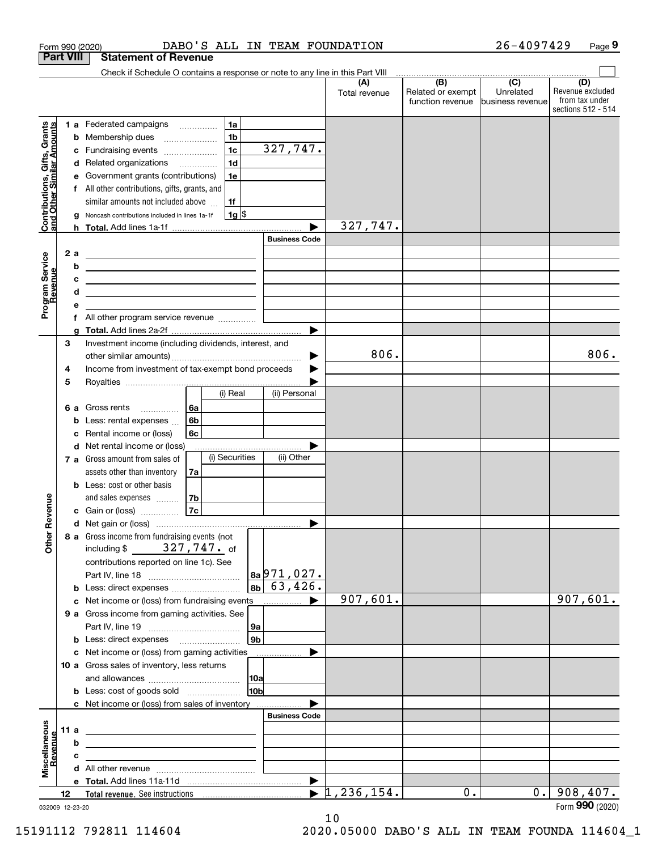|                                                           | Form 990 (2020)  | DABO'S ALL IN TEAM FOUNDATION                                                                                         |                      |                                              | 26-4097429                                      | Page 9                                                          |
|-----------------------------------------------------------|------------------|-----------------------------------------------------------------------------------------------------------------------|----------------------|----------------------------------------------|-------------------------------------------------|-----------------------------------------------------------------|
|                                                           | <b>Part VIII</b> | <b>Statement of Revenue</b>                                                                                           |                      |                                              |                                                 |                                                                 |
|                                                           |                  | Check if Schedule O contains a response or note to any line in this Part VIII                                         |                      |                                              |                                                 |                                                                 |
|                                                           |                  |                                                                                                                       | (A)<br>Total revenue | (B)<br>Related or exempt<br>function revenue | $\overline{C}$<br>Unrelated<br>business revenue | (D)<br>Revenue excluded<br>from tax under<br>sections 512 - 514 |
|                                                           |                  | 1a<br>1 a Federated campaigns                                                                                         |                      |                                              |                                                 |                                                                 |
| Contributions, Gifts, Grants<br>and Other Similar Amounts |                  | 1 <sub>b</sub><br><b>b</b> Membership dues<br>$\ldots \ldots \ldots \ldots \ldots$                                    |                      |                                              |                                                 |                                                                 |
|                                                           | c                | 1 <sub>c</sub><br>Fundraising events                                                                                  | 327,747.             |                                              |                                                 |                                                                 |
|                                                           |                  | 1 <sub>d</sub><br>d Related organizations                                                                             |                      |                                              |                                                 |                                                                 |
|                                                           | е                | 1e<br>Government grants (contributions)                                                                               |                      |                                              |                                                 |                                                                 |
|                                                           |                  | f All other contributions, gifts, grants, and                                                                         |                      |                                              |                                                 |                                                                 |
|                                                           |                  | similar amounts not included above<br>1f                                                                              |                      |                                              |                                                 |                                                                 |
|                                                           | g                | 1g <br>Noncash contributions included in lines 1a-1f                                                                  |                      |                                              |                                                 |                                                                 |
|                                                           |                  |                                                                                                                       | 327,747.             |                                              |                                                 |                                                                 |
|                                                           |                  |                                                                                                                       | <b>Business Code</b> |                                              |                                                 |                                                                 |
|                                                           | 2 a              | <u> 1989 - Andrea Stadt Britain, amerikansk politik (</u>                                                             |                      |                                              |                                                 |                                                                 |
|                                                           | b                | <u> Alexandria de la contrada de la contrada de la contrada de la contrada de la contrada de la contrada de la c</u>  |                      |                                              |                                                 |                                                                 |
|                                                           | c                | <u> 1989 - John Harry Harry Harry Harry Harry Harry Harry Harry Harry Harry Harry Harry Harry Harry Harry Harry H</u> |                      |                                              |                                                 |                                                                 |
|                                                           | d                | <u> 1989 - Johann Barn, amerikansk politiker (d. 1989)</u>                                                            |                      |                                              |                                                 |                                                                 |
| Program Service<br>Revenue                                | е                |                                                                                                                       |                      |                                              |                                                 |                                                                 |
|                                                           | f                | All other program service revenue                                                                                     | ▶                    |                                              |                                                 |                                                                 |
|                                                           | 3                | Investment income (including dividends, interest, and                                                                 |                      |                                              |                                                 |                                                                 |
|                                                           |                  |                                                                                                                       |                      | 806.                                         |                                                 | 806.                                                            |
|                                                           | 4                | Income from investment of tax-exempt bond proceeds                                                                    |                      |                                              |                                                 |                                                                 |
|                                                           | 5                |                                                                                                                       |                      |                                              |                                                 |                                                                 |
|                                                           |                  | (i) Real                                                                                                              | (ii) Personal        |                                              |                                                 |                                                                 |
|                                                           | 6а               | 6a<br>Gross rents                                                                                                     |                      |                                              |                                                 |                                                                 |
|                                                           | b                | 6 <sub>b</sub><br>Less: rental expenses                                                                               |                      |                                              |                                                 |                                                                 |
|                                                           | c                | Rental income or (loss)<br>6с                                                                                         |                      |                                              |                                                 |                                                                 |
|                                                           |                  | d Net rental income or (loss)                                                                                         |                      |                                              |                                                 |                                                                 |
|                                                           |                  | (i) Securities<br>7 a Gross amount from sales of                                                                      | (ii) Other           |                                              |                                                 |                                                                 |
|                                                           |                  | assets other than inventory<br>7a                                                                                     |                      |                                              |                                                 |                                                                 |
|                                                           |                  | <b>b</b> Less: cost or other basis                                                                                    |                      |                                              |                                                 |                                                                 |
|                                                           |                  | 7b<br>and sales expenses                                                                                              |                      |                                              |                                                 |                                                                 |
| evenue                                                    |                  | 7c<br>c Gain or (loss)                                                                                                |                      |                                              |                                                 |                                                                 |
|                                                           |                  |                                                                                                                       |                      |                                              |                                                 |                                                                 |
| Other R                                                   |                  | 8 a Gross income from fundraising events (not                                                                         |                      |                                              |                                                 |                                                                 |
|                                                           |                  | including \$ $327,747$ of                                                                                             |                      |                                              |                                                 |                                                                 |
|                                                           |                  | contributions reported on line 1c). See                                                                               |                      |                                              |                                                 |                                                                 |
|                                                           |                  |                                                                                                                       |                      |                                              |                                                 |                                                                 |
|                                                           |                  | 8 <sub>b</sub>                                                                                                        | $63,426$ .           |                                              |                                                 |                                                                 |
|                                                           |                  |                                                                                                                       | 907,601.             |                                              |                                                 | 907,601.                                                        |
|                                                           |                  | 9 a Gross income from gaming activities. See                                                                          |                      |                                              |                                                 |                                                                 |
|                                                           |                  | 9a                                                                                                                    |                      |                                              |                                                 |                                                                 |
|                                                           |                  | 9 <sub>b</sub><br><b>b</b> Less: direct expenses <b>manually</b>                                                      |                      |                                              |                                                 |                                                                 |
|                                                           |                  | c Net income or (loss) from gaming activities<br>.                                                                    |                      |                                              |                                                 |                                                                 |
|                                                           |                  | 10 a Gross sales of inventory, less returns                                                                           |                      |                                              |                                                 |                                                                 |
|                                                           |                  | 10a                                                                                                                   |                      |                                              |                                                 |                                                                 |
|                                                           |                  | 10b<br><b>b</b> Less: cost of goods sold                                                                              |                      |                                              |                                                 |                                                                 |
|                                                           |                  | c Net income or (loss) from sales of inventory                                                                        | <b>Business Code</b> |                                              |                                                 |                                                                 |
|                                                           |                  |                                                                                                                       |                      |                                              |                                                 |                                                                 |
|                                                           | 11 a<br>b        | <u> 2008 - John Stone, Amerikaans en Stone († 18</u>                                                                  |                      |                                              |                                                 |                                                                 |
| <u>kevenue</u>                                            | c                | <u> 1989 - Johann Harry Harry Harry Harry Harry Harry Harry Harry Harry Harry Harry Harry Harry Harry Harry Harry</u> |                      |                                              |                                                 |                                                                 |
| Miscellaneous                                             |                  | the contract of the contract of the contract of the contract of the contract of                                       |                      |                                              |                                                 |                                                                 |
|                                                           |                  |                                                                                                                       |                      |                                              |                                                 |                                                                 |
|                                                           | 12               |                                                                                                                       | 1,236,154.<br>▶      | 0.                                           | 0.1                                             | 908,407.                                                        |
|                                                           | 032009 12-23-20  |                                                                                                                       |                      |                                              |                                                 | Form 990 (2020)                                                 |
|                                                           |                  |                                                                                                                       |                      |                                              |                                                 |                                                                 |

032009 12-23-20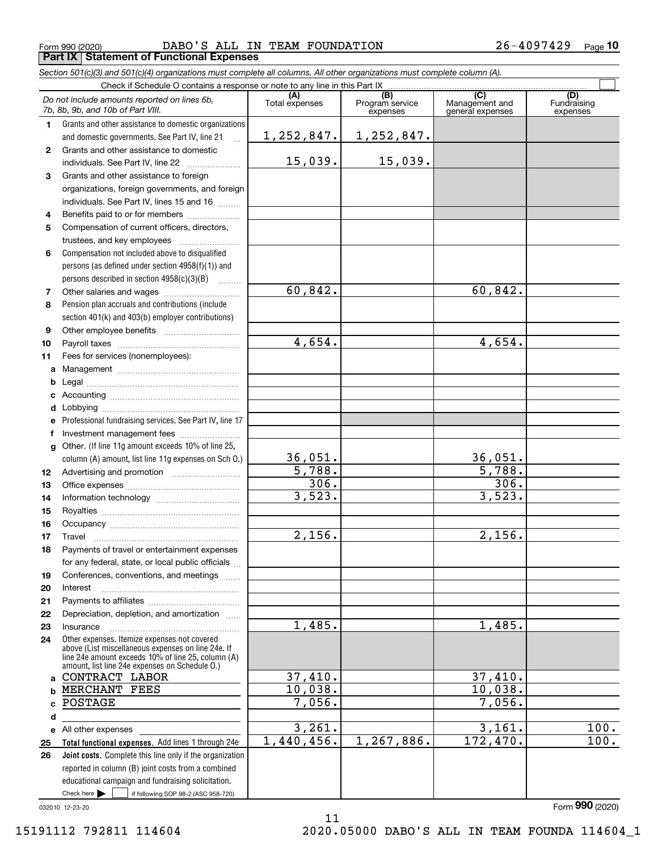Form 990 (2020) DABO'S ALL IN TEAM FOUNDATION 26-4097429 <sub>Page</sub> **Part IX Statement of Functional Expenses**

*Section 501(c)(3) and 501(c)(4) organizations must complete all columns. All other organizations must complete column (A).*

| Check if Schedule O contains a response or note to any line in this Part IX |                                                                                                      |                |                                    |                                           |                                |  |  |  |  |
|-----------------------------------------------------------------------------|------------------------------------------------------------------------------------------------------|----------------|------------------------------------|-------------------------------------------|--------------------------------|--|--|--|--|
|                                                                             | Do not include amounts reported on lines 6b,<br>7b, 8b, 9b, and 10b of Part VIII.                    | Total expenses | (B)<br>Program service<br>expenses | (C)<br>Management and<br>general expenses | (D)<br>Fundraising<br>expenses |  |  |  |  |
| 1.                                                                          | Grants and other assistance to domestic organizations                                                |                |                                    |                                           |                                |  |  |  |  |
|                                                                             | and domestic governments. See Part IV, line 21<br>$\ddotsc$                                          | 1, 252, 847.   | 1,252,847.                         |                                           |                                |  |  |  |  |
| 2                                                                           | Grants and other assistance to domestic                                                              |                |                                    |                                           |                                |  |  |  |  |
|                                                                             | individuals. See Part IV, line 22                                                                    | 15,039.        | 15,039.                            |                                           |                                |  |  |  |  |
| 3                                                                           | Grants and other assistance to foreign                                                               |                |                                    |                                           |                                |  |  |  |  |
|                                                                             | organizations, foreign governments, and foreign                                                      |                |                                    |                                           |                                |  |  |  |  |
|                                                                             | individuals. See Part IV, lines 15 and 16                                                            |                |                                    |                                           |                                |  |  |  |  |
| 4                                                                           | Benefits paid to or for members                                                                      |                |                                    |                                           |                                |  |  |  |  |
| 5                                                                           | Compensation of current officers, directors,                                                         |                |                                    |                                           |                                |  |  |  |  |
|                                                                             |                                                                                                      |                |                                    |                                           |                                |  |  |  |  |
| 6                                                                           | Compensation not included above to disqualified                                                      |                |                                    |                                           |                                |  |  |  |  |
|                                                                             | persons (as defined under section 4958(f)(1)) and                                                    |                |                                    |                                           |                                |  |  |  |  |
|                                                                             | persons described in section 4958(c)(3)(B)                                                           |                |                                    |                                           |                                |  |  |  |  |
| 7                                                                           |                                                                                                      | 60,842.        |                                    | 60,842.                                   |                                |  |  |  |  |
| 8                                                                           | Pension plan accruals and contributions (include                                                     |                |                                    |                                           |                                |  |  |  |  |
|                                                                             | section 401(k) and 403(b) employer contributions)                                                    |                |                                    |                                           |                                |  |  |  |  |
| 9                                                                           |                                                                                                      |                |                                    |                                           |                                |  |  |  |  |
| 10                                                                          |                                                                                                      | 4,654.         |                                    | 4,654.                                    |                                |  |  |  |  |
| 11                                                                          | Fees for services (nonemployees):                                                                    |                |                                    |                                           |                                |  |  |  |  |
| a                                                                           |                                                                                                      |                |                                    |                                           |                                |  |  |  |  |
| b                                                                           |                                                                                                      |                |                                    |                                           |                                |  |  |  |  |
| c                                                                           |                                                                                                      |                |                                    |                                           |                                |  |  |  |  |
| d                                                                           |                                                                                                      |                |                                    |                                           |                                |  |  |  |  |
| е                                                                           | Professional fundraising services. See Part IV, line 17                                              |                |                                    |                                           |                                |  |  |  |  |
|                                                                             |                                                                                                      |                |                                    |                                           |                                |  |  |  |  |
| g                                                                           | Other. (If line 11g amount exceeds 10% of line 25,                                                   |                |                                    |                                           |                                |  |  |  |  |
|                                                                             | column (A) amount, list line 11g expenses on Sch O.)                                                 | 36,051.        |                                    | 36,051.                                   |                                |  |  |  |  |
| 12                                                                          |                                                                                                      | 5,788.         |                                    | 5,788.                                    |                                |  |  |  |  |
| 13                                                                          |                                                                                                      | 306.           |                                    | 306.                                      |                                |  |  |  |  |
| 14                                                                          |                                                                                                      | 3,523.         |                                    | 3,523.                                    |                                |  |  |  |  |
| 15                                                                          |                                                                                                      |                |                                    |                                           |                                |  |  |  |  |
| 16                                                                          |                                                                                                      |                |                                    | 2,156.                                    |                                |  |  |  |  |
| 17                                                                          | Travel                                                                                               | 2,156.         |                                    |                                           |                                |  |  |  |  |
| 18                                                                          | Payments of travel or entertainment expenses                                                         |                |                                    |                                           |                                |  |  |  |  |
|                                                                             | for any federal, state, or local public officials                                                    |                |                                    |                                           |                                |  |  |  |  |
| 19                                                                          | Conferences, conventions, and meetings                                                               |                |                                    |                                           |                                |  |  |  |  |
| 20                                                                          | Interest                                                                                             |                |                                    |                                           |                                |  |  |  |  |
| 21<br>22                                                                    | Depreciation, depletion, and amortization                                                            |                |                                    |                                           |                                |  |  |  |  |
| 23                                                                          | Insurance                                                                                            | 1,485.         |                                    | 1,485.                                    |                                |  |  |  |  |
| 24                                                                          | Other expenses. Itemize expenses not covered                                                         |                |                                    |                                           |                                |  |  |  |  |
|                                                                             | above (List miscellaneous expenses on line 24e. If                                                   |                |                                    |                                           |                                |  |  |  |  |
|                                                                             | line 24e amount exceeds 10% of line 25, column (A)<br>amount, list line 24e expenses on Schedule O.) |                |                                    |                                           |                                |  |  |  |  |
| a                                                                           | CONTRACT LABOR                                                                                       | 37,410.        |                                    | 37,410.                                   |                                |  |  |  |  |
| b                                                                           | MERCHANT FEES                                                                                        | 10,038.        |                                    | 10,038.                                   |                                |  |  |  |  |
|                                                                             | POSTAGE                                                                                              | 7,056.         |                                    | 7,056.                                    |                                |  |  |  |  |
| d                                                                           |                                                                                                      |                |                                    |                                           |                                |  |  |  |  |
|                                                                             | e All other expenses                                                                                 | 3,261.         |                                    | 3,161.                                    | 100.                           |  |  |  |  |
| 25                                                                          | Total functional expenses. Add lines 1 through 24e                                                   | 1,440,456.     | 1,267,886.                         | 172,470.                                  | 100.                           |  |  |  |  |
| 26                                                                          | Joint costs. Complete this line only if the organization                                             |                |                                    |                                           |                                |  |  |  |  |
|                                                                             | reported in column (B) joint costs from a combined                                                   |                |                                    |                                           |                                |  |  |  |  |
|                                                                             | educational campaign and fundraising solicitation.                                                   |                |                                    |                                           |                                |  |  |  |  |
|                                                                             | Check here $\blacktriangleright$<br>if following SOP 98-2 (ASC 958-720)                              |                |                                    |                                           |                                |  |  |  |  |

11

032010 12-23-20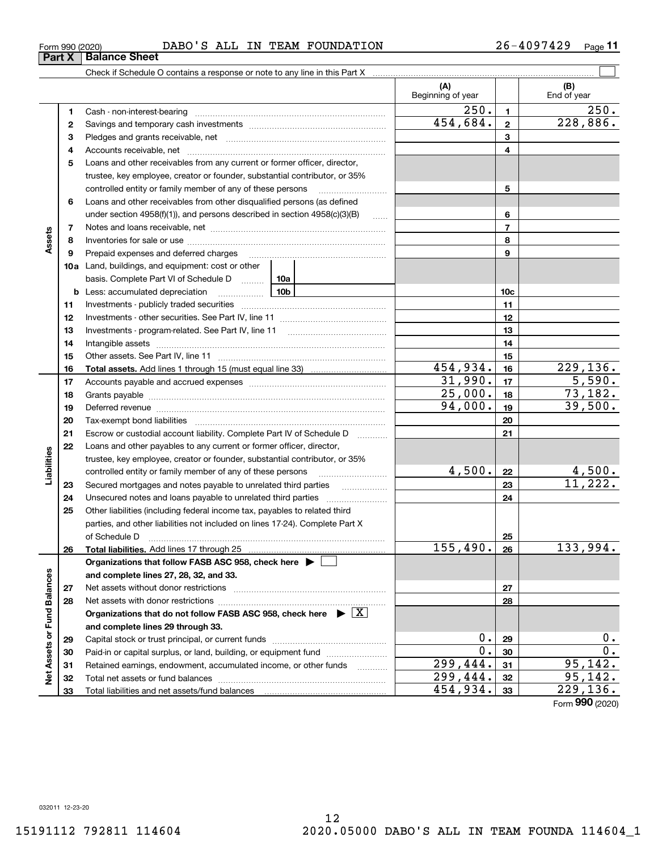#### Form 990 (2020) DABO'S ALL IN TEAM FOUNDATION 26-4097429 <sub>Page</sub> **Part X** Balance Sheet

Check if Schedule O contains a response or note to any line in this Part X

**(A) (B)** Beginning of year | | End of year  $250.$  1 **11**Cash - non-interest-bearing ~~~~~~~~~~~~~~~~~~~~~~~~~  $454,684.$  2 228,886. **22**Savings and temporary cash investments ~~~~~~~~~~~~~~~~~~**33** Pledges and grants receivable, net  $\ldots$  **multimes contained and grants receivable**, net **multimes contained and grants receivable**, net **multimes contained and grants receivable** Accounts receivable, net ~~~~~~~~~~~~~~~~~~~~~~~~~~ **445**Loans and other receivables from any current or former officer, director, trustee, key employee, creator or founder, substantial contributor, or 35% controlled entity or family member of any of these persons ............................ **5**Loans and other receivables from other disqualified persons (as defined **6**under section  $4958(f)(1)$ , and persons described in section  $4958(c)(3)(B)$ **677**Notes and loans receivable, net ~~~~~~~~~~~~~~~~~~~~~~~ **Assets 88**Inventories for sale or use ~~~~~~~~~~~~~~~~~~~~~~~~~~ **99**Prepaid expenses and deferred charges ~~~~~~~~~~~~~~~~~~ **10a**Land, buildings, and equipment: cost or other basis. Complete Part VI of Schedule D will aller **10cb** Less: accumulated depreciation  $\ldots$  **10b 1111**Investments - publicly traded securities ~~~~~~~~~~~~~~~~~~~ **1212**Investments - other securities. See Part IV, line 11 ~~~~~~~~~~~~~~ **1313**Investments - program-related. See Part IV, line 11 [2010] [2010] [2010] [2010] [2010] [2010] [2010] [2010] [2 **1414**Intangible assets ~~~~~~~~~~~~~~~~~~~~~~~~~~~~~~ Other assets. See Part IV, line 11 ~~~~~~~~~~~~~~~~~~~~~~ **1515** $454,934.$   $16$  229,136. **1616Total assets.**  Add lines 1 through 15 (must equal line 33)  $31,990.$   $17$   $5,590.$ **1717**Accounts payable and accrued expenses ~~~~~~~~~~~~~~~~~~  $25,000$ .  $18$  73,182. **1818**Grants payable ~~~~~~~~~~~~~~~~~~~~~~~~~~~~~~~ 94,000. 19 39,500. **1919**Deferred revenue ~~~~~~~~~~~~~~~~~~~~~~~~~~~~~~ **2020**Tax-exempt bond liabilities …………………………………………………………… Escrow or custodial account liability. Complete Part IV of Schedule D **212122**Loans and other payables to any current or former officer, director, iabilities **Liabilities** trustee, key employee, creator or founder, substantial contributor, or 35%  $4,500$ . | 22 | 4,500. **22**controlled entity or family member of any of these persons ~~~~~~~~~11,222. Secured mortgages and notes payable to unrelated third parties  $\ldots$ **2323**Unsecured notes and loans payable to unrelated third parties  $\ldots$ **242425**Other liabilities (including federal income tax, payables to related third parties, and other liabilities not included on lines 17-24). Complete Part X of Schedule D ~~~~~~~~~~~~~~~~~~~~~~~~~~~~~~~ **25** $155,490.$  26 133,994. **2626Total liabilities.**  Add lines 17 through 25 **Organizations that follow FASB ASC 958, check here** | Assets or Fund Balances **Net Assets or Fund Balances and complete lines 27, 28, 32, and 33. 2727**Net assets without donor restrictions ~~~~~~~~~~~~~~~~~~~~ **2828**Net assets with donor restrictions ~~~~~~~~~~~~~~~~~~~~~~Organizations that do not follow FASB ASC 958, check here  $\quadblacktriangleright\; \boxed{\mathrm{X}}$ **and complete lines 29 through 33.**  $0.29$  0. **2929**Capital stock or trust principal, or current funds ~~~~~~~~~~~~~~~ $0.$ |  $30$  |  $0.$ **3030**Paid-in or capital surplus, or land, building, or equipment fund www.commun.com  $299,444.$   $31$  95,142. **3131**Retained earnings, endowment, accumulated income, or other funds www.com ğ Total net assets or fund balances ~~~~~~~~~~~~~~~~~~~~~~ 299,444. 95,142. **3232**454,934. 229,136. Total liabilities and net assets/fund balances **3333**

26-4097429 <sub>Page</sub> 11

 $\mathcal{L}^{\text{max}}$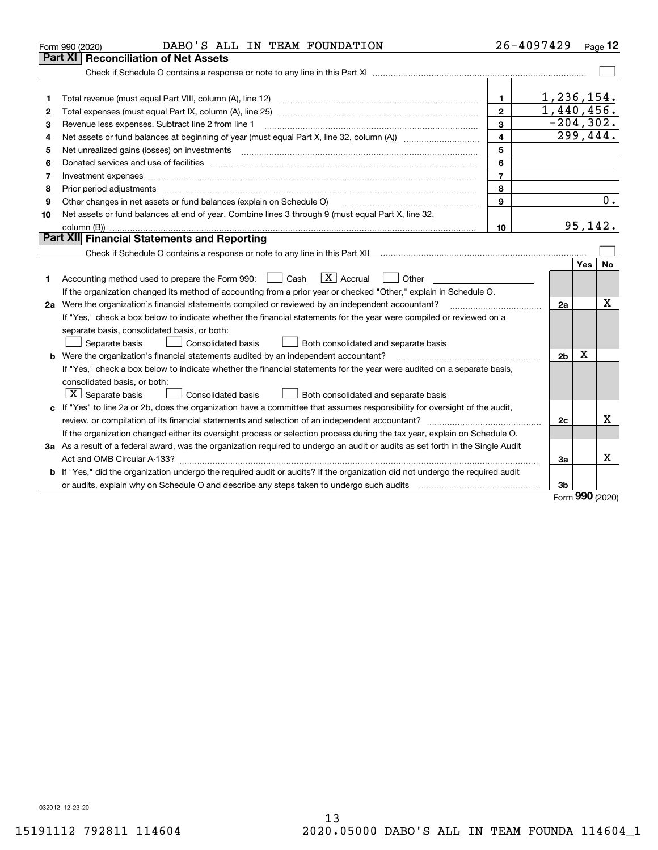| Part XI<br><b>Reconciliation of Net Assets</b><br>1,236,154.<br>1.<br>1<br>1,440,456.<br>$\overline{2}$<br>2<br>$-204, 302.$<br>$\mathbf{3}$<br>Revenue less expenses. Subtract line 2 from line 1<br>3<br>$\overline{299,444}$ .<br>$\overline{\mathbf{4}}$<br>4<br>5<br>5<br>6<br>6<br>$\overline{7}$<br>7<br>8<br>8<br>Prior period adjustments manufactured content and all the content of the content of the content of the content of the content of the content of the content of the content of the content of the content of the content of the<br>0.<br>$\mathbf{9}$<br>Other changes in net assets or fund balances (explain on Schedule O)<br>9<br>Net assets or fund balances at end of year. Combine lines 3 through 9 (must equal Part X, line 32,<br>10<br>95,142.<br>10<br>Part XII Financial Statements and Reporting<br>Yes<br>No<br>$\boxed{\text{X}}$ Accrual<br>Accounting method used to prepare the Form 990: <u>[</u> Cash<br>Other<br>1<br>If the organization changed its method of accounting from a prior year or checked "Other," explain in Schedule O.<br>х<br>2a Were the organization's financial statements compiled or reviewed by an independent accountant?<br>2a<br>If "Yes," check a box below to indicate whether the financial statements for the year were compiled or reviewed on a<br>separate basis, consolidated basis, or both:<br>Separate basis<br><b>Consolidated basis</b><br>Both consolidated and separate basis<br>Χ<br><b>b</b> Were the organization's financial statements audited by an independent accountant?<br>2 <sub>b</sub><br>If "Yes," check a box below to indicate whether the financial statements for the year were audited on a separate basis,<br>consolidated basis, or both:<br>$ \mathbf{X} $ Separate basis<br>Consolidated basis<br>Both consolidated and separate basis<br>c If "Yes" to line 2a or 2b, does the organization have a committee that assumes responsibility for oversight of the audit,<br>x<br>2c<br>If the organization changed either its oversight process or selection process during the tax year, explain on Schedule O.<br>3a As a result of a federal award, was the organization required to undergo an audit or audits as set forth in the Single Audit<br>x<br>За<br>b If "Yes," did the organization undergo the required audit or audits? If the organization did not undergo the required audit<br>3b<br><b>nnn</b> | DABO'S ALL IN TEAM FOUNDATION<br>Form 990 (2020) | 26-4097429 |  | Page 12 |
|----------------------------------------------------------------------------------------------------------------------------------------------------------------------------------------------------------------------------------------------------------------------------------------------------------------------------------------------------------------------------------------------------------------------------------------------------------------------------------------------------------------------------------------------------------------------------------------------------------------------------------------------------------------------------------------------------------------------------------------------------------------------------------------------------------------------------------------------------------------------------------------------------------------------------------------------------------------------------------------------------------------------------------------------------------------------------------------------------------------------------------------------------------------------------------------------------------------------------------------------------------------------------------------------------------------------------------------------------------------------------------------------------------------------------------------------------------------------------------------------------------------------------------------------------------------------------------------------------------------------------------------------------------------------------------------------------------------------------------------------------------------------------------------------------------------------------------------------------------------------------------------------------------------------------------------------------------------------------------------------------------------------------------------------------------------------------------------------------------------------------------------------------------------------------------------------------------------------------------------------------------------------------------------------------------------------------------------------------------------------------------------------------------------------------------|--------------------------------------------------|------------|--|---------|
|                                                                                                                                                                                                                                                                                                                                                                                                                                                                                                                                                                                                                                                                                                                                                                                                                                                                                                                                                                                                                                                                                                                                                                                                                                                                                                                                                                                                                                                                                                                                                                                                                                                                                                                                                                                                                                                                                                                                                                                                                                                                                                                                                                                                                                                                                                                                                                                                                                  |                                                  |            |  |         |
|                                                                                                                                                                                                                                                                                                                                                                                                                                                                                                                                                                                                                                                                                                                                                                                                                                                                                                                                                                                                                                                                                                                                                                                                                                                                                                                                                                                                                                                                                                                                                                                                                                                                                                                                                                                                                                                                                                                                                                                                                                                                                                                                                                                                                                                                                                                                                                                                                                  |                                                  |            |  |         |
|                                                                                                                                                                                                                                                                                                                                                                                                                                                                                                                                                                                                                                                                                                                                                                                                                                                                                                                                                                                                                                                                                                                                                                                                                                                                                                                                                                                                                                                                                                                                                                                                                                                                                                                                                                                                                                                                                                                                                                                                                                                                                                                                                                                                                                                                                                                                                                                                                                  |                                                  |            |  |         |
|                                                                                                                                                                                                                                                                                                                                                                                                                                                                                                                                                                                                                                                                                                                                                                                                                                                                                                                                                                                                                                                                                                                                                                                                                                                                                                                                                                                                                                                                                                                                                                                                                                                                                                                                                                                                                                                                                                                                                                                                                                                                                                                                                                                                                                                                                                                                                                                                                                  |                                                  |            |  |         |
|                                                                                                                                                                                                                                                                                                                                                                                                                                                                                                                                                                                                                                                                                                                                                                                                                                                                                                                                                                                                                                                                                                                                                                                                                                                                                                                                                                                                                                                                                                                                                                                                                                                                                                                                                                                                                                                                                                                                                                                                                                                                                                                                                                                                                                                                                                                                                                                                                                  |                                                  |            |  |         |
|                                                                                                                                                                                                                                                                                                                                                                                                                                                                                                                                                                                                                                                                                                                                                                                                                                                                                                                                                                                                                                                                                                                                                                                                                                                                                                                                                                                                                                                                                                                                                                                                                                                                                                                                                                                                                                                                                                                                                                                                                                                                                                                                                                                                                                                                                                                                                                                                                                  |                                                  |            |  |         |
|                                                                                                                                                                                                                                                                                                                                                                                                                                                                                                                                                                                                                                                                                                                                                                                                                                                                                                                                                                                                                                                                                                                                                                                                                                                                                                                                                                                                                                                                                                                                                                                                                                                                                                                                                                                                                                                                                                                                                                                                                                                                                                                                                                                                                                                                                                                                                                                                                                  |                                                  |            |  |         |
|                                                                                                                                                                                                                                                                                                                                                                                                                                                                                                                                                                                                                                                                                                                                                                                                                                                                                                                                                                                                                                                                                                                                                                                                                                                                                                                                                                                                                                                                                                                                                                                                                                                                                                                                                                                                                                                                                                                                                                                                                                                                                                                                                                                                                                                                                                                                                                                                                                  |                                                  |            |  |         |
|                                                                                                                                                                                                                                                                                                                                                                                                                                                                                                                                                                                                                                                                                                                                                                                                                                                                                                                                                                                                                                                                                                                                                                                                                                                                                                                                                                                                                                                                                                                                                                                                                                                                                                                                                                                                                                                                                                                                                                                                                                                                                                                                                                                                                                                                                                                                                                                                                                  |                                                  |            |  |         |
|                                                                                                                                                                                                                                                                                                                                                                                                                                                                                                                                                                                                                                                                                                                                                                                                                                                                                                                                                                                                                                                                                                                                                                                                                                                                                                                                                                                                                                                                                                                                                                                                                                                                                                                                                                                                                                                                                                                                                                                                                                                                                                                                                                                                                                                                                                                                                                                                                                  |                                                  |            |  |         |
|                                                                                                                                                                                                                                                                                                                                                                                                                                                                                                                                                                                                                                                                                                                                                                                                                                                                                                                                                                                                                                                                                                                                                                                                                                                                                                                                                                                                                                                                                                                                                                                                                                                                                                                                                                                                                                                                                                                                                                                                                                                                                                                                                                                                                                                                                                                                                                                                                                  |                                                  |            |  |         |
|                                                                                                                                                                                                                                                                                                                                                                                                                                                                                                                                                                                                                                                                                                                                                                                                                                                                                                                                                                                                                                                                                                                                                                                                                                                                                                                                                                                                                                                                                                                                                                                                                                                                                                                                                                                                                                                                                                                                                                                                                                                                                                                                                                                                                                                                                                                                                                                                                                  |                                                  |            |  |         |
|                                                                                                                                                                                                                                                                                                                                                                                                                                                                                                                                                                                                                                                                                                                                                                                                                                                                                                                                                                                                                                                                                                                                                                                                                                                                                                                                                                                                                                                                                                                                                                                                                                                                                                                                                                                                                                                                                                                                                                                                                                                                                                                                                                                                                                                                                                                                                                                                                                  |                                                  |            |  |         |
|                                                                                                                                                                                                                                                                                                                                                                                                                                                                                                                                                                                                                                                                                                                                                                                                                                                                                                                                                                                                                                                                                                                                                                                                                                                                                                                                                                                                                                                                                                                                                                                                                                                                                                                                                                                                                                                                                                                                                                                                                                                                                                                                                                                                                                                                                                                                                                                                                                  |                                                  |            |  |         |
|                                                                                                                                                                                                                                                                                                                                                                                                                                                                                                                                                                                                                                                                                                                                                                                                                                                                                                                                                                                                                                                                                                                                                                                                                                                                                                                                                                                                                                                                                                                                                                                                                                                                                                                                                                                                                                                                                                                                                                                                                                                                                                                                                                                                                                                                                                                                                                                                                                  |                                                  |            |  |         |
|                                                                                                                                                                                                                                                                                                                                                                                                                                                                                                                                                                                                                                                                                                                                                                                                                                                                                                                                                                                                                                                                                                                                                                                                                                                                                                                                                                                                                                                                                                                                                                                                                                                                                                                                                                                                                                                                                                                                                                                                                                                                                                                                                                                                                                                                                                                                                                                                                                  |                                                  |            |  |         |
|                                                                                                                                                                                                                                                                                                                                                                                                                                                                                                                                                                                                                                                                                                                                                                                                                                                                                                                                                                                                                                                                                                                                                                                                                                                                                                                                                                                                                                                                                                                                                                                                                                                                                                                                                                                                                                                                                                                                                                                                                                                                                                                                                                                                                                                                                                                                                                                                                                  |                                                  |            |  |         |
|                                                                                                                                                                                                                                                                                                                                                                                                                                                                                                                                                                                                                                                                                                                                                                                                                                                                                                                                                                                                                                                                                                                                                                                                                                                                                                                                                                                                                                                                                                                                                                                                                                                                                                                                                                                                                                                                                                                                                                                                                                                                                                                                                                                                                                                                                                                                                                                                                                  |                                                  |            |  |         |
|                                                                                                                                                                                                                                                                                                                                                                                                                                                                                                                                                                                                                                                                                                                                                                                                                                                                                                                                                                                                                                                                                                                                                                                                                                                                                                                                                                                                                                                                                                                                                                                                                                                                                                                                                                                                                                                                                                                                                                                                                                                                                                                                                                                                                                                                                                                                                                                                                                  |                                                  |            |  |         |
|                                                                                                                                                                                                                                                                                                                                                                                                                                                                                                                                                                                                                                                                                                                                                                                                                                                                                                                                                                                                                                                                                                                                                                                                                                                                                                                                                                                                                                                                                                                                                                                                                                                                                                                                                                                                                                                                                                                                                                                                                                                                                                                                                                                                                                                                                                                                                                                                                                  |                                                  |            |  |         |
|                                                                                                                                                                                                                                                                                                                                                                                                                                                                                                                                                                                                                                                                                                                                                                                                                                                                                                                                                                                                                                                                                                                                                                                                                                                                                                                                                                                                                                                                                                                                                                                                                                                                                                                                                                                                                                                                                                                                                                                                                                                                                                                                                                                                                                                                                                                                                                                                                                  |                                                  |            |  |         |
|                                                                                                                                                                                                                                                                                                                                                                                                                                                                                                                                                                                                                                                                                                                                                                                                                                                                                                                                                                                                                                                                                                                                                                                                                                                                                                                                                                                                                                                                                                                                                                                                                                                                                                                                                                                                                                                                                                                                                                                                                                                                                                                                                                                                                                                                                                                                                                                                                                  |                                                  |            |  |         |
|                                                                                                                                                                                                                                                                                                                                                                                                                                                                                                                                                                                                                                                                                                                                                                                                                                                                                                                                                                                                                                                                                                                                                                                                                                                                                                                                                                                                                                                                                                                                                                                                                                                                                                                                                                                                                                                                                                                                                                                                                                                                                                                                                                                                                                                                                                                                                                                                                                  |                                                  |            |  |         |
|                                                                                                                                                                                                                                                                                                                                                                                                                                                                                                                                                                                                                                                                                                                                                                                                                                                                                                                                                                                                                                                                                                                                                                                                                                                                                                                                                                                                                                                                                                                                                                                                                                                                                                                                                                                                                                                                                                                                                                                                                                                                                                                                                                                                                                                                                                                                                                                                                                  |                                                  |            |  |         |
|                                                                                                                                                                                                                                                                                                                                                                                                                                                                                                                                                                                                                                                                                                                                                                                                                                                                                                                                                                                                                                                                                                                                                                                                                                                                                                                                                                                                                                                                                                                                                                                                                                                                                                                                                                                                                                                                                                                                                                                                                                                                                                                                                                                                                                                                                                                                                                                                                                  |                                                  |            |  |         |
|                                                                                                                                                                                                                                                                                                                                                                                                                                                                                                                                                                                                                                                                                                                                                                                                                                                                                                                                                                                                                                                                                                                                                                                                                                                                                                                                                                                                                                                                                                                                                                                                                                                                                                                                                                                                                                                                                                                                                                                                                                                                                                                                                                                                                                                                                                                                                                                                                                  |                                                  |            |  |         |
|                                                                                                                                                                                                                                                                                                                                                                                                                                                                                                                                                                                                                                                                                                                                                                                                                                                                                                                                                                                                                                                                                                                                                                                                                                                                                                                                                                                                                                                                                                                                                                                                                                                                                                                                                                                                                                                                                                                                                                                                                                                                                                                                                                                                                                                                                                                                                                                                                                  |                                                  |            |  |         |
|                                                                                                                                                                                                                                                                                                                                                                                                                                                                                                                                                                                                                                                                                                                                                                                                                                                                                                                                                                                                                                                                                                                                                                                                                                                                                                                                                                                                                                                                                                                                                                                                                                                                                                                                                                                                                                                                                                                                                                                                                                                                                                                                                                                                                                                                                                                                                                                                                                  |                                                  |            |  |         |
|                                                                                                                                                                                                                                                                                                                                                                                                                                                                                                                                                                                                                                                                                                                                                                                                                                                                                                                                                                                                                                                                                                                                                                                                                                                                                                                                                                                                                                                                                                                                                                                                                                                                                                                                                                                                                                                                                                                                                                                                                                                                                                                                                                                                                                                                                                                                                                                                                                  |                                                  |            |  |         |
|                                                                                                                                                                                                                                                                                                                                                                                                                                                                                                                                                                                                                                                                                                                                                                                                                                                                                                                                                                                                                                                                                                                                                                                                                                                                                                                                                                                                                                                                                                                                                                                                                                                                                                                                                                                                                                                                                                                                                                                                                                                                                                                                                                                                                                                                                                                                                                                                                                  |                                                  |            |  |         |
|                                                                                                                                                                                                                                                                                                                                                                                                                                                                                                                                                                                                                                                                                                                                                                                                                                                                                                                                                                                                                                                                                                                                                                                                                                                                                                                                                                                                                                                                                                                                                                                                                                                                                                                                                                                                                                                                                                                                                                                                                                                                                                                                                                                                                                                                                                                                                                                                                                  |                                                  |            |  |         |
|                                                                                                                                                                                                                                                                                                                                                                                                                                                                                                                                                                                                                                                                                                                                                                                                                                                                                                                                                                                                                                                                                                                                                                                                                                                                                                                                                                                                                                                                                                                                                                                                                                                                                                                                                                                                                                                                                                                                                                                                                                                                                                                                                                                                                                                                                                                                                                                                                                  |                                                  |            |  |         |
|                                                                                                                                                                                                                                                                                                                                                                                                                                                                                                                                                                                                                                                                                                                                                                                                                                                                                                                                                                                                                                                                                                                                                                                                                                                                                                                                                                                                                                                                                                                                                                                                                                                                                                                                                                                                                                                                                                                                                                                                                                                                                                                                                                                                                                                                                                                                                                                                                                  |                                                  |            |  |         |
|                                                                                                                                                                                                                                                                                                                                                                                                                                                                                                                                                                                                                                                                                                                                                                                                                                                                                                                                                                                                                                                                                                                                                                                                                                                                                                                                                                                                                                                                                                                                                                                                                                                                                                                                                                                                                                                                                                                                                                                                                                                                                                                                                                                                                                                                                                                                                                                                                                  |                                                  |            |  |         |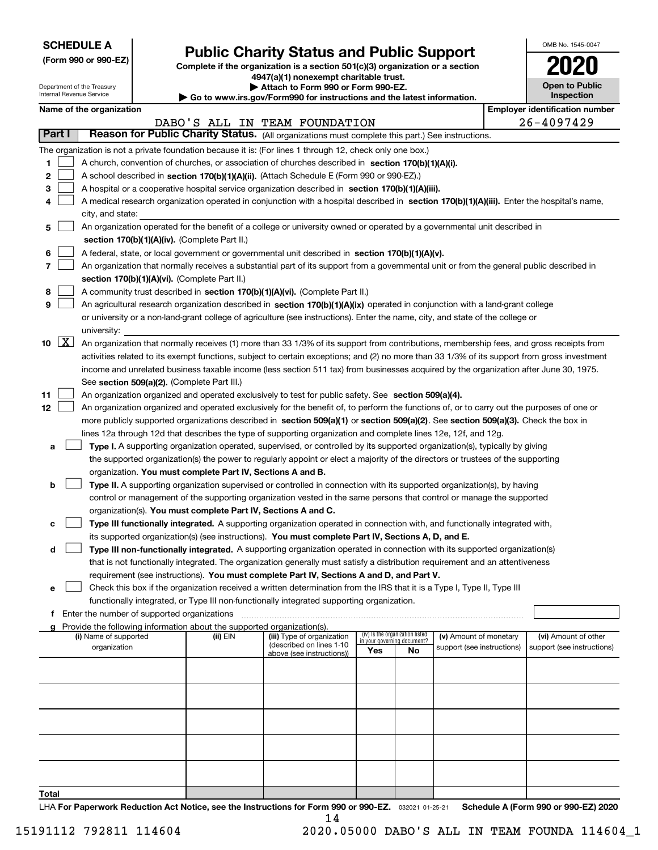| <b>SCHEDULE A</b> |
|-------------------|
|-------------------|

Department of the Treasury Internal Revenue Service

|  |  |  | (Form 990 or 990-EZ) |  |
|--|--|--|----------------------|--|
|--|--|--|----------------------|--|

### **Public Charity Status and Public Support**

**Complete if the organization is a section 501(c)(3) organization or a section 4947(a)(1) nonexempt charitable trust.**

| Attach to Form 990 or Form 990-EZ. |
|------------------------------------|
|                                    |

**| Go to www.irs.gov/Form990 for instructions and the latest information.**

| OMB No 1545-0047                    |
|-------------------------------------|
| 2020                                |
| <b>Open to Public</b><br>Inspection |

|       | Name of the organization |                                                                                                                                                     |          |                                                        |                                 |    |                                                      |  | <b>Employer identification number</b>              |  |  |
|-------|--------------------------|-----------------------------------------------------------------------------------------------------------------------------------------------------|----------|--------------------------------------------------------|---------------------------------|----|------------------------------------------------------|--|----------------------------------------------------|--|--|
|       |                          |                                                                                                                                                     |          | DABO'S ALL IN TEAM FOUNDATION                          |                                 |    |                                                      |  | 26-4097429                                         |  |  |
|       | Part I                   | Reason for Public Charity Status. (All organizations must complete this part.) See instructions.                                                    |          |                                                        |                                 |    |                                                      |  |                                                    |  |  |
|       |                          | The organization is not a private foundation because it is: (For lines 1 through 12, check only one box.)                                           |          |                                                        |                                 |    |                                                      |  |                                                    |  |  |
| 1     |                          | A church, convention of churches, or association of churches described in section 170(b)(1)(A)(i).                                                  |          |                                                        |                                 |    |                                                      |  |                                                    |  |  |
| 2     |                          | A school described in section 170(b)(1)(A)(ii). (Attach Schedule E (Form 990 or 990-EZ).)                                                           |          |                                                        |                                 |    |                                                      |  |                                                    |  |  |
| 3     |                          | A hospital or a cooperative hospital service organization described in section $170(b)(1)(A)(iii)$ .                                                |          |                                                        |                                 |    |                                                      |  |                                                    |  |  |
|       |                          | A medical research organization operated in conjunction with a hospital described in section 170(b)(1)(A)(iii). Enter the hospital's name,          |          |                                                        |                                 |    |                                                      |  |                                                    |  |  |
|       |                          | city, and state:                                                                                                                                    |          |                                                        |                                 |    |                                                      |  |                                                    |  |  |
| 5     |                          | An organization operated for the benefit of a college or university owned or operated by a governmental unit described in                           |          |                                                        |                                 |    |                                                      |  |                                                    |  |  |
|       |                          | section 170(b)(1)(A)(iv). (Complete Part II.)                                                                                                       |          |                                                        |                                 |    |                                                      |  |                                                    |  |  |
| 6     |                          | A federal, state, or local government or governmental unit described in section 170(b)(1)(A)(v).                                                    |          |                                                        |                                 |    |                                                      |  |                                                    |  |  |
| 7     |                          | An organization that normally receives a substantial part of its support from a governmental unit or from the general public described in           |          |                                                        |                                 |    |                                                      |  |                                                    |  |  |
|       |                          | section 170(b)(1)(A)(vi). (Complete Part II.)                                                                                                       |          |                                                        |                                 |    |                                                      |  |                                                    |  |  |
| 8     |                          | A community trust described in section 170(b)(1)(A)(vi). (Complete Part II.)                                                                        |          |                                                        |                                 |    |                                                      |  |                                                    |  |  |
| 9     |                          | An agricultural research organization described in section 170(b)(1)(A)(ix) operated in conjunction with a land-grant college                       |          |                                                        |                                 |    |                                                      |  |                                                    |  |  |
|       |                          | or university or a non-land-grant college of agriculture (see instructions). Enter the name, city, and state of the college or                      |          |                                                        |                                 |    |                                                      |  |                                                    |  |  |
|       |                          | university:                                                                                                                                         |          |                                                        |                                 |    |                                                      |  |                                                    |  |  |
| 10    | $\boxed{\text{X}}$       | An organization that normally receives (1) more than 33 1/3% of its support from contributions, membership fees, and gross receipts from            |          |                                                        |                                 |    |                                                      |  |                                                    |  |  |
|       |                          | activities related to its exempt functions, subject to certain exceptions; and (2) no more than 33 1/3% of its support from gross investment        |          |                                                        |                                 |    |                                                      |  |                                                    |  |  |
|       |                          | income and unrelated business taxable income (less section 511 tax) from businesses acquired by the organization after June 30, 1975.               |          |                                                        |                                 |    |                                                      |  |                                                    |  |  |
| 11    |                          | See section 509(a)(2). (Complete Part III.)<br>An organization organized and operated exclusively to test for public safety. See section 509(a)(4). |          |                                                        |                                 |    |                                                      |  |                                                    |  |  |
| 12    |                          | An organization organized and operated exclusively for the benefit of, to perform the functions of, or to carry out the purposes of one or          |          |                                                        |                                 |    |                                                      |  |                                                    |  |  |
|       |                          | more publicly supported organizations described in section 509(a)(1) or section 509(a)(2). See section 509(a)(3). Check the box in                  |          |                                                        |                                 |    |                                                      |  |                                                    |  |  |
|       |                          | lines 12a through 12d that describes the type of supporting organization and complete lines 12e, 12f, and 12g.                                      |          |                                                        |                                 |    |                                                      |  |                                                    |  |  |
| a     |                          | Type I. A supporting organization operated, supervised, or controlled by its supported organization(s), typically by giving                         |          |                                                        |                                 |    |                                                      |  |                                                    |  |  |
|       |                          | the supported organization(s) the power to regularly appoint or elect a majority of the directors or trustees of the supporting                     |          |                                                        |                                 |    |                                                      |  |                                                    |  |  |
|       |                          | organization. You must complete Part IV, Sections A and B.                                                                                          |          |                                                        |                                 |    |                                                      |  |                                                    |  |  |
| b     |                          | Type II. A supporting organization supervised or controlled in connection with its supported organization(s), by having                             |          |                                                        |                                 |    |                                                      |  |                                                    |  |  |
|       |                          | control or management of the supporting organization vested in the same persons that control or manage the supported                                |          |                                                        |                                 |    |                                                      |  |                                                    |  |  |
|       |                          | organization(s). You must complete Part IV, Sections A and C.                                                                                       |          |                                                        |                                 |    |                                                      |  |                                                    |  |  |
| c     |                          | Type III functionally integrated. A supporting organization operated in connection with, and functionally integrated with,                          |          |                                                        |                                 |    |                                                      |  |                                                    |  |  |
|       |                          | its supported organization(s) (see instructions). You must complete Part IV, Sections A, D, and E.                                                  |          |                                                        |                                 |    |                                                      |  |                                                    |  |  |
| d     |                          | Type III non-functionally integrated. A supporting organization operated in connection with its supported organization(s)                           |          |                                                        |                                 |    |                                                      |  |                                                    |  |  |
|       |                          | that is not functionally integrated. The organization generally must satisfy a distribution requirement and an attentiveness                        |          |                                                        |                                 |    |                                                      |  |                                                    |  |  |
|       |                          | requirement (see instructions). You must complete Part IV, Sections A and D, and Part V.                                                            |          |                                                        |                                 |    |                                                      |  |                                                    |  |  |
|       |                          | Check this box if the organization received a written determination from the IRS that it is a Type I, Type II, Type III                             |          |                                                        |                                 |    |                                                      |  |                                                    |  |  |
|       |                          | functionally integrated, or Type III non-functionally integrated supporting organization.                                                           |          |                                                        |                                 |    |                                                      |  |                                                    |  |  |
|       |                          | f Enter the number of supported organizations                                                                                                       |          |                                                        |                                 |    |                                                      |  |                                                    |  |  |
|       |                          | g Provide the following information about the supported organization(s).<br>(i) Name of supported                                                   |          |                                                        | (iv) Is the organization listed |    |                                                      |  |                                                    |  |  |
|       |                          | organization                                                                                                                                        | (ii) EIN | (iii) Type of organization<br>(described on lines 1-10 | in your governing document?     |    | (v) Amount of monetary<br>support (see instructions) |  | (vi) Amount of other<br>support (see instructions) |  |  |
|       |                          |                                                                                                                                                     |          | above (see instructions))                              | Yes                             | No |                                                      |  |                                                    |  |  |
|       |                          |                                                                                                                                                     |          |                                                        |                                 |    |                                                      |  |                                                    |  |  |
|       |                          |                                                                                                                                                     |          |                                                        |                                 |    |                                                      |  |                                                    |  |  |
|       |                          |                                                                                                                                                     |          |                                                        |                                 |    |                                                      |  |                                                    |  |  |
|       |                          |                                                                                                                                                     |          |                                                        |                                 |    |                                                      |  |                                                    |  |  |
|       |                          |                                                                                                                                                     |          |                                                        |                                 |    |                                                      |  |                                                    |  |  |
|       |                          |                                                                                                                                                     |          |                                                        |                                 |    |                                                      |  |                                                    |  |  |
|       |                          |                                                                                                                                                     |          |                                                        |                                 |    |                                                      |  |                                                    |  |  |
|       |                          |                                                                                                                                                     |          |                                                        |                                 |    |                                                      |  |                                                    |  |  |
|       |                          |                                                                                                                                                     |          |                                                        |                                 |    |                                                      |  |                                                    |  |  |
| Total |                          |                                                                                                                                                     |          |                                                        |                                 |    |                                                      |  |                                                    |  |  |

LHA For Paperwork Reduction Act Notice, see the Instructions for Form 990 or 990-EZ. <sub>032021</sub> o1-25-21 Schedule A (Form 990 or 990-EZ) 2020 14

15191112 792811 114604 2020.05000 DABO'S ALL IN TEAM FOUNDA 114604\_1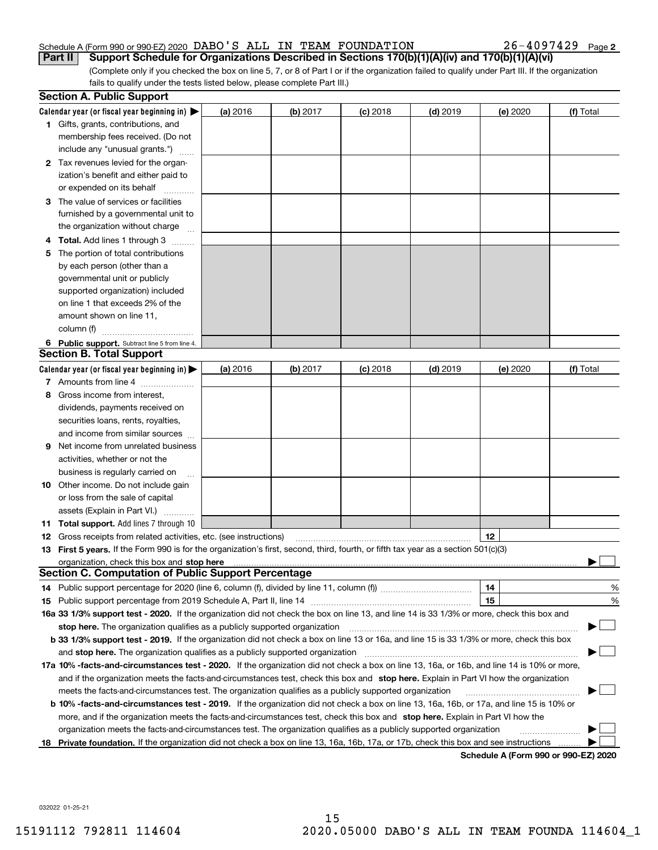#### Schedule A (Form 990 or 990-EZ) 2020 Page DABO'S ALL IN TEAM FOUNDATION 26-4097429 **Part II Support Schedule for Organizations Described in Sections 170(b)(1)(A)(iv) and 170(b)(1)(A)(vi)**

 $26 - 4097429$  Page 2

(Complete only if you checked the box on line 5, 7, or 8 of Part I or if the organization failed to qualify under Part III. If the organization fails to qualify under the tests listed below, please complete Part III.)

|    | <b>Section A. Public Support</b>                                                                                                                                                                                               |          |          |            |            |                                      |           |
|----|--------------------------------------------------------------------------------------------------------------------------------------------------------------------------------------------------------------------------------|----------|----------|------------|------------|--------------------------------------|-----------|
|    | Calendar year (or fiscal year beginning in) $\blacktriangleright$                                                                                                                                                              | (a) 2016 | (b) 2017 | $(c)$ 2018 | $(d)$ 2019 | (e) 2020                             | (f) Total |
|    | 1 Gifts, grants, contributions, and                                                                                                                                                                                            |          |          |            |            |                                      |           |
|    | membership fees received. (Do not                                                                                                                                                                                              |          |          |            |            |                                      |           |
|    | include any "unusual grants.")                                                                                                                                                                                                 |          |          |            |            |                                      |           |
|    | 2 Tax revenues levied for the organ-                                                                                                                                                                                           |          |          |            |            |                                      |           |
|    | ization's benefit and either paid to                                                                                                                                                                                           |          |          |            |            |                                      |           |
|    | or expended on its behalf                                                                                                                                                                                                      |          |          |            |            |                                      |           |
| З  | The value of services or facilities                                                                                                                                                                                            |          |          |            |            |                                      |           |
|    | furnished by a governmental unit to                                                                                                                                                                                            |          |          |            |            |                                      |           |
|    | the organization without charge                                                                                                                                                                                                |          |          |            |            |                                      |           |
|    | <b>Total.</b> Add lines 1 through 3<br>.                                                                                                                                                                                       |          |          |            |            |                                      |           |
| 5  | The portion of total contributions                                                                                                                                                                                             |          |          |            |            |                                      |           |
|    | by each person (other than a                                                                                                                                                                                                   |          |          |            |            |                                      |           |
|    | governmental unit or publicly                                                                                                                                                                                                  |          |          |            |            |                                      |           |
|    | supported organization) included                                                                                                                                                                                               |          |          |            |            |                                      |           |
|    | on line 1 that exceeds 2% of the                                                                                                                                                                                               |          |          |            |            |                                      |           |
|    | amount shown on line 11,                                                                                                                                                                                                       |          |          |            |            |                                      |           |
|    | column (f)                                                                                                                                                                                                                     |          |          |            |            |                                      |           |
|    | 6 Public support. Subtract line 5 from line 4.                                                                                                                                                                                 |          |          |            |            |                                      |           |
|    | <b>Section B. Total Support</b>                                                                                                                                                                                                |          |          |            |            |                                      |           |
|    | Calendar year (or fiscal year beginning in)                                                                                                                                                                                    | (a) 2016 | (b) 2017 | $(c)$ 2018 | $(d)$ 2019 | (e) 2020                             | (f) Total |
|    | 7 Amounts from line 4                                                                                                                                                                                                          |          |          |            |            |                                      |           |
| 8  | Gross income from interest,                                                                                                                                                                                                    |          |          |            |            |                                      |           |
|    | dividends, payments received on                                                                                                                                                                                                |          |          |            |            |                                      |           |
|    | securities loans, rents, royalties,                                                                                                                                                                                            |          |          |            |            |                                      |           |
|    | and income from similar sources                                                                                                                                                                                                |          |          |            |            |                                      |           |
| 9  | Net income from unrelated business                                                                                                                                                                                             |          |          |            |            |                                      |           |
|    | activities, whether or not the                                                                                                                                                                                                 |          |          |            |            |                                      |           |
|    | business is regularly carried on                                                                                                                                                                                               |          |          |            |            |                                      |           |
| 10 | Other income. Do not include gain                                                                                                                                                                                              |          |          |            |            |                                      |           |
|    | or loss from the sale of capital                                                                                                                                                                                               |          |          |            |            |                                      |           |
|    | assets (Explain in Part VI.)                                                                                                                                                                                                   |          |          |            |            |                                      |           |
|    | 11 Total support. Add lines 7 through 10                                                                                                                                                                                       |          |          |            |            |                                      |           |
| 12 | Gross receipts from related activities, etc. (see instructions)                                                                                                                                                                |          |          |            |            | 12                                   |           |
|    | 13 First 5 years. If the Form 990 is for the organization's first, second, third, fourth, or fifth tax year as a section 501(c)(3)                                                                                             |          |          |            |            |                                      |           |
|    | organization, check this box and stop here material content to the content of the state of the content of the state of the content of the content of the content of the content of the content of the content of the content o |          |          |            |            |                                      |           |
|    | <b>Section C. Computation of Public Support Percentage</b>                                                                                                                                                                     |          |          |            |            |                                      |           |
|    |                                                                                                                                                                                                                                |          |          |            |            | 14                                   | %         |
| 15 |                                                                                                                                                                                                                                |          |          |            |            | 15                                   | %         |
|    | 16a 33 1/3% support test - 2020. If the organization did not check the box on line 13, and line 14 is 33 1/3% or more, check this box and                                                                                      |          |          |            |            |                                      |           |
|    |                                                                                                                                                                                                                                |          |          |            |            |                                      |           |
|    | b 33 1/3% support test - 2019. If the organization did not check a box on line 13 or 16a, and line 15 is 33 1/3% or more, check this box                                                                                       |          |          |            |            |                                      |           |
|    | and stop here. The organization qualifies as a publicly supported organization                                                                                                                                                 |          |          |            |            |                                      |           |
|    | 17a 10% -facts-and-circumstances test - 2020. If the organization did not check a box on line 13, 16a, or 16b, and line 14 is 10% or more,                                                                                     |          |          |            |            |                                      |           |
|    | and if the organization meets the facts-and-circumstances test, check this box and stop here. Explain in Part VI how the organization                                                                                          |          |          |            |            |                                      |           |
|    | meets the facts-and-circumstances test. The organization qualifies as a publicly supported organization                                                                                                                        |          |          |            |            |                                      |           |
|    | <b>b 10% -facts-and-circumstances test - 2019.</b> If the organization did not check a box on line 13, 16a, 16b, or 17a, and line 15 is 10% or                                                                                 |          |          |            |            |                                      |           |
|    | more, and if the organization meets the facts-and-circumstances test, check this box and stop here. Explain in Part VI how the                                                                                                 |          |          |            |            |                                      |           |
|    | organization meets the facts-and-circumstances test. The organization qualifies as a publicly supported organization                                                                                                           |          |          |            |            |                                      |           |
|    | 18 Private foundation. If the organization did not check a box on line 13, 16a, 16b, 17a, or 17b, check this box and see instructions                                                                                          |          |          |            |            |                                      |           |
|    |                                                                                                                                                                                                                                |          |          |            |            | Schedule A (Form 990 or 990-EZ) 2020 |           |

032022 01-25-21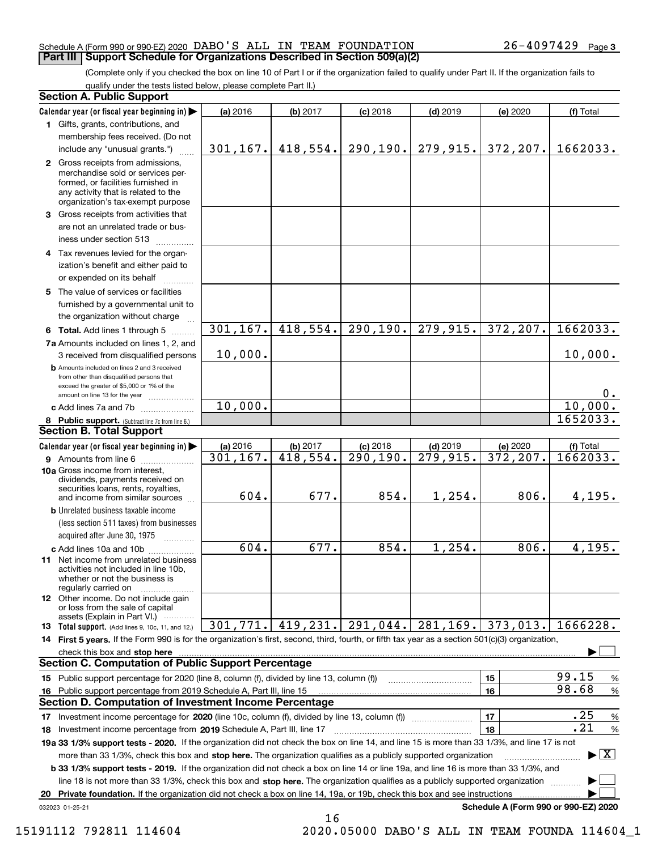#### Schedule A (Form 990 or 990-EZ) 2020 Page DABO'S ALL IN TEAM FOUNDATION 26-4097429 **Part III Support Schedule for Organizations Described in Section 509(a)(2)**

(Complete only if you checked the box on line 10 of Part I or if the organization failed to qualify under Part II. If the organization fails to qualify under the tests listed below, please complete Part II.)

|    | <b>Section A. Public Support</b>                                                                                                                                                                                                   |           |                       |            |                        |                                      |                                         |
|----|------------------------------------------------------------------------------------------------------------------------------------------------------------------------------------------------------------------------------------|-----------|-----------------------|------------|------------------------|--------------------------------------|-----------------------------------------|
|    | Calendar year (or fiscal year beginning in)                                                                                                                                                                                        | (a) 2016  | (b) 2017              | $(c)$ 2018 | $(d)$ 2019             | (e) 2020                             | (f) Total                               |
|    | 1 Gifts, grants, contributions, and                                                                                                                                                                                                |           |                       |            |                        |                                      |                                         |
|    | membership fees received. (Do not                                                                                                                                                                                                  |           |                       |            |                        |                                      |                                         |
|    | include any "unusual grants.")                                                                                                                                                                                                     |           | $301, 167.$ 418, 554. | 290, 190.  | 279,915.               | 372, 207.                            | 1662033.                                |
|    | 2 Gross receipts from admissions,<br>merchandise sold or services per-<br>formed, or facilities furnished in<br>any activity that is related to the<br>organization's tax-exempt purpose                                           |           |                       |            |                        |                                      |                                         |
|    | 3 Gross receipts from activities that<br>are not an unrelated trade or bus-<br>iness under section 513                                                                                                                             |           |                       |            |                        |                                      |                                         |
|    | 4 Tax revenues levied for the organ-<br>ization's benefit and either paid to<br>or expended on its behalf                                                                                                                          |           |                       |            |                        |                                      |                                         |
|    | 5 The value of services or facilities<br>furnished by a governmental unit to<br>the organization without charge                                                                                                                    |           |                       |            |                        |                                      |                                         |
|    | 6 Total. Add lines 1 through 5                                                                                                                                                                                                     | 301, 167. | 418,554.              | 290, 190.  | 279,915.               | 372, 207.                            | 1662033.                                |
|    | 7a Amounts included on lines 1, 2, and<br>3 received from disqualified persons                                                                                                                                                     | 10,000.   |                       |            |                        |                                      | 10,000.                                 |
|    | <b>b</b> Amounts included on lines 2 and 3 received<br>from other than disqualified persons that<br>exceed the greater of \$5,000 or 1% of the<br>amount on line 13 for the year                                                   |           |                       |            |                        |                                      | 0.                                      |
|    | c Add lines 7a and 7b                                                                                                                                                                                                              | 10,000.   |                       |            |                        |                                      | 10,000.                                 |
|    | 8 Public support. (Subtract line 7c from line 6.)                                                                                                                                                                                  |           |                       |            |                        |                                      | 1652033.                                |
|    | <b>Section B. Total Support</b>                                                                                                                                                                                                    |           |                       |            |                        |                                      |                                         |
|    | Calendar year (or fiscal year beginning in)                                                                                                                                                                                        | (a) 2016  | (b) 2017              | $(c)$ 2018 | $(d)$ 2019             | (e) 2020                             | (f) Total                               |
|    | <b>9</b> Amounts from line 6                                                                                                                                                                                                       | 301, 167. | 418,554.              | 290, 190.  | $\overline{279,915}$ . | 372,207.                             | 1662033.                                |
|    | 10a Gross income from interest,<br>dividends, payments received on<br>securities loans, rents, royalties,<br>and income from similar sources                                                                                       | 604.      | 677.                  | 854.       | 1,254.                 | 806.                                 | 4,195.                                  |
|    | <b>b</b> Unrelated business taxable income                                                                                                                                                                                         |           |                       |            |                        |                                      |                                         |
|    | (less section 511 taxes) from businesses                                                                                                                                                                                           |           |                       |            |                        |                                      |                                         |
|    | acquired after June 30, 1975                                                                                                                                                                                                       |           |                       |            |                        |                                      |                                         |
|    | c Add lines 10a and 10b                                                                                                                                                                                                            | 604.      | 677.                  | 854.       | 1,254.                 | 806.                                 | 4, 195.                                 |
|    | 11 Net income from unrelated business<br>activities not included in line 10b,<br>whether or not the business is<br>regularly carried on                                                                                            |           |                       |            |                        |                                      |                                         |
|    | 12 Other income. Do not include gain<br>or loss from the sale of capital<br>assets (Explain in Part VI.)                                                                                                                           |           |                       |            |                        |                                      |                                         |
|    | <b>13</b> Total support. (Add lines 9, 10c, 11, and 12.)                                                                                                                                                                           | 301, 771. | 419,231.              | 291,044.   | 281, 169.              | 373,013.                             | 1666228.                                |
|    | 14 First 5 years. If the Form 990 is for the organization's first, second, third, fourth, or fifth tax year as a section 501(c)(3) organization,                                                                                   |           |                       |            |                        |                                      |                                         |
|    | check this box and <b>stop here</b> measurement control and the control of the state of the control of the control of the control of the control of the control of the control of the control of the control of the control of the |           |                       |            |                        |                                      |                                         |
|    | <b>Section C. Computation of Public Support Percentage</b>                                                                                                                                                                         |           |                       |            |                        |                                      |                                         |
|    | 15 Public support percentage for 2020 (line 8, column (f), divided by line 13, column (f))                                                                                                                                         |           |                       |            |                        | 15                                   | 99.15<br>$\%$                           |
|    | 16 Public support percentage from 2019 Schedule A, Part III, line 15                                                                                                                                                               |           |                       |            |                        | 16                                   | 98.68<br>%                              |
|    | <b>Section D. Computation of Investment Income Percentage</b>                                                                                                                                                                      |           |                       |            |                        |                                      |                                         |
|    | 17 Investment income percentage for 2020 (line 10c, column (f), divided by line 13, column (f))                                                                                                                                    |           |                       |            |                        | 17                                   | .25<br>%                                |
|    | <b>18</b> Investment income percentage from <b>2019</b> Schedule A, Part III, line 17                                                                                                                                              |           |                       |            |                        | 18                                   | .21<br>%                                |
|    | 19a 33 1/3% support tests - 2020. If the organization did not check the box on line 14, and line 15 is more than 33 1/3%, and line 17 is not                                                                                       |           |                       |            |                        |                                      |                                         |
|    | more than 33 1/3%, check this box and stop here. The organization qualifies as a publicly supported organization                                                                                                                   |           |                       |            |                        |                                      | $\blacktriangleright$ $\vert$ X $\vert$ |
|    | <b>b 33 1/3% support tests - 2019.</b> If the organization did not check a box on line 14 or line 19a, and line 16 is more than 33 1/3%, and                                                                                       |           |                       |            |                        |                                      |                                         |
|    | line 18 is not more than 33 1/3%, check this box and stop here. The organization qualifies as a publicly supported organization                                                                                                    |           |                       |            |                        |                                      |                                         |
| 20 | Private foundation. If the organization did not check a box on line 14, 19a, or 19b, check this box and see instructions                                                                                                           |           |                       |            |                        |                                      |                                         |
|    | 032023 01-25-21                                                                                                                                                                                                                    |           |                       |            |                        | Schedule A (Form 990 or 990-EZ) 2020 |                                         |

16

15191112 792811 114604 2020.05000 DABO'S ALL IN TEAM FOUNDA 114604\_1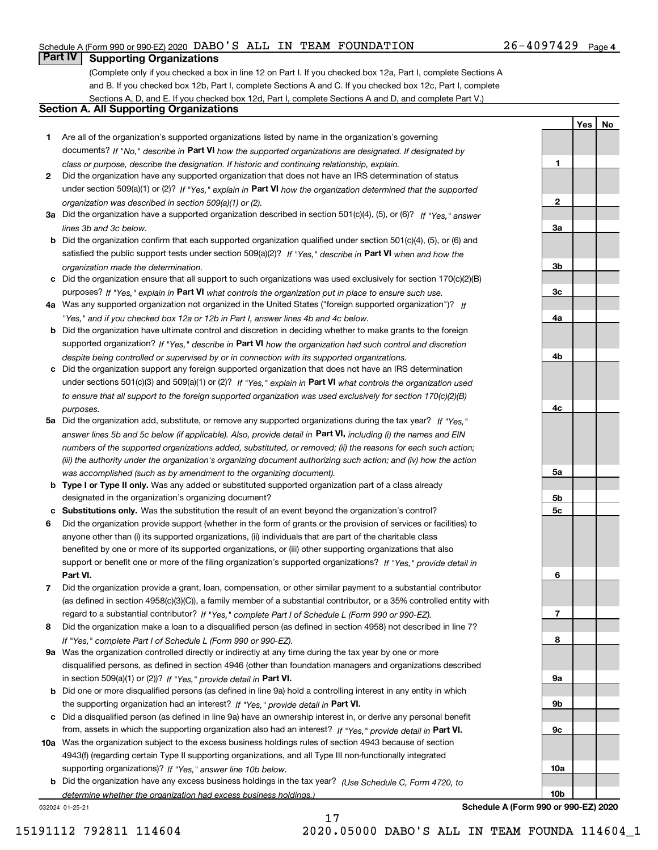#### Schedule A (Form 990 or 990-EZ) 2020 Page DABO'S ALL IN TEAM FOUNDATION 26-4097429

### **Part IV Supporting Organizations**

(Complete only if you checked a box in line 12 on Part I. If you checked box 12a, Part I, complete Sections A and B. If you checked box 12b, Part I, complete Sections A and C. If you checked box 12c, Part I, complete Sections A, D, and E. If you checked box 12d, Part I, complete Sections A and D, and complete Part V.)

#### **Section A. All Supporting Organizations**

- **1** Are all of the organization's supported organizations listed by name in the organization's governing documents? If "No," describe in **Part VI** how the supported organizations are designated. If designated by *class or purpose, describe the designation. If historic and continuing relationship, explain.*
- **2** Did the organization have any supported organization that does not have an IRS determination of status under section 509(a)(1) or (2)? If "Yes," explain in Part VI how the organization determined that the supported *organization was described in section 509(a)(1) or (2).*
- **3a** Did the organization have a supported organization described in section 501(c)(4), (5), or (6)? If "Yes," answer *lines 3b and 3c below.*
- **b** Did the organization confirm that each supported organization qualified under section 501(c)(4), (5), or (6) and satisfied the public support tests under section 509(a)(2)? If "Yes," describe in **Part VI** when and how the *organization made the determination.*
- **c**Did the organization ensure that all support to such organizations was used exclusively for section 170(c)(2)(B) purposes? If "Yes," explain in **Part VI** what controls the organization put in place to ensure such use.
- **4a***If* Was any supported organization not organized in the United States ("foreign supported organization")? *"Yes," and if you checked box 12a or 12b in Part I, answer lines 4b and 4c below.*
- **b** Did the organization have ultimate control and discretion in deciding whether to make grants to the foreign supported organization? If "Yes," describe in **Part VI** how the organization had such control and discretion *despite being controlled or supervised by or in connection with its supported organizations.*
- **c** Did the organization support any foreign supported organization that does not have an IRS determination under sections 501(c)(3) and 509(a)(1) or (2)? If "Yes," explain in **Part VI** what controls the organization used *to ensure that all support to the foreign supported organization was used exclusively for section 170(c)(2)(B) purposes.*
- **5a** Did the organization add, substitute, or remove any supported organizations during the tax year? If "Yes," answer lines 5b and 5c below (if applicable). Also, provide detail in **Part VI,** including (i) the names and EIN *numbers of the supported organizations added, substituted, or removed; (ii) the reasons for each such action; (iii) the authority under the organization's organizing document authorizing such action; and (iv) how the action was accomplished (such as by amendment to the organizing document).*
- **b** Type I or Type II only. Was any added or substituted supported organization part of a class already designated in the organization's organizing document?
- **cSubstitutions only.**  Was the substitution the result of an event beyond the organization's control?
- **6** Did the organization provide support (whether in the form of grants or the provision of services or facilities) to **Part VI.** *If "Yes," provide detail in* support or benefit one or more of the filing organization's supported organizations? anyone other than (i) its supported organizations, (ii) individuals that are part of the charitable class benefited by one or more of its supported organizations, or (iii) other supporting organizations that also
- **7**Did the organization provide a grant, loan, compensation, or other similar payment to a substantial contributor *If "Yes," complete Part I of Schedule L (Form 990 or 990-EZ).* regard to a substantial contributor? (as defined in section 4958(c)(3)(C)), a family member of a substantial contributor, or a 35% controlled entity with
- **8** Did the organization make a loan to a disqualified person (as defined in section 4958) not described in line 7? *If "Yes," complete Part I of Schedule L (Form 990 or 990-EZ).*
- **9a** Was the organization controlled directly or indirectly at any time during the tax year by one or more in section 509(a)(1) or (2))? If "Yes," *provide detail in* <code>Part VI.</code> disqualified persons, as defined in section 4946 (other than foundation managers and organizations described
- **b** Did one or more disqualified persons (as defined in line 9a) hold a controlling interest in any entity in which the supporting organization had an interest? If "Yes," provide detail in P**art VI**.
- **c**Did a disqualified person (as defined in line 9a) have an ownership interest in, or derive any personal benefit from, assets in which the supporting organization also had an interest? If "Yes," provide detail in P**art VI.**
- **10a** Was the organization subject to the excess business holdings rules of section 4943 because of section supporting organizations)? If "Yes," answer line 10b below. 4943(f) (regarding certain Type II supporting organizations, and all Type III non-functionally integrated
- **b** Did the organization have any excess business holdings in the tax year? (Use Schedule C, Form 4720, to *determine whether the organization had excess business holdings.)*

032024 01-25-21

**23a3b3c4a4b4c5a 5b5c6789a 9b9c10a**

**Schedule A (Form 990 or 990-EZ) 2020**

**10b**

**YesNo**

**1**

15191112 792811 114604 2020.05000 DABO'S ALL IN TEAM FOUNDA 114604\_1

17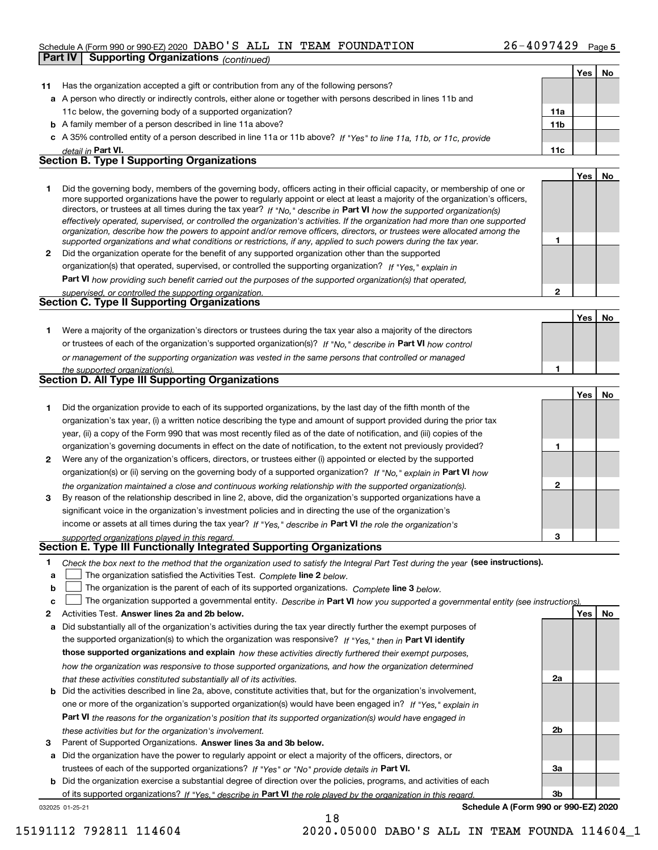### Schedule A (Form 990 or 990-EZ) 2020 Page DABO'S ALL IN TEAM FOUNDATION 26-4097429 **Part IV Supporting Organizations** *(continued)*

|    |                                                                                                                                                                                                                                                             |                | Yes | No        |
|----|-------------------------------------------------------------------------------------------------------------------------------------------------------------------------------------------------------------------------------------------------------------|----------------|-----|-----------|
| 11 | Has the organization accepted a gift or contribution from any of the following persons?                                                                                                                                                                     |                |     |           |
|    | a A person who directly or indirectly controls, either alone or together with persons described in lines 11b and                                                                                                                                            |                |     |           |
|    | 11c below, the governing body of a supported organization?                                                                                                                                                                                                  | 11a            |     |           |
|    | <b>b</b> A family member of a person described in line 11a above?                                                                                                                                                                                           | 11b            |     |           |
|    | c A 35% controlled entity of a person described in line 11a or 11b above? If "Yes" to line 11a, 11b, or 11c, provide                                                                                                                                        |                |     |           |
|    | detail in Part VI.                                                                                                                                                                                                                                          | 11c            |     |           |
|    | <b>Section B. Type I Supporting Organizations</b>                                                                                                                                                                                                           |                |     |           |
|    |                                                                                                                                                                                                                                                             |                | Yes | No        |
| 1  | Did the governing body, members of the governing body, officers acting in their official capacity, or membership of one or<br>more supported organizations have the power to regularly appoint or elect at least a majority of the organization's officers, |                |     |           |
|    | directors, or trustees at all times during the tax year? If "No," describe in Part VI how the supported organization(s)                                                                                                                                     |                |     |           |
|    | effectively operated, supervised, or controlled the organization's activities. If the organization had more than one supported                                                                                                                              |                |     |           |
|    | organization, describe how the powers to appoint and/or remove officers, directors, or trustees were allocated among the                                                                                                                                    | 1              |     |           |
| 2  | supported organizations and what conditions or restrictions, if any, applied to such powers during the tax year.<br>Did the organization operate for the benefit of any supported organization other than the supported                                     |                |     |           |
|    | organization(s) that operated, supervised, or controlled the supporting organization? If "Yes," explain in                                                                                                                                                  |                |     |           |
|    | Part VI how providing such benefit carried out the purposes of the supported organization(s) that operated,                                                                                                                                                 |                |     |           |
|    | supervised, or controlled the supporting organization.                                                                                                                                                                                                      | $\mathbf{2}$   |     |           |
|    | Section C. Type II Supporting Organizations                                                                                                                                                                                                                 |                |     |           |
|    |                                                                                                                                                                                                                                                             |                | Yes | No        |
| 1  | Were a majority of the organization's directors or trustees during the tax year also a majority of the directors                                                                                                                                            |                |     |           |
|    | or trustees of each of the organization's supported organization(s)? If "No," describe in Part VI how control                                                                                                                                               |                |     |           |
|    | or management of the supporting organization was vested in the same persons that controlled or managed                                                                                                                                                      |                |     |           |
|    | the supported organization(s).                                                                                                                                                                                                                              | 1              |     |           |
|    | <b>Section D. All Type III Supporting Organizations</b>                                                                                                                                                                                                     |                |     |           |
|    |                                                                                                                                                                                                                                                             |                | Yes | No        |
| 1  | Did the organization provide to each of its supported organizations, by the last day of the fifth month of the                                                                                                                                              |                |     |           |
|    | organization's tax year, (i) a written notice describing the type and amount of support provided during the prior tax                                                                                                                                       |                |     |           |
|    | year, (ii) a copy of the Form 990 that was most recently filed as of the date of notification, and (iii) copies of the<br>organization's governing documents in effect on the date of notification, to the extent not previously provided?                  | 1              |     |           |
| 2  | Were any of the organization's officers, directors, or trustees either (i) appointed or elected by the supported                                                                                                                                            |                |     |           |
|    | organization(s) or (ii) serving on the governing body of a supported organization? If "No," explain in Part VI how                                                                                                                                          |                |     |           |
|    | the organization maintained a close and continuous working relationship with the supported organization(s).                                                                                                                                                 | $\mathbf{2}$   |     |           |
| 3  | By reason of the relationship described in line 2, above, did the organization's supported organizations have a                                                                                                                                             |                |     |           |
|    | significant voice in the organization's investment policies and in directing the use of the organization's                                                                                                                                                  |                |     |           |
|    | income or assets at all times during the tax year? If "Yes," describe in Part VI the role the organization's                                                                                                                                                |                |     |           |
|    | supported organizations played in this regard.                                                                                                                                                                                                              | 3              |     |           |
|    | Section E. Type III Functionally Integrated Supporting Organizations                                                                                                                                                                                        |                |     |           |
| 1  | Check the box next to the method that the organization used to satisfy the Integral Part Test during the year (see instructions).                                                                                                                           |                |     |           |
| a  | The organization satisfied the Activities Test. Complete line 2 below.                                                                                                                                                                                      |                |     |           |
| b  | The organization is the parent of each of its supported organizations. Complete line 3 below.                                                                                                                                                               |                |     |           |
| c  | The organization supported a governmental entity. Describe in Part VI how you supported a governmental entity (see instructions)                                                                                                                            |                |     |           |
| 2  | Activities Test. Answer lines 2a and 2b below.                                                                                                                                                                                                              |                | Yes | <u>No</u> |
| а  | Did substantially all of the organization's activities during the tax year directly further the exempt purposes of                                                                                                                                          |                |     |           |
|    | the supported organization(s) to which the organization was responsive? If "Yes," then in Part VI identify                                                                                                                                                  |                |     |           |
|    | those supported organizations and explain how these activities directly furthered their exempt purposes,                                                                                                                                                    |                |     |           |
|    | how the organization was responsive to those supported organizations, and how the organization determined                                                                                                                                                   | 2a             |     |           |
| b  | that these activities constituted substantially all of its activities.<br>Did the activities described in line 2a, above, constitute activities that, but for the organization's involvement,                                                               |                |     |           |
|    | one or more of the organization's supported organization(s) would have been engaged in? If "Yes," explain in                                                                                                                                                |                |     |           |
|    | Part VI the reasons for the organization's position that its supported organization(s) would have engaged in                                                                                                                                                |                |     |           |
|    | these activities but for the organization's involvement.                                                                                                                                                                                                    | 2 <sub>b</sub> |     |           |
| з  | Parent of Supported Organizations. Answer lines 3a and 3b below.                                                                                                                                                                                            |                |     |           |
|    | a Did the organization have the power to regularly appoint or elect a majority of the officers, directors, or                                                                                                                                               |                |     |           |

trustees of each of the supported organizations? If "Yes" or "No" provide details in **Part VI.** 

**b** Did the organization exercise a substantial degree of direction over the policies, programs, and activities of each of its supported organizations? If "Yes," describe in Part VI the role played by the organization in this regard.

18

032025 01-25-21

**Schedule A (Form 990 or 990-EZ) 2020**

**3a**

**3b**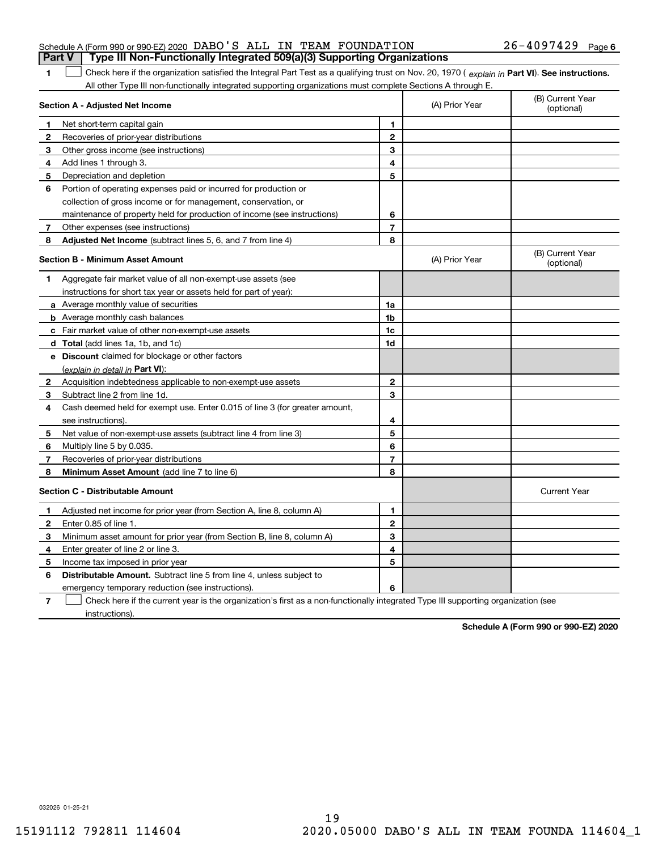|              | Type III Non-Functionally Integrated 509(a)(3) Supporting Organizations<br>Part V                                                              |                |                |                                |
|--------------|------------------------------------------------------------------------------------------------------------------------------------------------|----------------|----------------|--------------------------------|
| 1            | Check here if the organization satisfied the Integral Part Test as a qualifying trust on Nov. 20, 1970 (explain in Part VI). See instructions. |                |                |                                |
|              | All other Type III non-functionally integrated supporting organizations must complete Sections A through E.                                    |                |                |                                |
|              | Section A - Adjusted Net Income                                                                                                                |                | (A) Prior Year | (B) Current Year<br>(optional) |
| $\mathbf{1}$ | Net short-term capital gain                                                                                                                    | 1              |                |                                |
| $\mathbf{2}$ | Recoveries of prior-year distributions                                                                                                         | $\mathbf{2}$   |                |                                |
| З            | Other gross income (see instructions)                                                                                                          | 3              |                |                                |
| 4            | Add lines 1 through 3.                                                                                                                         | 4              |                |                                |
| 5            | Depreciation and depletion                                                                                                                     | 5              |                |                                |
| 6            | Portion of operating expenses paid or incurred for production or                                                                               |                |                |                                |
|              | collection of gross income or for management, conservation, or                                                                                 |                |                |                                |
|              | maintenance of property held for production of income (see instructions)                                                                       | 6              |                |                                |
| 7            | Other expenses (see instructions)                                                                                                              | $\overline{7}$ |                |                                |
| 8            | Adjusted Net Income (subtract lines 5, 6, and 7 from line 4)                                                                                   | 8              |                |                                |
|              | <b>Section B - Minimum Asset Amount</b>                                                                                                        |                | (A) Prior Year | (B) Current Year<br>(optional) |
| 1            | Aggregate fair market value of all non-exempt-use assets (see                                                                                  |                |                |                                |
|              | instructions for short tax year or assets held for part of year):                                                                              |                |                |                                |
|              | <b>a</b> Average monthly value of securities                                                                                                   | 1a             |                |                                |
|              | <b>b</b> Average monthly cash balances                                                                                                         | 1 <sub>b</sub> |                |                                |
|              | <b>c</b> Fair market value of other non-exempt-use assets                                                                                      | 1c             |                |                                |
|              | <b>d</b> Total (add lines 1a, 1b, and 1c)                                                                                                      | 1d             |                |                                |
|              | <b>e</b> Discount claimed for blockage or other factors                                                                                        |                |                |                                |
|              | (explain in detail in Part VI):                                                                                                                |                |                |                                |
| 2            | Acquisition indebtedness applicable to non-exempt-use assets                                                                                   | $\mathbf{2}$   |                |                                |
| 3            | Subtract line 2 from line 1d.                                                                                                                  | 3              |                |                                |
| 4            | Cash deemed held for exempt use. Enter 0.015 of line 3 (for greater amount,                                                                    |                |                |                                |
|              | see instructions).                                                                                                                             | 4              |                |                                |
| 5            | Net value of non-exempt-use assets (subtract line 4 from line 3)                                                                               | 5              |                |                                |
| 6            | Multiply line 5 by 0.035.                                                                                                                      | 6              |                |                                |
| 7            | Recoveries of prior-year distributions                                                                                                         | 7              |                |                                |
| 8            | <b>Minimum Asset Amount</b> (add line 7 to line 6)                                                                                             | 8              |                |                                |
|              | <b>Section C - Distributable Amount</b>                                                                                                        |                |                | <b>Current Year</b>            |
| 1.           | Adjusted net income for prior year (from Section A, line 8, column A)                                                                          | 1              |                |                                |
| $\mathbf{2}$ | Enter 0.85 of line 1.                                                                                                                          | $\overline{2}$ |                |                                |
| з            | Minimum asset amount for prior year (from Section B, line 8, column A)                                                                         | 3              |                |                                |
| 4            | Enter greater of line 2 or line 3.                                                                                                             | 4              |                |                                |
| 5            | Income tax imposed in prior year                                                                                                               | 5              |                |                                |

Schedule A (Form 990 or 990-EZ) 2020 Page DABO'S ALL IN TEAM FOUNDATION 26-4097429

**6Distributable Amount.** Subtract line 5 from line 4, unless subject to

emergency temporary reduction (see instructions).

**7**Check here if the current year is the organization's first as a non-functionally integrated Type III supporting organization (see instructions).  $\mathcal{L}^{\text{max}}$ 

**6**

**Schedule A (Form 990 or 990-EZ) 2020**

**6**

032026 01-25-21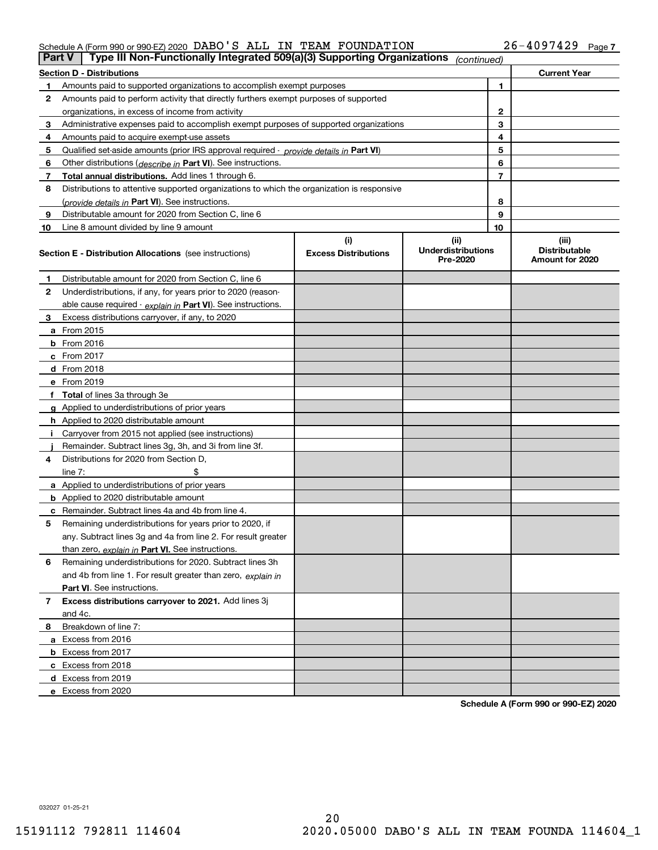#### Schedule A (Form 990 or 990-EZ) 2020 Page DABO'S ALL IN TEAM FOUNDATION 26-4097429

| Part V | Type III Non-Functionally Integrated 509(a)(3) Supporting Organizations                    |                             | (continued)                           |                |                                         |
|--------|--------------------------------------------------------------------------------------------|-----------------------------|---------------------------------------|----------------|-----------------------------------------|
|        | <b>Section D - Distributions</b>                                                           |                             |                                       |                | <b>Current Year</b>                     |
|        | Amounts paid to supported organizations to accomplish exempt purposes                      |                             |                                       | 1              |                                         |
| 2      | Amounts paid to perform activity that directly furthers exempt purposes of supported       |                             |                                       |                |                                         |
|        | organizations, in excess of income from activity                                           |                             |                                       | $\mathbf{2}$   |                                         |
| 3      | Administrative expenses paid to accomplish exempt purposes of supported organizations      |                             |                                       | 3              |                                         |
| 4      | Amounts paid to acquire exempt-use assets                                                  |                             |                                       | 4              |                                         |
| 5      | Qualified set aside amounts (prior IRS approval required - provide details in Part VI)     |                             |                                       | 5              |                                         |
| 6      | Other distributions ( <i>describe in</i> Part VI). See instructions.                       |                             |                                       | 6              |                                         |
| 7      | Total annual distributions. Add lines 1 through 6.                                         |                             |                                       | $\overline{7}$ |                                         |
| 8      | Distributions to attentive supported organizations to which the organization is responsive |                             |                                       |                |                                         |
|        | (provide details in Part VI). See instructions.                                            |                             |                                       | 8              |                                         |
| 9      | Distributable amount for 2020 from Section C, line 6                                       |                             |                                       | 9              |                                         |
| 10     | Line 8 amount divided by line 9 amount                                                     |                             |                                       | 10             |                                         |
|        |                                                                                            | (i)                         | (ii)                                  |                | (iii)                                   |
|        | <b>Section E - Distribution Allocations</b> (see instructions)                             | <b>Excess Distributions</b> | <b>Underdistributions</b><br>Pre-2020 |                | <b>Distributable</b><br>Amount for 2020 |
| 1      | Distributable amount for 2020 from Section C, line 6                                       |                             |                                       |                |                                         |
| 2      | Underdistributions, if any, for years prior to 2020 (reason-                               |                             |                                       |                |                                         |
|        | able cause required - explain in Part VI). See instructions.                               |                             |                                       |                |                                         |
| 3      | Excess distributions carryover, if any, to 2020                                            |                             |                                       |                |                                         |
|        | a From 2015                                                                                |                             |                                       |                |                                         |
|        | $b$ From 2016                                                                              |                             |                                       |                |                                         |
|        | c From $2017$                                                                              |                             |                                       |                |                                         |
|        | <b>d</b> From 2018                                                                         |                             |                                       |                |                                         |
|        | e From 2019                                                                                |                             |                                       |                |                                         |
|        | f Total of lines 3a through 3e                                                             |                             |                                       |                |                                         |
|        | g Applied to underdistributions of prior years                                             |                             |                                       |                |                                         |
|        | <b>h</b> Applied to 2020 distributable amount                                              |                             |                                       |                |                                         |
|        | Carryover from 2015 not applied (see instructions)                                         |                             |                                       |                |                                         |
|        | Remainder. Subtract lines 3g, 3h, and 3i from line 3f.                                     |                             |                                       |                |                                         |
| 4      | Distributions for 2020 from Section D.                                                     |                             |                                       |                |                                         |
|        | line $7:$                                                                                  |                             |                                       |                |                                         |
|        | a Applied to underdistributions of prior years                                             |                             |                                       |                |                                         |
|        | <b>b</b> Applied to 2020 distributable amount                                              |                             |                                       |                |                                         |
|        | c Remainder. Subtract lines 4a and 4b from line 4.                                         |                             |                                       |                |                                         |
| 5      | Remaining underdistributions for years prior to 2020, if                                   |                             |                                       |                |                                         |
|        | any. Subtract lines 3g and 4a from line 2. For result greater                              |                             |                                       |                |                                         |
|        | than zero, explain in Part VI. See instructions.                                           |                             |                                       |                |                                         |
| 6      | Remaining underdistributions for 2020. Subtract lines 3h                                   |                             |                                       |                |                                         |
|        | and 4b from line 1. For result greater than zero, explain in                               |                             |                                       |                |                                         |
|        | <b>Part VI.</b> See instructions.                                                          |                             |                                       |                |                                         |
| 7      | Excess distributions carryover to 2021. Add lines 3j                                       |                             |                                       |                |                                         |
|        | and 4c.                                                                                    |                             |                                       |                |                                         |
| 8      | Breakdown of line 7:                                                                       |                             |                                       |                |                                         |
|        | a Excess from 2016                                                                         |                             |                                       |                |                                         |
|        | <b>b</b> Excess from 2017                                                                  |                             |                                       |                |                                         |
|        | c Excess from 2018                                                                         |                             |                                       |                |                                         |
|        | d Excess from 2019                                                                         |                             |                                       |                |                                         |
|        | e Excess from 2020                                                                         |                             |                                       |                |                                         |
|        |                                                                                            |                             |                                       |                |                                         |

**Schedule A (Form 990 or 990-EZ) 2020**

032027 01-25-21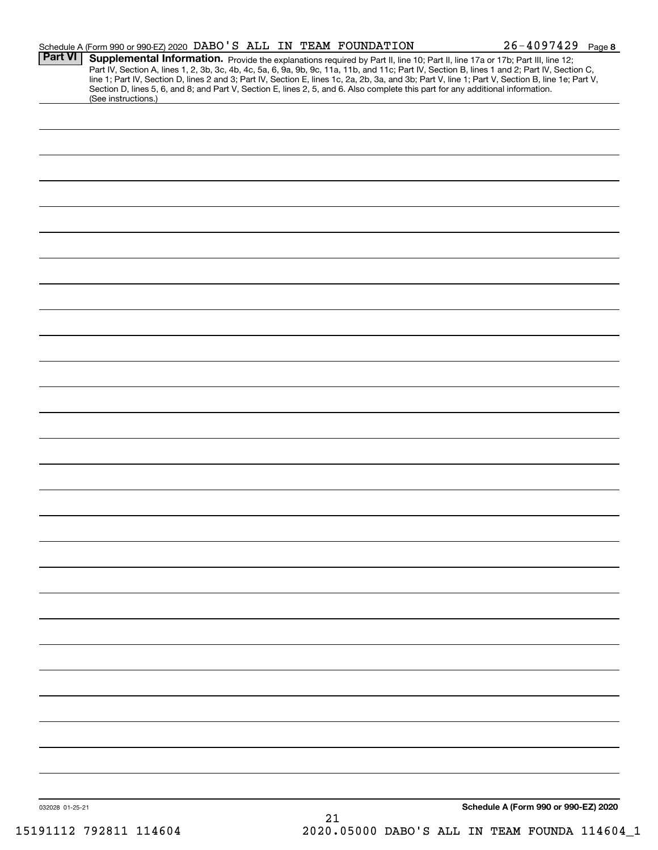|                 | Schedule A (Form 990 or 990-EZ) 2020 DABO'S ALL IN TEAM FOUNDATION                                                                                                                                                                                                                                                                                                                                                                                                                                                                                                   | $26 - 4097429$ Page 8                |
|-----------------|----------------------------------------------------------------------------------------------------------------------------------------------------------------------------------------------------------------------------------------------------------------------------------------------------------------------------------------------------------------------------------------------------------------------------------------------------------------------------------------------------------------------------------------------------------------------|--------------------------------------|
| <b>Part VI</b>  | Supplemental Information. Provide the explanations required by Part II, line 10; Part II, line 17a or 17b; Part III, line 12;<br>Part IV, Section A, lines 1, 2, 3b, 3c, 4b, 4c, 5a, 6, 9a, 9b, 9c, 11a, 11b, and 11c; Part IV, Section B, lines 1 and 2; Part IV, Section C,<br>line 1; Part IV, Section D, lines 2 and 3; Part IV, Section E, lines 1c, 2a, 2b, 3a, and 3b; Part V, line 1; Part V, Section B, line 1e; Part V,<br>Section D, lines 5, 6, and 8; and Part V, Section E, lines 2, 5, and 6. Also complete this part for any additional information. |                                      |
|                 | (See instructions.)                                                                                                                                                                                                                                                                                                                                                                                                                                                                                                                                                  |                                      |
|                 |                                                                                                                                                                                                                                                                                                                                                                                                                                                                                                                                                                      |                                      |
|                 |                                                                                                                                                                                                                                                                                                                                                                                                                                                                                                                                                                      |                                      |
|                 |                                                                                                                                                                                                                                                                                                                                                                                                                                                                                                                                                                      |                                      |
|                 |                                                                                                                                                                                                                                                                                                                                                                                                                                                                                                                                                                      |                                      |
|                 |                                                                                                                                                                                                                                                                                                                                                                                                                                                                                                                                                                      |                                      |
|                 |                                                                                                                                                                                                                                                                                                                                                                                                                                                                                                                                                                      |                                      |
|                 |                                                                                                                                                                                                                                                                                                                                                                                                                                                                                                                                                                      |                                      |
|                 |                                                                                                                                                                                                                                                                                                                                                                                                                                                                                                                                                                      |                                      |
|                 |                                                                                                                                                                                                                                                                                                                                                                                                                                                                                                                                                                      |                                      |
|                 |                                                                                                                                                                                                                                                                                                                                                                                                                                                                                                                                                                      |                                      |
|                 |                                                                                                                                                                                                                                                                                                                                                                                                                                                                                                                                                                      |                                      |
|                 |                                                                                                                                                                                                                                                                                                                                                                                                                                                                                                                                                                      |                                      |
|                 |                                                                                                                                                                                                                                                                                                                                                                                                                                                                                                                                                                      |                                      |
|                 |                                                                                                                                                                                                                                                                                                                                                                                                                                                                                                                                                                      |                                      |
|                 |                                                                                                                                                                                                                                                                                                                                                                                                                                                                                                                                                                      |                                      |
|                 |                                                                                                                                                                                                                                                                                                                                                                                                                                                                                                                                                                      |                                      |
|                 |                                                                                                                                                                                                                                                                                                                                                                                                                                                                                                                                                                      |                                      |
|                 |                                                                                                                                                                                                                                                                                                                                                                                                                                                                                                                                                                      |                                      |
|                 |                                                                                                                                                                                                                                                                                                                                                                                                                                                                                                                                                                      |                                      |
|                 |                                                                                                                                                                                                                                                                                                                                                                                                                                                                                                                                                                      |                                      |
|                 |                                                                                                                                                                                                                                                                                                                                                                                                                                                                                                                                                                      |                                      |
|                 |                                                                                                                                                                                                                                                                                                                                                                                                                                                                                                                                                                      |                                      |
|                 |                                                                                                                                                                                                                                                                                                                                                                                                                                                                                                                                                                      |                                      |
|                 |                                                                                                                                                                                                                                                                                                                                                                                                                                                                                                                                                                      |                                      |
|                 |                                                                                                                                                                                                                                                                                                                                                                                                                                                                                                                                                                      |                                      |
|                 |                                                                                                                                                                                                                                                                                                                                                                                                                                                                                                                                                                      |                                      |
|                 |                                                                                                                                                                                                                                                                                                                                                                                                                                                                                                                                                                      |                                      |
|                 |                                                                                                                                                                                                                                                                                                                                                                                                                                                                                                                                                                      |                                      |
|                 |                                                                                                                                                                                                                                                                                                                                                                                                                                                                                                                                                                      |                                      |
|                 |                                                                                                                                                                                                                                                                                                                                                                                                                                                                                                                                                                      |                                      |
|                 |                                                                                                                                                                                                                                                                                                                                                                                                                                                                                                                                                                      |                                      |
|                 |                                                                                                                                                                                                                                                                                                                                                                                                                                                                                                                                                                      |                                      |
|                 |                                                                                                                                                                                                                                                                                                                                                                                                                                                                                                                                                                      |                                      |
|                 |                                                                                                                                                                                                                                                                                                                                                                                                                                                                                                                                                                      |                                      |
|                 |                                                                                                                                                                                                                                                                                                                                                                                                                                                                                                                                                                      |                                      |
|                 |                                                                                                                                                                                                                                                                                                                                                                                                                                                                                                                                                                      |                                      |
|                 |                                                                                                                                                                                                                                                                                                                                                                                                                                                                                                                                                                      |                                      |
| 032028 01-25-21 |                                                                                                                                                                                                                                                                                                                                                                                                                                                                                                                                                                      | Schedule A (Form 990 or 990-EZ) 2020 |

15191112 792811 114604 2020.05000 DABO'S ALL IN TEAM FOUNDA 114604\_1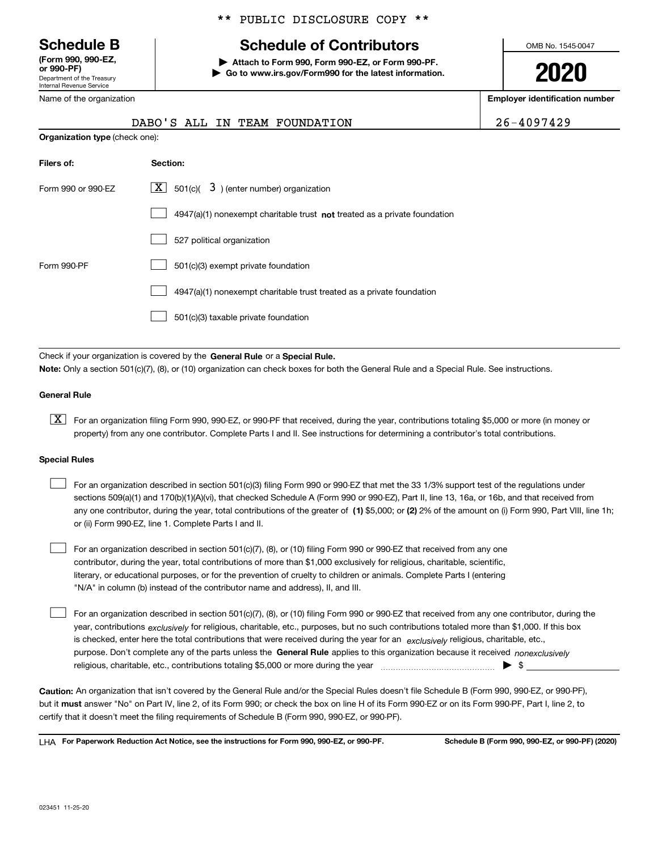Department of the Treasury Internal Revenue Service **(Form 990, 990-EZ, or 990-PF)**

Name of the organization

#### \*\* PUBLIC DISCLOSURE COPY \*\*

## **Schedule B Schedule of Contributors**

**| Attach to Form 990, Form 990-EZ, or Form 990-PF. | Go to www.irs.gov/Form990 for the latest information.** OMB No. 1545-0047

**2020**

**Employer identification number**

| $26 - 4097429$ |  |  |  |  |  |
|----------------|--|--|--|--|--|
|                |  |  |  |  |  |

|                                       | DABO'S ALL IN TEAM FOUNDATION                                               | 26-4097429 |
|---------------------------------------|-----------------------------------------------------------------------------|------------|
| <b>Organization type (check one):</b> |                                                                             |            |
| Filers of:                            | Section:                                                                    |            |
| Form 990 or 990-EZ                    | $\lfloor x \rfloor$ 501(c)( 3) (enter number) organization                  |            |
|                                       | $4947(a)(1)$ nonexempt charitable trust not treated as a private foundation |            |
|                                       | 527 political organization                                                  |            |
| Form 990-PF                           | 501(c)(3) exempt private foundation                                         |            |
|                                       | 4947(a)(1) nonexempt charitable trust treated as a private foundation       |            |

501(c)(3) taxable private foundation  $\mathcal{L}^{\text{max}}$ 

Check if your organization is covered by the **General Rule** or a **Special Rule. Note:**  Only a section 501(c)(7), (8), or (10) organization can check boxes for both the General Rule and a Special Rule. See instructions.

#### **General Rule**

 $\boxed{\textbf{X}}$  For an organization filing Form 990, 990-EZ, or 990-PF that received, during the year, contributions totaling \$5,000 or more (in money or property) from any one contributor. Complete Parts I and II. See instructions for determining a contributor's total contributions.

#### **Special Rules**

| For an organization described in section 501(c)(3) filing Form 990 or 990-EZ that met the 33 1/3% support test of the regulations under               |
|-------------------------------------------------------------------------------------------------------------------------------------------------------|
| sections 509(a)(1) and 170(b)(1)(A)(vi), that checked Schedule A (Form 990 or 990-EZ), Part II, line 13, 16a, or 16b, and that received from          |
| any one contributor, during the year, total contributions of the greater of (1) \$5,000; or (2) 2% of the amount on (i) Form 990, Part VIII, line 1h; |
| or (ii) Form 990-EZ, line 1. Complete Parts I and II.                                                                                                 |

For an organization described in section 501(c)(7), (8), or (10) filing Form 990 or 990-EZ that received from any one contributor, during the year, total contributions of more than \$1,000 exclusively for religious, charitable, scientific, literary, or educational purposes, or for the prevention of cruelty to children or animals. Complete Parts I (entering "N/A" in column (b) instead of the contributor name and address), II, and III.  $\mathcal{L}^{\text{max}}$ 

purpose. Don't complete any of the parts unless the **General Rule** applies to this organization because it received *nonexclusively* year, contributions <sub>exclusively</sub> for religious, charitable, etc., purposes, but no such contributions totaled more than \$1,000. If this box is checked, enter here the total contributions that were received during the year for an  $\;$ exclusively religious, charitable, etc., For an organization described in section 501(c)(7), (8), or (10) filing Form 990 or 990-EZ that received from any one contributor, during the religious, charitable, etc., contributions totaling \$5,000 or more during the year  $\Box$ — $\Box$   $\Box$  $\mathcal{L}^{\text{max}}$ 

**Caution:**  An organization that isn't covered by the General Rule and/or the Special Rules doesn't file Schedule B (Form 990, 990-EZ, or 990-PF),  **must** but it answer "No" on Part IV, line 2, of its Form 990; or check the box on line H of its Form 990-EZ or on its Form 990-PF, Part I, line 2, to certify that it doesn't meet the filing requirements of Schedule B (Form 990, 990-EZ, or 990-PF).

**For Paperwork Reduction Act Notice, see the instructions for Form 990, 990-EZ, or 990-PF. Schedule B (Form 990, 990-EZ, or 990-PF) (2020)** LHA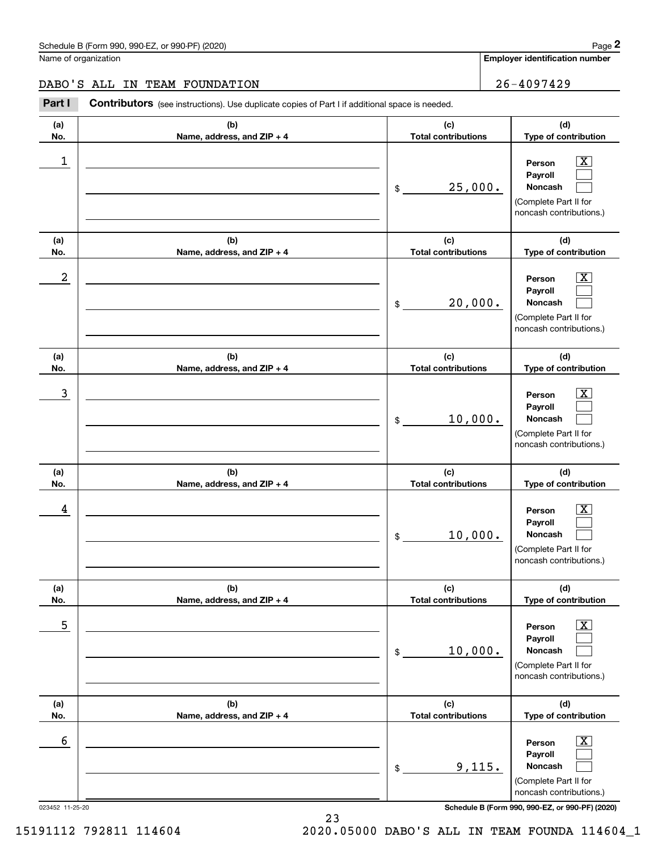**Employer identification number**

**(d)**

 $\boxed{\text{X}}$  $\mathcal{L}^{\text{max}}$  $\mathcal{L}^{\text{max}}$ 

 $\boxed{\text{X}}$  $\mathcal{L}^{\text{max}}$  $\mathcal{L}^{\text{max}}$ 

 $\boxed{\text{X}}$  $\mathcal{L}^{\text{max}}$  $\mathcal{L}^{\text{max}}$ 

**(d)**

**(d)**

**(a) No.(b)Name, address, and ZIP + 4 (c)Total contributions Type of contribution PersonPayrollNoncash (a)No.(b)Name, address, and ZIP + 4 (c)Total contributions Type of contribution PersonPayrollNoncash (a)No.(b)Name, address, and ZIP + 4 (c)Total contributions Type of contribution Person PayrollNoncash (a)No.(b)Name, address, and ZIP + 4 (c)Total contributions** Schedule B (Form 990, 990-EZ, or 990-PF) (2020) **Page 2** Page 2 Name of organization Contributors (see instructions). Use duplicate copies of Part I if additional space is needed. \$(Complete Part II for noncash contributions.) \$(Complete Part II for noncash contributions.) \$(Complete Part II for noncash contributions.) \$Chedule B (Form 990, 990-EZ, or 990-PF) (2020)<br> **2Part I 26-4097429**<br> **2Part I Contributors** (see instructions). Use duplicate copies of Part I if additional space is needed.  $\begin{array}{c|c|c|c|c|c} 1 & \hspace{1.5cm} & \hspace{1.5cm} & \hspace{1.5cm} & \hspace{1.5cm} & \hspace{1.5cm} & \hspace{1.5cm} & \hspace{1.5cm} & \hspace{1.5cm} & \hspace{1.5cm} & \hspace{1.5cm} & \hspace{1.5cm} & \hspace{1.5cm} & \hspace{1.5cm} & \hspace{1.5cm} & \hspace{1.5cm} & \hspace{1.5cm} & \hspace{1.5cm} & \hspace{1.5cm} & \hspace{1.5cm} & \hspace{1.5cm} &$ 25,000.  $2$  | Person  $\overline{\text{X}}$ 20,000.  $\overline{3}$  | Person  $\overline{X}$ 10,000. 10,000. DABO'S ALL IN TEAM FOUNDATION 26-4097429

| (a)             | (b)                        | (c)                        | (d)                                                                                                                     |
|-----------------|----------------------------|----------------------------|-------------------------------------------------------------------------------------------------------------------------|
| No.             | Name, address, and ZIP + 4 | <b>Total contributions</b> | Type of contribution                                                                                                    |
| 4               |                            | 10,000.<br>\$              | $\vert X \vert$<br>Person<br>Payroll<br><b>Noncash</b><br>(Complete Part II for<br>noncash contributions.)              |
| (a)             | (b)                        | (c)                        | (d)                                                                                                                     |
| No.             | Name, address, and ZIP + 4 | <b>Total contributions</b> | Type of contribution                                                                                                    |
| 5               |                            | 10,000.<br>\$              | $\boxed{\text{X}}$<br>Person<br><b>Payroll</b><br><b>Noncash</b><br>(Complete Part II for<br>noncash contributions.)    |
| (a)             | (b)                        | (c)                        | (d)                                                                                                                     |
| No.             | Name, address, and ZIP + 4 | <b>Total contributions</b> | Type of contribution                                                                                                    |
| 6               |                            | 9,115.<br>\$               | $\overline{\text{X}}$<br>Person<br><b>Payroll</b><br><b>Noncash</b><br>(Complete Part II for<br>noncash contributions.) |
| 023452 11-25-20 |                            |                            | Schedule B (Form 990, 990-EZ, or 990-PF) (2020)                                                                         |

15191112 792811 114604 2020.05000 DABO'S ALL IN TEAM FOUNDA 114604\_1

23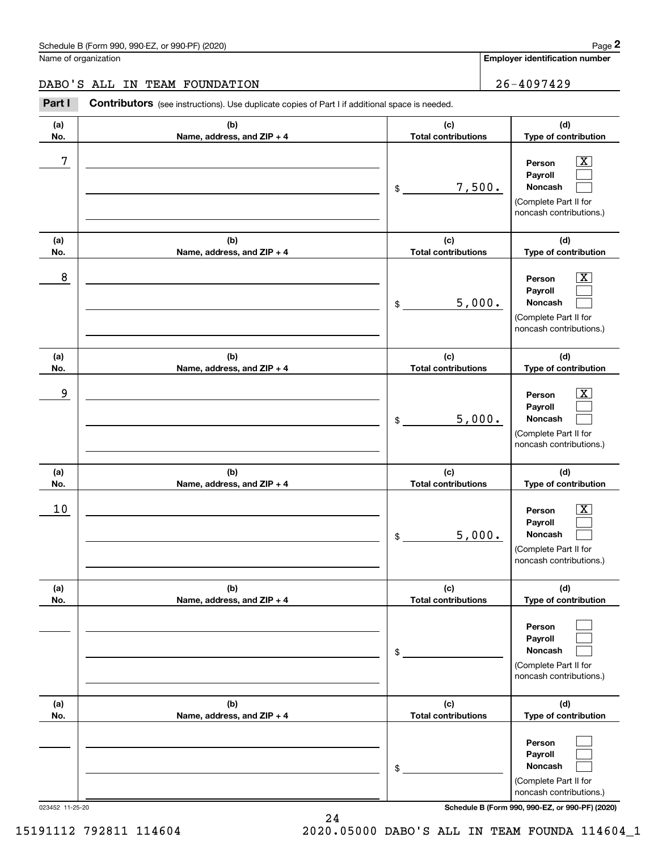**Employer identification number**

**(d)Type of contribution**

> $\boxed{\text{X}}$  $\mathcal{L}^{\text{max}}$  $\mathcal{L}^{\text{max}}$

**Person PayrollNoncash**

#### DABO'S ALL IN TEAM FOUNDATION 26-4097429

**(a) No.(b) Name, address, and ZIP + 4 (c) Total contributions (a)(b)(c)**Chedule B (Form 990, 990-EZ, or 990-PF) (2020)<br>
lame of organization<br> **26-4097429**<br> **26-4097429**<br> **26-4097429**<br> **26-4097429** \$7 X 7,500.

|                 |                                   |                                   | (Complete Part II for<br>noncash contributions.)                                       |
|-----------------|-----------------------------------|-----------------------------------|----------------------------------------------------------------------------------------|
| (a)<br>No.      | (b)<br>Name, address, and ZIP + 4 | (c)<br><b>Total contributions</b> | (d)<br>Type of contribution                                                            |
| 8               |                                   | 5,000.<br>\$                      | X,<br>Person<br>Payroll<br>Noncash<br>(Complete Part II for<br>noncash contributions.) |
| (a)<br>No.      | (b)<br>Name, address, and ZIP + 4 | (c)<br><b>Total contributions</b> | (d)<br>Type of contribution                                                            |
| 9               |                                   | 5,000.<br>\$                      | x<br>Person<br>Payroll<br>Noncash<br>(Complete Part II for<br>noncash contributions.)  |
| (a)<br>No.      | (b)<br>Name, address, and ZIP + 4 | (c)<br><b>Total contributions</b> | (d)<br>Type of contribution                                                            |
| 10              |                                   | 5,000.<br>\$                      | X.<br>Person<br>Payroll<br>Noncash<br>(Complete Part II for<br>noncash contributions.) |
| (a)<br>No.      | (b)<br>Name, address, and ZIP + 4 | (c)<br><b>Total contributions</b> | (d)<br>Type of contribution                                                            |
|                 |                                   | \$                                | Person<br>Payroll<br>Noncash<br>(Complete Part II for<br>noncash contributions.)       |
| (a)<br>No.      | (b)<br>Name, address, and ZIP + 4 | (c)<br><b>Total contributions</b> | (d)<br>Type of contribution                                                            |
|                 |                                   | \$                                | Person<br>Payroll<br>Noncash<br>(Complete Part II for<br>noncash contributions.)       |
| 023452 11-25-20 |                                   |                                   | Schedule B (Form 990, 990-EZ, or 990-PF) (2020)                                        |

24 15191112 792811 114604 2020.05000 DABO'S ALL IN TEAM FOUNDA 114604\_1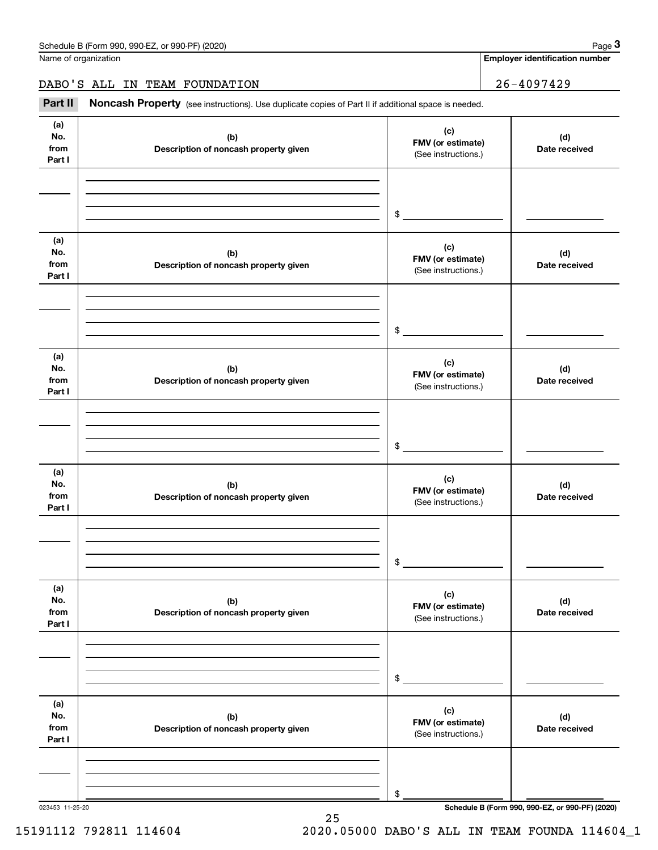Name of organization

**Employer identification number**

DABO'S ALL IN TEAM FOUNDATION 26-4097429

Chedule B (Form 990, 990-EZ, or 990-PF) (2020)<br> **26 ALL IN TEAM FOUNDATION**<br> **26 - 4097429**<br> **26 - 4097429**<br> **26 - 4097429** 

| (a)<br>No.<br>from<br>Part I | (b)<br>Description of noncash property given | (c)<br>FMV (or estimate)<br>(See instructions.) | (d)<br>Date received |
|------------------------------|----------------------------------------------|-------------------------------------------------|----------------------|
|                              |                                              |                                                 |                      |
|                              |                                              |                                                 |                      |
|                              |                                              | \$                                              |                      |
| (a)<br>No.<br>from<br>Part I | (b)<br>Description of noncash property given | (c)<br>FMV (or estimate)<br>(See instructions.) | (d)<br>Date received |
|                              |                                              |                                                 |                      |
|                              |                                              |                                                 |                      |
|                              |                                              | \$                                              |                      |
| (a)<br>No.<br>from<br>Part I | (b)<br>Description of noncash property given | (c)<br>FMV (or estimate)<br>(See instructions.) | (d)<br>Date received |
|                              |                                              |                                                 |                      |
|                              |                                              |                                                 |                      |
|                              |                                              | \$                                              |                      |
| (a)<br>No.<br>from<br>Part I | (b)<br>Description of noncash property given | (c)<br>FMV (or estimate)<br>(See instructions.) | (d)<br>Date received |
|                              |                                              |                                                 |                      |
|                              |                                              |                                                 |                      |
|                              |                                              | \$                                              |                      |
| (a)<br>No.<br>from<br>Part I | (b)<br>Description of noncash property given | (c)<br>FMV (or estimate)<br>(See instructions.) | (d)<br>Date received |
|                              |                                              |                                                 |                      |
|                              |                                              |                                                 |                      |
|                              |                                              | \$                                              |                      |
| (a)<br>No.<br>from<br>Part I | (b)<br>Description of noncash property given | (c)<br>FMV (or estimate)<br>(See instructions.) | (d)<br>Date received |
|                              |                                              |                                                 |                      |
|                              |                                              |                                                 |                      |
|                              |                                              | \$                                              |                      |

25

023453 11-25-20 **Schedule B (Form 990, 990-EZ, or 990-PF) (2020)**

15191112 792811 114604 2020.05000 DABO'S ALL IN TEAM FOUNDA 114604\_1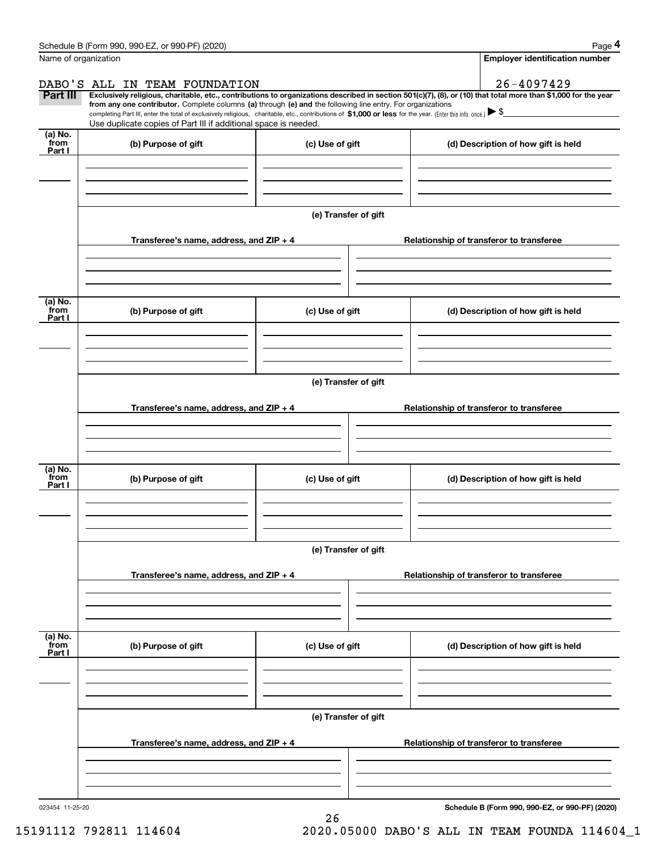|                           | Schedule B (Form 990, 990-EZ, or 990-PF) (2020)                                                                                                                                                                                 |                      |                                                                                                                                                                | Page 4 |  |  |  |  |
|---------------------------|---------------------------------------------------------------------------------------------------------------------------------------------------------------------------------------------------------------------------------|----------------------|----------------------------------------------------------------------------------------------------------------------------------------------------------------|--------|--|--|--|--|
| Name of organization      |                                                                                                                                                                                                                                 |                      | <b>Employer identification number</b>                                                                                                                          |        |  |  |  |  |
|                           | DABO'S ALL IN TEAM FOUNDATION                                                                                                                                                                                                   |                      | 26-4097429                                                                                                                                                     |        |  |  |  |  |
| Part III                  | from any one contributor. Complete columns (a) through (e) and the following line entry. For organizations                                                                                                                      |                      | Exclusively religious, charitable, etc., contributions to organizations described in section 501(c)(7), (8), or (10) that total more than \$1,000 for the year |        |  |  |  |  |
|                           | completing Part III, enter the total of exclusively religious, charitable, etc., contributions of \$1,000 or less for the year. (Enter this info. once.) \\$<br>Use duplicate copies of Part III if additional space is needed. |                      |                                                                                                                                                                |        |  |  |  |  |
| $(a)$ No.                 |                                                                                                                                                                                                                                 |                      |                                                                                                                                                                |        |  |  |  |  |
| from<br>Part I            | (b) Purpose of gift                                                                                                                                                                                                             | (c) Use of gift      | (d) Description of how gift is held                                                                                                                            |        |  |  |  |  |
|                           |                                                                                                                                                                                                                                 |                      |                                                                                                                                                                |        |  |  |  |  |
|                           |                                                                                                                                                                                                                                 |                      |                                                                                                                                                                |        |  |  |  |  |
|                           |                                                                                                                                                                                                                                 |                      |                                                                                                                                                                |        |  |  |  |  |
|                           |                                                                                                                                                                                                                                 | (e) Transfer of gift |                                                                                                                                                                |        |  |  |  |  |
|                           | Transferee's name, address, and ZIP + 4                                                                                                                                                                                         |                      | Relationship of transferor to transferee                                                                                                                       |        |  |  |  |  |
|                           |                                                                                                                                                                                                                                 |                      |                                                                                                                                                                |        |  |  |  |  |
|                           |                                                                                                                                                                                                                                 |                      |                                                                                                                                                                |        |  |  |  |  |
|                           |                                                                                                                                                                                                                                 |                      |                                                                                                                                                                |        |  |  |  |  |
| (a) No.<br>from           | (b) Purpose of gift                                                                                                                                                                                                             | (c) Use of gift      | (d) Description of how gift is held                                                                                                                            |        |  |  |  |  |
| Part I                    |                                                                                                                                                                                                                                 |                      |                                                                                                                                                                |        |  |  |  |  |
|                           |                                                                                                                                                                                                                                 |                      |                                                                                                                                                                |        |  |  |  |  |
|                           |                                                                                                                                                                                                                                 |                      |                                                                                                                                                                |        |  |  |  |  |
|                           | (e) Transfer of gift                                                                                                                                                                                                            |                      |                                                                                                                                                                |        |  |  |  |  |
|                           |                                                                                                                                                                                                                                 |                      |                                                                                                                                                                |        |  |  |  |  |
|                           | Transferee's name, address, and ZIP + 4                                                                                                                                                                                         |                      | Relationship of transferor to transferee                                                                                                                       |        |  |  |  |  |
|                           |                                                                                                                                                                                                                                 |                      |                                                                                                                                                                |        |  |  |  |  |
|                           |                                                                                                                                                                                                                                 |                      |                                                                                                                                                                |        |  |  |  |  |
| (a) No.                   |                                                                                                                                                                                                                                 |                      |                                                                                                                                                                |        |  |  |  |  |
| from<br>Part I            | (b) Purpose of gift                                                                                                                                                                                                             | (c) Use of gift      | (d) Description of how gift is held                                                                                                                            |        |  |  |  |  |
|                           |                                                                                                                                                                                                                                 |                      |                                                                                                                                                                |        |  |  |  |  |
|                           |                                                                                                                                                                                                                                 |                      |                                                                                                                                                                |        |  |  |  |  |
|                           |                                                                                                                                                                                                                                 |                      |                                                                                                                                                                |        |  |  |  |  |
|                           |                                                                                                                                                                                                                                 | (e) Transfer of gift |                                                                                                                                                                |        |  |  |  |  |
|                           | Transferee's name, address, and ZIP + 4                                                                                                                                                                                         |                      | Relationship of transferor to transferee                                                                                                                       |        |  |  |  |  |
|                           |                                                                                                                                                                                                                                 |                      |                                                                                                                                                                |        |  |  |  |  |
|                           |                                                                                                                                                                                                                                 |                      |                                                                                                                                                                |        |  |  |  |  |
|                           |                                                                                                                                                                                                                                 |                      |                                                                                                                                                                |        |  |  |  |  |
| (a) No.<br>from<br>Part I | (b) Purpose of gift                                                                                                                                                                                                             | (c) Use of gift      | (d) Description of how gift is held                                                                                                                            |        |  |  |  |  |
|                           |                                                                                                                                                                                                                                 |                      |                                                                                                                                                                |        |  |  |  |  |
|                           |                                                                                                                                                                                                                                 |                      |                                                                                                                                                                |        |  |  |  |  |
|                           |                                                                                                                                                                                                                                 |                      |                                                                                                                                                                |        |  |  |  |  |
|                           |                                                                                                                                                                                                                                 | (e) Transfer of gift |                                                                                                                                                                |        |  |  |  |  |
|                           |                                                                                                                                                                                                                                 |                      |                                                                                                                                                                |        |  |  |  |  |
|                           | Transferee's name, address, and ZIP + 4                                                                                                                                                                                         |                      | Relationship of transferor to transferee                                                                                                                       |        |  |  |  |  |
|                           |                                                                                                                                                                                                                                 |                      |                                                                                                                                                                |        |  |  |  |  |
|                           |                                                                                                                                                                                                                                 |                      |                                                                                                                                                                |        |  |  |  |  |
|                           |                                                                                                                                                                                                                                 |                      |                                                                                                                                                                |        |  |  |  |  |

26

**Schedule B (Form 990, 990-EZ, or 990-PF) (2020)**

15191112 792811 114604 2020.05000 DABO'S ALL IN TEAM FOUNDA 114604\_1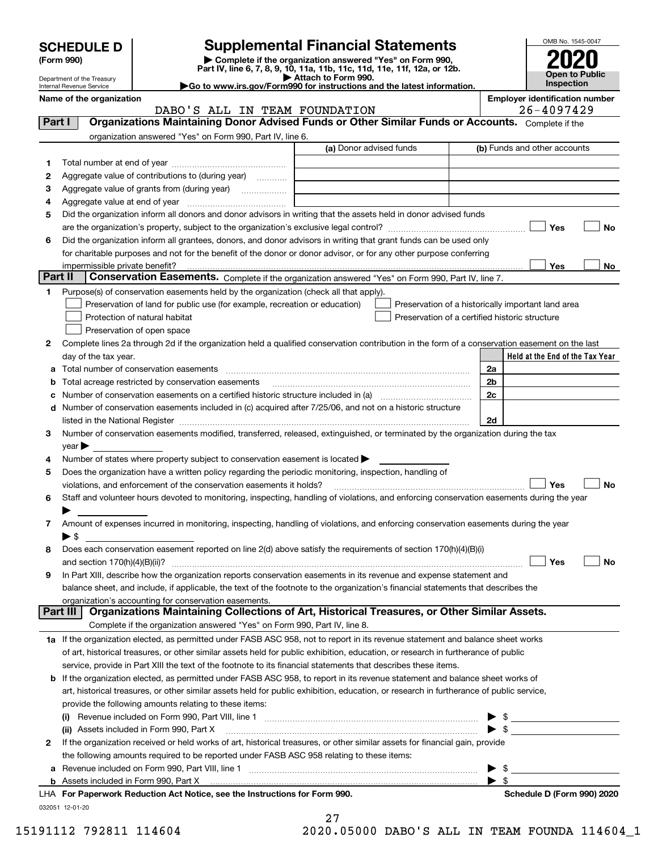| <b>SCHEDULE D</b> |  |
|-------------------|--|
|-------------------|--|

| (Form 990) |  |
|------------|--|
|------------|--|

### **Supplemental Financial Statements**

(Form 990)<br>
Pepartment of the Treasury<br>
Department of the Treasury<br>
Department of the Treasury<br>
Department of the Treasury<br> **Co to www.irs.gov/Form990 for instructions and the latest information.**<br> **Co to www.irs.gov/Form9** 



Department of the Treasury Internal Revenue Service

# **Name of the organization Employer identification number**

|         | organization answered "Yes" on Form 990, Part IV, line 6.                                                                                                                                                                     |                         |                                                    |                          |                              |                                 |
|---------|-------------------------------------------------------------------------------------------------------------------------------------------------------------------------------------------------------------------------------|-------------------------|----------------------------------------------------|--------------------------|------------------------------|---------------------------------|
|         |                                                                                                                                                                                                                               | (a) Donor advised funds |                                                    |                          | (b) Funds and other accounts |                                 |
| 1       |                                                                                                                                                                                                                               |                         |                                                    |                          |                              |                                 |
| 2       | Aggregate value of contributions to (during year)                                                                                                                                                                             |                         |                                                    |                          |                              |                                 |
| з       |                                                                                                                                                                                                                               |                         |                                                    |                          |                              |                                 |
| 4       |                                                                                                                                                                                                                               |                         |                                                    |                          |                              |                                 |
| 5       | Did the organization inform all donors and donor advisors in writing that the assets held in donor advised funds                                                                                                              |                         |                                                    |                          |                              |                                 |
|         |                                                                                                                                                                                                                               |                         |                                                    |                          | Yes                          | No                              |
| 6       | Did the organization inform all grantees, donors, and donor advisors in writing that grant funds can be used only                                                                                                             |                         |                                                    |                          |                              |                                 |
|         | for charitable purposes and not for the benefit of the donor or donor advisor, or for any other purpose conferring                                                                                                            |                         |                                                    |                          |                              |                                 |
|         |                                                                                                                                                                                                                               |                         |                                                    |                          | Yes                          | No                              |
| Part II | Conservation Easements. Complete if the organization answered "Yes" on Form 990, Part IV, line 7.                                                                                                                             |                         |                                                    |                          |                              |                                 |
| 1.      | Purpose(s) of conservation easements held by the organization (check all that apply).                                                                                                                                         |                         |                                                    |                          |                              |                                 |
|         | Preservation of land for public use (for example, recreation or education)                                                                                                                                                    |                         | Preservation of a historically important land area |                          |                              |                                 |
|         | Protection of natural habitat                                                                                                                                                                                                 |                         | Preservation of a certified historic structure     |                          |                              |                                 |
|         | Preservation of open space                                                                                                                                                                                                    |                         |                                                    |                          |                              |                                 |
|         |                                                                                                                                                                                                                               |                         |                                                    |                          |                              |                                 |
| 2       | Complete lines 2a through 2d if the organization held a qualified conservation contribution in the form of a conservation easement on the last                                                                                |                         |                                                    |                          |                              | Held at the End of the Tax Year |
|         | day of the tax year.                                                                                                                                                                                                          |                         |                                                    |                          |                              |                                 |
| а       |                                                                                                                                                                                                                               |                         |                                                    | 2a                       |                              |                                 |
| b       | Total acreage restricted by conservation easements                                                                                                                                                                            |                         |                                                    | 2 <sub>b</sub>           |                              |                                 |
|         |                                                                                                                                                                                                                               |                         |                                                    | 2c                       |                              |                                 |
| d       | Number of conservation easements included in (c) acquired after 7/25/06, and not on a historic structure                                                                                                                      |                         |                                                    |                          |                              |                                 |
|         | listed in the National Register [111] March 1999 State of the National Register [11] March 1999 State of the National Register [11] March 1999 State of the National Register [11] March 1999 State of the National Inc. 1999 |                         |                                                    | 2d                       |                              |                                 |
| 3       | Number of conservation easements modified, transferred, released, extinguished, or terminated by the organization during the tax                                                                                              |                         |                                                    |                          |                              |                                 |
|         | $year \blacktriangleright$                                                                                                                                                                                                    |                         |                                                    |                          |                              |                                 |
| 4<br>5  | Number of states where property subject to conservation easement is located $\blacktriangleright$<br>Does the organization have a written policy regarding the periodic monitoring, inspection, handling of                   |                         |                                                    |                          |                              |                                 |
| 6       | violations, and enforcement of the conservation easements it holds?<br>Staff and volunteer hours devoted to monitoring, inspecting, handling of violations, and enforcing conservation easements during the year              |                         |                                                    |                          | Yes                          | No                              |
|         |                                                                                                                                                                                                                               |                         |                                                    |                          |                              |                                 |
| 7       | Amount of expenses incurred in monitoring, inspecting, handling of violations, and enforcing conservation easements during the year<br>$\blacktriangleright$ \$                                                               |                         |                                                    |                          |                              |                                 |
| 8       | Does each conservation easement reported on line 2(d) above satisfy the requirements of section 170(h)(4)(B)(i)                                                                                                               |                         |                                                    |                          |                              |                                 |
|         |                                                                                                                                                                                                                               |                         |                                                    |                          | Yes                          | No                              |
| 9       | In Part XIII, describe how the organization reports conservation easements in its revenue and expense statement and                                                                                                           |                         |                                                    |                          |                              |                                 |
|         | balance sheet, and include, if applicable, the text of the footnote to the organization's financial statements that describes the                                                                                             |                         |                                                    |                          |                              |                                 |
|         | organization's accounting for conservation easements.                                                                                                                                                                         |                         |                                                    |                          |                              |                                 |
|         | Organizations Maintaining Collections of Art, Historical Treasures, or Other Similar Assets.<br>Part III                                                                                                                      |                         |                                                    |                          |                              |                                 |
|         | Complete if the organization answered "Yes" on Form 990, Part IV, line 8.                                                                                                                                                     |                         |                                                    |                          |                              |                                 |
|         | 1a If the organization elected, as permitted under FASB ASC 958, not to report in its revenue statement and balance sheet works                                                                                               |                         |                                                    |                          |                              |                                 |
|         | of art, historical treasures, or other similar assets held for public exhibition, education, or research in furtherance of public                                                                                             |                         |                                                    |                          |                              |                                 |
|         | service, provide in Part XIII the text of the footnote to its financial statements that describes these items.                                                                                                                |                         |                                                    |                          |                              |                                 |
|         | <b>b</b> If the organization elected, as permitted under FASB ASC 958, to report in its revenue statement and balance sheet works of                                                                                          |                         |                                                    |                          |                              |                                 |
|         |                                                                                                                                                                                                                               |                         |                                                    |                          |                              |                                 |
|         | art, historical treasures, or other similar assets held for public exhibition, education, or research in furtherance of public service,<br>provide the following amounts relating to these items:                             |                         |                                                    |                          |                              |                                 |
|         |                                                                                                                                                                                                                               |                         |                                                    |                          |                              |                                 |
|         |                                                                                                                                                                                                                               |                         |                                                    |                          |                              |                                 |
|         |                                                                                                                                                                                                                               |                         |                                                    |                          | $\blacktriangleright$ \$     |                                 |
| 2       | If the organization received or held works of art, historical treasures, or other similar assets for financial gain, provide                                                                                                  |                         |                                                    |                          |                              |                                 |
|         | the following amounts required to be reported under FASB ASC 958 relating to these items:                                                                                                                                     |                         |                                                    |                          |                              |                                 |
|         | a Revenue included on Form 990, Part VIII, line 1 [2000] [2000] [2000] [2000] [2000] [2000] [2000] [2000] [2000                                                                                                               |                         |                                                    | $\blacktriangleright$ \$ |                              |                                 |
|         | LHA For Paperwork Reduction Act Notice, see the Instructions for Form 990.                                                                                                                                                    |                         |                                                    | $\blacktriangleright$ s  | Schedule D (Form 990) 2020   |                                 |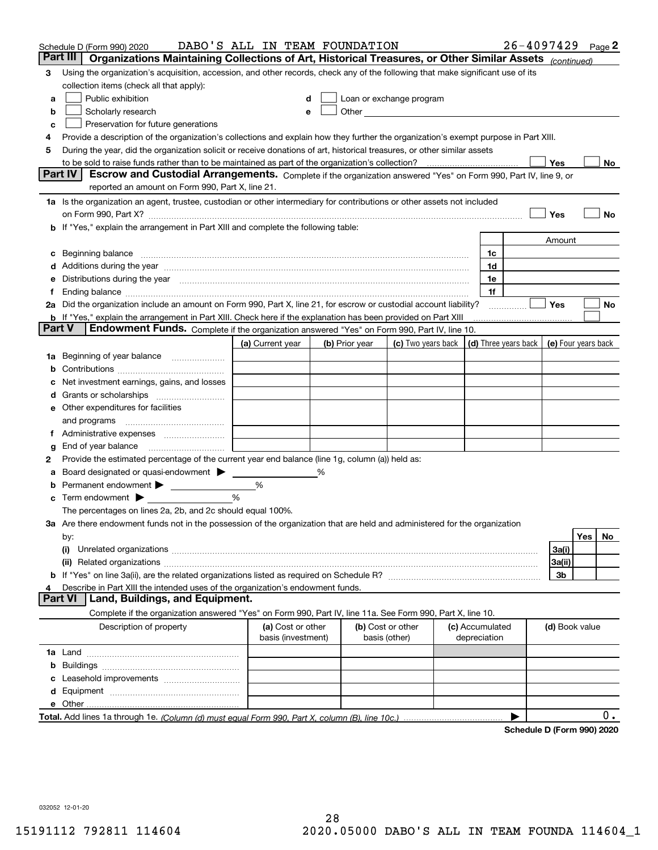| Part III<br>Organizations Maintaining Collections of Art, Historical Treasures, or Other Similar Assets (continued)<br>Using the organization's acquisition, accession, and other records, check any of the following that make significant use of its<br>3<br>collection items (check all that apply):<br>Public exhibition<br>Loan or exchange program<br>a<br>Other and the contract of the contract of the contract of the contract of the contract of the contract of the contract of the contract of the contract of the contract of the contract of the contract of the contract of the<br>Scholarly research<br>b<br>е<br>Preservation for future generations<br>с<br>Provide a description of the organization's collections and explain how they further the organization's exempt purpose in Part XIII.<br>4<br>During the year, did the organization solicit or receive donations of art, historical treasures, or other similar assets<br>5<br>Yes<br>to be sold to raise funds rather than to be maintained as part of the organization's collection?<br>No<br><b>Part IV</b><br>Escrow and Custodial Arrangements. Complete if the organization answered "Yes" on Form 990, Part IV, line 9, or<br>reported an amount on Form 990, Part X, line 21.<br>1a Is the organization an agent, trustee, custodian or other intermediary for contributions or other assets not included<br>Yes<br>No<br>on Form 990, Part X? [11] matter contracts and contracts and contracts are contracted as a form 990, Part X?<br>b If "Yes," explain the arrangement in Part XIII and complete the following table:<br>Amount<br>Beginning balance measurements and the contract measurement of the contract measurement of the contract measurement<br>1c<br>c<br>1d<br>Additions during the year manufactured and an account of the state of the state of the state of the state of the state of the state of the state of the state of the state of the state of the state of the state of the state<br>Distributions during the year manufactured and an account of the year manufactured and the year manufactured and the year manufactured and the year manufactured and the year manufactured and the year manufactured and the y<br>1e<br>1f<br>Ť.<br>2a Did the organization include an amount on Form 990, Part X, line 21, for escrow or custodial account liability?<br>Yes<br>No<br>.<br><b>b</b> If "Yes," explain the arrangement in Part XIII. Check here if the explanation has been provided on Part XIII<br>Part V<br>Endowment Funds. Complete if the organization answered "Yes" on Form 990, Part IV, line 10.<br>(d) Three years back<br>(a) Current year<br>(c) Two years back<br>(e) Four years back<br>(b) Prior year<br>Beginning of year balance<br>1a<br>Net investment earnings, gains, and losses<br>d<br>e Other expenditures for facilities<br>and programs<br>End of year balance<br>g<br>Provide the estimated percentage of the current year end balance (line 1g, column (a)) held as:<br>2<br>Board designated or quasi-endowment<br>℅<br>а<br>Permanent endowment > <u>example</u><br>%<br>%<br>Term endowment $\blacktriangleright$<br>The percentages on lines 2a, 2b, and 2c should equal 100%.<br>3a Are there endowment funds not in the possession of the organization that are held and administered for the organization<br>Yes<br>No<br>by:<br>3a(i)<br>(i)<br>3a(ii)<br>3b<br>Describe in Part XIII the intended uses of the organization's endowment funds.<br>Land, Buildings, and Equipment.<br>Part VI<br>Complete if the organization answered "Yes" on Form 990, Part IV, line 11a. See Form 990, Part X, line 10.<br>Description of property<br>(a) Cost or other<br>(b) Cost or other<br>(c) Accumulated<br>(d) Book value<br>basis (investment)<br>basis (other)<br>depreciation<br>b<br>0.<br>Schodule D (Form 000) 2020 | Schedule D (Form 990) 2020 | DABO'S ALL IN TEAM FOUNDATION |  |  | 26-4097429 |  | Page 2 |
|------------------------------------------------------------------------------------------------------------------------------------------------------------------------------------------------------------------------------------------------------------------------------------------------------------------------------------------------------------------------------------------------------------------------------------------------------------------------------------------------------------------------------------------------------------------------------------------------------------------------------------------------------------------------------------------------------------------------------------------------------------------------------------------------------------------------------------------------------------------------------------------------------------------------------------------------------------------------------------------------------------------------------------------------------------------------------------------------------------------------------------------------------------------------------------------------------------------------------------------------------------------------------------------------------------------------------------------------------------------------------------------------------------------------------------------------------------------------------------------------------------------------------------------------------------------------------------------------------------------------------------------------------------------------------------------------------------------------------------------------------------------------------------------------------------------------------------------------------------------------------------------------------------------------------------------------------------------------------------------------------------------------------------------------------------------------------------------------------------------------------------------------------------------------------------------------------------------------------------------------------------------------------------------------------------------------------------------------------------------------------------------------------------------------------------------------------------------------------------------------------------------------------------------------------------------------------------------------------------------------------------------------------------------------------------------------------------------------------------------------------------------------------------------------------------------------------------------------------------------------------------------------------------------------------------------------------------------------------------------------------------------------------------------------------------------------------------------------------------------------------------------------------------------------------------------------------------------------------------------------------------------------------------------------------------------------------------------------------------------------------------------------------------------------------------------------------------------------------------------------------------------------------------------------------------------------------------------------------------------------------------------------------------------------------------------------------------------------------------------------------------------------------------------------------------------------------------------------------------------------------------|----------------------------|-------------------------------|--|--|------------|--|--------|
|                                                                                                                                                                                                                                                                                                                                                                                                                                                                                                                                                                                                                                                                                                                                                                                                                                                                                                                                                                                                                                                                                                                                                                                                                                                                                                                                                                                                                                                                                                                                                                                                                                                                                                                                                                                                                                                                                                                                                                                                                                                                                                                                                                                                                                                                                                                                                                                                                                                                                                                                                                                                                                                                                                                                                                                                                                                                                                                                                                                                                                                                                                                                                                                                                                                                                                                                                                                                                                                                                                                                                                                                                                                                                                                                                                                                                                                                                    |                            |                               |  |  |            |  |        |
|                                                                                                                                                                                                                                                                                                                                                                                                                                                                                                                                                                                                                                                                                                                                                                                                                                                                                                                                                                                                                                                                                                                                                                                                                                                                                                                                                                                                                                                                                                                                                                                                                                                                                                                                                                                                                                                                                                                                                                                                                                                                                                                                                                                                                                                                                                                                                                                                                                                                                                                                                                                                                                                                                                                                                                                                                                                                                                                                                                                                                                                                                                                                                                                                                                                                                                                                                                                                                                                                                                                                                                                                                                                                                                                                                                                                                                                                                    |                            |                               |  |  |            |  |        |
|                                                                                                                                                                                                                                                                                                                                                                                                                                                                                                                                                                                                                                                                                                                                                                                                                                                                                                                                                                                                                                                                                                                                                                                                                                                                                                                                                                                                                                                                                                                                                                                                                                                                                                                                                                                                                                                                                                                                                                                                                                                                                                                                                                                                                                                                                                                                                                                                                                                                                                                                                                                                                                                                                                                                                                                                                                                                                                                                                                                                                                                                                                                                                                                                                                                                                                                                                                                                                                                                                                                                                                                                                                                                                                                                                                                                                                                                                    |                            |                               |  |  |            |  |        |
|                                                                                                                                                                                                                                                                                                                                                                                                                                                                                                                                                                                                                                                                                                                                                                                                                                                                                                                                                                                                                                                                                                                                                                                                                                                                                                                                                                                                                                                                                                                                                                                                                                                                                                                                                                                                                                                                                                                                                                                                                                                                                                                                                                                                                                                                                                                                                                                                                                                                                                                                                                                                                                                                                                                                                                                                                                                                                                                                                                                                                                                                                                                                                                                                                                                                                                                                                                                                                                                                                                                                                                                                                                                                                                                                                                                                                                                                                    |                            |                               |  |  |            |  |        |
|                                                                                                                                                                                                                                                                                                                                                                                                                                                                                                                                                                                                                                                                                                                                                                                                                                                                                                                                                                                                                                                                                                                                                                                                                                                                                                                                                                                                                                                                                                                                                                                                                                                                                                                                                                                                                                                                                                                                                                                                                                                                                                                                                                                                                                                                                                                                                                                                                                                                                                                                                                                                                                                                                                                                                                                                                                                                                                                                                                                                                                                                                                                                                                                                                                                                                                                                                                                                                                                                                                                                                                                                                                                                                                                                                                                                                                                                                    |                            |                               |  |  |            |  |        |
|                                                                                                                                                                                                                                                                                                                                                                                                                                                                                                                                                                                                                                                                                                                                                                                                                                                                                                                                                                                                                                                                                                                                                                                                                                                                                                                                                                                                                                                                                                                                                                                                                                                                                                                                                                                                                                                                                                                                                                                                                                                                                                                                                                                                                                                                                                                                                                                                                                                                                                                                                                                                                                                                                                                                                                                                                                                                                                                                                                                                                                                                                                                                                                                                                                                                                                                                                                                                                                                                                                                                                                                                                                                                                                                                                                                                                                                                                    |                            |                               |  |  |            |  |        |
|                                                                                                                                                                                                                                                                                                                                                                                                                                                                                                                                                                                                                                                                                                                                                                                                                                                                                                                                                                                                                                                                                                                                                                                                                                                                                                                                                                                                                                                                                                                                                                                                                                                                                                                                                                                                                                                                                                                                                                                                                                                                                                                                                                                                                                                                                                                                                                                                                                                                                                                                                                                                                                                                                                                                                                                                                                                                                                                                                                                                                                                                                                                                                                                                                                                                                                                                                                                                                                                                                                                                                                                                                                                                                                                                                                                                                                                                                    |                            |                               |  |  |            |  |        |
|                                                                                                                                                                                                                                                                                                                                                                                                                                                                                                                                                                                                                                                                                                                                                                                                                                                                                                                                                                                                                                                                                                                                                                                                                                                                                                                                                                                                                                                                                                                                                                                                                                                                                                                                                                                                                                                                                                                                                                                                                                                                                                                                                                                                                                                                                                                                                                                                                                                                                                                                                                                                                                                                                                                                                                                                                                                                                                                                                                                                                                                                                                                                                                                                                                                                                                                                                                                                                                                                                                                                                                                                                                                                                                                                                                                                                                                                                    |                            |                               |  |  |            |  |        |
|                                                                                                                                                                                                                                                                                                                                                                                                                                                                                                                                                                                                                                                                                                                                                                                                                                                                                                                                                                                                                                                                                                                                                                                                                                                                                                                                                                                                                                                                                                                                                                                                                                                                                                                                                                                                                                                                                                                                                                                                                                                                                                                                                                                                                                                                                                                                                                                                                                                                                                                                                                                                                                                                                                                                                                                                                                                                                                                                                                                                                                                                                                                                                                                                                                                                                                                                                                                                                                                                                                                                                                                                                                                                                                                                                                                                                                                                                    |                            |                               |  |  |            |  |        |
|                                                                                                                                                                                                                                                                                                                                                                                                                                                                                                                                                                                                                                                                                                                                                                                                                                                                                                                                                                                                                                                                                                                                                                                                                                                                                                                                                                                                                                                                                                                                                                                                                                                                                                                                                                                                                                                                                                                                                                                                                                                                                                                                                                                                                                                                                                                                                                                                                                                                                                                                                                                                                                                                                                                                                                                                                                                                                                                                                                                                                                                                                                                                                                                                                                                                                                                                                                                                                                                                                                                                                                                                                                                                                                                                                                                                                                                                                    |                            |                               |  |  |            |  |        |
|                                                                                                                                                                                                                                                                                                                                                                                                                                                                                                                                                                                                                                                                                                                                                                                                                                                                                                                                                                                                                                                                                                                                                                                                                                                                                                                                                                                                                                                                                                                                                                                                                                                                                                                                                                                                                                                                                                                                                                                                                                                                                                                                                                                                                                                                                                                                                                                                                                                                                                                                                                                                                                                                                                                                                                                                                                                                                                                                                                                                                                                                                                                                                                                                                                                                                                                                                                                                                                                                                                                                                                                                                                                                                                                                                                                                                                                                                    |                            |                               |  |  |            |  |        |
|                                                                                                                                                                                                                                                                                                                                                                                                                                                                                                                                                                                                                                                                                                                                                                                                                                                                                                                                                                                                                                                                                                                                                                                                                                                                                                                                                                                                                                                                                                                                                                                                                                                                                                                                                                                                                                                                                                                                                                                                                                                                                                                                                                                                                                                                                                                                                                                                                                                                                                                                                                                                                                                                                                                                                                                                                                                                                                                                                                                                                                                                                                                                                                                                                                                                                                                                                                                                                                                                                                                                                                                                                                                                                                                                                                                                                                                                                    |                            |                               |  |  |            |  |        |
|                                                                                                                                                                                                                                                                                                                                                                                                                                                                                                                                                                                                                                                                                                                                                                                                                                                                                                                                                                                                                                                                                                                                                                                                                                                                                                                                                                                                                                                                                                                                                                                                                                                                                                                                                                                                                                                                                                                                                                                                                                                                                                                                                                                                                                                                                                                                                                                                                                                                                                                                                                                                                                                                                                                                                                                                                                                                                                                                                                                                                                                                                                                                                                                                                                                                                                                                                                                                                                                                                                                                                                                                                                                                                                                                                                                                                                                                                    |                            |                               |  |  |            |  |        |
|                                                                                                                                                                                                                                                                                                                                                                                                                                                                                                                                                                                                                                                                                                                                                                                                                                                                                                                                                                                                                                                                                                                                                                                                                                                                                                                                                                                                                                                                                                                                                                                                                                                                                                                                                                                                                                                                                                                                                                                                                                                                                                                                                                                                                                                                                                                                                                                                                                                                                                                                                                                                                                                                                                                                                                                                                                                                                                                                                                                                                                                                                                                                                                                                                                                                                                                                                                                                                                                                                                                                                                                                                                                                                                                                                                                                                                                                                    |                            |                               |  |  |            |  |        |
|                                                                                                                                                                                                                                                                                                                                                                                                                                                                                                                                                                                                                                                                                                                                                                                                                                                                                                                                                                                                                                                                                                                                                                                                                                                                                                                                                                                                                                                                                                                                                                                                                                                                                                                                                                                                                                                                                                                                                                                                                                                                                                                                                                                                                                                                                                                                                                                                                                                                                                                                                                                                                                                                                                                                                                                                                                                                                                                                                                                                                                                                                                                                                                                                                                                                                                                                                                                                                                                                                                                                                                                                                                                                                                                                                                                                                                                                                    |                            |                               |  |  |            |  |        |
|                                                                                                                                                                                                                                                                                                                                                                                                                                                                                                                                                                                                                                                                                                                                                                                                                                                                                                                                                                                                                                                                                                                                                                                                                                                                                                                                                                                                                                                                                                                                                                                                                                                                                                                                                                                                                                                                                                                                                                                                                                                                                                                                                                                                                                                                                                                                                                                                                                                                                                                                                                                                                                                                                                                                                                                                                                                                                                                                                                                                                                                                                                                                                                                                                                                                                                                                                                                                                                                                                                                                                                                                                                                                                                                                                                                                                                                                                    |                            |                               |  |  |            |  |        |
|                                                                                                                                                                                                                                                                                                                                                                                                                                                                                                                                                                                                                                                                                                                                                                                                                                                                                                                                                                                                                                                                                                                                                                                                                                                                                                                                                                                                                                                                                                                                                                                                                                                                                                                                                                                                                                                                                                                                                                                                                                                                                                                                                                                                                                                                                                                                                                                                                                                                                                                                                                                                                                                                                                                                                                                                                                                                                                                                                                                                                                                                                                                                                                                                                                                                                                                                                                                                                                                                                                                                                                                                                                                                                                                                                                                                                                                                                    |                            |                               |  |  |            |  |        |
|                                                                                                                                                                                                                                                                                                                                                                                                                                                                                                                                                                                                                                                                                                                                                                                                                                                                                                                                                                                                                                                                                                                                                                                                                                                                                                                                                                                                                                                                                                                                                                                                                                                                                                                                                                                                                                                                                                                                                                                                                                                                                                                                                                                                                                                                                                                                                                                                                                                                                                                                                                                                                                                                                                                                                                                                                                                                                                                                                                                                                                                                                                                                                                                                                                                                                                                                                                                                                                                                                                                                                                                                                                                                                                                                                                                                                                                                                    |                            |                               |  |  |            |  |        |
|                                                                                                                                                                                                                                                                                                                                                                                                                                                                                                                                                                                                                                                                                                                                                                                                                                                                                                                                                                                                                                                                                                                                                                                                                                                                                                                                                                                                                                                                                                                                                                                                                                                                                                                                                                                                                                                                                                                                                                                                                                                                                                                                                                                                                                                                                                                                                                                                                                                                                                                                                                                                                                                                                                                                                                                                                                                                                                                                                                                                                                                                                                                                                                                                                                                                                                                                                                                                                                                                                                                                                                                                                                                                                                                                                                                                                                                                                    |                            |                               |  |  |            |  |        |
|                                                                                                                                                                                                                                                                                                                                                                                                                                                                                                                                                                                                                                                                                                                                                                                                                                                                                                                                                                                                                                                                                                                                                                                                                                                                                                                                                                                                                                                                                                                                                                                                                                                                                                                                                                                                                                                                                                                                                                                                                                                                                                                                                                                                                                                                                                                                                                                                                                                                                                                                                                                                                                                                                                                                                                                                                                                                                                                                                                                                                                                                                                                                                                                                                                                                                                                                                                                                                                                                                                                                                                                                                                                                                                                                                                                                                                                                                    |                            |                               |  |  |            |  |        |
|                                                                                                                                                                                                                                                                                                                                                                                                                                                                                                                                                                                                                                                                                                                                                                                                                                                                                                                                                                                                                                                                                                                                                                                                                                                                                                                                                                                                                                                                                                                                                                                                                                                                                                                                                                                                                                                                                                                                                                                                                                                                                                                                                                                                                                                                                                                                                                                                                                                                                                                                                                                                                                                                                                                                                                                                                                                                                                                                                                                                                                                                                                                                                                                                                                                                                                                                                                                                                                                                                                                                                                                                                                                                                                                                                                                                                                                                                    |                            |                               |  |  |            |  |        |
|                                                                                                                                                                                                                                                                                                                                                                                                                                                                                                                                                                                                                                                                                                                                                                                                                                                                                                                                                                                                                                                                                                                                                                                                                                                                                                                                                                                                                                                                                                                                                                                                                                                                                                                                                                                                                                                                                                                                                                                                                                                                                                                                                                                                                                                                                                                                                                                                                                                                                                                                                                                                                                                                                                                                                                                                                                                                                                                                                                                                                                                                                                                                                                                                                                                                                                                                                                                                                                                                                                                                                                                                                                                                                                                                                                                                                                                                                    |                            |                               |  |  |            |  |        |
|                                                                                                                                                                                                                                                                                                                                                                                                                                                                                                                                                                                                                                                                                                                                                                                                                                                                                                                                                                                                                                                                                                                                                                                                                                                                                                                                                                                                                                                                                                                                                                                                                                                                                                                                                                                                                                                                                                                                                                                                                                                                                                                                                                                                                                                                                                                                                                                                                                                                                                                                                                                                                                                                                                                                                                                                                                                                                                                                                                                                                                                                                                                                                                                                                                                                                                                                                                                                                                                                                                                                                                                                                                                                                                                                                                                                                                                                                    |                            |                               |  |  |            |  |        |
|                                                                                                                                                                                                                                                                                                                                                                                                                                                                                                                                                                                                                                                                                                                                                                                                                                                                                                                                                                                                                                                                                                                                                                                                                                                                                                                                                                                                                                                                                                                                                                                                                                                                                                                                                                                                                                                                                                                                                                                                                                                                                                                                                                                                                                                                                                                                                                                                                                                                                                                                                                                                                                                                                                                                                                                                                                                                                                                                                                                                                                                                                                                                                                                                                                                                                                                                                                                                                                                                                                                                                                                                                                                                                                                                                                                                                                                                                    |                            |                               |  |  |            |  |        |
|                                                                                                                                                                                                                                                                                                                                                                                                                                                                                                                                                                                                                                                                                                                                                                                                                                                                                                                                                                                                                                                                                                                                                                                                                                                                                                                                                                                                                                                                                                                                                                                                                                                                                                                                                                                                                                                                                                                                                                                                                                                                                                                                                                                                                                                                                                                                                                                                                                                                                                                                                                                                                                                                                                                                                                                                                                                                                                                                                                                                                                                                                                                                                                                                                                                                                                                                                                                                                                                                                                                                                                                                                                                                                                                                                                                                                                                                                    |                            |                               |  |  |            |  |        |
|                                                                                                                                                                                                                                                                                                                                                                                                                                                                                                                                                                                                                                                                                                                                                                                                                                                                                                                                                                                                                                                                                                                                                                                                                                                                                                                                                                                                                                                                                                                                                                                                                                                                                                                                                                                                                                                                                                                                                                                                                                                                                                                                                                                                                                                                                                                                                                                                                                                                                                                                                                                                                                                                                                                                                                                                                                                                                                                                                                                                                                                                                                                                                                                                                                                                                                                                                                                                                                                                                                                                                                                                                                                                                                                                                                                                                                                                                    |                            |                               |  |  |            |  |        |
|                                                                                                                                                                                                                                                                                                                                                                                                                                                                                                                                                                                                                                                                                                                                                                                                                                                                                                                                                                                                                                                                                                                                                                                                                                                                                                                                                                                                                                                                                                                                                                                                                                                                                                                                                                                                                                                                                                                                                                                                                                                                                                                                                                                                                                                                                                                                                                                                                                                                                                                                                                                                                                                                                                                                                                                                                                                                                                                                                                                                                                                                                                                                                                                                                                                                                                                                                                                                                                                                                                                                                                                                                                                                                                                                                                                                                                                                                    |                            |                               |  |  |            |  |        |
|                                                                                                                                                                                                                                                                                                                                                                                                                                                                                                                                                                                                                                                                                                                                                                                                                                                                                                                                                                                                                                                                                                                                                                                                                                                                                                                                                                                                                                                                                                                                                                                                                                                                                                                                                                                                                                                                                                                                                                                                                                                                                                                                                                                                                                                                                                                                                                                                                                                                                                                                                                                                                                                                                                                                                                                                                                                                                                                                                                                                                                                                                                                                                                                                                                                                                                                                                                                                                                                                                                                                                                                                                                                                                                                                                                                                                                                                                    |                            |                               |  |  |            |  |        |
|                                                                                                                                                                                                                                                                                                                                                                                                                                                                                                                                                                                                                                                                                                                                                                                                                                                                                                                                                                                                                                                                                                                                                                                                                                                                                                                                                                                                                                                                                                                                                                                                                                                                                                                                                                                                                                                                                                                                                                                                                                                                                                                                                                                                                                                                                                                                                                                                                                                                                                                                                                                                                                                                                                                                                                                                                                                                                                                                                                                                                                                                                                                                                                                                                                                                                                                                                                                                                                                                                                                                                                                                                                                                                                                                                                                                                                                                                    |                            |                               |  |  |            |  |        |
|                                                                                                                                                                                                                                                                                                                                                                                                                                                                                                                                                                                                                                                                                                                                                                                                                                                                                                                                                                                                                                                                                                                                                                                                                                                                                                                                                                                                                                                                                                                                                                                                                                                                                                                                                                                                                                                                                                                                                                                                                                                                                                                                                                                                                                                                                                                                                                                                                                                                                                                                                                                                                                                                                                                                                                                                                                                                                                                                                                                                                                                                                                                                                                                                                                                                                                                                                                                                                                                                                                                                                                                                                                                                                                                                                                                                                                                                                    |                            |                               |  |  |            |  |        |
|                                                                                                                                                                                                                                                                                                                                                                                                                                                                                                                                                                                                                                                                                                                                                                                                                                                                                                                                                                                                                                                                                                                                                                                                                                                                                                                                                                                                                                                                                                                                                                                                                                                                                                                                                                                                                                                                                                                                                                                                                                                                                                                                                                                                                                                                                                                                                                                                                                                                                                                                                                                                                                                                                                                                                                                                                                                                                                                                                                                                                                                                                                                                                                                                                                                                                                                                                                                                                                                                                                                                                                                                                                                                                                                                                                                                                                                                                    |                            |                               |  |  |            |  |        |
|                                                                                                                                                                                                                                                                                                                                                                                                                                                                                                                                                                                                                                                                                                                                                                                                                                                                                                                                                                                                                                                                                                                                                                                                                                                                                                                                                                                                                                                                                                                                                                                                                                                                                                                                                                                                                                                                                                                                                                                                                                                                                                                                                                                                                                                                                                                                                                                                                                                                                                                                                                                                                                                                                                                                                                                                                                                                                                                                                                                                                                                                                                                                                                                                                                                                                                                                                                                                                                                                                                                                                                                                                                                                                                                                                                                                                                                                                    |                            |                               |  |  |            |  |        |
|                                                                                                                                                                                                                                                                                                                                                                                                                                                                                                                                                                                                                                                                                                                                                                                                                                                                                                                                                                                                                                                                                                                                                                                                                                                                                                                                                                                                                                                                                                                                                                                                                                                                                                                                                                                                                                                                                                                                                                                                                                                                                                                                                                                                                                                                                                                                                                                                                                                                                                                                                                                                                                                                                                                                                                                                                                                                                                                                                                                                                                                                                                                                                                                                                                                                                                                                                                                                                                                                                                                                                                                                                                                                                                                                                                                                                                                                                    |                            |                               |  |  |            |  |        |
|                                                                                                                                                                                                                                                                                                                                                                                                                                                                                                                                                                                                                                                                                                                                                                                                                                                                                                                                                                                                                                                                                                                                                                                                                                                                                                                                                                                                                                                                                                                                                                                                                                                                                                                                                                                                                                                                                                                                                                                                                                                                                                                                                                                                                                                                                                                                                                                                                                                                                                                                                                                                                                                                                                                                                                                                                                                                                                                                                                                                                                                                                                                                                                                                                                                                                                                                                                                                                                                                                                                                                                                                                                                                                                                                                                                                                                                                                    |                            |                               |  |  |            |  |        |
|                                                                                                                                                                                                                                                                                                                                                                                                                                                                                                                                                                                                                                                                                                                                                                                                                                                                                                                                                                                                                                                                                                                                                                                                                                                                                                                                                                                                                                                                                                                                                                                                                                                                                                                                                                                                                                                                                                                                                                                                                                                                                                                                                                                                                                                                                                                                                                                                                                                                                                                                                                                                                                                                                                                                                                                                                                                                                                                                                                                                                                                                                                                                                                                                                                                                                                                                                                                                                                                                                                                                                                                                                                                                                                                                                                                                                                                                                    |                            |                               |  |  |            |  |        |
|                                                                                                                                                                                                                                                                                                                                                                                                                                                                                                                                                                                                                                                                                                                                                                                                                                                                                                                                                                                                                                                                                                                                                                                                                                                                                                                                                                                                                                                                                                                                                                                                                                                                                                                                                                                                                                                                                                                                                                                                                                                                                                                                                                                                                                                                                                                                                                                                                                                                                                                                                                                                                                                                                                                                                                                                                                                                                                                                                                                                                                                                                                                                                                                                                                                                                                                                                                                                                                                                                                                                                                                                                                                                                                                                                                                                                                                                                    |                            |                               |  |  |            |  |        |
|                                                                                                                                                                                                                                                                                                                                                                                                                                                                                                                                                                                                                                                                                                                                                                                                                                                                                                                                                                                                                                                                                                                                                                                                                                                                                                                                                                                                                                                                                                                                                                                                                                                                                                                                                                                                                                                                                                                                                                                                                                                                                                                                                                                                                                                                                                                                                                                                                                                                                                                                                                                                                                                                                                                                                                                                                                                                                                                                                                                                                                                                                                                                                                                                                                                                                                                                                                                                                                                                                                                                                                                                                                                                                                                                                                                                                                                                                    |                            |                               |  |  |            |  |        |
|                                                                                                                                                                                                                                                                                                                                                                                                                                                                                                                                                                                                                                                                                                                                                                                                                                                                                                                                                                                                                                                                                                                                                                                                                                                                                                                                                                                                                                                                                                                                                                                                                                                                                                                                                                                                                                                                                                                                                                                                                                                                                                                                                                                                                                                                                                                                                                                                                                                                                                                                                                                                                                                                                                                                                                                                                                                                                                                                                                                                                                                                                                                                                                                                                                                                                                                                                                                                                                                                                                                                                                                                                                                                                                                                                                                                                                                                                    |                            |                               |  |  |            |  |        |
|                                                                                                                                                                                                                                                                                                                                                                                                                                                                                                                                                                                                                                                                                                                                                                                                                                                                                                                                                                                                                                                                                                                                                                                                                                                                                                                                                                                                                                                                                                                                                                                                                                                                                                                                                                                                                                                                                                                                                                                                                                                                                                                                                                                                                                                                                                                                                                                                                                                                                                                                                                                                                                                                                                                                                                                                                                                                                                                                                                                                                                                                                                                                                                                                                                                                                                                                                                                                                                                                                                                                                                                                                                                                                                                                                                                                                                                                                    |                            |                               |  |  |            |  |        |
|                                                                                                                                                                                                                                                                                                                                                                                                                                                                                                                                                                                                                                                                                                                                                                                                                                                                                                                                                                                                                                                                                                                                                                                                                                                                                                                                                                                                                                                                                                                                                                                                                                                                                                                                                                                                                                                                                                                                                                                                                                                                                                                                                                                                                                                                                                                                                                                                                                                                                                                                                                                                                                                                                                                                                                                                                                                                                                                                                                                                                                                                                                                                                                                                                                                                                                                                                                                                                                                                                                                                                                                                                                                                                                                                                                                                                                                                                    |                            |                               |  |  |            |  |        |
|                                                                                                                                                                                                                                                                                                                                                                                                                                                                                                                                                                                                                                                                                                                                                                                                                                                                                                                                                                                                                                                                                                                                                                                                                                                                                                                                                                                                                                                                                                                                                                                                                                                                                                                                                                                                                                                                                                                                                                                                                                                                                                                                                                                                                                                                                                                                                                                                                                                                                                                                                                                                                                                                                                                                                                                                                                                                                                                                                                                                                                                                                                                                                                                                                                                                                                                                                                                                                                                                                                                                                                                                                                                                                                                                                                                                                                                                                    |                            |                               |  |  |            |  |        |
|                                                                                                                                                                                                                                                                                                                                                                                                                                                                                                                                                                                                                                                                                                                                                                                                                                                                                                                                                                                                                                                                                                                                                                                                                                                                                                                                                                                                                                                                                                                                                                                                                                                                                                                                                                                                                                                                                                                                                                                                                                                                                                                                                                                                                                                                                                                                                                                                                                                                                                                                                                                                                                                                                                                                                                                                                                                                                                                                                                                                                                                                                                                                                                                                                                                                                                                                                                                                                                                                                                                                                                                                                                                                                                                                                                                                                                                                                    |                            |                               |  |  |            |  |        |
|                                                                                                                                                                                                                                                                                                                                                                                                                                                                                                                                                                                                                                                                                                                                                                                                                                                                                                                                                                                                                                                                                                                                                                                                                                                                                                                                                                                                                                                                                                                                                                                                                                                                                                                                                                                                                                                                                                                                                                                                                                                                                                                                                                                                                                                                                                                                                                                                                                                                                                                                                                                                                                                                                                                                                                                                                                                                                                                                                                                                                                                                                                                                                                                                                                                                                                                                                                                                                                                                                                                                                                                                                                                                                                                                                                                                                                                                                    |                            |                               |  |  |            |  |        |
|                                                                                                                                                                                                                                                                                                                                                                                                                                                                                                                                                                                                                                                                                                                                                                                                                                                                                                                                                                                                                                                                                                                                                                                                                                                                                                                                                                                                                                                                                                                                                                                                                                                                                                                                                                                                                                                                                                                                                                                                                                                                                                                                                                                                                                                                                                                                                                                                                                                                                                                                                                                                                                                                                                                                                                                                                                                                                                                                                                                                                                                                                                                                                                                                                                                                                                                                                                                                                                                                                                                                                                                                                                                                                                                                                                                                                                                                                    |                            |                               |  |  |            |  |        |
|                                                                                                                                                                                                                                                                                                                                                                                                                                                                                                                                                                                                                                                                                                                                                                                                                                                                                                                                                                                                                                                                                                                                                                                                                                                                                                                                                                                                                                                                                                                                                                                                                                                                                                                                                                                                                                                                                                                                                                                                                                                                                                                                                                                                                                                                                                                                                                                                                                                                                                                                                                                                                                                                                                                                                                                                                                                                                                                                                                                                                                                                                                                                                                                                                                                                                                                                                                                                                                                                                                                                                                                                                                                                                                                                                                                                                                                                                    |                            |                               |  |  |            |  |        |
|                                                                                                                                                                                                                                                                                                                                                                                                                                                                                                                                                                                                                                                                                                                                                                                                                                                                                                                                                                                                                                                                                                                                                                                                                                                                                                                                                                                                                                                                                                                                                                                                                                                                                                                                                                                                                                                                                                                                                                                                                                                                                                                                                                                                                                                                                                                                                                                                                                                                                                                                                                                                                                                                                                                                                                                                                                                                                                                                                                                                                                                                                                                                                                                                                                                                                                                                                                                                                                                                                                                                                                                                                                                                                                                                                                                                                                                                                    |                            |                               |  |  |            |  |        |
|                                                                                                                                                                                                                                                                                                                                                                                                                                                                                                                                                                                                                                                                                                                                                                                                                                                                                                                                                                                                                                                                                                                                                                                                                                                                                                                                                                                                                                                                                                                                                                                                                                                                                                                                                                                                                                                                                                                                                                                                                                                                                                                                                                                                                                                                                                                                                                                                                                                                                                                                                                                                                                                                                                                                                                                                                                                                                                                                                                                                                                                                                                                                                                                                                                                                                                                                                                                                                                                                                                                                                                                                                                                                                                                                                                                                                                                                                    |                            |                               |  |  |            |  |        |
|                                                                                                                                                                                                                                                                                                                                                                                                                                                                                                                                                                                                                                                                                                                                                                                                                                                                                                                                                                                                                                                                                                                                                                                                                                                                                                                                                                                                                                                                                                                                                                                                                                                                                                                                                                                                                                                                                                                                                                                                                                                                                                                                                                                                                                                                                                                                                                                                                                                                                                                                                                                                                                                                                                                                                                                                                                                                                                                                                                                                                                                                                                                                                                                                                                                                                                                                                                                                                                                                                                                                                                                                                                                                                                                                                                                                                                                                                    |                            |                               |  |  |            |  |        |
|                                                                                                                                                                                                                                                                                                                                                                                                                                                                                                                                                                                                                                                                                                                                                                                                                                                                                                                                                                                                                                                                                                                                                                                                                                                                                                                                                                                                                                                                                                                                                                                                                                                                                                                                                                                                                                                                                                                                                                                                                                                                                                                                                                                                                                                                                                                                                                                                                                                                                                                                                                                                                                                                                                                                                                                                                                                                                                                                                                                                                                                                                                                                                                                                                                                                                                                                                                                                                                                                                                                                                                                                                                                                                                                                                                                                                                                                                    |                            |                               |  |  |            |  |        |
|                                                                                                                                                                                                                                                                                                                                                                                                                                                                                                                                                                                                                                                                                                                                                                                                                                                                                                                                                                                                                                                                                                                                                                                                                                                                                                                                                                                                                                                                                                                                                                                                                                                                                                                                                                                                                                                                                                                                                                                                                                                                                                                                                                                                                                                                                                                                                                                                                                                                                                                                                                                                                                                                                                                                                                                                                                                                                                                                                                                                                                                                                                                                                                                                                                                                                                                                                                                                                                                                                                                                                                                                                                                                                                                                                                                                                                                                                    |                            |                               |  |  |            |  |        |

**Schedule D (Form 990) 2020**

032052 12-01-20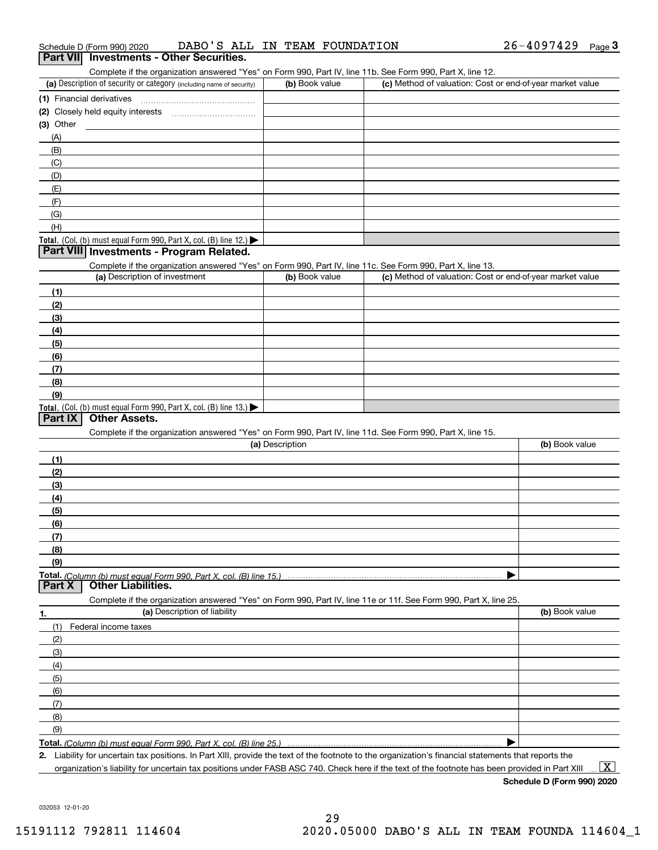| $\mathbf{v}$ |                                                                                                                                                                                                                                                                                                     |                 |                                                           |                         |
|--------------|-----------------------------------------------------------------------------------------------------------------------------------------------------------------------------------------------------------------------------------------------------------------------------------------------------|-----------------|-----------------------------------------------------------|-------------------------|
| (A)          |                                                                                                                                                                                                                                                                                                     |                 |                                                           |                         |
| (B)          |                                                                                                                                                                                                                                                                                                     |                 |                                                           |                         |
| (C)          |                                                                                                                                                                                                                                                                                                     |                 |                                                           |                         |
| (D)          |                                                                                                                                                                                                                                                                                                     |                 |                                                           |                         |
| (E)          |                                                                                                                                                                                                                                                                                                     |                 |                                                           |                         |
| (F)          |                                                                                                                                                                                                                                                                                                     |                 |                                                           |                         |
| (G)          |                                                                                                                                                                                                                                                                                                     |                 |                                                           |                         |
| (H)          |                                                                                                                                                                                                                                                                                                     |                 |                                                           |                         |
|              | Total. (Col. (b) must equal Form 990, Part X, col. (B) line 12.)                                                                                                                                                                                                                                    |                 |                                                           |                         |
|              | Part VIII Investments - Program Related.                                                                                                                                                                                                                                                            |                 |                                                           |                         |
|              | Complete if the organization answered "Yes" on Form 990, Part IV, line 11c. See Form 990, Part X, line 13.                                                                                                                                                                                          |                 |                                                           |                         |
|              | (a) Description of investment                                                                                                                                                                                                                                                                       | (b) Book value  | (c) Method of valuation: Cost or end-of-year market value |                         |
| (1)          |                                                                                                                                                                                                                                                                                                     |                 |                                                           |                         |
| (2)          |                                                                                                                                                                                                                                                                                                     |                 |                                                           |                         |
| (3)          |                                                                                                                                                                                                                                                                                                     |                 |                                                           |                         |
| (4)          |                                                                                                                                                                                                                                                                                                     |                 |                                                           |                         |
| (5)          |                                                                                                                                                                                                                                                                                                     |                 |                                                           |                         |
| (6)          |                                                                                                                                                                                                                                                                                                     |                 |                                                           |                         |
| (7)          |                                                                                                                                                                                                                                                                                                     |                 |                                                           |                         |
| (8)          |                                                                                                                                                                                                                                                                                                     |                 |                                                           |                         |
| (9)          |                                                                                                                                                                                                                                                                                                     |                 |                                                           |                         |
|              | Total. (Col. (b) must equal Form 990, Part X, col. (B) line 13.)                                                                                                                                                                                                                                    |                 |                                                           |                         |
| Part IX      | <b>Other Assets.</b>                                                                                                                                                                                                                                                                                |                 |                                                           |                         |
|              | Complete if the organization answered "Yes" on Form 990, Part IV, line 11d. See Form 990, Part X, line 15.                                                                                                                                                                                          |                 |                                                           |                         |
|              |                                                                                                                                                                                                                                                                                                     | (a) Description |                                                           | (b) Book value          |
|              |                                                                                                                                                                                                                                                                                                     |                 |                                                           |                         |
| (1)          |                                                                                                                                                                                                                                                                                                     |                 |                                                           |                         |
| (2)          |                                                                                                                                                                                                                                                                                                     |                 |                                                           |                         |
| (3)          |                                                                                                                                                                                                                                                                                                     |                 |                                                           |                         |
| (4)          |                                                                                                                                                                                                                                                                                                     |                 |                                                           |                         |
| (5)          |                                                                                                                                                                                                                                                                                                     |                 |                                                           |                         |
| (6)          |                                                                                                                                                                                                                                                                                                     |                 |                                                           |                         |
| (7)          |                                                                                                                                                                                                                                                                                                     |                 |                                                           |                         |
| (8)          |                                                                                                                                                                                                                                                                                                     |                 |                                                           |                         |
| (9)          |                                                                                                                                                                                                                                                                                                     |                 |                                                           |                         |
| Part X       | <b>Other Liabilities.</b>                                                                                                                                                                                                                                                                           |                 |                                                           |                         |
|              | Complete if the organization answered "Yes" on Form 990, Part IV, line 11e or 11f. See Form 990, Part X, line 25.                                                                                                                                                                                   |                 |                                                           |                         |
| 1.           | (a) Description of liability                                                                                                                                                                                                                                                                        |                 |                                                           | (b) Book value          |
| (1)          | Federal income taxes                                                                                                                                                                                                                                                                                |                 |                                                           |                         |
| (2)          |                                                                                                                                                                                                                                                                                                     |                 |                                                           |                         |
| (3)          |                                                                                                                                                                                                                                                                                                     |                 |                                                           |                         |
| (4)          |                                                                                                                                                                                                                                                                                                     |                 |                                                           |                         |
|              |                                                                                                                                                                                                                                                                                                     |                 |                                                           |                         |
| (5)          |                                                                                                                                                                                                                                                                                                     |                 |                                                           |                         |
| (6)          |                                                                                                                                                                                                                                                                                                     |                 |                                                           |                         |
| (7)          |                                                                                                                                                                                                                                                                                                     |                 |                                                           |                         |
| (8)          |                                                                                                                                                                                                                                                                                                     |                 |                                                           |                         |
| (9)          |                                                                                                                                                                                                                                                                                                     |                 |                                                           |                         |
|              |                                                                                                                                                                                                                                                                                                     |                 |                                                           |                         |
| 2.           |                                                                                                                                                                                                                                                                                                     |                 |                                                           |                         |
|              | Liability for uncertain tax positions. In Part XIII, provide the text of the footnote to the organization's financial statements that reports the<br>organization's liability for uncertain tax positions under FASB ASC 740. Check here if the text of the footnote has been provided in Part XIII |                 |                                                           | $\overline{\mathbf{x}}$ |

### **Schedule D (Form 990) 2020**

032053 12-01-20

# Schedule D (Form 990) 2020 DABO ' S ALL IN TEAM FOUNDATION 2 6 – 4 0 9 7 4 2 9 <sub>Page</sub> 3<br>| **Part VII** | Investments - Other Securities.

Complete if the organization answered "Yes" on Form 990, Part IV, line 11b. See Form 990, Part X, line 12.

| (a) Description of security or category (including name of security)                   | (b) Book value | (c) Method of valuation: Cost or end-of-year market value |
|----------------------------------------------------------------------------------------|----------------|-----------------------------------------------------------|
| (1) Financial derivatives                                                              |                |                                                           |
| (2) Closely held equity interests                                                      |                |                                                           |
| $(3)$ Other                                                                            |                |                                                           |
| (A)                                                                                    |                |                                                           |
| (B)                                                                                    |                |                                                           |
| (C)                                                                                    |                |                                                           |
| (D)                                                                                    |                |                                                           |
| (E)                                                                                    |                |                                                           |
| (F)                                                                                    |                |                                                           |
| (G)                                                                                    |                |                                                           |
| (H)                                                                                    |                |                                                           |
| Total. (Col. (b) must equal Form 990, Part X, col. (B) line 12.) $\blacktriangleright$ |                |                                                           |
| Part VIII Investments - Program Related.                                               |                |                                                           |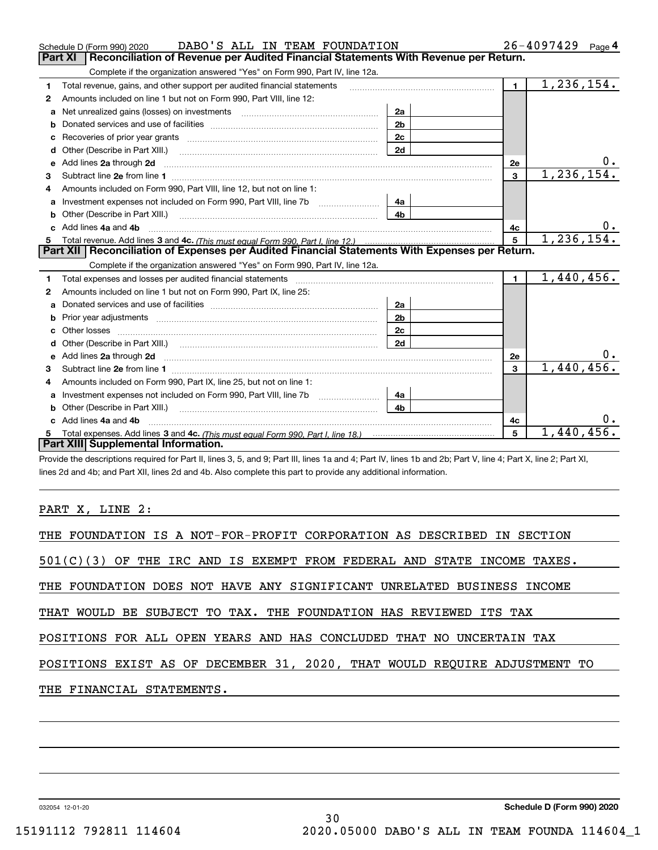|    | DABO'S ALL IN TEAM FOUNDATION<br>Schedule D (Form 990) 2020                                                                                                                                                                         |                |                | $26 - 4097429$ Page 4 |
|----|-------------------------------------------------------------------------------------------------------------------------------------------------------------------------------------------------------------------------------------|----------------|----------------|-----------------------|
|    | Reconciliation of Revenue per Audited Financial Statements With Revenue per Return.<br><b>Part XI</b>                                                                                                                               |                |                |                       |
|    | Complete if the organization answered "Yes" on Form 990, Part IV, line 12a.                                                                                                                                                         |                |                |                       |
| 1  | Total revenue, gains, and other support per audited financial statements                                                                                                                                                            |                | $\mathbf{1}$   | 1,236,154.            |
| 2  | Amounts included on line 1 but not on Form 990, Part VIII, line 12:                                                                                                                                                                 |                |                |                       |
|    | Net unrealized gains (losses) on investments [11] matter contracts and the unrealized gains (losses) on investments                                                                                                                 | 2a             |                |                       |
| b  |                                                                                                                                                                                                                                     | 2 <sub>b</sub> |                |                       |
| c  | Recoveries of prior year grants [11] Recoveries of prior year grants [11] Recoveries of prior year grants                                                                                                                           | 2c             |                |                       |
| d  | Other (Describe in Part XIII.)                                                                                                                                                                                                      | 2d             |                |                       |
| е  | Add lines 2a through 2d <b>must be a constructed as the constant of the construction</b> and the state of the state of the state of the state of the state of the state of the state of the state of the state of the state of the  |                | <b>2e</b>      | υ.                    |
| 3  |                                                                                                                                                                                                                                     |                | 3              | 1, 236, 154.          |
| 4  | Amounts included on Form 990, Part VIII, line 12, but not on line 1:                                                                                                                                                                |                |                |                       |
| a  | Investment expenses not included on Form 990, Part VIII, line 7b                                                                                                                                                                    | 4a             |                |                       |
| b  | Other (Describe in Part XIII.) <b>Construction Contract Construction</b> Chern Construction Construction Construction                                                                                                               | 4 <sub>b</sub> |                |                       |
| C. | Add lines 4a and 4b                                                                                                                                                                                                                 |                | 4c             | υ.                    |
| 5  |                                                                                                                                                                                                                                     |                | 5              | 1,236,154.            |
|    | Part XII   Reconciliation of Expenses per Audited Financial Statements With Expenses per Return.                                                                                                                                    |                |                |                       |
|    | Complete if the organization answered "Yes" on Form 990, Part IV, line 12a.                                                                                                                                                         |                |                |                       |
| 1  |                                                                                                                                                                                                                                     |                | $\blacksquare$ | 1,440,456.            |
| 2  | Amounts included on line 1 but not on Form 990, Part IX, line 25:                                                                                                                                                                   |                |                |                       |
| a  |                                                                                                                                                                                                                                     | 2a             |                |                       |
| b  |                                                                                                                                                                                                                                     | 2 <sub>b</sub> |                |                       |
| c  |                                                                                                                                                                                                                                     | 2c             |                |                       |
| d  |                                                                                                                                                                                                                                     |                |                |                       |
|    |                                                                                                                                                                                                                                     | 2d             |                |                       |
| е  | Add lines 2a through 2d <b>contained a contained a contained a contained a</b> contained a contained a contained a contained a contained a contained a contained a contained a contained a contained a contained a contained a cont |                | 2e             |                       |
| 3  |                                                                                                                                                                                                                                     |                | 3              | 1,440,456.            |
| 4  | Amounts included on Form 990, Part IX, line 25, but not on line 1:                                                                                                                                                                  |                |                |                       |
| a  |                                                                                                                                                                                                                                     | 4a             |                |                       |
| b  | Other (Describe in Part XIII.) <b>Construction Contract Construction</b> Chemistry Chemistry Chemistry Chemistry Chemistry                                                                                                          | 4b             |                |                       |
|    | c Add lines 4a and 4b                                                                                                                                                                                                               |                | 4c             |                       |
|    | Part XIII Supplemental Information.                                                                                                                                                                                                 |                | 5              | 1,440,456             |

Provide the descriptions required for Part II, lines 3, 5, and 9; Part III, lines 1a and 4; Part IV, lines 1b and 2b; Part V, line 4; Part X, line 2; Part XI, lines 2d and 4b; and Part XII, lines 2d and 4b. Also complete this part to provide any additional information.

### PART X, LINE 2:

| THE FOUNDATION IS A NOT-FOR-PROFIT CORPORATION AS DESCRIBED IN SECTION    |
|---------------------------------------------------------------------------|
| $501(C)(3)$ OF THE IRC AND IS EXEMPT FROM FEDERAL AND STATE INCOME TAXES. |
| THE FOUNDATION DOES NOT HAVE ANY SIGNIFICANT UNRELATED BUSINESS INCOME    |
| THAT WOULD BE SUBJECT TO TAX. THE FOUNDATION HAS REVIEWED ITS TAX         |
| POSITIONS FOR ALL OPEN YEARS AND HAS CONCLUDED THAT NO UNCERTAIN TAX      |
| POSITIONS EXIST AS OF DECEMBER 31, 2020, THAT WOULD REQUIRE ADJUSTMENT TO |
| THE FINANCIAL STATEMENTS.                                                 |
|                                                                           |
|                                                                           |

032054 12-01-20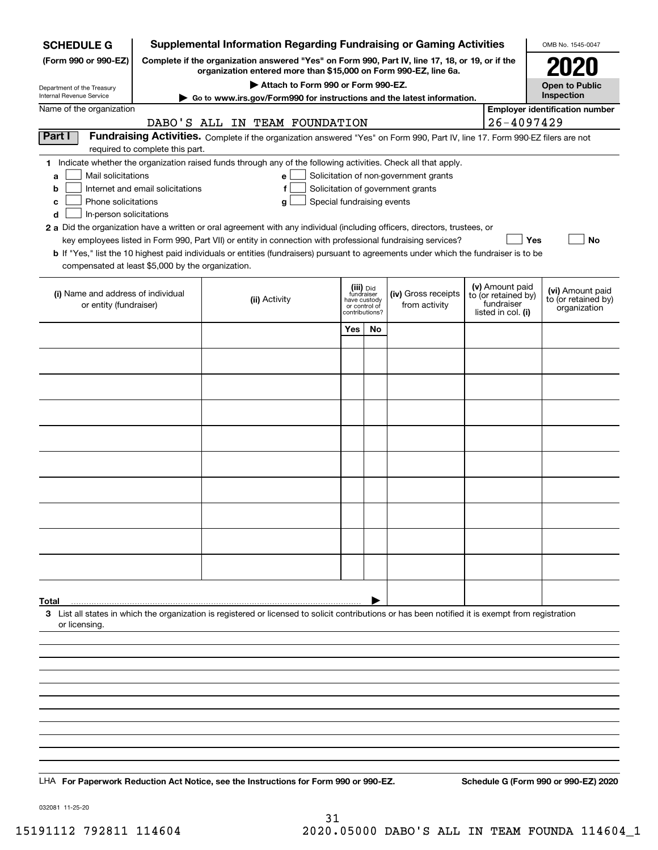| <b>SCHEDULE G</b>                                            |                                                                                                                                                                     | <b>Supplemental Information Regarding Fundraising or Gaming Activities</b>                                                                         |                                                 |    |                                                                            |  |                                                         | OMB No. 1545-0047                     |
|--------------------------------------------------------------|---------------------------------------------------------------------------------------------------------------------------------------------------------------------|----------------------------------------------------------------------------------------------------------------------------------------------------|-------------------------------------------------|----|----------------------------------------------------------------------------|--|---------------------------------------------------------|---------------------------------------|
| (Form 990 or 990-EZ)                                         | Complete if the organization answered "Yes" on Form 990, Part IV, line 17, 18, or 19, or if the<br>organization entered more than \$15,000 on Form 990-EZ, line 6a. |                                                                                                                                                    |                                                 |    |                                                                            |  |                                                         | <b>2020</b>                           |
|                                                              |                                                                                                                                                                     |                                                                                                                                                    | <b>Open to Public</b>                           |    |                                                                            |  |                                                         |                                       |
| Department of the Treasury<br>Internal Revenue Service       |                                                                                                                                                                     | Attach to Form 990 or Form 990-EZ.<br>Go to www.irs.gov/Form990 for instructions and the latest information.                                       |                                                 |    |                                                                            |  |                                                         | Inspection                            |
| Name of the organization                                     |                                                                                                                                                                     | DABO'S ALL IN TEAM FOUNDATION                                                                                                                      |                                                 |    |                                                                            |  | $26 - 4097429$                                          | <b>Employer identification number</b> |
| Part I                                                       |                                                                                                                                                                     | Fundraising Activities. Complete if the organization answered "Yes" on Form 990, Part IV, line 17. Form 990-EZ filers are not                      |                                                 |    |                                                                            |  |                                                         |                                       |
|                                                              | required to complete this part.                                                                                                                                     | 1 Indicate whether the organization raised funds through any of the following activities. Check all that apply.                                    |                                                 |    |                                                                            |  |                                                         |                                       |
| Mail solicitations<br>a<br>b                                 | Internet and email solicitations                                                                                                                                    | e<br>f                                                                                                                                             |                                                 |    | Solicitation of non-government grants<br>Solicitation of government grants |  |                                                         |                                       |
| Phone solicitations<br>c                                     |                                                                                                                                                                     | Special fundraising events<br>g                                                                                                                    |                                                 |    |                                                                            |  |                                                         |                                       |
| In-person solicitations<br>d                                 |                                                                                                                                                                     |                                                                                                                                                    |                                                 |    |                                                                            |  |                                                         |                                       |
|                                                              |                                                                                                                                                                     | 2 a Did the organization have a written or oral agreement with any individual (including officers, directors, trustees, or                         |                                                 |    |                                                                            |  |                                                         |                                       |
|                                                              |                                                                                                                                                                     | key employees listed in Form 990, Part VII) or entity in connection with professional fundraising services?                                        |                                                 |    |                                                                            |  | Yes                                                     | No                                    |
| compensated at least \$5,000 by the organization.            |                                                                                                                                                                     | b If "Yes," list the 10 highest paid individuals or entities (fundraisers) pursuant to agreements under which the fundraiser is to be              |                                                 |    |                                                                            |  |                                                         |                                       |
|                                                              |                                                                                                                                                                     |                                                                                                                                                    | (iii) Did<br>fundraiser                         |    |                                                                            |  | (v) Amount paid                                         | (vi) Amount paid                      |
| (i) Name and address of individual<br>or entity (fundraiser) |                                                                                                                                                                     | (ii) Activity                                                                                                                                      | have custody<br>or control of<br>contributions? |    | (iv) Gross receipts<br>from activity                                       |  | to (or retained by)<br>fundraiser<br>listed in col. (i) | to (or retained by)<br>organization   |
|                                                              |                                                                                                                                                                     |                                                                                                                                                    | Yes                                             | No |                                                                            |  |                                                         |                                       |
|                                                              |                                                                                                                                                                     |                                                                                                                                                    |                                                 |    |                                                                            |  |                                                         |                                       |
|                                                              |                                                                                                                                                                     |                                                                                                                                                    |                                                 |    |                                                                            |  |                                                         |                                       |
|                                                              |                                                                                                                                                                     |                                                                                                                                                    |                                                 |    |                                                                            |  |                                                         |                                       |
|                                                              |                                                                                                                                                                     |                                                                                                                                                    |                                                 |    |                                                                            |  |                                                         |                                       |
|                                                              |                                                                                                                                                                     |                                                                                                                                                    |                                                 |    |                                                                            |  |                                                         |                                       |
|                                                              |                                                                                                                                                                     |                                                                                                                                                    |                                                 |    |                                                                            |  |                                                         |                                       |
|                                                              |                                                                                                                                                                     |                                                                                                                                                    |                                                 |    |                                                                            |  |                                                         |                                       |
|                                                              |                                                                                                                                                                     |                                                                                                                                                    |                                                 |    |                                                                            |  |                                                         |                                       |
|                                                              |                                                                                                                                                                     |                                                                                                                                                    |                                                 |    |                                                                            |  |                                                         |                                       |
|                                                              |                                                                                                                                                                     |                                                                                                                                                    |                                                 |    |                                                                            |  |                                                         |                                       |
| Total                                                        |                                                                                                                                                                     |                                                                                                                                                    |                                                 |    |                                                                            |  |                                                         |                                       |
| or licensing.                                                |                                                                                                                                                                     | 3 List all states in which the organization is registered or licensed to solicit contributions or has been notified it is exempt from registration |                                                 |    |                                                                            |  |                                                         |                                       |
|                                                              |                                                                                                                                                                     |                                                                                                                                                    |                                                 |    |                                                                            |  |                                                         |                                       |
|                                                              |                                                                                                                                                                     |                                                                                                                                                    |                                                 |    |                                                                            |  |                                                         |                                       |
|                                                              |                                                                                                                                                                     |                                                                                                                                                    |                                                 |    |                                                                            |  |                                                         |                                       |
|                                                              |                                                                                                                                                                     |                                                                                                                                                    |                                                 |    |                                                                            |  |                                                         |                                       |
|                                                              |                                                                                                                                                                     |                                                                                                                                                    |                                                 |    |                                                                            |  |                                                         |                                       |
|                                                              |                                                                                                                                                                     |                                                                                                                                                    |                                                 |    |                                                                            |  |                                                         |                                       |
|                                                              |                                                                                                                                                                     | LHA For Paperwork Reduction Act Notice, see the Instructions for Form 990 or 990-EZ.                                                               |                                                 |    |                                                                            |  |                                                         | Schedule G (Form 990 or 990-EZ) 2020  |

032081 11-25-20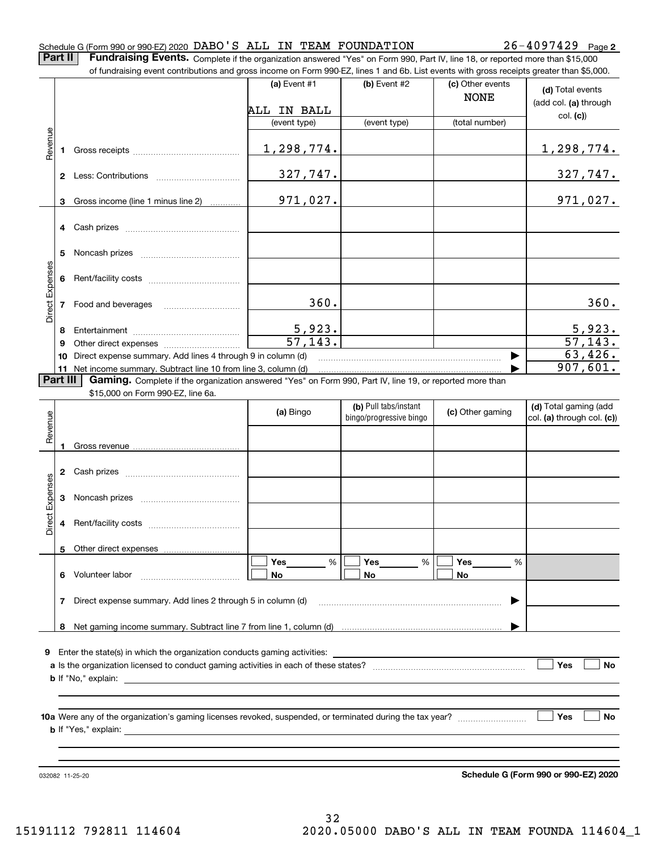#### Schedule G (Form 990 or 990-EZ) 2020 DABO 'S ALL IN TEAM FOUNDATION  $_{\rm 26-4097429 \ \ \ \ \text{Page}}$

**2**

**Part II** | Fundraising Events. Complete if the organization answered "Yes" on Form 990, Part IV, line 18, or reported more than \$15,000

|                 |          | of fundraising event contributions and gross income on Form 990-EZ, lines 1 and 6b. List events with gross receipts greater than \$5,000. |                          |                                                  |                                 |                                                     |
|-----------------|----------|-------------------------------------------------------------------------------------------------------------------------------------------|--------------------------|--------------------------------------------------|---------------------------------|-----------------------------------------------------|
|                 |          |                                                                                                                                           | (a) Event $#1$           | (b) Event #2                                     | (c) Other events<br><b>NONE</b> | (d) Total events<br>(add col. (a) through           |
|                 |          |                                                                                                                                           | ALL IN BALL              |                                                  |                                 | col. (c)                                            |
|                 |          |                                                                                                                                           | (event type)             | (event type)                                     | (total number)                  |                                                     |
| Revenue         |          |                                                                                                                                           | 1,298,774.               |                                                  |                                 | <u>1,298,774.</u>                                   |
|                 |          |                                                                                                                                           | 327,747.                 |                                                  |                                 | 327,747.                                            |
|                 | 3        | Gross income (line 1 minus line 2)                                                                                                        | 971,027.                 |                                                  |                                 | 971,027.                                            |
|                 |          |                                                                                                                                           |                          |                                                  |                                 |                                                     |
|                 | 5.       |                                                                                                                                           |                          |                                                  |                                 |                                                     |
| Direct Expenses | 6        |                                                                                                                                           |                          |                                                  |                                 |                                                     |
|                 |          | 7 Food and beverages                                                                                                                      | 360.                     |                                                  |                                 | 360.                                                |
|                 | 8        |                                                                                                                                           |                          |                                                  |                                 |                                                     |
|                 | 9        |                                                                                                                                           | $\frac{5,923}{57,143}$ . |                                                  |                                 | $\frac{5,923}{57,143}$ .                            |
|                 | 10       | Direct expense summary. Add lines 4 through 9 in column (d)                                                                               |                          |                                                  |                                 | 63,426.                                             |
|                 |          | 11 Net income summary. Subtract line 10 from line 3, column (d)                                                                           |                          |                                                  |                                 | 907,601.                                            |
|                 | Part III | Gaming. Complete if the organization answered "Yes" on Form 990, Part IV, line 19, or reported more than                                  |                          |                                                  |                                 |                                                     |
|                 |          | \$15,000 on Form 990-EZ, line 6a.                                                                                                         |                          |                                                  |                                 |                                                     |
| Revenue         |          |                                                                                                                                           | (a) Bingo                | (b) Pull tabs/instant<br>bingo/progressive bingo | (c) Other gaming                | (d) Total gaming (add<br>col. (a) through col. (c)) |
|                 |          |                                                                                                                                           |                          |                                                  |                                 |                                                     |
|                 |          |                                                                                                                                           |                          |                                                  |                                 |                                                     |
|                 |          |                                                                                                                                           |                          |                                                  |                                 |                                                     |
| Expenses        | 3        |                                                                                                                                           |                          |                                                  |                                 |                                                     |
| Direct          |          |                                                                                                                                           |                          |                                                  |                                 |                                                     |
|                 |          | 5 Other direct expenses                                                                                                                   |                          |                                                  |                                 |                                                     |
|                 |          |                                                                                                                                           | $\%$<br>Yes              | Yes<br>%                                         | Yes<br>%                        |                                                     |
|                 |          | 6 Volunteer labor                                                                                                                         | No                       | No                                               | No                              |                                                     |
|                 | 7        | Direct expense summary. Add lines 2 through 5 in column (d)                                                                               |                          |                                                  |                                 |                                                     |
|                 |          |                                                                                                                                           |                          |                                                  |                                 |                                                     |
|                 |          |                                                                                                                                           |                          |                                                  |                                 |                                                     |
| 9               |          | Enter the state(s) in which the organization conducts gaming activities:                                                                  |                          |                                                  |                                 |                                                     |
|                 |          |                                                                                                                                           |                          |                                                  |                                 | Yes<br>No                                           |
|                 |          |                                                                                                                                           |                          |                                                  |                                 |                                                     |
|                 |          |                                                                                                                                           |                          |                                                  |                                 |                                                     |
|                 |          |                                                                                                                                           |                          |                                                  |                                 |                                                     |
|                 |          |                                                                                                                                           |                          |                                                  |                                 | Yes<br>No                                           |
|                 |          |                                                                                                                                           |                          |                                                  |                                 |                                                     |
|                 |          |                                                                                                                                           |                          |                                                  |                                 |                                                     |
|                 |          |                                                                                                                                           |                          |                                                  |                                 |                                                     |

032082 11-25-20

**Schedule G (Form 990 or 990-EZ) 2020**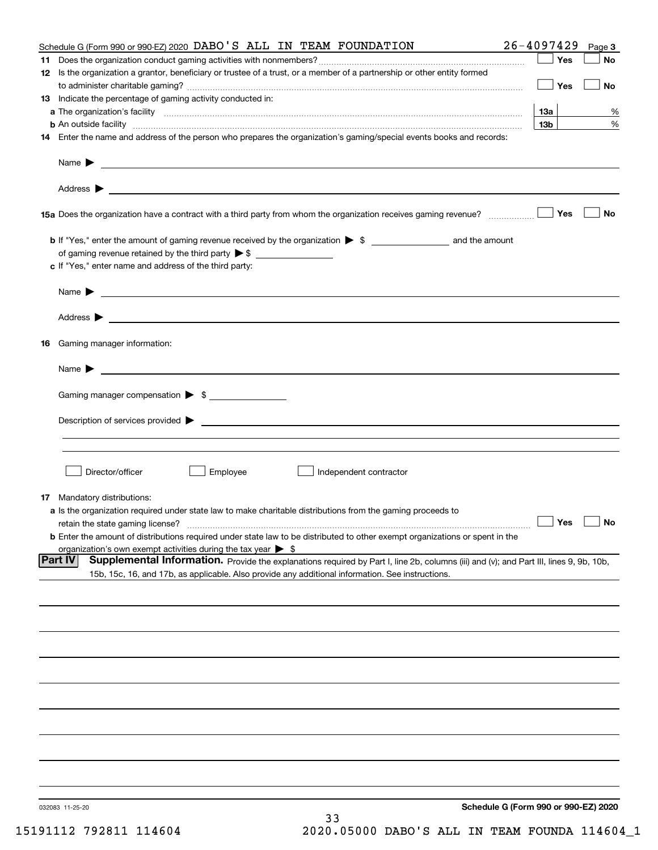|    | Schedule G (Form 990 or 990-EZ) 2020 DABO 'S ALL IN TEAM FOUNDATION                                                                                                                                                                                   | $26 - 4097429$                       | Page 3    |
|----|-------------------------------------------------------------------------------------------------------------------------------------------------------------------------------------------------------------------------------------------------------|--------------------------------------|-----------|
| 11 |                                                                                                                                                                                                                                                       | Yes                                  | No        |
|    | 12 Is the organization a grantor, beneficiary or trustee of a trust, or a member of a partnership or other entity formed                                                                                                                              | Yes                                  | No        |
|    | 13 Indicate the percentage of gaming activity conducted in:                                                                                                                                                                                           |                                      |           |
|    |                                                                                                                                                                                                                                                       | 13а                                  | %         |
|    |                                                                                                                                                                                                                                                       | 13 <sub>b</sub>                      | %         |
|    | 14 Enter the name and address of the person who prepares the organization's gaming/special events books and records:                                                                                                                                  |                                      |           |
|    |                                                                                                                                                                                                                                                       |                                      |           |
|    |                                                                                                                                                                                                                                                       |                                      |           |
|    |                                                                                                                                                                                                                                                       | Yes                                  | No        |
|    |                                                                                                                                                                                                                                                       |                                      |           |
|    | of gaming revenue retained by the third party $\triangleright$ \$                                                                                                                                                                                     |                                      |           |
|    | c If "Yes," enter name and address of the third party:                                                                                                                                                                                                |                                      |           |
|    |                                                                                                                                                                                                                                                       |                                      |           |
|    | Name $\blacktriangleright$ $\bot$                                                                                                                                                                                                                     |                                      |           |
|    | Address <b>b</b>                                                                                                                                                                                                                                      |                                      |           |
|    | 16 Gaming manager information:                                                                                                                                                                                                                        |                                      |           |
|    | Name $\blacktriangleright$                                                                                                                                                                                                                            |                                      |           |
|    | Gaming manager compensation > \$                                                                                                                                                                                                                      |                                      |           |
|    |                                                                                                                                                                                                                                                       |                                      |           |
|    |                                                                                                                                                                                                                                                       |                                      |           |
|    |                                                                                                                                                                                                                                                       |                                      |           |
|    | Employee<br>Director/officer<br>Independent contractor                                                                                                                                                                                                |                                      |           |
|    | 17 Mandatory distributions:                                                                                                                                                                                                                           |                                      |           |
|    | a Is the organization required under state law to make charitable distributions from the gaming proceeds to                                                                                                                                           |                                      |           |
|    | retain the state gaming license?                                                                                                                                                                                                                      | $\Box$ Yes                           | $\Box$ No |
|    | <b>b</b> Enter the amount of distributions required under state law to be distributed to other exempt organizations or spent in the                                                                                                                   |                                      |           |
|    | organization's own exempt activities during the tax year $\triangleright$ \$                                                                                                                                                                          |                                      |           |
|    | Part IV<br>Supplemental Information. Provide the explanations required by Part I, line 2b, columns (iii) and (v); and Part III, lines 9, 9b, 10b,<br>15b, 15c, 16, and 17b, as applicable. Also provide any additional information. See instructions. |                                      |           |
|    |                                                                                                                                                                                                                                                       |                                      |           |
|    |                                                                                                                                                                                                                                                       |                                      |           |
|    |                                                                                                                                                                                                                                                       |                                      |           |
|    |                                                                                                                                                                                                                                                       |                                      |           |
|    |                                                                                                                                                                                                                                                       |                                      |           |
|    |                                                                                                                                                                                                                                                       |                                      |           |
|    |                                                                                                                                                                                                                                                       |                                      |           |
|    |                                                                                                                                                                                                                                                       |                                      |           |
|    |                                                                                                                                                                                                                                                       |                                      |           |
|    |                                                                                                                                                                                                                                                       |                                      |           |
|    | 032083 11-25-20<br>33                                                                                                                                                                                                                                 | Schedule G (Form 990 or 990-EZ) 2020 |           |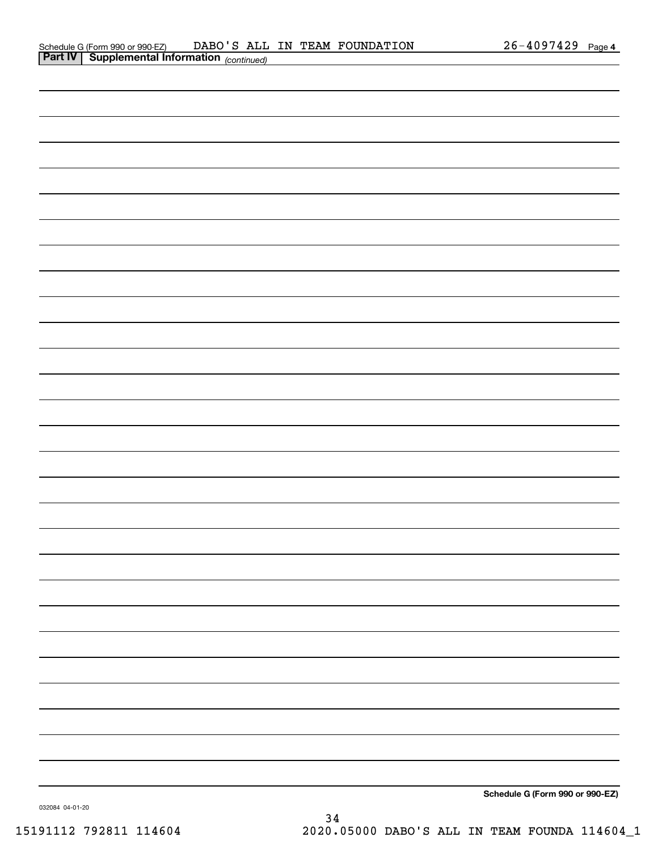| <b>Part IV   Supplemental Information</b> (continued) |  |  |
|-------------------------------------------------------|--|--|
|                                                       |  |  |
|                                                       |  |  |
|                                                       |  |  |
|                                                       |  |  |
|                                                       |  |  |
|                                                       |  |  |
|                                                       |  |  |
|                                                       |  |  |
|                                                       |  |  |
|                                                       |  |  |
|                                                       |  |  |
|                                                       |  |  |
|                                                       |  |  |
|                                                       |  |  |
|                                                       |  |  |
|                                                       |  |  |
|                                                       |  |  |
|                                                       |  |  |
|                                                       |  |  |
|                                                       |  |  |
|                                                       |  |  |
|                                                       |  |  |
|                                                       |  |  |
|                                                       |  |  |
|                                                       |  |  |
|                                                       |  |  |
|                                                       |  |  |
|                                                       |  |  |
|                                                       |  |  |

**Schedule G (Form 990 or 990-EZ)**

032084 04-01-20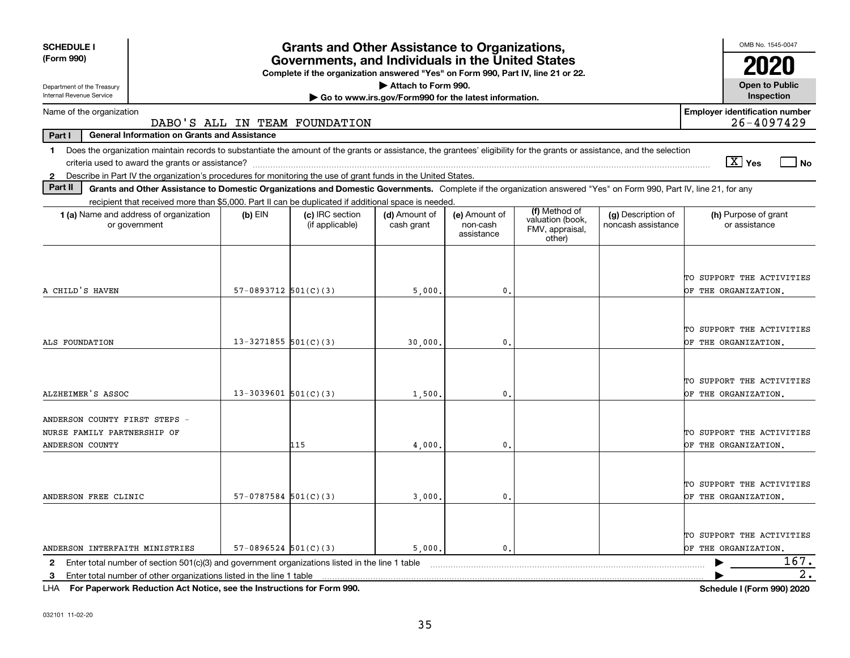| <b>SCHEDULE I</b>                                                                                                                                                              |                          | <b>Grants and Other Assistance to Organizations,</b>                                                                                  |                                                       |                                         |                                               |                                          | OMB No. 1545-0047                                         |
|--------------------------------------------------------------------------------------------------------------------------------------------------------------------------------|--------------------------|---------------------------------------------------------------------------------------------------------------------------------------|-------------------------------------------------------|-----------------------------------------|-----------------------------------------------|------------------------------------------|-----------------------------------------------------------|
| (Form 990)                                                                                                                                                                     |                          | Governments, and Individuals in the United States<br>Complete if the organization answered "Yes" on Form 990, Part IV, line 21 or 22. |                                                       |                                         |                                               |                                          |                                                           |
| Department of the Treasury                                                                                                                                                     |                          |                                                                                                                                       | Attach to Form 990.                                   |                                         |                                               |                                          | <b>Open to Public</b>                                     |
| Internal Revenue Service                                                                                                                                                       |                          |                                                                                                                                       | Go to www.irs.gov/Form990 for the latest information. |                                         |                                               |                                          | Inspection                                                |
| Name of the organization                                                                                                                                                       |                          | DABO'S ALL IN TEAM FOUNDATION                                                                                                         |                                                       |                                         |                                               |                                          | <b>Employer identification number</b><br>26-4097429       |
| <b>General Information on Grants and Assistance</b><br>Part I                                                                                                                  |                          |                                                                                                                                       |                                                       |                                         |                                               |                                          |                                                           |
| Does the organization maintain records to substantiate the amount of the grants or assistance, the grantees' eligibility for the grants or assistance, and the selection<br>1. |                          |                                                                                                                                       |                                                       |                                         |                                               |                                          |                                                           |
|                                                                                                                                                                                |                          |                                                                                                                                       |                                                       |                                         |                                               |                                          | $\sqrt{X}$ Yes<br>  No                                    |
| Describe in Part IV the organization's procedures for monitoring the use of grant funds in the United States.<br>$\mathbf{2}$                                                  |                          |                                                                                                                                       |                                                       |                                         |                                               |                                          |                                                           |
| Part II<br>Grants and Other Assistance to Domestic Organizations and Domestic Governments. Complete if the organization answered "Yes" on Form 990, Part IV, line 21, for any  |                          |                                                                                                                                       |                                                       |                                         |                                               |                                          |                                                           |
| recipient that received more than \$5,000. Part II can be duplicated if additional space is needed.                                                                            |                          |                                                                                                                                       |                                                       |                                         | (f) Method of                                 |                                          |                                                           |
| <b>1 (a)</b> Name and address of organization<br>or government                                                                                                                 | $(b)$ EIN                | (c) IRC section<br>(if applicable)                                                                                                    | (d) Amount of<br>cash grant                           | (e) Amount of<br>non-cash<br>assistance | valuation (book,<br>FMV, appraisal,<br>other) | (g) Description of<br>noncash assistance | (h) Purpose of grant<br>or assistance                     |
| A CHILD'S HAVEN                                                                                                                                                                | $57-0893712$ $501(C)(3)$ |                                                                                                                                       | 5,000                                                 | 0                                       |                                               |                                          | TO SUPPORT THE ACTIVITIES<br>OF THE ORGANIZATION.         |
| ALS FOUNDATION                                                                                                                                                                 | $13 - 3271855$ 501(C)(3) |                                                                                                                                       | 30,000                                                | $\mathbf{0}$                            |                                               |                                          | TO SUPPORT THE ACTIVITIES<br>OF THE ORGANIZATION.         |
| ALZHEIMER'S ASSOC                                                                                                                                                              | $13-3039601$ 501(C)(3)   |                                                                                                                                       | 1,500,                                                | $\mathbf{0}$ .                          |                                               |                                          | TO SUPPORT THE ACTIVITIES<br>OF THE ORGANIZATION.         |
| ANDERSON COUNTY FIRST STEPS -<br>NURSE FAMILY PARTNERSHIP OF<br>ANDERSON COUNTY                                                                                                |                          | 115                                                                                                                                   | 4,000                                                 | 0.                                      |                                               |                                          | TO SUPPORT THE ACTIVITIES<br>OF THE ORGANIZATION.         |
| ANDERSON FREE CLINIC                                                                                                                                                           | $57-0787584$ 501(C)(3)   |                                                                                                                                       | 3,000                                                 | 0.                                      |                                               |                                          | TO SUPPORT THE ACTIVITIES<br>OF THE ORGANIZATION.         |
| ANDERSON INTERFAITH MINISTRIES                                                                                                                                                 | $57-0896524$ $501(C)(3)$ |                                                                                                                                       | 5,000.                                                | 0.                                      |                                               |                                          | TO SUPPORT THE ACTIVITIES<br>OF THE ORGANIZATION.<br>167. |
| Enter total number of section 501(c)(3) and government organizations listed in the line 1 table<br>$\mathbf{2}$                                                                |                          |                                                                                                                                       |                                                       |                                         |                                               |                                          | $\overline{2}$ .                                          |
| Enter total number of other organizations listed in the line 1 table<br>3.                                                                                                     |                          |                                                                                                                                       |                                                       |                                         |                                               |                                          |                                                           |

**For Paperwork Reduction Act Notice, see the Instructions for Form 990. Schedule I (Form 990) 2020** LHA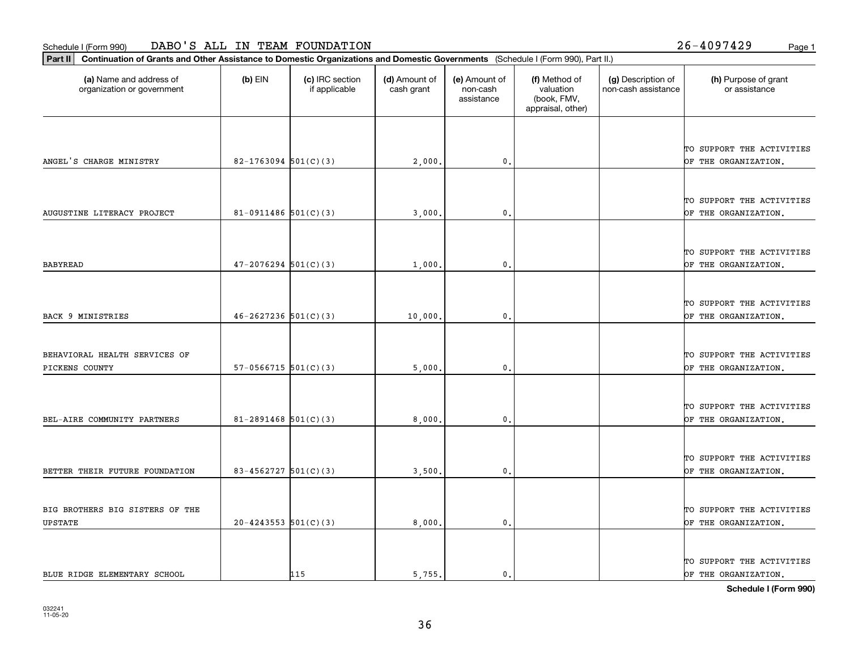organization or government

**Part II Continuation of Grants and Other Assistance to Domestic Organizations and Domestic Governments**  (Schedule I (Form 990), Part II.)

if applicable

 $(b)$  EIN  $(c)$  IRC section

|                                 |                            |     |        |                  |  | TO SUPPORT THE ACTIVITIES |
|---------------------------------|----------------------------|-----|--------|------------------|--|---------------------------|
| ANGEL'S CHARGE MINISTRY         | $82 - 1763094$ 501(C)(3)   |     | 2,000  | 0.               |  | OF THE ORGANIZATION.      |
|                                 |                            |     |        |                  |  |                           |
|                                 |                            |     |        |                  |  |                           |
|                                 |                            |     |        |                  |  | TO SUPPORT THE ACTIVITIES |
| AUGUSTINE LITERACY PROJECT      | $81-0911486$ 501(C)(3)     |     | 3,000  | $\mathbf{0}$ .   |  | OF THE ORGANIZATION.      |
|                                 |                            |     |        |                  |  |                           |
|                                 |                            |     |        |                  |  |                           |
|                                 |                            |     |        |                  |  | TO SUPPORT THE ACTIVITIES |
| <b>BABYREAD</b>                 | $47 - 2076294$ 501(C)(3)   |     | 1,000  | 0.               |  | OF THE ORGANIZATION.      |
|                                 |                            |     |        |                  |  |                           |
|                                 |                            |     |        |                  |  | TO SUPPORT THE ACTIVITIES |
| BACK 9 MINISTRIES               | $46 - 2627236$ 501(C)(3)   |     | 10,000 | $\mathbf{0}$     |  | OF THE ORGANIZATION.      |
|                                 |                            |     |        |                  |  |                           |
|                                 |                            |     |        |                  |  |                           |
| BEHAVIORAL HEALTH SERVICES OF   |                            |     |        |                  |  | TO SUPPORT THE ACTIVITIES |
| PICKENS COUNTY                  | $57-0566715$ $501(C)(3)$   |     | 5,000  | 0.               |  | OF THE ORGANIZATION.      |
|                                 |                            |     |        |                  |  |                           |
|                                 |                            |     |        |                  |  |                           |
|                                 |                            |     |        |                  |  | TO SUPPORT THE ACTIVITIES |
| BEL-AIRE COMMUNITY PARTNERS     | $81 - 2891468$ 501(C)(3)   |     | 8,000  | $\mathfrak{o}$ . |  | OF THE ORGANIZATION.      |
|                                 |                            |     |        |                  |  |                           |
|                                 |                            |     |        |                  |  |                           |
|                                 |                            |     |        |                  |  | TO SUPPORT THE ACTIVITIES |
| BETTER THEIR FUTURE FOUNDATION  | $83 - 4562727$ 501(C)(3)   |     | 3,500. | 0.               |  | OF THE ORGANIZATION.      |
|                                 |                            |     |        |                  |  |                           |
| BIG BROTHERS BIG SISTERS OF THE |                            |     |        |                  |  | TO SUPPORT THE ACTIVITIES |
| <b>UPSTATE</b>                  | $20 - 4243553$ $501(C)(3)$ |     | 8,000  | 0.               |  | OF THE ORGANIZATION.      |
|                                 |                            |     |        |                  |  |                           |
|                                 |                            |     |        |                  |  |                           |
|                                 |                            |     |        |                  |  | TO SUPPORT THE ACTIVITIES |
| BLUE RIDGE ELEMENTARY SCHOOL    |                            | 115 | 5,755. | 0.               |  | OF THE ORGANIZATION.      |
|                                 |                            |     |        |                  |  |                           |

**(a) (b) (c) (d) (e) (f) (g) (h)** Name and address of

(d) Amount of cash grant

(e) Amount of non-cashassistance

(f) Method of valuation (book, FMV, appraisal, other)

(g) Description of non-cash assistance (h) Purpose of grant or assistance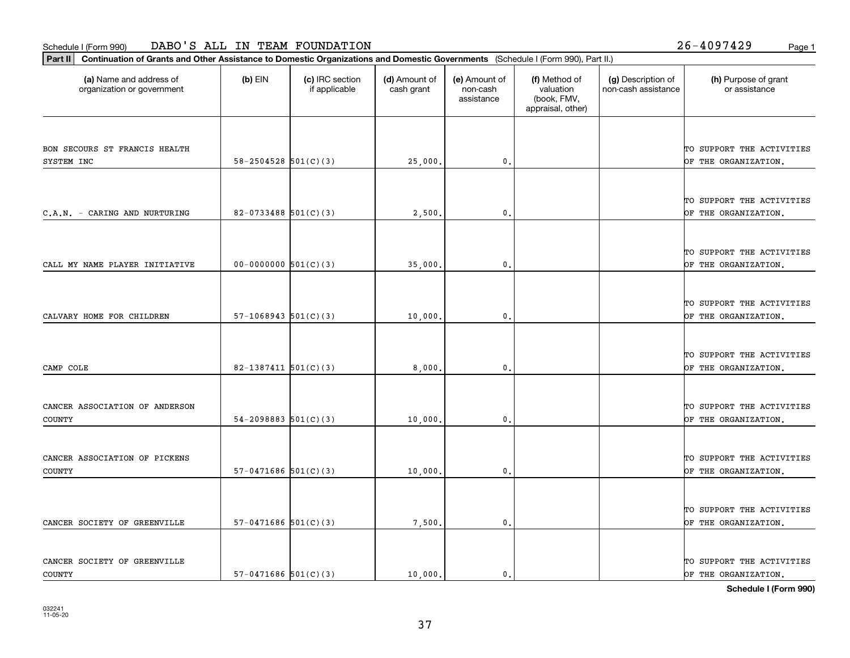**Part II Continuation of Grants and Other Assistance to Domestic Organizations and Domestic Governments**  (Schedule I (Form 990), Part II.)

| (a) Name and address of<br>organization or government | $(b)$ EIN                  | (c) IRC section<br>if applicable | (d) Amount of<br>cash grant | (e) Amount of<br>non-cash<br>assistance | (f) Method of<br>valuation<br>(book, FMV,<br>appraisal, other) | (g) Description of<br>non-cash assistance | (h) Purpose of grant<br>or assistance             |
|-------------------------------------------------------|----------------------------|----------------------------------|-----------------------------|-----------------------------------------|----------------------------------------------------------------|-------------------------------------------|---------------------------------------------------|
|                                                       |                            |                                  |                             |                                         |                                                                |                                           |                                                   |
| BON SECOURS ST FRANCIS HEALTH                         |                            |                                  |                             |                                         |                                                                |                                           | TO SUPPORT THE ACTIVITIES                         |
| SYSTEM INC                                            | $58-2504528$ $501(C)(3)$   |                                  | 25,000.                     | 0.                                      |                                                                |                                           | OF THE ORGANIZATION.                              |
|                                                       |                            |                                  |                             |                                         |                                                                |                                           |                                                   |
|                                                       |                            |                                  |                             |                                         |                                                                |                                           |                                                   |
| C.A.N. - CARING AND NURTURING                         | 82-0733488 $501(C)(3)$     |                                  | 2,500                       | $\mathbf{0}$ .                          |                                                                |                                           | TO SUPPORT THE ACTIVITIES<br>OF THE ORGANIZATION. |
|                                                       |                            |                                  |                             |                                         |                                                                |                                           |                                                   |
|                                                       |                            |                                  |                             |                                         |                                                                |                                           |                                                   |
|                                                       |                            |                                  |                             |                                         |                                                                |                                           | TO SUPPORT THE ACTIVITIES                         |
| CALL MY NAME PLAYER INITIATIVE                        | $00-0000000$ $501(C)(3)$   |                                  | 35,000.                     | $\mathbf 0$ .                           |                                                                |                                           | OF THE ORGANIZATION.                              |
|                                                       |                            |                                  |                             |                                         |                                                                |                                           |                                                   |
|                                                       |                            |                                  |                             |                                         |                                                                |                                           | TO SUPPORT THE ACTIVITIES                         |
| CALVARY HOME FOR CHILDREN                             | $57-1068943$ $501(C)(3)$   |                                  | 10,000                      | $\mathbf{0}$                            |                                                                |                                           | OF THE ORGANIZATION,                              |
|                                                       |                            |                                  |                             |                                         |                                                                |                                           |                                                   |
|                                                       |                            |                                  |                             |                                         |                                                                |                                           |                                                   |
|                                                       |                            |                                  |                             |                                         |                                                                |                                           | TO SUPPORT THE ACTIVITIES                         |
| CAMP COLE                                             | $82-1387411$ 501(C)(3)     |                                  | 8,000                       | $\mathbf{0}$ .                          |                                                                |                                           | OF THE ORGANIZATION.                              |
|                                                       |                            |                                  |                             |                                         |                                                                |                                           |                                                   |
| CANCER ASSOCIATION OF ANDERSON                        |                            |                                  |                             |                                         |                                                                |                                           | TO SUPPORT THE ACTIVITIES                         |
| <b>COUNTY</b>                                         | $54 - 2098883$ $501(C)(3)$ |                                  | 10,000.                     | 0.                                      |                                                                |                                           | OF THE ORGANIZATION.                              |
|                                                       |                            |                                  |                             |                                         |                                                                |                                           |                                                   |
|                                                       |                            |                                  |                             |                                         |                                                                |                                           |                                                   |
| CANCER ASSOCIATION OF PICKENS                         |                            |                                  |                             |                                         |                                                                |                                           | TO SUPPORT THE ACTIVITIES                         |
| COUNTY                                                | $57-0471686$ $501(C)(3)$   |                                  | 10,000.                     | 0.                                      |                                                                |                                           | OF THE ORGANIZATION.                              |
|                                                       |                            |                                  |                             |                                         |                                                                |                                           |                                                   |
|                                                       |                            |                                  |                             |                                         |                                                                |                                           | TO SUPPORT THE ACTIVITIES                         |
| CANCER SOCIETY OF GREENVILLE                          | $57-0471686$ $501(C)(3)$   |                                  | 7,500.                      | $\mathfrak o$ .                         |                                                                |                                           | OF THE ORGANIZATION.                              |
|                                                       |                            |                                  |                             |                                         |                                                                |                                           |                                                   |
|                                                       |                            |                                  |                             |                                         |                                                                |                                           |                                                   |
| CANCER SOCIETY OF GREENVILLE                          |                            |                                  |                             |                                         |                                                                |                                           | TO SUPPORT THE ACTIVITIES                         |
| <b>COUNTY</b>                                         | $57-0471686$ $501(C)(3)$   |                                  | 10,000.                     | 0.                                      |                                                                |                                           | OF THE ORGANIZATION.                              |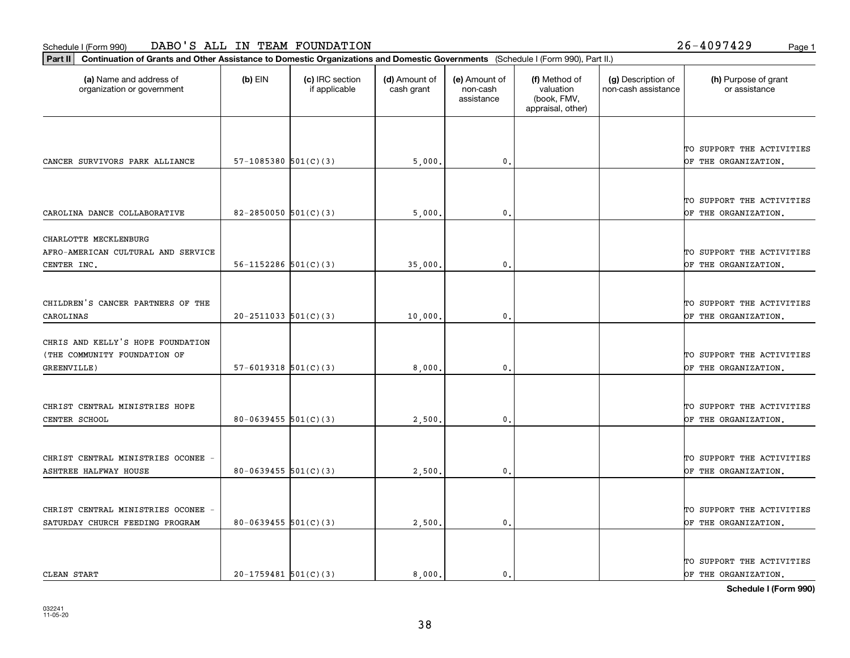**Part II Continuation of Grants and Other Assistance to Domestic Organizations and Domestic Governments**  (Schedule I (Form 990), Part II.)

| (a) Name and address of<br>organization or government | $(b)$ EIN                  | (c) IRC section<br>if applicable | (d) Amount of<br>cash grant | (e) Amount of<br>non-cash<br>assistance | (f) Method of<br>valuation<br>(book, FMV,<br>appraisal, other) | (g) Description of<br>non-cash assistance | (h) Purpose of grant<br>or assistance |
|-------------------------------------------------------|----------------------------|----------------------------------|-----------------------------|-----------------------------------------|----------------------------------------------------------------|-------------------------------------------|---------------------------------------|
|                                                       |                            |                                  |                             |                                         |                                                                |                                           |                                       |
|                                                       |                            |                                  |                             |                                         |                                                                |                                           | TO SUPPORT THE ACTIVITIES             |
| CANCER SURVIVORS PARK ALLIANCE                        | 57-1085380 $501(C)(3)$     |                                  | 5,000.                      | 0.                                      |                                                                |                                           | OF THE ORGANIZATION.                  |
|                                                       |                            |                                  |                             |                                         |                                                                |                                           |                                       |
|                                                       |                            |                                  |                             |                                         |                                                                |                                           | TO SUPPORT THE ACTIVITIES             |
| CAROLINA DANCE COLLABORATIVE                          | 82-2850050 $501(C)(3)$     |                                  | 5,000                       | 0.                                      |                                                                |                                           | OF THE ORGANIZATION.                  |
| CHARLOTTE MECKLENBURG                                 |                            |                                  |                             |                                         |                                                                |                                           |                                       |
| AFRO-AMERICAN CULTURAL AND SERVICE                    |                            |                                  |                             |                                         |                                                                |                                           | TO SUPPORT THE ACTIVITIES             |
| CENTER INC.                                           | $56 - 1152286$ $501(C)(3)$ |                                  | 35,000                      | 0.                                      |                                                                |                                           | OF THE ORGANIZATION.                  |
|                                                       |                            |                                  |                             |                                         |                                                                |                                           |                                       |
| CHILDREN'S CANCER PARTNERS OF THE                     |                            |                                  |                             |                                         |                                                                |                                           | TO SUPPORT THE ACTIVITIES             |
| CAROLINAS                                             | $20-2511033$ $501(C)(3)$   |                                  | 10,000                      | 0.                                      |                                                                |                                           | OF THE ORGANIZATION.                  |
| CHRIS AND KELLY'S HOPE FOUNDATION                     |                            |                                  |                             |                                         |                                                                |                                           |                                       |
| (THE COMMUNITY FOUNDATION OF                          |                            |                                  |                             |                                         |                                                                |                                           | TO SUPPORT THE ACTIVITIES             |
| GREENVILLE)                                           | $57 - 6019318$ $501(C)(3)$ |                                  | 8,000                       | 0.                                      |                                                                |                                           | OF THE ORGANIZATION.                  |
|                                                       |                            |                                  |                             |                                         |                                                                |                                           |                                       |
| CHRIST CENTRAL MINISTRIES HOPE                        |                            |                                  |                             |                                         |                                                                |                                           | TO SUPPORT THE ACTIVITIES             |
| CENTER SCHOOL                                         | $80 - 0639455$ 501(C)(3)   |                                  | 2,500                       | 0.                                      |                                                                |                                           | OF THE ORGANIZATION.                  |
|                                                       |                            |                                  |                             |                                         |                                                                |                                           |                                       |
| CHRIST CENTRAL MINISTRIES OCONEE                      |                            |                                  |                             |                                         |                                                                |                                           | TO SUPPORT THE ACTIVITIES             |
| <b>ASHTREE HALFWAY HOUSE</b>                          | $80 - 0639455$ 501(C)(3)   |                                  | 2,500.                      | 0.                                      |                                                                |                                           | OF THE ORGANIZATION.                  |
|                                                       |                            |                                  |                             |                                         |                                                                |                                           |                                       |
| CHRIST CENTRAL MINISTRIES OCONEE -                    |                            |                                  |                             |                                         |                                                                |                                           | TO SUPPORT THE ACTIVITIES             |
| SATURDAY CHURCH FEEDING PROGRAM                       | 80-0639455 $501(C)(3)$     |                                  | 2,500                       | 0.                                      |                                                                |                                           | OF THE ORGANIZATION.                  |
|                                                       |                            |                                  |                             |                                         |                                                                |                                           |                                       |
|                                                       |                            |                                  |                             |                                         |                                                                |                                           | TO SUPPORT THE ACTIVITIES             |
| CLEAN START                                           | $20-1759481$ 501(C)(3)     |                                  | 8,000.                      | 0.                                      |                                                                |                                           | OF THE ORGANIZATION.                  |

38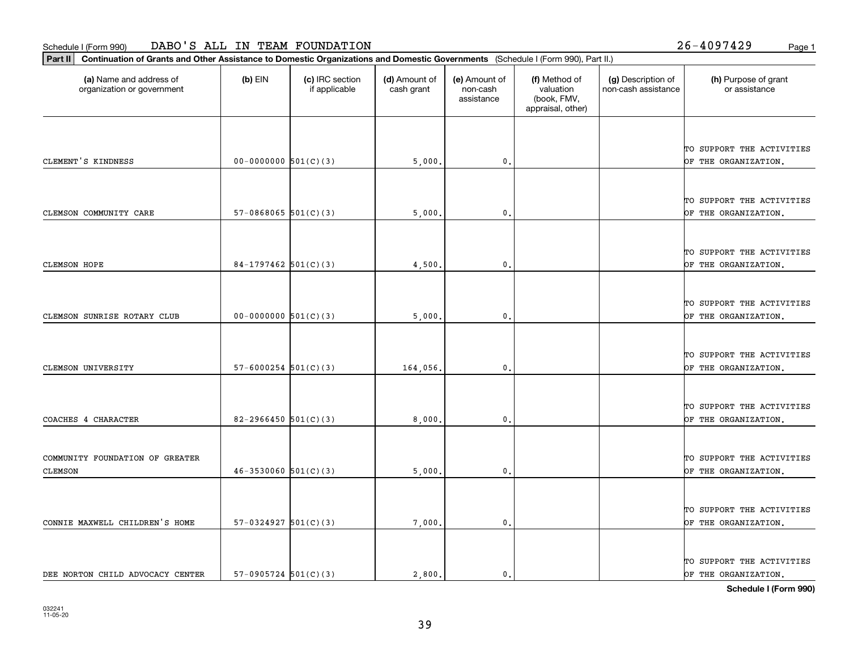**Part II Continuation of Grants and Other Assistance to Domestic Organizations and Domestic Governments**  (Schedule I (Form 990), Part II.)

| (a) Name and address of<br>organization or government | $(b)$ EIN                  | (c) IRC section<br>if applicable | (d) Amount of<br>cash grant | (e) Amount of<br>non-cash<br>assistance | (f) Method of<br>valuation<br>(book, FMV,<br>appraisal, other) | (g) Description of<br>non-cash assistance | (h) Purpose of grant<br>or assistance             |
|-------------------------------------------------------|----------------------------|----------------------------------|-----------------------------|-----------------------------------------|----------------------------------------------------------------|-------------------------------------------|---------------------------------------------------|
|                                                       |                            |                                  |                             |                                         |                                                                |                                           |                                                   |
| CLEMENT'S KINDNESS                                    | $00-0000000$ $501(C)(3)$   |                                  | 5,000.                      | $\mathbf{0}$                            |                                                                |                                           | TO SUPPORT THE ACTIVITIES<br>OF THE ORGANIZATION. |
|                                                       |                            |                                  |                             |                                         |                                                                |                                           |                                                   |
| CLEMSON COMMUNITY CARE                                | $57-0868065$ $501(C)(3)$   |                                  | 5,000.                      | $\mathbf{0}$                            |                                                                |                                           | TO SUPPORT THE ACTIVITIES<br>OF THE ORGANIZATION. |
|                                                       |                            |                                  |                             |                                         |                                                                |                                           |                                                   |
| <b>CLEMSON HOPE</b>                                   | 84-1797462 $501(C)(3)$     |                                  | 4,500                       | $\mathbf{0}$                            |                                                                |                                           | TO SUPPORT THE ACTIVITIES<br>OF THE ORGANIZATION. |
|                                                       |                            |                                  |                             |                                         |                                                                |                                           |                                                   |
| CLEMSON SUNRISE ROTARY CLUB                           | $00-0000000$ 501(C)(3)     |                                  | 5,000                       | $\mathbf{0}$                            |                                                                |                                           | TO SUPPORT THE ACTIVITIES<br>OF THE ORGANIZATION. |
|                                                       |                            |                                  |                             |                                         |                                                                |                                           |                                                   |
| CLEMSON UNIVERSITY                                    | $57 - 6000254$ 501(C)(3)   |                                  | 164,056.                    | $\mathbf{0}$                            |                                                                |                                           | TO SUPPORT THE ACTIVITIES<br>OF THE ORGANIZATION. |
|                                                       |                            |                                  |                             |                                         |                                                                |                                           |                                                   |
| COACHES 4 CHARACTER                                   | 82-2966450 $501(C)(3)$     |                                  | 8,000,                      | 0.                                      |                                                                |                                           | TO SUPPORT THE ACTIVITIES<br>OF THE ORGANIZATION. |
|                                                       |                            |                                  |                             |                                         |                                                                |                                           |                                                   |
| COMMUNITY FOUNDATION OF GREATER<br><b>CLEMSON</b>     | $46 - 3530060$ $501(C)(3)$ |                                  | 5,000                       | $\mathbf{0}$                            |                                                                |                                           | TO SUPPORT THE ACTIVITIES<br>OF THE ORGANIZATION. |
|                                                       |                            |                                  |                             |                                         |                                                                |                                           |                                                   |
| CONNIE MAXWELL CHILDREN'S HOME                        | $57-0324927$ $501(C)(3)$   |                                  | 7,000.                      | $\mathsf{0}$ .                          |                                                                |                                           | TO SUPPORT THE ACTIVITIES<br>OF THE ORGANIZATION. |
|                                                       |                            |                                  |                             |                                         |                                                                |                                           |                                                   |
| DEE NORTON CHILD ADVOCACY CENTER                      | $57-0905724$ $501(C)(3)$   |                                  | 2,800.                      | 0.                                      |                                                                |                                           | TO SUPPORT THE ACTIVITIES<br>OF THE ORGANIZATION. |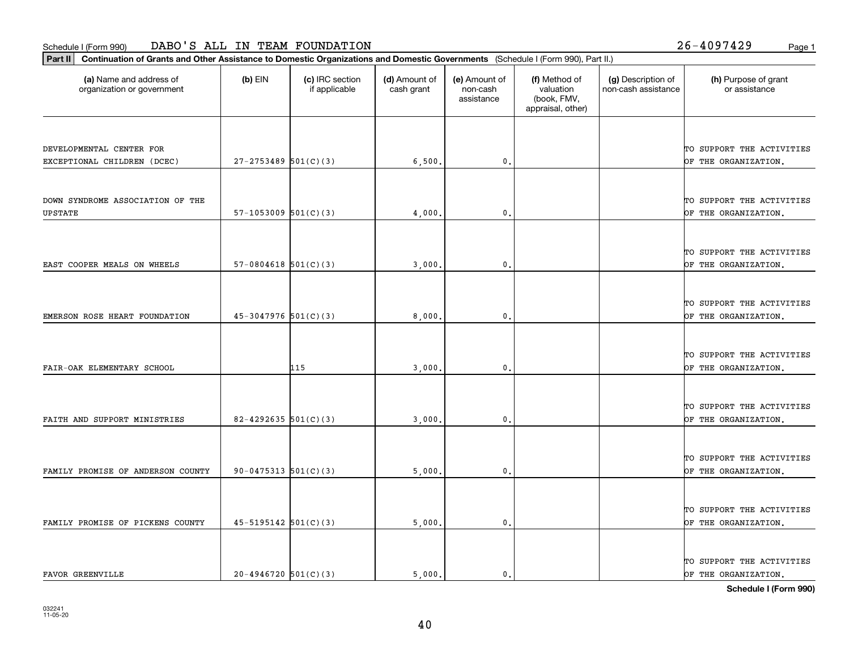**Part II Continuation of Grants and Other Assistance to Domestic Organizations and Domestic Governments**  (Schedule I (Form 990), Part II.)

| (a) Name and address of<br>organization or government | $(b)$ EIN                  | (c) IRC section<br>if applicable | (d) Amount of<br>cash grant | (e) Amount of<br>non-cash<br>assistance | (f) Method of<br>valuation<br>(book, FMV,<br>appraisal, other) | (g) Description of<br>non-cash assistance | (h) Purpose of grant<br>or assistance |
|-------------------------------------------------------|----------------------------|----------------------------------|-----------------------------|-----------------------------------------|----------------------------------------------------------------|-------------------------------------------|---------------------------------------|
|                                                       |                            |                                  |                             |                                         |                                                                |                                           |                                       |
| DEVELOPMENTAL CENTER FOR                              |                            |                                  |                             |                                         |                                                                |                                           | TO SUPPORT THE ACTIVITIES             |
| EXCEPTIONAL CHILDREN (DCEC)                           | $27 - 2753489$ 501(C)(3)   |                                  | 6,500.                      | 0.                                      |                                                                |                                           | OF THE ORGANIZATION.                  |
|                                                       |                            |                                  |                             |                                         |                                                                |                                           |                                       |
| DOWN SYNDROME ASSOCIATION OF THE                      |                            |                                  |                             |                                         |                                                                |                                           | TO SUPPORT THE ACTIVITIES             |
| <b>UPSTATE</b>                                        | $57-1053009$ $501(C)(3)$   |                                  | 4,000                       | $\mathbf{0}$                            |                                                                |                                           | OF THE ORGANIZATION.                  |
|                                                       |                            |                                  |                             |                                         |                                                                |                                           |                                       |
|                                                       |                            |                                  |                             |                                         |                                                                |                                           | TO SUPPORT THE ACTIVITIES             |
| EAST COOPER MEALS ON WHEELS                           | $57-0804618$ $501(C)(3)$   |                                  | 3,000                       | $\mathbf 0$ .                           |                                                                |                                           | OF THE ORGANIZATION.                  |
|                                                       |                            |                                  |                             |                                         |                                                                |                                           |                                       |
|                                                       |                            |                                  |                             |                                         |                                                                |                                           |                                       |
|                                                       |                            |                                  |                             |                                         |                                                                |                                           | TO SUPPORT THE ACTIVITIES             |
| EMERSON ROSE HEART FOUNDATION                         | $45-3047976$ 501(C)(3)     |                                  | 8,000                       | $\mathbf{0}$                            |                                                                |                                           | OF THE ORGANIZATION.                  |
|                                                       |                            |                                  |                             |                                         |                                                                |                                           |                                       |
|                                                       |                            |                                  |                             |                                         |                                                                |                                           |                                       |
|                                                       |                            |                                  |                             |                                         |                                                                |                                           | TO SUPPORT THE ACTIVITIES             |
| FAIR-OAK ELEMENTARY SCHOOL                            |                            | 115                              | 3,000                       | $\mathbf{0}$                            |                                                                |                                           | OF THE ORGANIZATION.                  |
|                                                       |                            |                                  |                             |                                         |                                                                |                                           |                                       |
|                                                       |                            |                                  |                             |                                         |                                                                |                                           | TO SUPPORT THE ACTIVITIES             |
| FAITH AND SUPPORT MINISTRIES                          | 82-4292635 $501(C)(3)$     |                                  | 3,000                       | $\mathbf{0}$                            |                                                                |                                           | OF THE ORGANIZATION.                  |
|                                                       |                            |                                  |                             |                                         |                                                                |                                           |                                       |
|                                                       |                            |                                  |                             |                                         |                                                                |                                           |                                       |
|                                                       |                            |                                  |                             |                                         |                                                                |                                           | TO SUPPORT THE ACTIVITIES             |
| FAMILY PROMISE OF ANDERSON COUNTY                     | $90-0475313$ $501(C)(3)$   |                                  | 5,000                       | $\mathbf{0}$                            |                                                                |                                           | OF THE ORGANIZATION.                  |
|                                                       |                            |                                  |                             |                                         |                                                                |                                           |                                       |
|                                                       |                            |                                  |                             |                                         |                                                                |                                           |                                       |
|                                                       |                            |                                  |                             |                                         |                                                                |                                           | TO SUPPORT THE ACTIVITIES             |
| FAMILY PROMISE OF PICKENS COUNTY                      | $45 - 5195142$ $501(C)(3)$ |                                  | 5,000.                      | $\mathbf{0}$                            |                                                                |                                           | OF THE ORGANIZATION.                  |
|                                                       |                            |                                  |                             |                                         |                                                                |                                           |                                       |
|                                                       |                            |                                  |                             |                                         |                                                                |                                           | TO SUPPORT THE ACTIVITIES             |
| <b>FAVOR GREENVILLE</b>                               | $20 - 4946720$ 501(C)(3)   |                                  | 5,000.                      | $\mathbf{0}$ .                          |                                                                |                                           | OF THE ORGANIZATION.                  |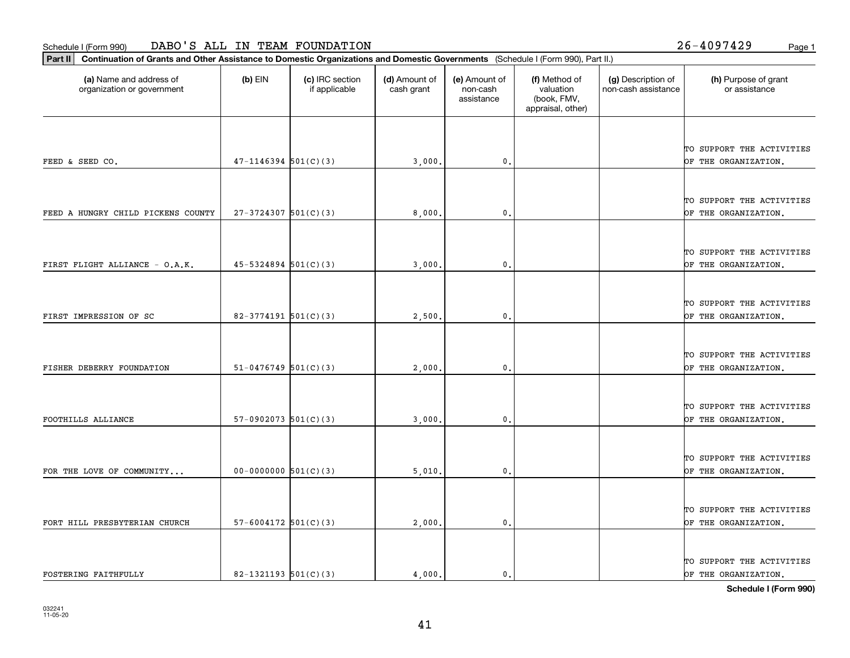**Part II Continuation of Grants and Other Assistance to Domestic Organizations and Domestic Governments**  (Schedule I (Form 990), Part II.)

| (a) Name and address of<br>organization or government | (b) EIN                    | (c) IRC section<br>if applicable | (d) Amount of<br>cash grant | (e) Amount of<br>non-cash<br>assistance | (f) Method of<br>valuation<br>(book, FMV,<br>appraisal, other) | (g) Description of<br>non-cash assistance | (h) Purpose of grant<br>or assistance             |
|-------------------------------------------------------|----------------------------|----------------------------------|-----------------------------|-----------------------------------------|----------------------------------------------------------------|-------------------------------------------|---------------------------------------------------|
|                                                       |                            |                                  |                             |                                         |                                                                |                                           |                                                   |
|                                                       |                            |                                  |                             |                                         |                                                                |                                           | TO SUPPORT THE ACTIVITIES                         |
| FEED & SEED CO.                                       | $47 - 1146394$ 501(C)(3)   |                                  | 3,000,                      | 0.                                      |                                                                |                                           | OF THE ORGANIZATION.                              |
|                                                       |                            |                                  |                             |                                         |                                                                |                                           |                                                   |
| FEED A HUNGRY CHILD PICKENS COUNTY                    | $27-3724307$ 501(C)(3)     |                                  | 8,000                       | $\mathbf{0}$ .                          |                                                                |                                           | TO SUPPORT THE ACTIVITIES<br>OF THE ORGANIZATION. |
|                                                       |                            |                                  |                             |                                         |                                                                |                                           |                                                   |
|                                                       |                            |                                  |                             |                                         |                                                                |                                           | TO SUPPORT THE ACTIVITIES                         |
| FIRST FLIGHT ALLIANCE - O.A.K.                        | $45 - 5324894$ $501(C)(3)$ |                                  | 3,000,                      | $\mathbf{0}$ .                          |                                                                |                                           | OF THE ORGANIZATION.                              |
|                                                       |                            |                                  |                             |                                         |                                                                |                                           |                                                   |
| FIRST IMPRESSION OF SC                                | 82-3774191 $501(C)(3)$     |                                  | 2,500.                      | $\mathbf{0}$ .                          |                                                                |                                           | TO SUPPORT THE ACTIVITIES<br>OF THE ORGANIZATION. |
|                                                       |                            |                                  |                             |                                         |                                                                |                                           |                                                   |
|                                                       |                            |                                  |                             |                                         |                                                                |                                           | TO SUPPORT THE ACTIVITIES                         |
| FISHER DEBERRY FOUNDATION                             | $51-0476749$ 501(C)(3)     |                                  | 2,000                       | 0.                                      |                                                                |                                           | OF THE ORGANIZATION.                              |
|                                                       |                            |                                  |                             |                                         |                                                                |                                           |                                                   |
| FOOTHILLS ALLIANCE                                    | 57-0902073 $501(C)(3)$     |                                  | 3,000                       | $\mathbf{0}$ .                          |                                                                |                                           | TO SUPPORT THE ACTIVITIES<br>OF THE ORGANIZATION. |
|                                                       |                            |                                  |                             |                                         |                                                                |                                           |                                                   |
|                                                       |                            |                                  |                             |                                         |                                                                |                                           | TO SUPPORT THE ACTIVITIES                         |
| FOR THE LOVE OF COMMUNITY                             | $00-0000000$ $501(C)(3)$   |                                  | 5,010.                      | $\mathbf{0}$ .                          |                                                                |                                           | OF THE ORGANIZATION.                              |
|                                                       |                            |                                  |                             |                                         |                                                                |                                           |                                                   |
| FORT HILL PRESBYTERIAN CHURCH                         | $57 - 6004172$ $501(C)(3)$ |                                  | 2,000,                      | 0.                                      |                                                                |                                           | TO SUPPORT THE ACTIVITIES<br>OF THE ORGANIZATION. |
|                                                       |                            |                                  |                             |                                         |                                                                |                                           |                                                   |
|                                                       |                            |                                  |                             |                                         |                                                                |                                           | TO SUPPORT THE ACTIVITIES                         |

FOSTERING FAITHFULLY  $\begin{vmatrix} 82-1321193 & 501(C)(3) \end{vmatrix}$  4,000. 0. 0. OF THE ORGANIZATION.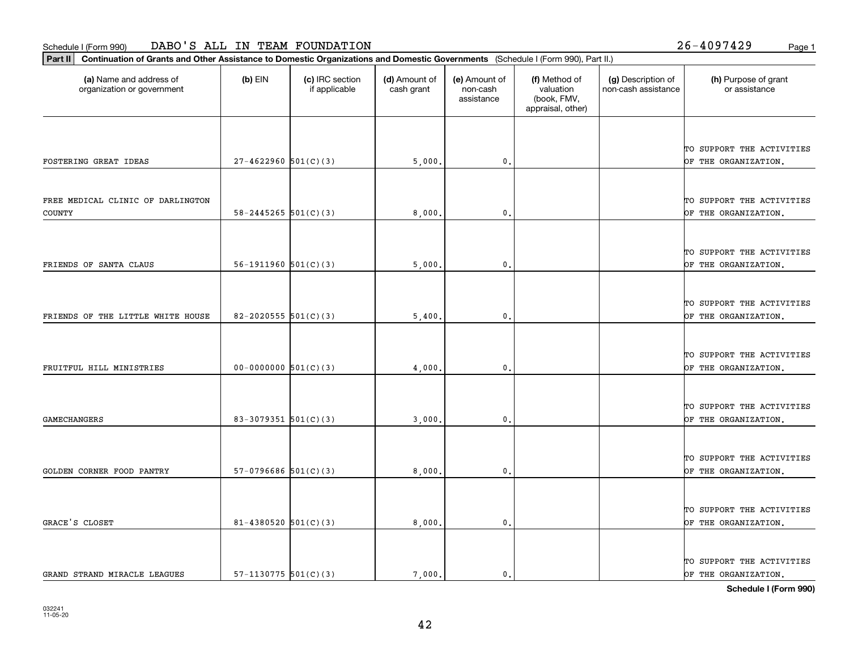**Part II Continuation of Grants and Other Assistance to Domestic Organizations and Domestic Governments**  (Schedule I (Form 990), Part II.)

| (a) Name and address of<br>organization or government | $(b)$ EIN                | (c) IRC section<br>if applicable | (d) Amount of<br>cash grant | (e) Amount of<br>non-cash<br>assistance | (f) Method of<br>valuation<br>(book, FMV,<br>appraisal, other) | (g) Description of<br>non-cash assistance | (h) Purpose of grant<br>or assistance |
|-------------------------------------------------------|--------------------------|----------------------------------|-----------------------------|-----------------------------------------|----------------------------------------------------------------|-------------------------------------------|---------------------------------------|
|                                                       |                          |                                  |                             |                                         |                                                                |                                           |                                       |
|                                                       |                          |                                  |                             |                                         |                                                                |                                           | TO SUPPORT THE ACTIVITIES             |
| FOSTERING GREAT IDEAS                                 | $27 - 4622960$ 501(C)(3) |                                  | 5,000.                      | $\mathbf{0}$ .                          |                                                                |                                           | OF THE ORGANIZATION.                  |
|                                                       |                          |                                  |                             |                                         |                                                                |                                           |                                       |
| FREE MEDICAL CLINIC OF DARLINGTON                     |                          |                                  |                             |                                         |                                                                |                                           | TO SUPPORT THE ACTIVITIES             |
| <b>COUNTY</b>                                         | 58-2445265 $501(C)(3)$   |                                  | 8,000                       | $\mathbf{0}$ .                          |                                                                |                                           | OF THE ORGANIZATION.                  |
|                                                       |                          |                                  |                             |                                         |                                                                |                                           |                                       |
|                                                       |                          |                                  |                             |                                         |                                                                |                                           | TO SUPPORT THE ACTIVITIES             |
| FRIENDS OF SANTA CLAUS                                | 56-1911960 $501(C)(3)$   |                                  | 5,000                       | 0                                       |                                                                |                                           | OF THE ORGANIZATION.                  |
|                                                       |                          |                                  |                             |                                         |                                                                |                                           |                                       |
|                                                       |                          |                                  |                             |                                         |                                                                |                                           | TO SUPPORT THE ACTIVITIES             |
| FRIENDS OF THE LITTLE WHITE HOUSE                     | 82-2020555 $501(C)(3)$   |                                  | 5,400                       | $\mathbf{0}$ .                          |                                                                |                                           | OF THE ORGANIZATION.                  |
|                                                       |                          |                                  |                             |                                         |                                                                |                                           |                                       |
|                                                       |                          |                                  |                             |                                         |                                                                |                                           | TO SUPPORT THE ACTIVITIES             |
| FRUITFUL HILL MINISTRIES                              | $00-0000000$ $501(C)(3)$ |                                  | 4,000                       | $\mathbf{0}$ .                          |                                                                |                                           | OF THE ORGANIZATION.                  |
|                                                       |                          |                                  |                             |                                         |                                                                |                                           |                                       |
|                                                       |                          |                                  |                             |                                         |                                                                |                                           | TO SUPPORT THE ACTIVITIES             |
| <b>GAMECHANGERS</b>                                   | 83-3079351 $501(C)(3)$   |                                  | 3,000.                      | $\mathbf{0}$ .                          |                                                                |                                           | OF THE ORGANIZATION.                  |
|                                                       |                          |                                  |                             |                                         |                                                                |                                           |                                       |
|                                                       |                          |                                  |                             |                                         |                                                                |                                           | TO SUPPORT THE ACTIVITIES             |
| GOLDEN CORNER FOOD PANTRY                             | $57-0796686$ $501(C)(3)$ |                                  | 8,000                       | $\mathbf 0$ .                           |                                                                |                                           | OF THE ORGANIZATION.                  |
|                                                       |                          |                                  |                             |                                         |                                                                |                                           |                                       |
|                                                       |                          |                                  |                             |                                         |                                                                |                                           | TO SUPPORT THE ACTIVITIES             |
| GRACE'S CLOSET                                        | 81-4380520 $501(C)(3)$   |                                  | 8,000                       | $\mathbf{0}$ .                          |                                                                |                                           | OF THE ORGANIZATION.                  |
|                                                       |                          |                                  |                             |                                         |                                                                |                                           |                                       |
|                                                       |                          |                                  |                             |                                         |                                                                |                                           | TO SUPPORT THE ACTIVITIES             |
| GRAND STRAND MIRACLE LEAGUES                          | 57-1130775 $501(C)(3)$   |                                  | 7,000.                      | 0.                                      |                                                                |                                           | OF THE ORGANIZATION.                  |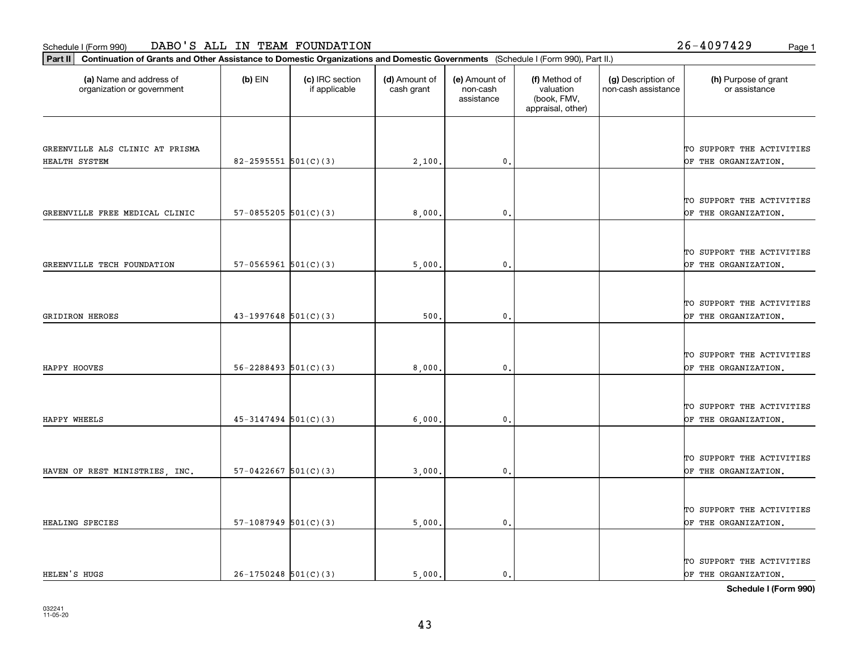**Part II Continuation of Grants and Other Assistance to Domestic Organizations and Domestic Governments**  (Schedule I (Form 990), Part II.)

| (a) Name and address of<br>organization or government | $(b)$ EIN                  | (c) IRC section<br>if applicable | (d) Amount of<br>cash grant | (e) Amount of<br>non-cash<br>assistance | (f) Method of<br>valuation<br>(book, FMV,<br>appraisal, other) | (g) Description of<br>non-cash assistance | (h) Purpose of grant<br>or assistance             |
|-------------------------------------------------------|----------------------------|----------------------------------|-----------------------------|-----------------------------------------|----------------------------------------------------------------|-------------------------------------------|---------------------------------------------------|
|                                                       |                            |                                  |                             |                                         |                                                                |                                           |                                                   |
| GREENVILLE ALS CLINIC AT PRISMA                       |                            |                                  |                             |                                         |                                                                |                                           | TO SUPPORT THE ACTIVITIES                         |
| HEALTH SYSTEM                                         | $82 - 2595551$ 501(C)(3)   |                                  | 2,100                       | $\mathbf{0}$                            |                                                                |                                           | OF THE ORGANIZATION.                              |
|                                                       |                            |                                  |                             |                                         |                                                                |                                           |                                                   |
|                                                       |                            |                                  |                             |                                         |                                                                |                                           | TO SUPPORT THE ACTIVITIES                         |
| GREENVILLE FREE MEDICAL CLINIC                        | $57-0855205$ $501(C)(3)$   |                                  | 8,000,                      | $\mathbf 0$ .                           |                                                                |                                           | OF THE ORGANIZATION.                              |
|                                                       |                            |                                  |                             |                                         |                                                                |                                           |                                                   |
|                                                       |                            |                                  |                             |                                         |                                                                |                                           | TO SUPPORT THE ACTIVITIES                         |
| GREENVILLE TECH FOUNDATION                            | $57-0565961$ $501(C)(3)$   |                                  | 5,000                       | $\mathbf{0}$ .                          |                                                                |                                           | OF THE ORGANIZATION.                              |
|                                                       |                            |                                  |                             |                                         |                                                                |                                           |                                                   |
|                                                       |                            |                                  |                             |                                         |                                                                |                                           | TO SUPPORT THE ACTIVITIES                         |
| <b>GRIDIRON HEROES</b>                                | $43-1997648$ 501(C)(3)     |                                  | 500                         | $\mathbf{0}$ .                          |                                                                |                                           | OF THE ORGANIZATION.                              |
|                                                       |                            |                                  |                             |                                         |                                                                |                                           |                                                   |
|                                                       |                            |                                  |                             |                                         |                                                                |                                           |                                                   |
| HAPPY HOOVES                                          | $56 - 2288493$ $501(C)(3)$ |                                  | 8,000                       | 0.                                      |                                                                |                                           | TO SUPPORT THE ACTIVITIES<br>OF THE ORGANIZATION. |
|                                                       |                            |                                  |                             |                                         |                                                                |                                           |                                                   |
|                                                       |                            |                                  |                             |                                         |                                                                |                                           |                                                   |
| HAPPY WHEELS                                          | $45 - 3147494$ 501(C)(3)   |                                  |                             | $\mathbf{0}$                            |                                                                |                                           | TO SUPPORT THE ACTIVITIES<br>OF THE ORGANIZATION. |
|                                                       |                            |                                  | 6,000.                      |                                         |                                                                |                                           |                                                   |
|                                                       |                            |                                  |                             |                                         |                                                                |                                           |                                                   |
|                                                       |                            |                                  |                             |                                         |                                                                |                                           | TO SUPPORT THE ACTIVITIES                         |
| HAVEN OF REST MINISTRIES, INC.                        | $57-0422667$ $501(C)(3)$   |                                  | 3,000,                      | $\mathbf 0$ .                           |                                                                |                                           | OF THE ORGANIZATION.                              |
|                                                       |                            |                                  |                             |                                         |                                                                |                                           |                                                   |
|                                                       |                            |                                  |                             |                                         |                                                                |                                           | TO SUPPORT THE ACTIVITIES                         |
| HEALING SPECIES                                       | $57-1087949$ $501(C)(3)$   |                                  | 5,000.                      | $\mathbf{0}$ .                          |                                                                |                                           | OF THE ORGANIZATION.                              |
|                                                       |                            |                                  |                             |                                         |                                                                |                                           |                                                   |
|                                                       |                            |                                  |                             |                                         |                                                                |                                           | TO SUPPORT THE ACTIVITIES                         |

43

HELEN'S HUGS  $\begin{vmatrix} 26-1750248 & 501(C)(3) \end{vmatrix}$  5,000. 0. 0. OF THE ORGANIZATION.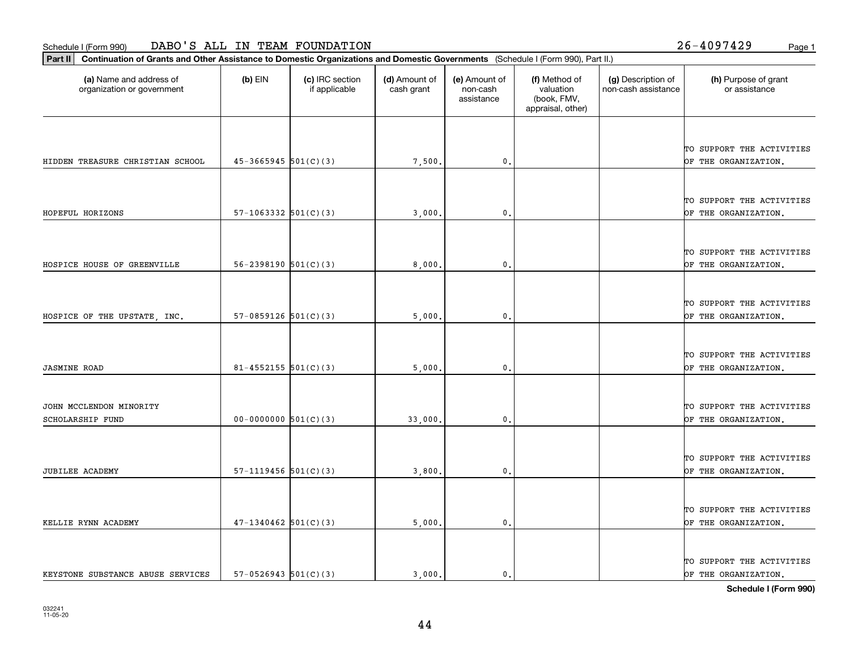т

**Part II Continuation of Grants and Other Assistance to Domestic Organizations and Domestic Governments**  (Schedule I (Form 990), Part II.)

| (a) Name and address of<br>organization or government | (b) EIN                    | (c) IRC section<br>if applicable | (d) Amount of<br>cash grant | (e) Amount of<br>non-cash<br>assistance | (f) Method of<br>valuation<br>(book, FMV,<br>appraisal, other) | (g) Description of<br>non-cash assistance | (h) Purpose of grant<br>or assistance             |
|-------------------------------------------------------|----------------------------|----------------------------------|-----------------------------|-----------------------------------------|----------------------------------------------------------------|-------------------------------------------|---------------------------------------------------|
|                                                       |                            |                                  |                             |                                         |                                                                |                                           |                                                   |
|                                                       |                            |                                  |                             |                                         |                                                                |                                           | TO SUPPORT THE ACTIVITIES                         |
| HIDDEN TREASURE CHRISTIAN SCHOOL                      | $45-3665945$ 501(C)(3)     |                                  | 7,500                       | $\mathbf{0}$                            |                                                                |                                           | OF THE ORGANIZATION.                              |
|                                                       |                            |                                  |                             |                                         |                                                                |                                           |                                                   |
|                                                       |                            |                                  |                             |                                         |                                                                |                                           | TO SUPPORT THE ACTIVITIES                         |
| HOPEFUL HORIZONS                                      | $57-1063332$ $501(C)(3)$   |                                  | 3,000                       | 0.                                      |                                                                |                                           | OF THE ORGANIZATION.                              |
|                                                       |                            |                                  |                             |                                         |                                                                |                                           |                                                   |
|                                                       |                            |                                  |                             |                                         |                                                                |                                           | TO SUPPORT THE ACTIVITIES                         |
| HOSPICE HOUSE OF GREENVILLE                           | $56 - 2398190$ $501(C)(3)$ |                                  | 8,000                       | 0.                                      |                                                                |                                           | OF THE ORGANIZATION.                              |
|                                                       |                            |                                  |                             |                                         |                                                                |                                           |                                                   |
| HOSPICE OF THE UPSTATE, INC.                          | $57-0859126$ $501(C)(3)$   |                                  | 5,000                       | 0.                                      |                                                                |                                           | TO SUPPORT THE ACTIVITIES<br>OF THE ORGANIZATION. |
|                                                       |                            |                                  |                             |                                         |                                                                |                                           |                                                   |
|                                                       |                            |                                  |                             |                                         |                                                                |                                           |                                                   |
| <b>JASMINE ROAD</b>                                   | $81 - 4552155$ $501(C)(3)$ |                                  | 5,000                       | $\mathbf{0}$ .                          |                                                                |                                           | TO SUPPORT THE ACTIVITIES<br>OF THE ORGANIZATION. |
|                                                       |                            |                                  |                             |                                         |                                                                |                                           |                                                   |
|                                                       |                            |                                  |                             |                                         |                                                                |                                           |                                                   |
| JOHN MCCLENDON MINORITY<br>SCHOLARSHIP FUND           | $00-0000000$ $501(C)(3)$   |                                  | 33,000.                     | 0.                                      |                                                                |                                           | TO SUPPORT THE ACTIVITIES<br>OF THE ORGANIZATION. |
|                                                       |                            |                                  |                             |                                         |                                                                |                                           |                                                   |
|                                                       |                            |                                  |                             |                                         |                                                                |                                           | TO SUPPORT THE ACTIVITIES                         |
| JUBILEE ACADEMY                                       | $57-1119456$ $501(C)(3)$   |                                  | 3,800                       | $\mathbf{0}$ .                          |                                                                |                                           | OF THE ORGANIZATION.                              |
|                                                       |                            |                                  |                             |                                         |                                                                |                                           |                                                   |
|                                                       |                            |                                  |                             |                                         |                                                                |                                           | TO SUPPORT THE ACTIVITIES                         |
| KELLIE RYNN ACADEMY                                   | $47-1340462$ 501(C)(3)     |                                  | 5,000                       | 0.                                      |                                                                |                                           | OF THE ORGANIZATION.                              |
|                                                       |                            |                                  |                             |                                         |                                                                |                                           |                                                   |
|                                                       |                            |                                  |                             |                                         |                                                                |                                           | TO SUPPORT THE ACTIVITIES                         |
| KEYSTONE SUBSTANCE ABUSE SERVICES                     | $57-0526943$ $501(C)(3)$   |                                  | 3,000.                      | $\mathbf{0}$ .                          |                                                                |                                           | OF THE ORGANIZATION.                              |

⊤

т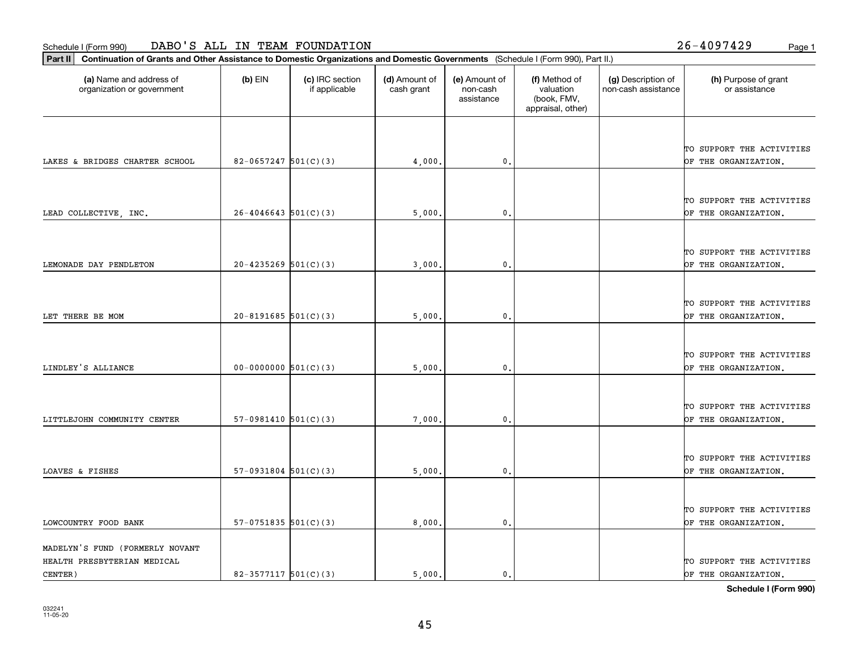**Part II Continuation of Grants and Other Assistance to Domestic Organizations and Domestic Governments**  (Schedule I (Form 990), Part II.)

CENTER)

| (a) Name and address of<br>organization or government          | $(b)$ EIN                  | (c) IRC section<br>if applicable | (d) Amount of<br>cash grant | (e) Amount of<br>non-cash<br>assistance | (f) Method of<br>valuation<br>(book, FMV,<br>appraisal, other) | (g) Description of<br>non-cash assistance | (h) Purpose of grant<br>or assistance             |
|----------------------------------------------------------------|----------------------------|----------------------------------|-----------------------------|-----------------------------------------|----------------------------------------------------------------|-------------------------------------------|---------------------------------------------------|
| LAKES & BRIDGES CHARTER SCHOOL                                 | $82-0657247$ 501(C)(3)     |                                  | 4,000                       | 0.                                      |                                                                |                                           | TO SUPPORT THE ACTIVITIES<br>OF THE ORGANIZATION. |
| LEAD COLLECTIVE, INC.                                          | $26 - 4046643$ 501(C)(3)   |                                  | 5,000                       | 0.                                      |                                                                |                                           | TO SUPPORT THE ACTIVITIES<br>OF THE ORGANIZATION. |
| LEMONADE DAY PENDLETON                                         | $20 - 4235269$ $501(C)(3)$ |                                  | 3,000                       | $\mathfrak{o}$ .                        |                                                                |                                           | TO SUPPORT THE ACTIVITIES<br>OF THE ORGANIZATION. |
| LET THERE BE MOM                                               | $20-8191685$ $501(C)(3)$   |                                  | 5,000                       | $\mathbf{0}$                            |                                                                |                                           | TO SUPPORT THE ACTIVITIES<br>OF THE ORGANIZATION. |
| LINDLEY'S ALLIANCE                                             | $00-0000000$ $501(C)(3)$   |                                  | 5,000                       | $\mathfrak{o}$ .                        |                                                                |                                           | TO SUPPORT THE ACTIVITIES<br>OF THE ORGANIZATION. |
| LITTLEJOHN COMMUNITY CENTER                                    | $57-0981410$ $501(C)(3)$   |                                  | 7,000                       | $\mathbf{0}$                            |                                                                |                                           | TO SUPPORT THE ACTIVITIES<br>OF THE ORGANIZATION. |
| LOAVES & FISHES                                                | $57-0931804$ $501(C)(3)$   |                                  | 5,000                       | $\mathbf{0}$                            |                                                                |                                           | TO SUPPORT THE ACTIVITIES<br>OF THE ORGANIZATION. |
| LOWCOUNTRY FOOD BANK                                           | $57-0751835$ $501(C)(3)$   |                                  | 8,000                       | 0.                                      |                                                                |                                           | TO SUPPORT THE ACTIVITIES<br>OF THE ORGANIZATION. |
| MADELYN'S FUND (FORMERLY NOVANT<br>HEALTH PRESBYTERIAN MEDICAL |                            |                                  |                             |                                         |                                                                |                                           | TO SUPPORT THE ACTIVITIES                         |

**Schedule I (Form 990)**

82-3577117  $\begin{vmatrix} 5 & 0 & 0 \\ 0 & 1 & 0 \end{vmatrix}$  5,000. 0. 0.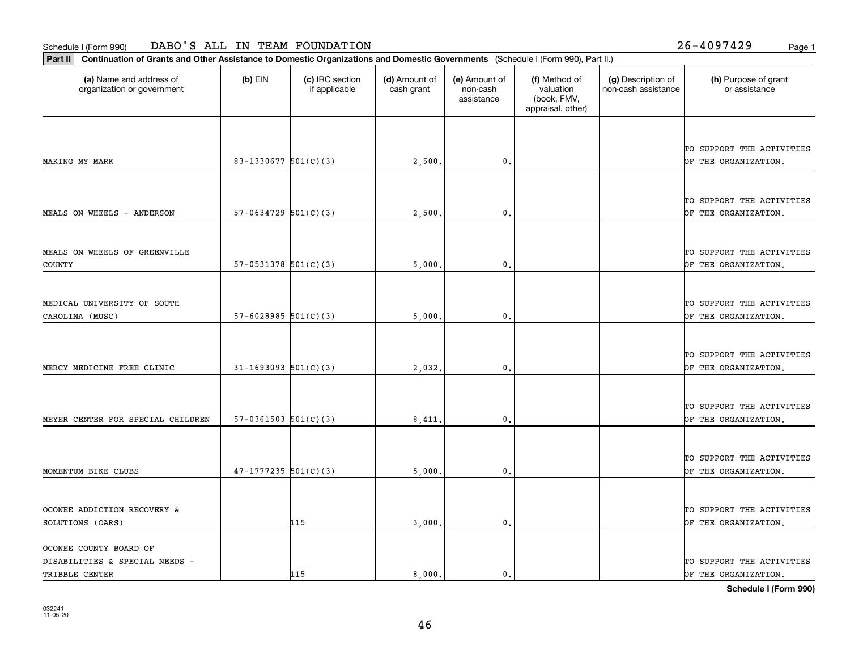OCONEE COUNTY BOARD OF

| Schedule I (Form 990)                                                                                                                       |                            | DABO'S ALL IN TEAM FOUNDATION    |                             |                                         |                                                                |                                           | $26 - 4097429$<br>Page 1                          |
|---------------------------------------------------------------------------------------------------------------------------------------------|----------------------------|----------------------------------|-----------------------------|-----------------------------------------|----------------------------------------------------------------|-------------------------------------------|---------------------------------------------------|
| Continuation of Grants and Other Assistance to Domestic Organizations and Domestic Governments (Schedule I (Form 990), Part II.)<br>Part II |                            |                                  |                             |                                         |                                                                |                                           |                                                   |
| (a) Name and address of<br>organization or government                                                                                       | $(b)$ EIN                  | (c) IRC section<br>if applicable | (d) Amount of<br>cash grant | (e) Amount of<br>non-cash<br>assistance | (f) Method of<br>valuation<br>(book, FMV,<br>appraisal, other) | (g) Description of<br>non-cash assistance | (h) Purpose of grant<br>or assistance             |
|                                                                                                                                             |                            |                                  |                             |                                         |                                                                |                                           | TO SUPPORT THE ACTIVITIES                         |
| MAKING MY MARK                                                                                                                              | 83-1330677 $501(C)(3)$     |                                  | 2,500                       | 0.                                      |                                                                |                                           | OF THE ORGANIZATION.                              |
| MEALS ON WHEELS - ANDERSON                                                                                                                  | $57-0634729$ $501(C)(3)$   |                                  | 2,500                       | $\mathbf{0}$                            |                                                                |                                           | TO SUPPORT THE ACTIVITIES<br>OF THE ORGANIZATION. |
| MEALS ON WHEELS OF GREENVILLE<br><b>COUNTY</b>                                                                                              | $57-0531378$ $501(C)(3)$   |                                  | 5,000                       | $\mathbf{0}$ .                          |                                                                |                                           | TO SUPPORT THE ACTIVITIES<br>OF THE ORGANIZATION. |
| MEDICAL UNIVERSITY OF SOUTH<br>CAROLINA (MUSC)                                                                                              | $57 - 6028985$ 501(C)(3)   |                                  | 5,000                       | $\mathbf{0}$ .                          |                                                                |                                           | TO SUPPORT THE ACTIVITIES<br>OF THE ORGANIZATION. |
| MERCY MEDICINE FREE CLINIC                                                                                                                  | $31 - 1693093$ $501(C)(3)$ |                                  | 2,032                       | 0.                                      |                                                                |                                           | TO SUPPORT THE ACTIVITIES<br>OF THE ORGANIZATION. |
| MEYER CENTER FOR SPECIAL CHILDREN                                                                                                           | $57-0361503$ $501(C)(3)$   |                                  | 8,411                       | $\mathbf{0}$ .                          |                                                                |                                           | TO SUPPORT THE ACTIVITIES<br>OF THE ORGANIZATION. |
| MOMENTUM BIKE CLUBS                                                                                                                         | $47-1777235$ 501(C)(3)     |                                  | 5,000.                      | 0.                                      |                                                                |                                           | TO SUPPORT THE ACTIVITIES<br>OF THE ORGANIZATION. |
| OCONEE ADDICTION RECOVERY &<br>SOLUTIONS (OARS)                                                                                             |                            | 115                              | 3 000.                      | 0.                                      |                                                                |                                           | TO SUPPORT THE ACTIVITIES<br>OF THE ORGANIZATION. |

DISABILITIES & SPECIAL NEEDS - TO SUPPORT THE ACTIVITIES TRIBBLE CENTER THE ORGANIZATION.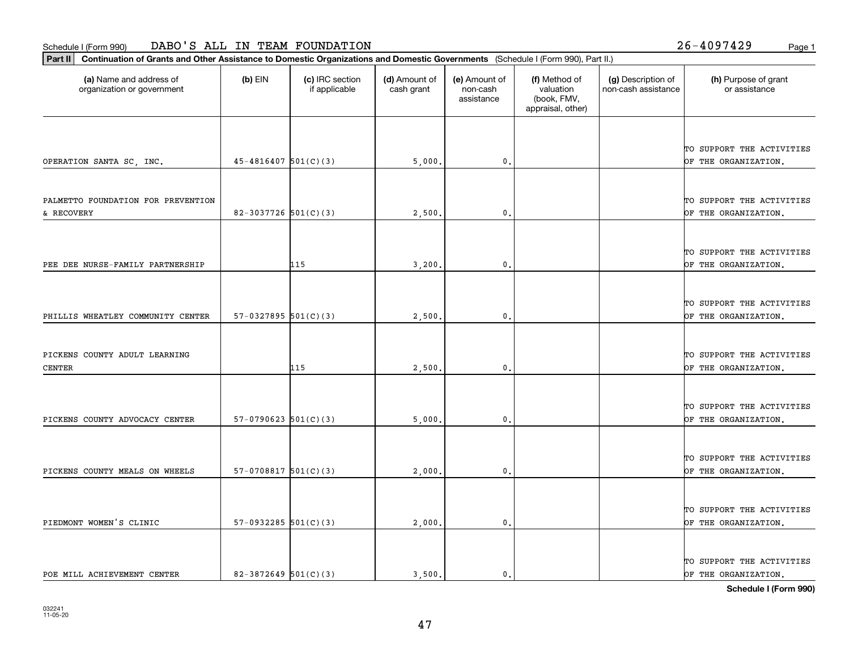**Part II Continuation of Grants and Other Assistance to Domestic Organizations and Domestic Governments**  (Schedule I (Form 990), Part II.)

| (a) Name and address of<br>organization or government | $(b)$ EIN                | (c) IRC section<br>if applicable | (d) Amount of<br>cash grant | (e) Amount of<br>non-cash<br>assistance | (f) Method of<br>valuation<br>(book, FMV,<br>appraisal, other) | (g) Description of<br>non-cash assistance | (h) Purpose of grant<br>or assistance             |
|-------------------------------------------------------|--------------------------|----------------------------------|-----------------------------|-----------------------------------------|----------------------------------------------------------------|-------------------------------------------|---------------------------------------------------|
|                                                       |                          |                                  |                             |                                         |                                                                |                                           | TO SUPPORT THE ACTIVITIES                         |
| OPERATION SANTA SC, INC.                              | $45 - 4816407$ 501(C)(3) |                                  | 5,000                       | $\mathbf{0}$                            |                                                                |                                           | OF THE ORGANIZATION.                              |
| PALMETTO FOUNDATION FOR PREVENTION<br>& RECOVERY      | 82-3037726 501(C)(3)     |                                  | 2,500.                      | $\mathbf{0}$                            |                                                                |                                           | TO SUPPORT THE ACTIVITIES<br>OF THE ORGANIZATION. |
| PEE DEE NURSE-FAMILY PARTNERSHIP                      |                          | 115                              | 3,200                       | $\mathbf{0}$                            |                                                                |                                           | TO SUPPORT THE ACTIVITIES<br>OF THE ORGANIZATION. |
| PHILLIS WHEATLEY COMMUNITY CENTER                     | $57-0327895$ $501(C)(3)$ |                                  | 2,500                       | $\mathbf{0}$                            |                                                                |                                           | TO SUPPORT THE ACTIVITIES<br>OF THE ORGANIZATION. |
| PICKENS COUNTY ADULT LEARNING<br><b>CENTER</b>        |                          | 115                              | 2,500                       | $\mathbf{0}$                            |                                                                |                                           | TO SUPPORT THE ACTIVITIES<br>OF THE ORGANIZATION. |
| PICKENS COUNTY ADVOCACY CENTER                        | $57-0790623$ $501(C)(3)$ |                                  | 5,000                       | $\mathbf{0}$ .                          |                                                                |                                           | TO SUPPORT THE ACTIVITIES<br>OF THE ORGANIZATION. |
| PICKENS COUNTY MEALS ON WHEELS                        | $57-0708817$ $501(C)(3)$ |                                  | 2,000                       | $\mathbf{0}$                            |                                                                |                                           | TO SUPPORT THE ACTIVITIES<br>OF THE ORGANIZATION. |
| PIEDMONT WOMEN'S CLINIC                               | $57-0932285$ $501(C)(3)$ |                                  | 2,000                       | $\mathbf{0}$                            |                                                                |                                           | TO SUPPORT THE ACTIVITIES<br>OF THE ORGANIZATION. |
|                                                       |                          |                                  |                             |                                         |                                                                |                                           | TO SUPPORT THE ACTIVITIES                         |

**Schedule I (Form 990)**

POE MILL ACHIEVEMENT CENTER  $\begin{vmatrix} 82-3872649 & 501(C)(3) \end{vmatrix}$  3,500. 0. 0.

47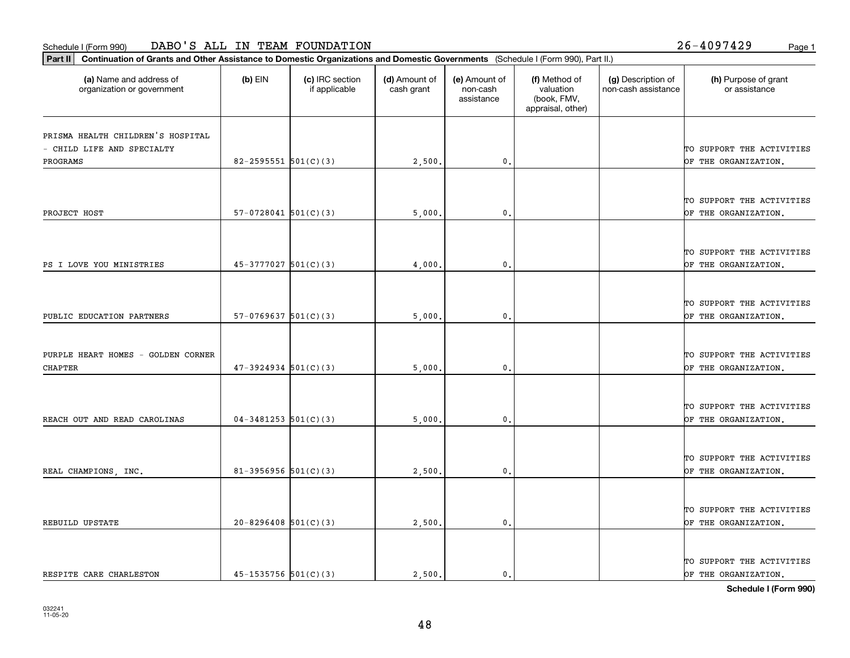organization or government

**Part II Continuation of Grants and Other Assistance to Domestic Organizations and Domestic Governments**  (Schedule I (Form 990), Part II.)

if applicable

 $(b)$  EIN  $(c)$  IRC section

**(a) (b) (c) (d) (e) (f) (g) (h)** Name and address of

(d) Amount of cash grant

(e) Amount of non-cashassistance

(f) Method of valuation (book, FMV,

(g) Description of non-cash assistance

|                                    |                            |        | appraisal, other) |                           |
|------------------------------------|----------------------------|--------|-------------------|---------------------------|
| PRISMA HEALTH CHILDREN'S HOSPITAL  |                            |        |                   |                           |
| - CHILD LIFE AND SPECIALTY         |                            |        |                   | TO SUPPORT THE ACTIVITIES |
| PROGRAMS                           | $82 - 2595551$ $501(C)(3)$ | 2,500  | $\mathbf{0}$      | OF THE ORGANIZATION.      |
|                                    |                            |        |                   |                           |
|                                    |                            |        |                   | TO SUPPORT THE ACTIVITIES |
| PROJECT HOST                       | $57-0728041$ $501(C)(3)$   | 5,000  | $\mathfrak{o}$ .  | OF THE ORGANIZATION.      |
|                                    |                            |        |                   |                           |
|                                    |                            |        |                   | TO SUPPORT THE ACTIVITIES |
| PS I LOVE YOU MINISTRIES           | $45-3777027$ 501(C)(3)     | 4,000  | $\mathfrak{o}$ .  | OF THE ORGANIZATION.      |
|                                    |                            |        |                   |                           |
|                                    |                            |        |                   | TO SUPPORT THE ACTIVITIES |
| PUBLIC EDUCATION PARTNERS          | $57-0769637$ $501(C)(3)$   | 5,000  | $\mathfrak o$ .   | OF THE ORGANIZATION.      |
|                                    |                            |        |                   |                           |
| PURPLE HEART HOMES - GOLDEN CORNER |                            |        |                   | TO SUPPORT THE ACTIVITIES |
| <b>CHAPTER</b>                     | $47-3924934$ 501(C)(3)     | 5,000  | $\mathbf{0}$ .    | OF THE ORGANIZATION.      |
|                                    |                            |        |                   |                           |
|                                    |                            |        |                   | TO SUPPORT THE ACTIVITIES |
| REACH OUT AND READ CAROLINAS       | $04 - 3481253$ 501(C)(3)   | 5,000  | $\mathbf{0}$      | OF THE ORGANIZATION.      |
|                                    |                            |        |                   |                           |
|                                    |                            |        |                   | TO SUPPORT THE ACTIVITIES |
| REAL CHAMPIONS, INC.               | $81 - 3956956$ 501(C)(3)   | 2,500  | $\mathbf{0}$ .    | OF THE ORGANIZATION.      |
|                                    |                            |        |                   | TO SUPPORT THE ACTIVITIES |
| REBUILD UPSTATE                    | $20 - 8296408$ 501(C)(3)   | 2,500  | $\mathbf{0}$      | OF THE ORGANIZATION.      |
|                                    |                            |        |                   |                           |
|                                    |                            |        |                   | TO SUPPORT THE ACTIVITIES |
| RESPITE CARE CHARLESTON            | $45 - 1535756$ $501(C)(3)$ | 2,500. | $\mathbf{0}$ .    | OF THE ORGANIZATION.      |

(h) Purpose of grant or assistance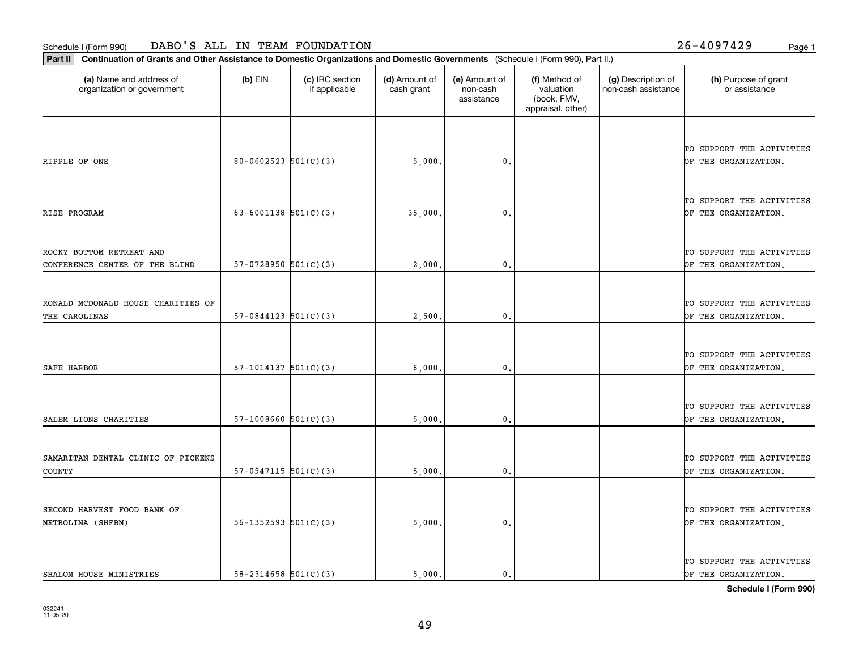organization or government

**Part II Continuation of Grants and Other Assistance to Domestic Organizations and Domestic Governments**  (Schedule I (Form 990), Part II.)

if applicable

 $(b)$  EIN  $(c)$  IRC section

**(a) (b) (c) (d) (e) (f) (g) (h)** Name and address of

(d) Amount of cash grant

(e) Amount of non-cashassistance

|                                    |                            |         |                |  | TO SUPPORT THE ACTIVITIES |
|------------------------------------|----------------------------|---------|----------------|--|---------------------------|
| RIPPLE OF ONE                      | $80 - 0602523$ $501(C)(3)$ | 5,000.  | $\mathbf{0}$ . |  | OF THE ORGANIZATION.      |
|                                    |                            |         |                |  |                           |
|                                    |                            |         |                |  | TO SUPPORT THE ACTIVITIES |
| RISE PROGRAM                       | $63 - 6001138$ $501(C)(3)$ | 35,000. | 0.             |  | OF THE ORGANIZATION.      |
|                                    |                            |         |                |  |                           |
| ROCKY BOTTOM RETREAT AND           |                            |         |                |  | TO SUPPORT THE ACTIVITIES |
| CONFERENCE CENTER OF THE BLIND     | $57-0728950$ $501(C)(3)$   | 2,000.  | 0.             |  | OF THE ORGANIZATION.      |
|                                    |                            |         |                |  |                           |
|                                    |                            |         |                |  |                           |
| RONALD MCDONALD HOUSE CHARITIES OF |                            |         |                |  | TO SUPPORT THE ACTIVITIES |
| THE CAROLINAS                      | $57-0844123$ $501(C)(3)$   | 2,500.  | 0.             |  | OF THE ORGANIZATION.      |
|                                    |                            |         |                |  |                           |
|                                    |                            |         |                |  | TO SUPPORT THE ACTIVITIES |
| <b>SAFE HARBOR</b>                 | $57-1014137$ $501(C)(3)$   | 6,000   | 0.             |  | OF THE ORGANIZATION.      |
|                                    |                            |         |                |  |                           |
|                                    |                            |         |                |  | TO SUPPORT THE ACTIVITIES |
| SALEM LIONS CHARITIES              | $57-1008660$ $501(C)(3)$   | 5,000   | $\mathbf{0}$ . |  | OF THE ORGANIZATION.      |
|                                    |                            |         |                |  |                           |
| SAMARITAN DENTAL CLINIC OF PICKENS |                            |         |                |  | TO SUPPORT THE ACTIVITIES |
| $\texttt{COUNTY}$                  | $57-0947115$ $501(C)(3)$   | 5,000.  | 0.             |  | OF THE ORGANIZATION.      |
|                                    |                            |         |                |  |                           |
| SECOND HARVEST FOOD BANK OF        |                            |         |                |  | TO SUPPORT THE ACTIVITIES |
| METROLINA (SHFBM)                  | $56 - 1352593$ $501(C)(3)$ | 5,000.  | 0.             |  | OF THE ORGANIZATION.      |
|                                    |                            |         |                |  |                           |
|                                    |                            |         |                |  | TO SUPPORT THE ACTIVITIES |
| SHALOM HOUSE MINISTRIES            | $58 - 2314658$ $501(C)(3)$ | 5,000.  | $\mathbf{0}$ . |  | OF THE ORGANIZATION.      |

(g) Description of non-cash assistance

(f) Method of valuation (book, FMV, appraisal, other)

(h) Purpose of grant or assistance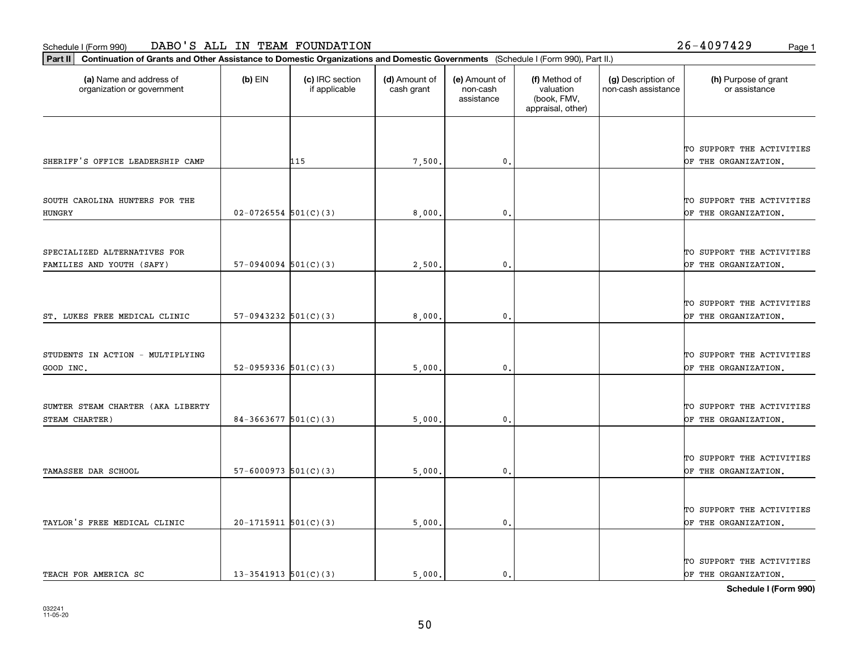**Part II Continuation of Grants and Other Assistance to Domestic Organizations and Domestic Governments**  (Schedule I (Form 990), Part II.)

| (a) Name and address of<br>organization or government     | $(b)$ EIN                  | (c) IRC section<br>if applicable | (d) Amount of<br>cash grant | (e) Amount of<br>non-cash<br>assistance | (f) Method of<br>valuation<br>(book, FMV,<br>appraisal, other) | (g) Description of<br>non-cash assistance | (h) Purpose of grant<br>or assistance             |
|-----------------------------------------------------------|----------------------------|----------------------------------|-----------------------------|-----------------------------------------|----------------------------------------------------------------|-------------------------------------------|---------------------------------------------------|
| SHERIFF'S OFFICE LEADERSHIP CAMP                          |                            | 115                              | 7,500                       | 0.                                      |                                                                |                                           | TO SUPPORT THE ACTIVITIES<br>OF THE ORGANIZATION. |
| SOUTH CAROLINA HUNTERS FOR THE<br><b>HUNGRY</b>           | $02 - 0726554$ 501(C)(3)   |                                  | 8,000                       | $\mathfrak o$ .                         |                                                                |                                           | TO SUPPORT THE ACTIVITIES<br>OF THE ORGANIZATION. |
| SPECIALIZED ALTERNATIVES FOR<br>FAMILIES AND YOUTH (SAFY) | $57-0940094$ $501(C)(3)$   |                                  | 2,500                       | 0.                                      |                                                                |                                           | TO SUPPORT THE ACTIVITIES<br>OF THE ORGANIZATION. |
| ST. LUKES FREE MEDICAL CLINIC                             | $57-0943232$ $501(C)(3)$   |                                  | 8,000                       | $\mathfrak{o}$ .                        |                                                                |                                           | TO SUPPORT THE ACTIVITIES<br>OF THE ORGANIZATION. |
| STUDENTS IN ACTION - MULTIPLYING<br>GOOD INC.             | 52-0959336 $501(C)(3)$     |                                  | 5,000                       | 0.                                      |                                                                |                                           | TO SUPPORT THE ACTIVITIES<br>OF THE ORGANIZATION. |
| SUMTER STEAM CHARTER (AKA LIBERTY<br>STEAM CHARTER)       | $84-3663677$ 501(C)(3)     |                                  | 5,000                       | 0.                                      |                                                                |                                           | TO SUPPORT THE ACTIVITIES<br>OF THE ORGANIZATION. |
| TAMASSEE DAR SCHOOL                                       | $57 - 6000973$ $501(C)(3)$ |                                  | 5,000                       | 0.                                      |                                                                |                                           | TO SUPPORT THE ACTIVITIES<br>OF THE ORGANIZATION. |
| TAYLOR'S FREE MEDICAL CLINIC                              | $20-1715911$ 501(C)(3)     |                                  | 5,000                       | 0.                                      |                                                                |                                           | TO SUPPORT THE ACTIVITIES<br>OF THE ORGANIZATION. |
|                                                           |                            |                                  |                             |                                         |                                                                |                                           | TO SUPPORT THE ACTIVITIES                         |

TEACH FOR AMERICA SC  $\begin{vmatrix} 13-3541913 & 501(C)(3) \end{vmatrix}$  5,000. 0. 0.  $\begin{vmatrix} 0.1 & 0. \end{vmatrix}$   $\begin{vmatrix} 0.1 & 0. \end{vmatrix}$   $\begin{vmatrix} 0.1 & 0. \end{vmatrix}$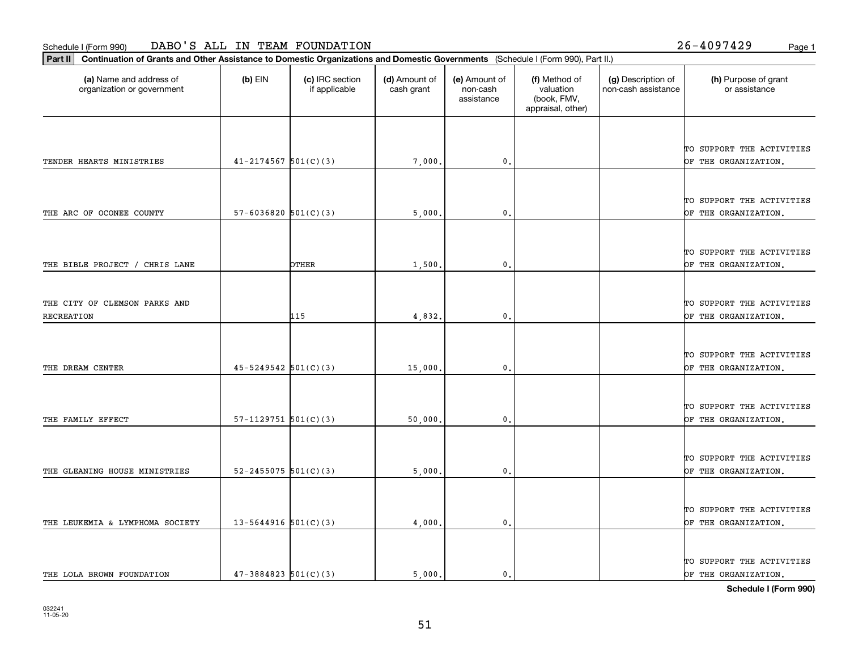**Part II Continuation of Grants and Other Assistance to Domestic Organizations and Domestic Governments**  (Schedule I (Form 990), Part II.)

| (a) Name and address of<br>organization or government | $(b)$ EIN                  | (c) IRC section<br>if applicable | (d) Amount of<br>cash grant | (e) Amount of<br>non-cash<br>assistance | (f) Method of<br>valuation<br>(book, FMV,<br>appraisal, other) | (g) Description of<br>non-cash assistance | (h) Purpose of grant<br>or assistance             |
|-------------------------------------------------------|----------------------------|----------------------------------|-----------------------------|-----------------------------------------|----------------------------------------------------------------|-------------------------------------------|---------------------------------------------------|
|                                                       |                            |                                  |                             |                                         |                                                                |                                           | TO SUPPORT THE ACTIVITIES                         |
| TENDER HEARTS MINISTRIES                              | $41 - 2174567$ 501(C)(3)   |                                  | 7,000.                      | 0.                                      |                                                                |                                           | OF THE ORGANIZATION.                              |
|                                                       |                            |                                  |                             |                                         |                                                                |                                           | TO SUPPORT THE ACTIVITIES                         |
| THE ARC OF OCONEE COUNTY                              | $57 - 6036820$ $501(C)(3)$ |                                  | 5,000.                      | 0.                                      |                                                                |                                           | OF THE ORGANIZATION.                              |
| THE BIBLE PROJECT / CHRIS LANE                        |                            | <b>OTHER</b>                     | 1,500.                      | $\mathbf{0}$                            |                                                                |                                           | TO SUPPORT THE ACTIVITIES<br>OF THE ORGANIZATION. |
| THE CITY OF CLEMSON PARKS AND<br>RECREATION           |                            | 115                              | 4,832.                      | $\mathbf{0}$                            |                                                                |                                           | TO SUPPORT THE ACTIVITIES<br>OF THE ORGANIZATION. |
| THE DREAM CENTER                                      | $45 - 5249542$ 501(C)(3)   |                                  | 15,000.                     | $\mathbf 0$ .                           |                                                                |                                           | TO SUPPORT THE ACTIVITIES<br>OF THE ORGANIZATION. |
| THE FAMILY EFFECT                                     | $57-1129751$ $501(C)(3)$   |                                  | 50,000.                     | $\mathbf{0}$                            |                                                                |                                           | TO SUPPORT THE ACTIVITIES<br>OF THE ORGANIZATION. |
| THE GLEANING HOUSE MINISTRIES                         | $52 - 2455075$ $501(C)(3)$ |                                  | 5,000.                      | $\mathbf 0$ .                           |                                                                |                                           | TO SUPPORT THE ACTIVITIES<br>OF THE ORGANIZATION. |
| THE LEUKEMIA & LYMPHOMA SOCIETY                       | $13 - 5644916$ 501(C)(3)   |                                  | 4,000.                      | $\mathbf{0}$ .                          |                                                                |                                           | TO SUPPORT THE ACTIVITIES<br>OF THE ORGANIZATION. |
|                                                       |                            |                                  |                             |                                         |                                                                |                                           | TO SUPPORT THE ACTIVITIES                         |

⊤

**Schedule I (Form 990)**

THE LOLA BROWN FOUNDATION  $\begin{vmatrix} 47-3884823 & 501(C)(3) \end{vmatrix}$  5,000. 0. 0. 0.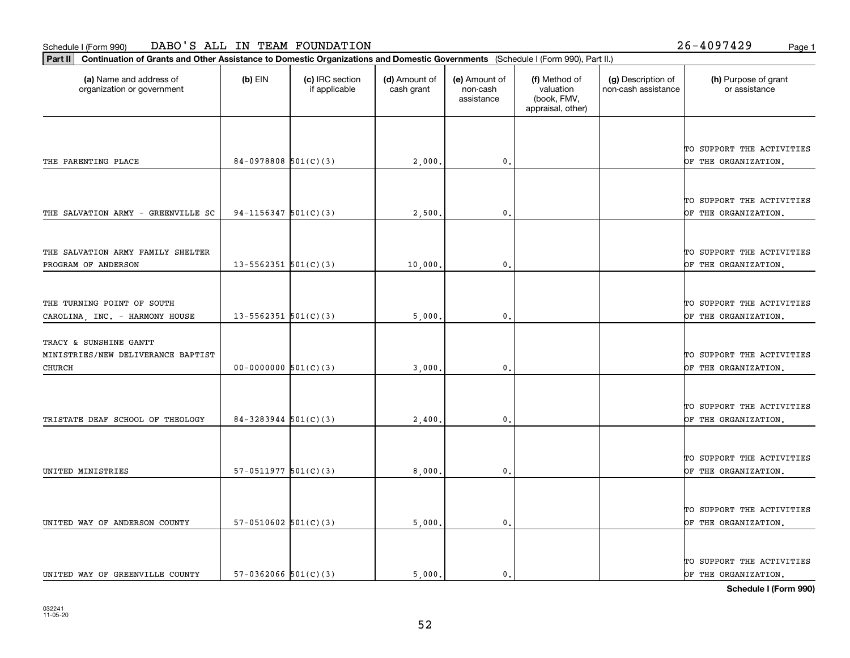**Part II Continuation of Grants and Other Assistance to Domestic Organizations and Domestic Governments**  (Schedule I (Form 990), Part II.)

| $(b)$ EIN | (c) IRC section<br>if applicable | (d) Amount of<br>cash grant                                                                                                                                                                                                                          | (e) Amount of<br>non-cash<br>assistance       | (f) Method of<br>valuation<br>(book, FMV,<br>appraisal, other) | (g) Description of<br>non-cash assistance | (h) Purpose of grant<br>or assistance             |
|-----------|----------------------------------|------------------------------------------------------------------------------------------------------------------------------------------------------------------------------------------------------------------------------------------------------|-----------------------------------------------|----------------------------------------------------------------|-------------------------------------------|---------------------------------------------------|
|           |                                  |                                                                                                                                                                                                                                                      |                                               |                                                                |                                           |                                                   |
|           |                                  |                                                                                                                                                                                                                                                      |                                               |                                                                |                                           | TO SUPPORT THE ACTIVITIES<br>OF THE ORGANIZATION. |
|           |                                  |                                                                                                                                                                                                                                                      |                                               |                                                                |                                           |                                                   |
|           |                                  |                                                                                                                                                                                                                                                      |                                               |                                                                |                                           |                                                   |
|           |                                  |                                                                                                                                                                                                                                                      | $\mathbf{0}$ .                                |                                                                |                                           | TO SUPPORT THE ACTIVITIES<br>OF THE ORGANIZATION. |
|           |                                  |                                                                                                                                                                                                                                                      |                                               |                                                                |                                           |                                                   |
|           |                                  |                                                                                                                                                                                                                                                      |                                               |                                                                |                                           | TO SUPPORT THE ACTIVITIES                         |
|           |                                  | 10,000.                                                                                                                                                                                                                                              | $\mathbf{0}$                                  |                                                                |                                           | OF THE ORGANIZATION.                              |
|           |                                  |                                                                                                                                                                                                                                                      |                                               |                                                                |                                           |                                                   |
|           |                                  |                                                                                                                                                                                                                                                      |                                               |                                                                |                                           | TO SUPPORT THE ACTIVITIES                         |
|           |                                  | 5,000                                                                                                                                                                                                                                                | $\mathbf{0}$ .                                |                                                                |                                           | OF THE ORGANIZATION.                              |
|           |                                  |                                                                                                                                                                                                                                                      |                                               |                                                                |                                           |                                                   |
|           |                                  |                                                                                                                                                                                                                                                      |                                               |                                                                |                                           | TO SUPPORT THE ACTIVITIES                         |
|           |                                  | 3,000                                                                                                                                                                                                                                                | $\mathbf{0}$                                  |                                                                |                                           | OF THE ORGANIZATION.                              |
|           |                                  |                                                                                                                                                                                                                                                      |                                               |                                                                |                                           |                                                   |
|           |                                  |                                                                                                                                                                                                                                                      |                                               |                                                                |                                           | TO SUPPORT THE ACTIVITIES                         |
|           |                                  | 2,400.                                                                                                                                                                                                                                               | $\mathfrak{o}$ .                              |                                                                |                                           | OF THE ORGANIZATION.                              |
|           |                                  |                                                                                                                                                                                                                                                      |                                               |                                                                |                                           |                                                   |
|           |                                  |                                                                                                                                                                                                                                                      |                                               |                                                                |                                           | TO SUPPORT THE ACTIVITIES                         |
|           |                                  |                                                                                                                                                                                                                                                      |                                               |                                                                |                                           | OF THE ORGANIZATION,                              |
|           |                                  |                                                                                                                                                                                                                                                      |                                               |                                                                |                                           |                                                   |
|           |                                  |                                                                                                                                                                                                                                                      |                                               |                                                                |                                           |                                                   |
|           |                                  |                                                                                                                                                                                                                                                      |                                               |                                                                |                                           | TO SUPPORT THE ACTIVITIES<br>OF THE ORGANIZATION. |
|           |                                  |                                                                                                                                                                                                                                                      |                                               |                                                                |                                           |                                                   |
|           |                                  |                                                                                                                                                                                                                                                      |                                               |                                                                |                                           |                                                   |
|           |                                  |                                                                                                                                                                                                                                                      |                                               |                                                                |                                           | TO SUPPORT THE ACTIVITIES<br>OF THE ORGANIZATION. |
|           |                                  | 84-0978808 $501(C)(3)$<br>94-1156347 $501(C)(3)$<br>$13 - 5562351$ $501(C)(3)$<br>$13 - 5562351$ $501(C)(3)$<br>$00-0000000$ 501(C)(3)<br>$84 - 3283944$ $501(C)(3)$<br>57-0511977 $501(C)(3)$<br>57-0510602 $501(C)(3)$<br>$57-0362066$ $501(C)(3)$ | 2,000<br>2,500.<br>8,000.<br>5,000.<br>5.000. | $\mathbf{0}$<br>$\mathbf{0}$<br>0.<br>$\mathbf{0}$ .           |                                           |                                                   |

┰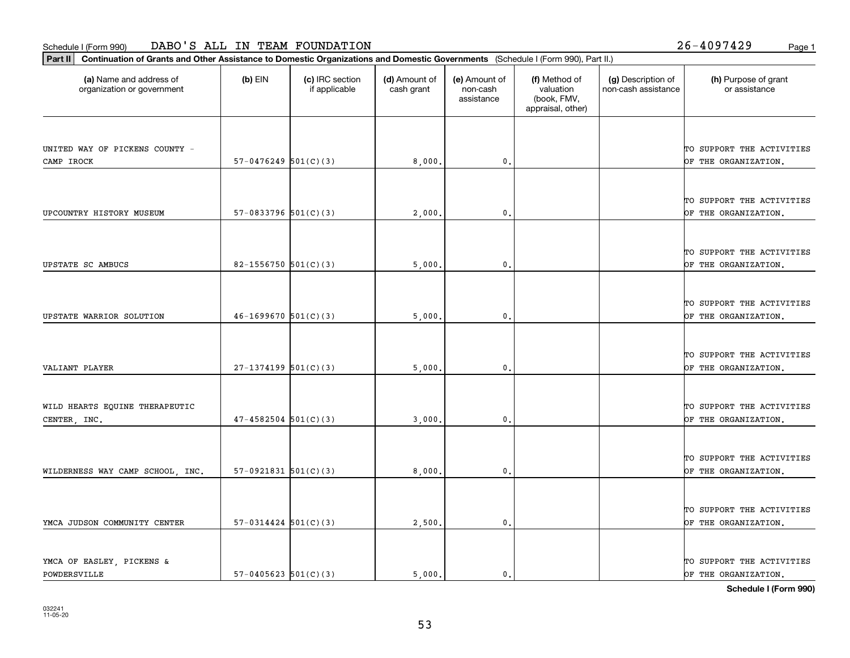**Part II Continuation of Grants and Other Assistance to Domestic Organizations and Domestic Governments**  (Schedule I (Form 990), Part II.)

| (a) Name and address of<br>organization or government | $(b)$ EIN                | (c) IRC section<br>if applicable | (d) Amount of<br>cash grant | (e) Amount of<br>non-cash<br>assistance | (f) Method of<br>valuation<br>(book, FMV,<br>appraisal, other) | (g) Description of<br>non-cash assistance | (h) Purpose of grant<br>or assistance             |
|-------------------------------------------------------|--------------------------|----------------------------------|-----------------------------|-----------------------------------------|----------------------------------------------------------------|-------------------------------------------|---------------------------------------------------|
|                                                       |                          |                                  |                             |                                         |                                                                |                                           |                                                   |
| UNITED WAY OF PICKENS COUNTY -                        |                          |                                  |                             |                                         |                                                                |                                           | TO SUPPORT THE ACTIVITIES                         |
| CAMP IROCK                                            | $57-0476249$ $501(C)(3)$ |                                  | 8,000.                      | 0.                                      |                                                                |                                           | OF THE ORGANIZATION.                              |
|                                                       |                          |                                  |                             |                                         |                                                                |                                           |                                                   |
|                                                       |                          |                                  |                             |                                         |                                                                |                                           | TO SUPPORT THE ACTIVITIES                         |
| UPCOUNTRY HISTORY MUSEUM                              | $57-0833796$ $501(C)(3)$ |                                  | 2,000.                      | 0.                                      |                                                                |                                           | OF THE ORGANIZATION.                              |
|                                                       |                          |                                  |                             |                                         |                                                                |                                           |                                                   |
|                                                       |                          |                                  |                             |                                         |                                                                |                                           |                                                   |
|                                                       |                          |                                  |                             |                                         |                                                                |                                           | TO SUPPORT THE ACTIVITIES                         |
| UPSTATE SC AMBUCS                                     | 82-1556750 $501(C)(3)$   |                                  | 5,000                       | 0.                                      |                                                                |                                           | OF THE ORGANIZATION.                              |
|                                                       |                          |                                  |                             |                                         |                                                                |                                           |                                                   |
|                                                       |                          |                                  |                             |                                         |                                                                |                                           | TO SUPPORT THE ACTIVITIES                         |
| UPSTATE WARRIOR SOLUTION                              | $46-1699670$ 501(C)(3)   |                                  | 5,000                       | $\mathbf{0}$                            |                                                                |                                           | OF THE ORGANIZATION.                              |
|                                                       |                          |                                  |                             |                                         |                                                                |                                           |                                                   |
|                                                       |                          |                                  |                             |                                         |                                                                |                                           | TO SUPPORT THE ACTIVITIES                         |
| VALIANT PLAYER                                        | $27-1374199$ 501(C)(3)   |                                  | 5,000                       | 0.                                      |                                                                |                                           | OF THE ORGANIZATION.                              |
|                                                       |                          |                                  |                             |                                         |                                                                |                                           |                                                   |
|                                                       |                          |                                  |                             |                                         |                                                                |                                           |                                                   |
| WILD HEARTS EQUINE THERAPEUTIC                        |                          |                                  |                             |                                         |                                                                |                                           | TO SUPPORT THE ACTIVITIES                         |
| CENTER, INC.                                          | $47 - 4582504$ 501(C)(3) |                                  | 3,000.                      | 0.                                      |                                                                |                                           | OF THE ORGANIZATION.                              |
|                                                       |                          |                                  |                             |                                         |                                                                |                                           |                                                   |
|                                                       |                          |                                  |                             |                                         |                                                                |                                           | TO SUPPORT THE ACTIVITIES                         |
| WILDERNESS WAY CAMP SCHOOL, INC.                      | $57-0921831$ $501(C)(3)$ |                                  | 8,000                       | 0.                                      |                                                                |                                           | OF THE ORGANIZATION.                              |
|                                                       |                          |                                  |                             |                                         |                                                                |                                           |                                                   |
|                                                       |                          |                                  |                             |                                         |                                                                |                                           | TO SUPPORT THE ACTIVITIES                         |
| YMCA JUDSON COMMUNITY CENTER                          | $57-0314424$ $501(C)(3)$ |                                  | 2,500.                      | 0.                                      |                                                                |                                           | OF THE ORGANIZATION.                              |
|                                                       |                          |                                  |                             |                                         |                                                                |                                           |                                                   |
|                                                       |                          |                                  |                             |                                         |                                                                |                                           |                                                   |
| YMCA OF EASLEY, PICKENS &<br>POWDERSVILLE             | $57-0405623$ $501(C)(3)$ |                                  | 5.000.                      | $\mathbf{0}$ .                          |                                                                |                                           | TO SUPPORT THE ACTIVITIES<br>OF THE ORGANIZATION. |
|                                                       |                          |                                  |                             |                                         |                                                                |                                           |                                                   |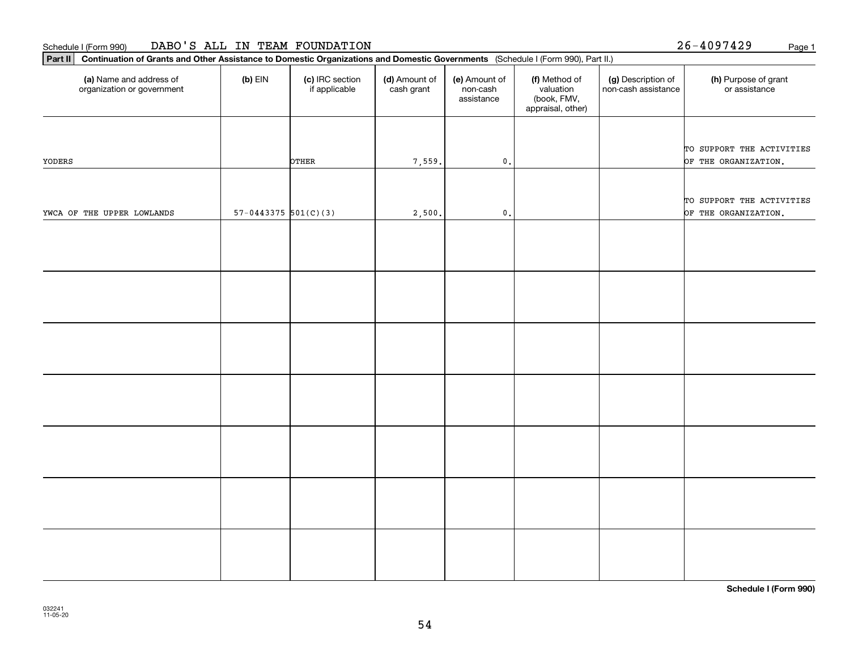| Part II   Continuation of Grants and Other Assistance to Domestic Organizations and Domestic Governments (Schedule I (Form 990), Part II.) |                          |                                  |                             |                                         |                                                                |                                           |                                       |
|--------------------------------------------------------------------------------------------------------------------------------------------|--------------------------|----------------------------------|-----------------------------|-----------------------------------------|----------------------------------------------------------------|-------------------------------------------|---------------------------------------|
| (a) Name and address of<br>organization or government                                                                                      | $(b)$ EIN                | (c) IRC section<br>if applicable | (d) Amount of<br>cash grant | (e) Amount of<br>non-cash<br>assistance | (f) Method of<br>valuation<br>(book, FMV,<br>appraisal, other) | (g) Description of<br>non-cash assistance | (h) Purpose of grant<br>or assistance |
|                                                                                                                                            |                          |                                  |                             |                                         |                                                                |                                           |                                       |
|                                                                                                                                            |                          |                                  |                             |                                         |                                                                |                                           | TO SUPPORT THE ACTIVITIES             |
| YODERS                                                                                                                                     |                          | OTHER                            | 7,559.                      | $\mathbf 0$ .                           |                                                                |                                           | OF THE ORGANIZATION.                  |
|                                                                                                                                            |                          |                                  |                             |                                         |                                                                |                                           |                                       |
|                                                                                                                                            |                          |                                  |                             |                                         |                                                                |                                           | TO SUPPORT THE ACTIVITIES             |
| YWCA OF THE UPPER LOWLANDS                                                                                                                 | $57-0443375$ $501(C)(3)$ |                                  | 2,500.                      | $\mathbf 0$ .                           |                                                                |                                           | OF THE ORGANIZATION.                  |
|                                                                                                                                            |                          |                                  |                             |                                         |                                                                |                                           |                                       |
|                                                                                                                                            |                          |                                  |                             |                                         |                                                                |                                           |                                       |
|                                                                                                                                            |                          |                                  |                             |                                         |                                                                |                                           |                                       |
|                                                                                                                                            |                          |                                  |                             |                                         |                                                                |                                           |                                       |
|                                                                                                                                            |                          |                                  |                             |                                         |                                                                |                                           |                                       |
|                                                                                                                                            |                          |                                  |                             |                                         |                                                                |                                           |                                       |
|                                                                                                                                            |                          |                                  |                             |                                         |                                                                |                                           |                                       |
|                                                                                                                                            |                          |                                  |                             |                                         |                                                                |                                           |                                       |
|                                                                                                                                            |                          |                                  |                             |                                         |                                                                |                                           |                                       |
|                                                                                                                                            |                          |                                  |                             |                                         |                                                                |                                           |                                       |
|                                                                                                                                            |                          |                                  |                             |                                         |                                                                |                                           |                                       |
|                                                                                                                                            |                          |                                  |                             |                                         |                                                                |                                           |                                       |
|                                                                                                                                            |                          |                                  |                             |                                         |                                                                |                                           |                                       |
|                                                                                                                                            |                          |                                  |                             |                                         |                                                                |                                           |                                       |
|                                                                                                                                            |                          |                                  |                             |                                         |                                                                |                                           |                                       |
|                                                                                                                                            |                          |                                  |                             |                                         |                                                                |                                           |                                       |
|                                                                                                                                            |                          |                                  |                             |                                         |                                                                |                                           |                                       |
|                                                                                                                                            |                          |                                  |                             |                                         |                                                                |                                           |                                       |
|                                                                                                                                            |                          |                                  |                             |                                         |                                                                |                                           |                                       |
|                                                                                                                                            |                          |                                  |                             |                                         |                                                                |                                           |                                       |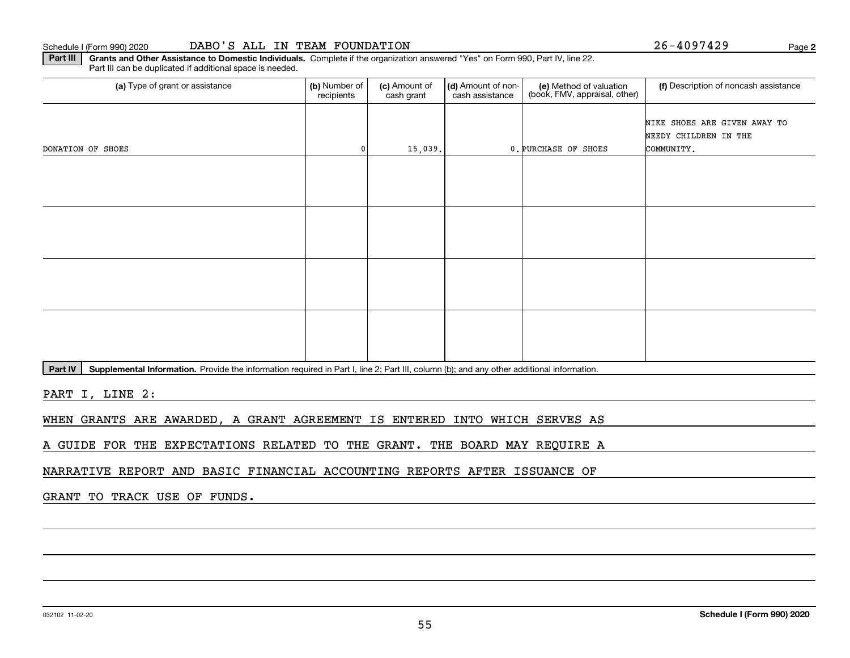#### 032102 11-02-20

#### Schedule I (Form 990) 2020 **DABO ' S ALL IN TEAM FOUNDATION** Page

**Part III | Grants and Other Assistance to Domestic Individuals. Complete if the organization answered "Yes" on Form 990, Part IV, line 22.** Part III can be duplicated if additional space is needed.

| (a) Type of grant or assistance | (b) Number of<br>recipients | (c) Amount of<br>cash grant | (d) Amount of non-<br>cash assistance | (e) Method of valuation<br>(book, FMV, appraisal, other) | (f) Description of noncash assistance                               |
|---------------------------------|-----------------------------|-----------------------------|---------------------------------------|----------------------------------------------------------|---------------------------------------------------------------------|
| DONATION OF SHOES               | 0                           | 15,039.                     |                                       | 0. PURCHASE OF SHOES                                     | NIKE SHOES ARE GIVEN AWAY TO<br>NEEDY CHILDREN IN THE<br>COMMUNITY. |
|                                 |                             |                             |                                       |                                                          |                                                                     |
|                                 |                             |                             |                                       |                                                          |                                                                     |
|                                 |                             |                             |                                       |                                                          |                                                                     |
|                                 |                             |                             |                                       |                                                          |                                                                     |

Part IV | Supplemental Information. Provide the information required in Part I, line 2; Part III, column (b); and any other additional information.

PART I, LINE 2:

WHEN GRANTS ARE AWARDED, A GRANT AGREEMENT IS ENTERED INTO WHICH SERVES AS

A GUIDE FOR THE EXPECTATIONS RELATED TO THE GRANT. THE BOARD MAY REQUIRE A

NARRATIVE REPORT AND BASIC FINANCIAL ACCOUNTING REPORTS AFTER ISSUANCE OF

GRANT TO TRACK USE OF FUNDS.

**2**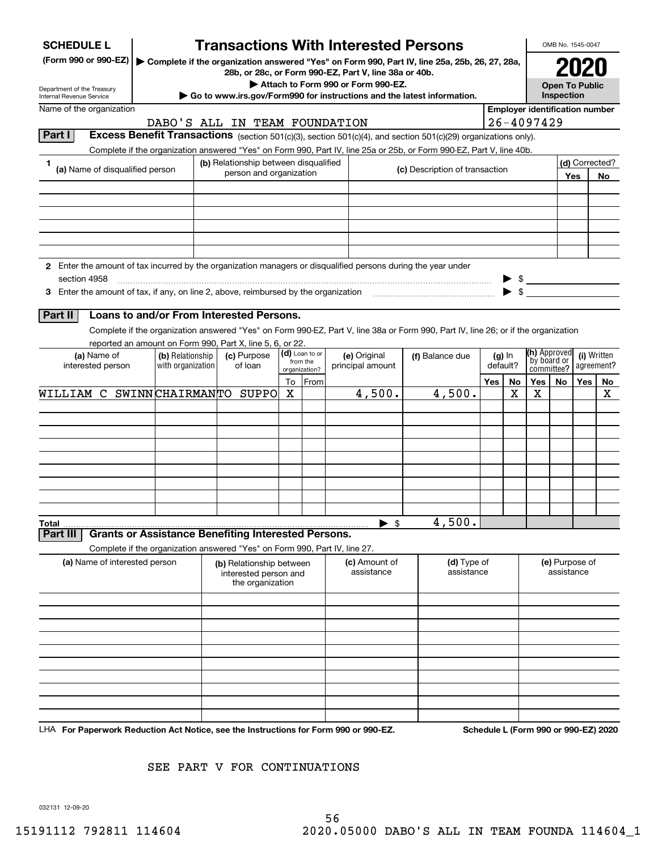| <b>SCHEDULE L</b>                                                                                             |                                       | <b>Transactions With Interested Persons</b>                                |    |                            |                                    |                                                                                                                                                                                                                                        |     |                      |                                       | OMB No. 1545-0047                   |     |                                      |
|---------------------------------------------------------------------------------------------------------------|---------------------------------------|----------------------------------------------------------------------------|----|----------------------------|------------------------------------|----------------------------------------------------------------------------------------------------------------------------------------------------------------------------------------------------------------------------------------|-----|----------------------|---------------------------------------|-------------------------------------|-----|--------------------------------------|
| (Form 990 or 990-EZ)                                                                                          |                                       | 28b, or 28c, or Form 990-EZ, Part V, line 38a or 40b.                      |    |                            |                                    | Complete if the organization answered "Yes" on Form 990, Part IV, line 25a, 25b, 26, 27, 28a,                                                                                                                                          |     |                      |                                       |                                     |     |                                      |
| Department of the Treasury<br>Internal Revenue Service                                                        |                                       | Go to www.irs.gov/Form990 for instructions and the latest information.     |    |                            | Attach to Form 990 or Form 990-EZ. |                                                                                                                                                                                                                                        |     |                      |                                       | <b>Open To Public</b><br>Inspection |     |                                      |
| Name of the organization                                                                                      |                                       |                                                                            |    |                            |                                    |                                                                                                                                                                                                                                        |     |                      | <b>Employer identification number</b> |                                     |     |                                      |
| Part I                                                                                                        |                                       | DABO'S ALL IN TEAM FOUNDATION                                              |    |                            |                                    |                                                                                                                                                                                                                                        |     |                      | $26 - 4097429$                        |                                     |     |                                      |
|                                                                                                               |                                       |                                                                            |    |                            |                                    | Excess Benefit Transactions (section 501(c)(3), section 501(c)(4), and section 501(c)(29) organizations only).<br>Complete if the organization answered "Yes" on Form 990, Part IV, line 25a or 25b, or Form 990-EZ, Part V, line 40b. |     |                      |                                       |                                     |     |                                      |
|                                                                                                               |                                       | (b) Relationship between disqualified                                      |    |                            |                                    | (c) Description of transaction                                                                                                                                                                                                         |     |                      |                                       |                                     |     | (d) Corrected?                       |
| (a) Name of disqualified person                                                                               |                                       | person and organization                                                    |    |                            |                                    |                                                                                                                                                                                                                                        |     |                      |                                       |                                     | Yes | No.                                  |
|                                                                                                               |                                       |                                                                            |    |                            |                                    |                                                                                                                                                                                                                                        |     |                      |                                       |                                     |     |                                      |
|                                                                                                               |                                       |                                                                            |    |                            |                                    |                                                                                                                                                                                                                                        |     |                      |                                       |                                     |     |                                      |
|                                                                                                               |                                       |                                                                            |    |                            |                                    |                                                                                                                                                                                                                                        |     |                      |                                       |                                     |     |                                      |
|                                                                                                               |                                       |                                                                            |    |                            |                                    |                                                                                                                                                                                                                                        |     |                      |                                       |                                     |     |                                      |
| 2 Enter the amount of tax incurred by the organization managers or disqualified persons during the year under |                                       |                                                                            |    |                            |                                    |                                                                                                                                                                                                                                        |     |                      |                                       |                                     |     |                                      |
| section 4958                                                                                                  |                                       |                                                                            |    |                            |                                    |                                                                                                                                                                                                                                        |     |                      |                                       |                                     |     |                                      |
|                                                                                                               |                                       |                                                                            |    |                            |                                    |                                                                                                                                                                                                                                        |     |                      | $\blacktriangleright$ \$              |                                     |     |                                      |
| Part II                                                                                                       |                                       | Loans to and/or From Interested Persons.                                   |    |                            |                                    |                                                                                                                                                                                                                                        |     |                      |                                       |                                     |     |                                      |
|                                                                                                               |                                       |                                                                            |    |                            |                                    | Complete if the organization answered "Yes" on Form 990-EZ, Part V, line 38a or Form 990, Part IV, line 26; or if the organization                                                                                                     |     |                      |                                       |                                     |     |                                      |
|                                                                                                               |                                       | reported an amount on Form 990, Part X, line 5, 6, or 22.                  |    |                            |                                    |                                                                                                                                                                                                                                        |     |                      |                                       |                                     |     |                                      |
| (a) Name of<br>interested person                                                                              | (b) Relationship<br>with organization | (c) Purpose<br>of loan                                                     |    | (d) Loan to or<br>from the | (e) Original<br>principal amount   | (f) Balance due                                                                                                                                                                                                                        |     | $(g)$ In<br>default? | (h) Approved<br>by board or           |                                     |     | (i) Written<br>agreement?            |
|                                                                                                               |                                       |                                                                            | To | organization?<br>From      |                                    |                                                                                                                                                                                                                                        | Yes | No                   | committee?<br>Yes                     | No                                  | Yes | No.                                  |
| WILLIAM C SWINNCHAIRMANTO SUPPO                                                                               |                                       |                                                                            | X  |                            | 4,500.                             | 4,500.                                                                                                                                                                                                                                 |     | х                    | Χ                                     |                                     |     | х                                    |
|                                                                                                               |                                       |                                                                            |    |                            |                                    |                                                                                                                                                                                                                                        |     |                      |                                       |                                     |     |                                      |
|                                                                                                               |                                       |                                                                            |    |                            |                                    |                                                                                                                                                                                                                                        |     |                      |                                       |                                     |     |                                      |
|                                                                                                               |                                       |                                                                            |    |                            |                                    |                                                                                                                                                                                                                                        |     |                      |                                       |                                     |     |                                      |
|                                                                                                               |                                       |                                                                            |    |                            |                                    |                                                                                                                                                                                                                                        |     |                      |                                       |                                     |     |                                      |
|                                                                                                               |                                       |                                                                            |    |                            |                                    |                                                                                                                                                                                                                                        |     |                      |                                       |                                     |     |                                      |
|                                                                                                               |                                       |                                                                            |    |                            |                                    |                                                                                                                                                                                                                                        |     |                      |                                       |                                     |     |                                      |
|                                                                                                               |                                       |                                                                            |    |                            |                                    |                                                                                                                                                                                                                                        |     |                      |                                       |                                     |     |                                      |
| Total                                                                                                         |                                       |                                                                            |    |                            | $\blacktriangleright$ \$           | 4,500.                                                                                                                                                                                                                                 |     |                      |                                       |                                     |     |                                      |
| Part III                                                                                                      |                                       | <b>Grants or Assistance Benefiting Interested Persons.</b>                 |    |                            |                                    |                                                                                                                                                                                                                                        |     |                      |                                       |                                     |     |                                      |
| (a) Name of interested person                                                                                 |                                       | Complete if the organization answered "Yes" on Form 990, Part IV, line 27. |    |                            | (c) Amount of                      | (d) Type of                                                                                                                                                                                                                            |     |                      |                                       | (e) Purpose of                      |     |                                      |
|                                                                                                               |                                       | (b) Relationship between<br>interested person and                          |    |                            | assistance                         | assistance                                                                                                                                                                                                                             |     |                      |                                       | assistance                          |     |                                      |
|                                                                                                               |                                       | the organization                                                           |    |                            |                                    |                                                                                                                                                                                                                                        |     |                      |                                       |                                     |     |                                      |
|                                                                                                               |                                       |                                                                            |    |                            |                                    |                                                                                                                                                                                                                                        |     |                      |                                       |                                     |     |                                      |
|                                                                                                               |                                       |                                                                            |    |                            |                                    |                                                                                                                                                                                                                                        |     |                      |                                       |                                     |     |                                      |
|                                                                                                               |                                       |                                                                            |    |                            |                                    |                                                                                                                                                                                                                                        |     |                      |                                       |                                     |     |                                      |
|                                                                                                               |                                       |                                                                            |    |                            |                                    |                                                                                                                                                                                                                                        |     |                      |                                       |                                     |     |                                      |
|                                                                                                               |                                       |                                                                            |    |                            |                                    |                                                                                                                                                                                                                                        |     |                      |                                       |                                     |     |                                      |
|                                                                                                               |                                       |                                                                            |    |                            |                                    |                                                                                                                                                                                                                                        |     |                      |                                       |                                     |     |                                      |
|                                                                                                               |                                       |                                                                            |    |                            |                                    |                                                                                                                                                                                                                                        |     |                      |                                       |                                     |     |                                      |
|                                                                                                               |                                       |                                                                            |    |                            |                                    |                                                                                                                                                                                                                                        |     |                      |                                       |                                     |     |                                      |
| LHA For Paperwork Reduction Act Notice, see the Instructions for Form 990 or 990-EZ.                          |                                       |                                                                            |    |                            |                                    |                                                                                                                                                                                                                                        |     |                      |                                       |                                     |     | Schedule L (Form 990 or 990-EZ) 2020 |

SEE PART V FOR CONTINUATIONS

032131 12-09-20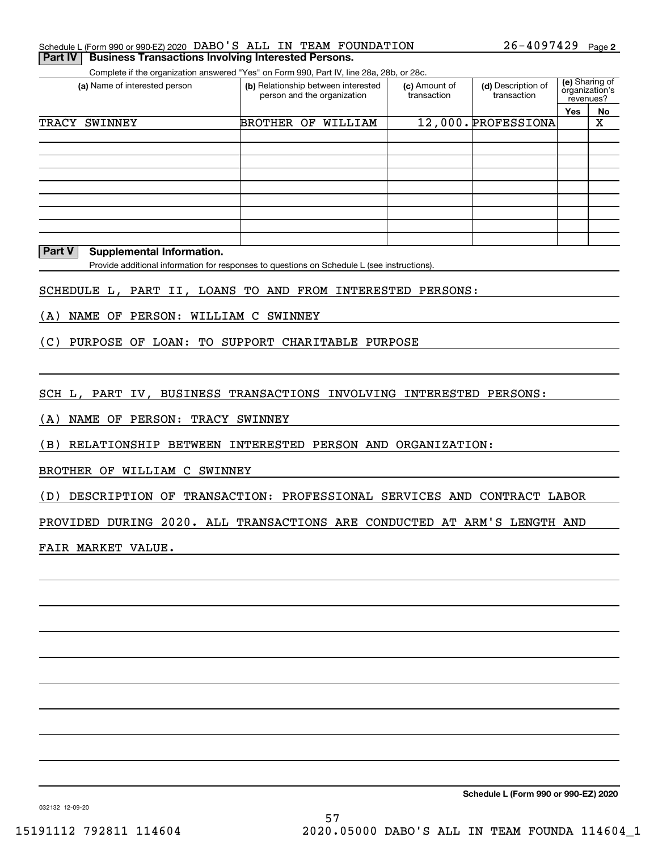|  | Schedule L (Form 990 or 990-EZ) 2020 DABO'S ALL IN TEAM FOUNDATION |  | $26 - 4097429$ Page 2 |  |
|--|--------------------------------------------------------------------|--|-----------------------|--|
|  | <b>Part IV Business Transactions Involving Interested Persons.</b> |  |                       |  |

Complete if the organization answered "Yes" on Form 990, Part IV, line 28a, 28b, or 28c.

| (a) Name of interested person | (b) Relationship between interested<br>person and the organization | (c) Amount of<br>(d) Description of<br>transaction<br>transaction |                     | (e) Sharing of<br>organization's<br>revenues? |    |
|-------------------------------|--------------------------------------------------------------------|-------------------------------------------------------------------|---------------------|-----------------------------------------------|----|
|                               |                                                                    |                                                                   |                     | <b>Yes</b>                                    | No |
| TRACY<br>SWINNEY              | BROTHER OF<br>WILLIAM                                              |                                                                   | 12,000. PROFESSIONA |                                               | Χ  |
|                               |                                                                    |                                                                   |                     |                                               |    |
|                               |                                                                    |                                                                   |                     |                                               |    |
|                               |                                                                    |                                                                   |                     |                                               |    |
|                               |                                                                    |                                                                   |                     |                                               |    |
|                               |                                                                    |                                                                   |                     |                                               |    |
|                               |                                                                    |                                                                   |                     |                                               |    |
|                               |                                                                    |                                                                   |                     |                                               |    |
|                               |                                                                    |                                                                   |                     |                                               |    |
|                               |                                                                    |                                                                   |                     |                                               |    |

#### **Part V Supplemental Information.**

Provide additional information for responses to questions on Schedule L (see instructions).

SCHEDULE L, PART II, LOANS TO AND FROM INTERESTED PERSONS:

(A) NAME OF PERSON: WILLIAM C SWINNEY

(C) PURPOSE OF LOAN: TO SUPPORT CHARITABLE PURPOSE

SCH L, PART IV, BUSINESS TRANSACTIONS INVOLVING INTERESTED PERSONS:

(A) NAME OF PERSON: TRACY SWINNEY

(B) RELATIONSHIP BETWEEN INTERESTED PERSON AND ORGANIZATION:

BROTHER OF WILLIAM C SWINNEY

(D) DESCRIPTION OF TRANSACTION: PROFESSIONAL SERVICES AND CONTRACT LABOR

PROVIDED DURING 2020. ALL TRANSACTIONS ARE CONDUCTED AT ARM'S LENGTH AND

FAIR MARKET VALUE.

**Schedule L (Form 990 or 990-EZ) 2020**

032132 12-09-20

57 15191112 792811 114604 2020.05000 DABO'S ALL IN TEAM FOUNDA 114604\_1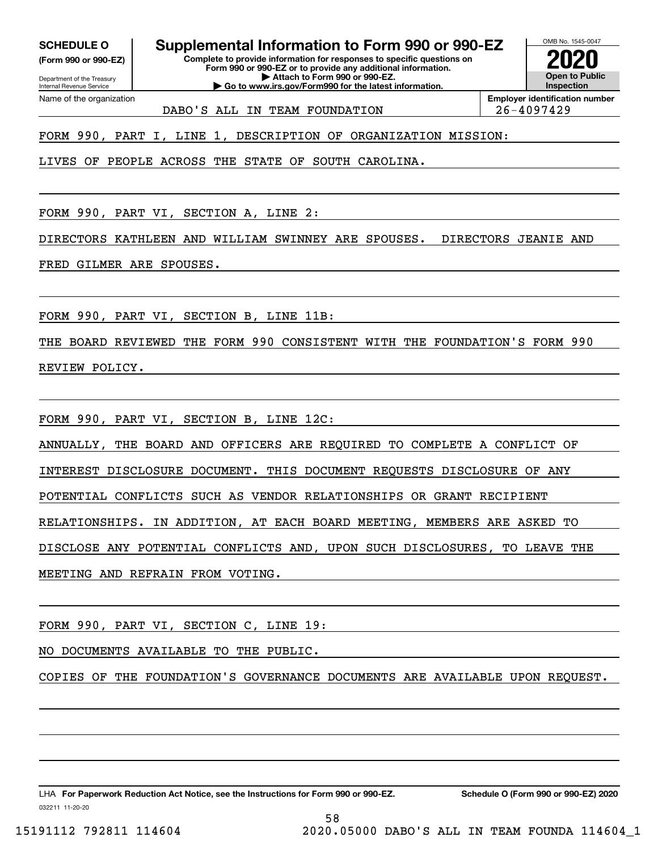**(Form 990 or 990-EZ)**

Department of the Treasury Internal Revenue Service Name of the organization

**SCHEDULE O Supplemental Information to Form 990 or 990-EZ**

**Complete to provide information for responses to specific questions on Form 990 or 990-EZ or to provide any additional information. | Attach to Form 990 or 990-EZ. | Go to www.irs.gov/Form990 for the latest information.**



DABO'S ALL IN TEAM FOUNDATION 26-4097429

FORM 990, PART I, LINE 1, DESCRIPTION OF ORGANIZATION MISSION:

LIVES OF PEOPLE ACROSS THE STATE OF SOUTH CAROLINA.

FORM 990, PART VI, SECTION A, LINE 2:

DIRECTORS KATHLEEN AND WILLIAM SWINNEY ARE SPOUSES. DIRECTORS JEANIE AND

FRED GILMER ARE SPOUSES.

FORM 990, PART VI, SECTION B, LINE 11B:

THE BOARD REVIEWED THE FORM 990 CONSISTENT WITH THE FOUNDATION'S FORM 990 REVIEW POLICY.

FORM 990, PART VI, SECTION B, LINE 12C:

ANNUALLY, THE BOARD AND OFFICERS ARE REQUIRED TO COMPLETE A CONFLICT OF

INTEREST DISCLOSURE DOCUMENT. THIS DOCUMENT REQUESTS DISCLOSURE OF ANY

POTENTIAL CONFLICTS SUCH AS VENDOR RELATIONSHIPS OR GRANT RECIPIENT

RELATIONSHIPS. IN ADDITION, AT EACH BOARD MEETING, MEMBERS ARE ASKED TO

DISCLOSE ANY POTENTIAL CONFLICTS AND, UPON SUCH DISCLOSURES, TO LEAVE THE

MEETING AND REFRAIN FROM VOTING.

FORM 990, PART VI, SECTION C, LINE 19:

NO DOCUMENTS AVAILABLE TO THE PUBLIC.

COPIES OF THE FOUNDATION'S GOVERNANCE DOCUMENTS ARE AVAILABLE UPON REQUEST.

58

032211 11-20-20 LHA For Paperwork Reduction Act Notice, see the Instructions for Form 990 or 990-EZ. Schedule O (Form 990 or 990-EZ) 2020

15191112 792811 114604 2020.05000 DABO'S ALL IN TEAM FOUNDA 114604\_1